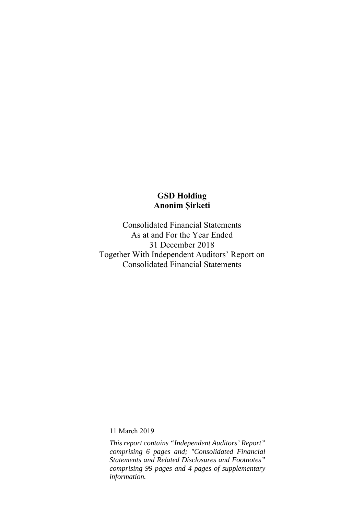Consolidated Financial Statements As at and For the Year Ended 31 December 2018 Together With Independent Auditors' Report on Consolidated Financial Statements

11 March 2019

*This report contains "Independent Auditors' Report" comprising 6 pages and; "Consolidated Financial Statements and Related Disclosures and Footnotes" comprising 99 pages and 4 pages of supplementary information.*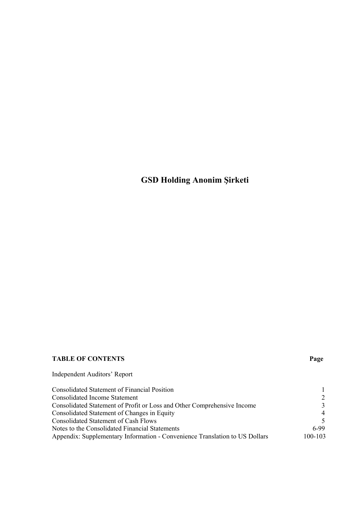# **TABLE OF CONTENTS Page**

Independent Auditors' Report

| <b>Consolidated Statement of Financial Position</b>                         |                          |
|-----------------------------------------------------------------------------|--------------------------|
| Consolidated Income Statement                                               | $\mathcal{L}$            |
| Consolidated Statement of Profit or Loss and Other Comprehensive Income     | $\mathcal{Z}$            |
| Consolidated Statement of Changes in Equity                                 | $\overline{4}$           |
| Consolidated Statement of Cash Flows                                        | $\overline{\mathcal{L}}$ |
| Notes to the Consolidated Financial Statements                              | 6-99                     |
| Appendix: Supplementary Information - Convenience Translation to US Dollars | 100-103                  |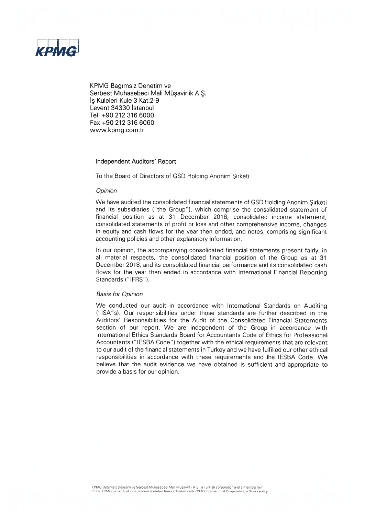

KPMG Bağımsız Denetim ve Serbest Muhasebeci Mali Müşavirlik A.S. Is Kuleleri Kule 3 Kat:2-9 Levent 34330 Istanbul Tel +90 212 316 6000 Fax +90 212 316 6060 www.kpmg.com.tr

#### Independent Auditors' Report

To the Board of Directors of GSD Holding Anonim Sirketi

#### Opinion

We have audited the consolidated financial statements of GSD Holding Anonim Sirketi and its subsidiaries ("the Group"), which comprise the consolidated statement of financial position as at 31 December 2018, consolidated income statement, consolidated statements of profit or loss and other comprehensive income, changes in equity and cash flows for the year then ended, and notes, comprising significant accounting policies and other explanatory information.

In our opinion, the accompanying consolidated financial statements present fairly, in all material respects, the consolidated financial position of the Group as at 31 December 2018, and its consolidated financial performance and its consolidated cash flows for the year then ended in accordance with International Financial Reporting Standards ("IFRS").

#### **Basis for Opinion**

We conducted our audit in accordance with International Standards on Auditing ("ISA"s). Our responsibilities under those standards are further described in the Auditors' Responsibilities for the Audit of the Consolidated Financial Statements section of our report. We are independent of the Group in accordance with International Ethics Standards Board for Accountants Code of Ethics for Professional Accountants ("IESBA Code") together with the ethical requirements that are relevant to our audit of the financial statements in Turkey and we have fulfilled our other ethical responsibilities in accordance with these requirements and the IESBA Code. We believe that the audit evidence we have obtained is sufficient and appropriate to provide a basis for our opinion.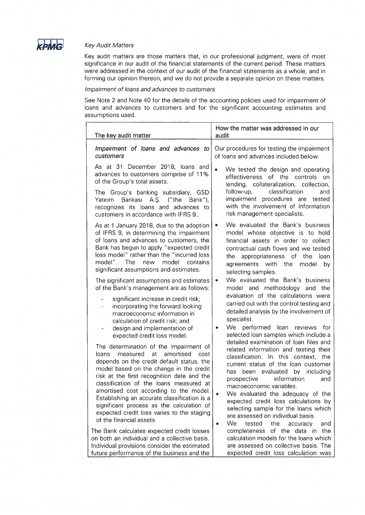

#### **Key Audit Matters**

Key audit matters are those matters that, in our professional judgment, were of most significance in our audit of the financial statements of the current period. These matters were addressed in the context of our audit of the financial statements as a whole, and in forming our opinion thereon, and we do not provide a separate opinion on these matters.

#### Impairment of loans and advances to customers

See Note 2 and Note 40 for the details of the accounting policies used for impairment of loans and advances to customers and for the significant accounting estimates and assumptions used.

| The key audit matter                                                                                                                                                                                                                                                                                                                                                                                                                                                                                                                                                                                                                                                                                                 | How the matter was addressed in our<br>audit                                                                                                                                                                                                                                                                                                                                                                                                                                                                                                                                                                                                                                                    |  |  |  |  |
|----------------------------------------------------------------------------------------------------------------------------------------------------------------------------------------------------------------------------------------------------------------------------------------------------------------------------------------------------------------------------------------------------------------------------------------------------------------------------------------------------------------------------------------------------------------------------------------------------------------------------------------------------------------------------------------------------------------------|-------------------------------------------------------------------------------------------------------------------------------------------------------------------------------------------------------------------------------------------------------------------------------------------------------------------------------------------------------------------------------------------------------------------------------------------------------------------------------------------------------------------------------------------------------------------------------------------------------------------------------------------------------------------------------------------------|--|--|--|--|
| Impairment of loans and advances to<br>customers                                                                                                                                                                                                                                                                                                                                                                                                                                                                                                                                                                                                                                                                     | Our procedures for testing the impairment<br>of loans and advances included below:                                                                                                                                                                                                                                                                                                                                                                                                                                                                                                                                                                                                              |  |  |  |  |
| As at 31 December 2018, loans and<br>advances to customers comprise of 11%<br>of the Group's total assets.                                                                                                                                                                                                                                                                                                                                                                                                                                                                                                                                                                                                           | $\bullet$<br>We tested the design and operating<br>effectiveness of the controls on<br>lending, collateralization, collection,                                                                                                                                                                                                                                                                                                                                                                                                                                                                                                                                                                  |  |  |  |  |
| The Group's banking subsidiary, GSD<br>Bankası A.Ş. ("the<br>Yatırım<br>Bank"),<br>recognizes its loans and advances to<br>customers in accordance with IFRS 9                                                                                                                                                                                                                                                                                                                                                                                                                                                                                                                                                       | classification<br>follow-up,<br>and<br>impairment procedures are<br>tested<br>with the involvement of information<br>risk management specialists.                                                                                                                                                                                                                                                                                                                                                                                                                                                                                                                                               |  |  |  |  |
| As at 1 January 2018, due to the adoption<br>of IFRS 9, in determining the impairment<br>of loans and advances to customers, the<br>Bank has begun to apply "expected credit<br>loss model" rather than the "incurred loss<br>model".<br>The<br>model<br>contains<br>new<br>significant assumptions and estimates.                                                                                                                                                                                                                                                                                                                                                                                                   | We evaluated the Bank's business<br>model whose objective is to hold<br>financial assets in order to collect<br>contractual cash flows and we tested<br>appropriateness of the loan<br>the<br>agreements with the<br>by<br>model<br>selecting samples.                                                                                                                                                                                                                                                                                                                                                                                                                                          |  |  |  |  |
| The significant assumptions and estimates<br>of the Bank's management are as follows:<br>significant increase in credit risk;<br>$\frac{1}{2}$<br>incorporating the forward looking<br>$\overline{\phantom{0}}$<br>macroeconomic information in<br>calculation of credit risk; and<br>design and implementation of                                                                                                                                                                                                                                                                                                                                                                                                   | We evaluated the Bank's business<br>۰<br>model and methodology and the<br>evaluation of the calculations were<br>carried out with the control testing and<br>detailed analysis by the involvement of<br>specialist.<br>We<br>performed<br>loan<br>reviews<br>for                                                                                                                                                                                                                                                                                                                                                                                                                                |  |  |  |  |
| expected credit loss model.<br>The determination of the impairment of<br>at<br>amortised<br>cost<br>measured<br>loans<br>depends on the credit default status, the<br>model based on the change in the credit<br>risk at the first recognition date and the<br>classification of the loans measured at<br>amortised cost according to the model.<br>Establishing an accurate classification is a<br>significant process as the calculation of<br>expected credit loss varies to the staging<br>of the financial assets.<br>The Bank calculates expected credit losses<br>on both an individual and a collective basis.<br>Individual provisions consider the estimated<br>future nerformance of the business and the | selected loan samples which include a<br>detailed examination of loan files and<br>related information and testing their<br>classification. In this context, the<br>current status of the loan customer<br>been evaluated by<br>including<br>has<br>prospective<br>information<br>and<br>macroeconomic variables.<br>We evaluated the adequacy of the<br>expected credit loss calculations by<br>selecting sample for the loans which<br>are assessed on individual basis.<br>We<br>tested<br>the<br>accuracy<br>and<br>$\bullet$<br>completeness of the data in the<br>calculation models for the loans which<br>are assessed on collective basis. The<br>expected credit loss calculation was |  |  |  |  |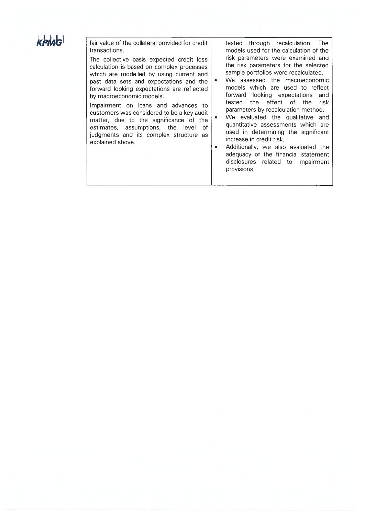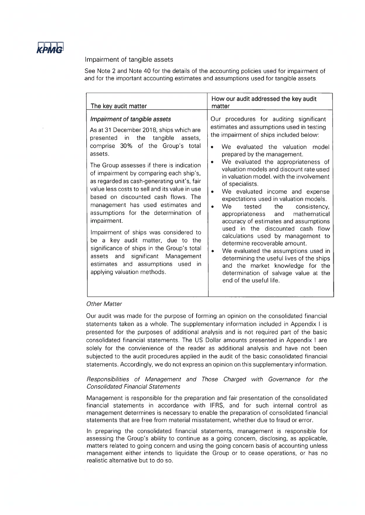

#### Impairment of tangible assets

See Note 2 and Note 40 for the details of the accounting policies used for impairment of and for the important accounting estimates and assumptions used for tangible assets.

| The key audit matter                                                                                                                                                                                                                                                                                                                                                                                                                                                                                                                                                                                                                                                                                                                         | How our audit addressed the key audit<br>matter                                                                                                                                                                                                                                                                                                                                                                                                                                                                                                                                                                                                                                                                                                                                                                                                                                    |
|----------------------------------------------------------------------------------------------------------------------------------------------------------------------------------------------------------------------------------------------------------------------------------------------------------------------------------------------------------------------------------------------------------------------------------------------------------------------------------------------------------------------------------------------------------------------------------------------------------------------------------------------------------------------------------------------------------------------------------------------|------------------------------------------------------------------------------------------------------------------------------------------------------------------------------------------------------------------------------------------------------------------------------------------------------------------------------------------------------------------------------------------------------------------------------------------------------------------------------------------------------------------------------------------------------------------------------------------------------------------------------------------------------------------------------------------------------------------------------------------------------------------------------------------------------------------------------------------------------------------------------------|
| Impairment of tangible assets<br>As at 31 December 2018, ships which are<br>the<br>in in<br>tangible<br>presented<br>assets,<br>comprise 30% of the Group's total<br>assets.<br>The Group assesses if there is indication<br>of impairment by comparing each ship's,<br>as regarded as cash-generating unit's, fair<br>value less costs to sell and its value in use<br>based on discounted cash flows. The<br>management has used estimates and<br>assumptions for the determination of<br>impairment.<br>Impairment of ships was considered to<br>be a key audit matter, due to the<br>significance of ships in the Group's total<br>assets and significant Management<br>estimates and assumptions used in<br>applying valuation methods. | Our procedures for auditing significant<br>estimates and assumptions used in testing<br>the impairment of ships included below:<br>We evaluated the valuation<br>model<br>prepared by the management.<br>We evaluated the appropriateness of<br>valuation models and discount rate used<br>in valuation model, with the involvement<br>of specialists.<br>We evaluated income and expense<br>expectations used in valuation models.<br>We<br>the<br>tested<br>consistency,<br>$\bullet$<br>mathematical<br>appropriateness<br>and<br>accuracy of estimates and assumptions<br>used in the discounted cash flow<br>calculations used by management to<br>determine recoverable amount.<br>We evaluated the assumptions used in<br>determining the useful lives of the ships<br>and the market knowledge for the<br>determination of salvage value at the<br>end of the useful life. |

#### **Other Matter**

Our audit was made for the purpose of forming an opinion on the consolidated financial statements taken as a whole. The supplementary information included in Appendix I is presented for the purposes of additional analysis and is not required part of the basic consolidated financial statements. The US Dollar amounts presented in Appendix I are solely for the convienience of the reader as additional analysis and have not been subjected to the audit procedures applied in the audit of the basic consolidated financial statements. Accordingly, we do not express an opinion on this supplementary information.

#### Responsibilities of Management and Those Charged with Governance for the **Consolidated Financial Statements**

Management is responsible for the preparation and fair presentation of the consolidated financial statements in accordance with IFRS, and for such internal control as management determines is necessary to enable the preparation of consolidated financial statements that are free from material misstatement, whether due to fraud or error.

In preparing the consolidated financial statements, management is responsible for assessing the Group's ability to continue as a going concern, disclosing, as applicable, matters related to going concern and using the going concern basis of accounting unless management either intends to liquidate the Group or to cease operations, or has no realistic alternative but to do so.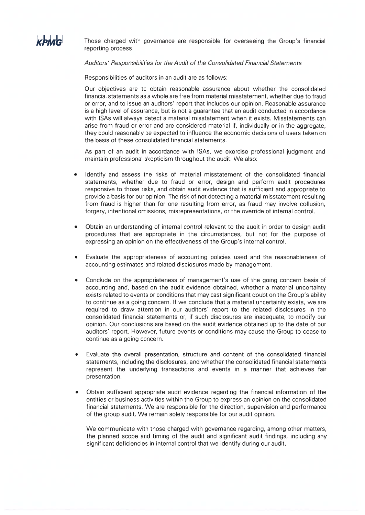

Those charged with governance are responsible for overseeing the Group's financial reporting process.

#### Auditors' Responsibilities for the Audit of the Consolidated Financial Statements

Responsibilities of auditors in an audit are as follows:

Our objectives are to obtain reasonable assurance about whether the consolidated financial statements as a whole are free from material misstatement, whether due to fraud or error, and to issue an auditors' report that includes our opinion. Reasonable assurance is a high level of assurance, but is not a quarantee that an audit conducted in accordance with ISAs will always detect a material misstatement when it exists. Misstatements can arise from fraud or error and are considered material if, individually or in the aggregate. they could reasonably be expected to influence the economic decisions of users taken on the basis of these consolidated financial statements.

As part of an audit in accordance with ISAs, we exercise professional judgment and maintain professional skepticism throughout the audit. We also:

- Identify and assess the risks of material misstatement of the consolidated financial statements, whether due to fraud or error, design and perform audit procedures responsive to those risks, and obtain audit evidence that is sufficient and appropriate to provide a basis for our opinion. The risk of not detecting a material misstatement resulting from fraud is higher than for one resulting from error, as fraud may involve collusion, forgery, intentional omissions, misrepresentations, or the override of internal control.
- Obtain an understanding of internal control relevant to the audit in order to design audit procedures that are appropriate in the circumstances, but not for the purpose of expressing an opinion on the effectiveness of the Group's internal control.
- Evaluate the appropriateness of accounting policies used and the reasonableness of accounting estimates and related disclosures made by management.
- Conclude on the appropriateness of management's use of the going concern basis of accounting and, based on the audit evidence obtained, whether a material uncertainty exists related to events or conditions that may cast significant doubt on the Group's ability to continue as a going concern. If we conclude that a material uncertainty exists, we are required to draw attention in our auditors' report to the related disclosures in the consolidated financial statements or, if such disclosures are inadequate, to modify our opinion. Our conclusions are based on the audit evidence obtained up to the date of our auditors' report. However, future events or conditions may cause the Group to cease to continue as a going concern.
- Evaluate the overall presentation, structure and content of the consolidated financial  $\bullet$ statements, including the disclosures, and whether the consolidated financial statements represent the underlying transactions and events in a manner that achieves fair presentation.
- Obtain sufficient appropriate audit evidence regarding the financial information of the entities or business activities within the Group to express an opinion on the consolidated financial statements. We are responsible for the direction, supervision and performance of the group audit. We remain solely responsible for our audit opinion.

We communicate with those charged with governance regarding, among other matters, the planned scope and timing of the audit and significant audit findings, including any significant deficiencies in internal control that we identify during our audit.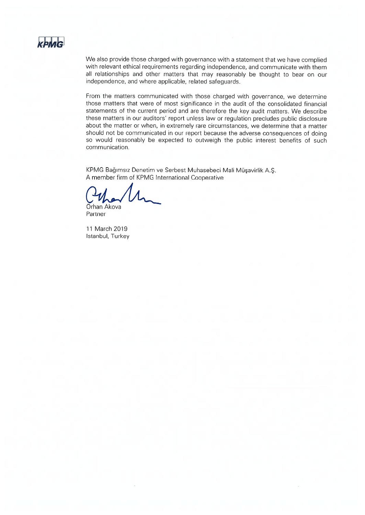

We also provide those charged with governance with a statement that we have complied with relevant ethical requirements regarding independence, and communicate with them all relationships and other matters that may reasonably be thought to bear on our independence, and where applicable, related safeguards.

From the matters communicated with those charged with governance, we determine those matters that were of most significance in the audit of the consolidated financial statements of the current period and are therefore the key audit matters. We describe these matters in our auditors' report unless law or regulation precludes public disclosure about the matter or when, in extremely rare circumstances, we determine that a matter should not be communicated in our report because the adverse consequences of doing so would reasonably be expected to outweigh the public interest benefits of such communication.

KPMG Bağımsız Denetim ve Serbest Muhasebeci Mali Müşavirlik A.Ş. A member firm of KPMG International Cooperative

Orhan Akova

Partner

11 March 2019 Istanbul, Turkey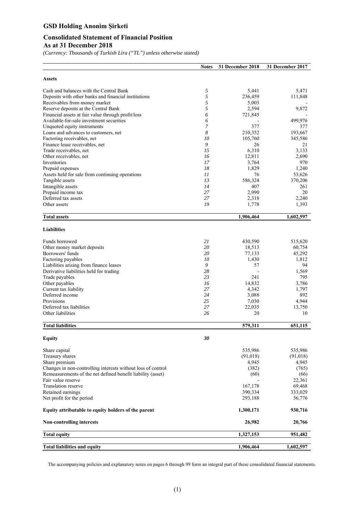## **Consolidated Statement of Financial Position As at 31 December 2018**

*(Currency: Thousands of Turkish Lira ("TL") unless otherwise stated)* 

|                                                              | <b>Notes</b> | 31 December 2018   | 31 December 2017  |
|--------------------------------------------------------------|--------------|--------------------|-------------------|
| <b>Assets</b>                                                |              |                    |                   |
| Cash and balances with the Central Bank                      | 5            | 5,441              | 5,471             |
| Deposits with other banks and financial institutions         | 5            | 236,459            | 111,848           |
| Receivables from money market                                | 5            | 5,003              |                   |
| Reserve deposits at the Central Bank                         | 5            | 2,594              | 9,872             |
| Financial assets at fair value through profit/loss           | 6            | 721,845            |                   |
| Available-for-sale investment securities                     | 6            |                    | 499,976           |
| Unquoted equity instruments                                  | 7            | 377                | 377               |
| Loans and advances to customers, net                         | 8            | 210,352            | 193,667           |
| Factoring receivables, net                                   | 10           | 105,760            | 345,586           |
| Finance lease receivables, net<br>Trade receivables, net     | 9<br>15      | 26<br>6,310        | 21<br>3,133       |
| Other receivables, net                                       | 16           | 12,811             | 2,690             |
| Inventories                                                  | 17           | 3,764              | 970               |
| Prepaid expenses                                             | 18           | 1,829              | 1,240             |
| Assets held for sale from continuing operations              | 11           | 76                 | 53,626            |
| Tangible assets                                              | 13           | 586,324            | 370,206           |
| Intangible assets                                            | 14           | 407                | 261               |
| Prepaid income tax                                           | 27           | 2,990              | 20                |
| Deferred tax assets                                          | 27           | 2,318              | 2,240             |
| Other assets                                                 | 19           | 1,778              | 1,393             |
| <b>Total assets</b>                                          |              | 1,906,464          | 1,602,597         |
| <b>Liabilities</b>                                           |              |                    |                   |
| Funds borrowed                                               | 21           | 430,590            | 515,620           |
| Other money market deposits                                  | 20           | 18,513             | 60,754            |
| Borrowers' funds                                             | 20           | 77,133             | 45,292            |
| Factoring payables                                           | 10           | 1,430              | 1,812             |
| Liabilities arising from finance leases                      | 9            | 57                 | 94                |
| Derivative liabilities held for trading                      | 28           |                    | 1,569             |
| Trade payables                                               | 23           | 241                | 795               |
| Other payables                                               | 16           | 14,832             | 3,786             |
| Current tax liability<br>Deferred income                     | 27           | 4,342              | 1,797             |
| Provisions                                                   | 24<br>25     | 3,088<br>7,030     | 892<br>4,944      |
| Deferred tax liabilities                                     | 27           | 22,035             | 13,750            |
| Other liabilities                                            | 26           | 20                 | 10                |
| <b>Total liabilities</b>                                     |              | 579,311            | 651,115           |
| <b>Equity</b>                                                | 30           |                    |                   |
|                                                              |              |                    |                   |
| Share capital                                                |              | 535,986            | 535,986           |
| Treasury shares                                              |              | (91,018)           | (91,018)          |
| Share premium                                                |              | 4,945              | 4,945             |
| Changes in non-controlling interests without loss of control |              | (382)              | (765)             |
| Remeasurements of the net defined benefit liability (asset)  |              | (60)               | (66)              |
| Fair value reserve<br><b>Translation reserve</b>             |              |                    | 22,361            |
| Retained earnings                                            |              | 167,178<br>390,334 | 69,468<br>333,029 |
| Net profit for the period                                    |              | 293,188            | 56,776            |
| Equity attributable to equity holders of the parent          |              | 1,300,171          | 930,716           |
| <b>Non-controlling interests</b>                             |              | 26,982             | 20,766            |
| <b>Total equity</b>                                          |              | 1,327,153          | 951,482           |
| <b>Total liabilities and equity</b>                          |              | 1,906,464          | 1,602,597         |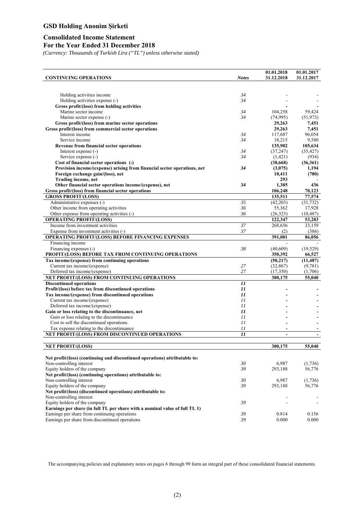#### **Consolidated Income Statement For the Year Ended 31 December 2018**

*(Currency: Thousands of Turkish Lira ("TL") unless otherwise stated)* 

|                                                                                        |              | 01.01.2018                   | 01.01.2017       |
|----------------------------------------------------------------------------------------|--------------|------------------------------|------------------|
| <b>CONTINUING OPERATIONS</b>                                                           | <b>Notes</b> | 31.12.2018                   | 31.12.2017       |
|                                                                                        |              |                              |                  |
| Holding activities income                                                              | 34           |                              |                  |
| Holding activities expense (-)                                                         | 34           |                              |                  |
| Gross profit/(loss) from holding activities                                            |              |                              |                  |
| Marine sector income                                                                   | 34           | 104,258                      | 59,424           |
| Marine sector expense (-)                                                              | 34           | (74, 995)                    | (51, 973)        |
| Gross profit/(loss) from marine sector operations                                      |              | 29,263                       | 7,451            |
| Gross profit/(loss) from commercial sector operations                                  |              | 29,263                       | 7,451            |
| Interest income                                                                        | 34           | 117,687                      | 96,054           |
| Service income                                                                         | 34           | 18,215<br>135,902            | 9,580<br>105,634 |
| Revenue from financial sector operations<br>Interest expense (-)                       | 34           | (37, 247)                    | (35, 427)        |
| Service expense (-)                                                                    | 34           | (1,421)                      | (934)            |
| Cost of financial sector operations (-)                                                |              | (38,668)                     | (36,361)         |
| Provision income/(expense) arising from financial sector operations, net               | 34           | (3,075)                      | 1,194            |
| Foreign exchange gain/(loss), net                                                      |              | 10,411                       | (780)            |
| <b>Trading income, net</b>                                                             |              | 293                          |                  |
| Other financial sector operations income/(expense), net                                | 34           | 1,385                        | 436              |
| Gross profit/(loss) from financial sector operations                                   |              | 106,248                      | 70,123           |
| <b>GROSS PROFIT/(LOSS)</b>                                                             |              | 135,511                      | 77,574           |
| Administrative expenses (-)                                                            | 35           | (42,203)                     | (31, 732)        |
| Other income from operating activities                                                 | 36           | 55,362                       | 17,928           |
| Other expense from operating activities (-)                                            | 36           | (26, 323)                    | (10, 487)        |
| <b>OPERATING PROFIT/(LOSS)</b><br>Income from investment activities                    | 37           | 122,347                      | 53,283           |
| Expense from investment activities (-)                                                 | 37           | 268,656<br>(2)               | 33,159<br>(386)  |
| <b>OPERATING PROFIT/(LOSS) BEFORE FINANCING EXPENSES</b>                               |              | 391,001                      | 86,056           |
| Financing income                                                                       |              |                              |                  |
| Financing expenses (-)                                                                 | 38           | (40,609)                     | (19, 529)        |
| PROFIT/(LOSS) BEFORE TAX FROM CONTINUING OPERATIONS                                    |              | 350,392                      | 66,527           |
| Tax income/(expense) from continuing operations                                        |              | (50, 217)                    | (11, 487)        |
| Current tax income/(expense)                                                           | 27           | (32, 867)                    | (9,781)          |
| Deferred tax income/(expense)                                                          | 27           | (17,350)                     | (1,706)          |
| NET PROFIT/(LOSS) FROM CONTINUING OPERATIONS                                           |              | 300,175                      | 55,040           |
| <b>Discontinued operations</b>                                                         | 11           |                              |                  |
| Profit/(loss) before tax from discontinued operations                                  | 11           |                              |                  |
| Tax income/(expense) from discontinued operations                                      | 11           |                              |                  |
| Current tax income/(expense)<br>Deferred tax income/(expense)                          | 11<br>11     |                              |                  |
| Gain or loss relating to the discontinuance, net                                       | 11           |                              |                  |
| Gain or loss relating to the discontinuance                                            | 11           |                              |                  |
| Cost to sell the discontinued operations                                               | 11           |                              |                  |
| Tax expense relating to the discontinuance                                             | 11           |                              |                  |
| NET PROFIT/(LOSS) FROM DISCONTINUED OPERATIONS                                         | 11           | $\qquad \qquad \blacksquare$ |                  |
|                                                                                        |              |                              |                  |
| <b>NET PROFIT/(LOSS)</b>                                                               |              | 300,175                      | 55,040           |
|                                                                                        |              |                              |                  |
| Net profit/(loss) (continuing and discontinued operations) attributable to:            |              |                              |                  |
| Non-controlling interest                                                               | 30           | 6,987                        | (1,736)          |
| Equity holders of the company                                                          | 39           | 293,188                      | 56,776           |
| Net profit/(loss) (continuing operations) attributable to:<br>Non-controlling interest | 30           | 6,987                        | (1,736)          |
| Equity holders of the company                                                          | 39           | 293,188                      | 56,776           |
| Net profit/(loss) (discontinued operations) attributable to:                           |              |                              |                  |
| Non-controlling interest                                                               |              |                              |                  |
| Equity holders of the company                                                          | 39           |                              |                  |
| Earnings per share (in full TL per share with a nominal value of full TL 1)            |              |                              |                  |
| Earnings per share from continuing operations                                          | 39           | 0.814                        | 0.156            |
| Earnings per share from discontinued operations                                        | 39           | 0.000                        | 0.000            |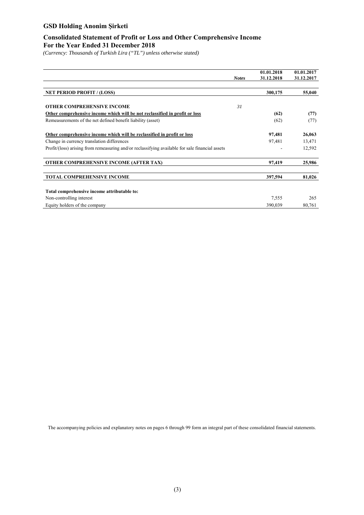## **Consolidated Statement of Profit or Loss and Other Comprehensive Income For the Year Ended 31 December 2018**

*(Currency: Thousands of Turkish Lira ("TL") unless otherwise stated)* 

|                                                                                                 |              | 01.01.2018 | 01.01.2017 |
|-------------------------------------------------------------------------------------------------|--------------|------------|------------|
|                                                                                                 | <b>Notes</b> | 31.12.2018 | 31.12.2017 |
| <b>NET PERIOD PROFIT / (LOSS)</b>                                                               |              | 300,175    | 55,040     |
| <b>OTHER COMPREHENSIVE INCOME</b>                                                               | 31           |            |            |
| Other comprehensive income which will be not reclassified in profit or loss                     |              |            |            |
|                                                                                                 |              | (62)       | (77)       |
| Remeasurements of the net defined benefit liability (asset)                                     |              | (62)       | (77)       |
| Other comprehensive income which will be reclassified in profit or loss                         |              | 97,481     | 26,063     |
| Change in currency translation differences                                                      |              | 97,481     | 13,471     |
| Profit/(loss) arising from remeasuring and/or reclassifying available for sale financial assets |              |            | 12,592     |
| <b>OTHER COMPREHENSIVE INCOME (AFTER TAX)</b>                                                   |              | 97,419     | 25,986     |
| <b>TOTAL COMPREHENSIVE INCOME</b>                                                               |              | 397,594    | 81,026     |
| Total comprehensive income attributable to:                                                     |              |            |            |
| Non-controlling interest                                                                        |              | 7,555      | 265        |
| Equity holders of the company                                                                   |              | 390,039    | 80,761     |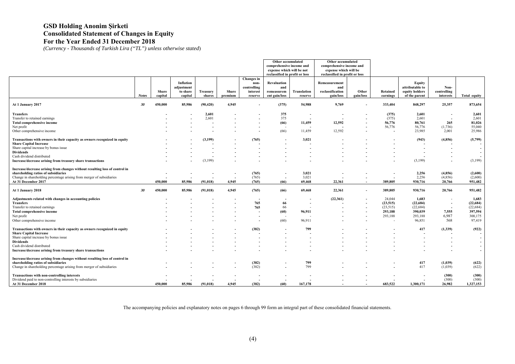## **GSD Holding Anonim Şirketi Consolidated Statement of Changes in Equity For the Year Ended 31 December 2018**

*(Currency - Thousands of Turkish Lira ("TL") unless otherwise stated*)

|                                                                                                                                                                                                                                                                    |              |                  |                                                |                    |                  |                                                                    | Other accumulated<br>comprehensive income and<br>expense which will be not<br>reclassified in profit or loss |                               | Other accumulated<br>comprehensive income and<br>expense which will be<br>reclassified in profit or loss |                          |                                                                |                                                                 |                                                                 |                                                                                                             |  |  |
|--------------------------------------------------------------------------------------------------------------------------------------------------------------------------------------------------------------------------------------------------------------------|--------------|------------------|------------------------------------------------|--------------------|------------------|--------------------------------------------------------------------|--------------------------------------------------------------------------------------------------------------|-------------------------------|----------------------------------------------------------------------------------------------------------|--------------------------|----------------------------------------------------------------|-----------------------------------------------------------------|-----------------------------------------------------------------|-------------------------------------------------------------------------------------------------------------|--|--|
|                                                                                                                                                                                                                                                                    | <b>Notes</b> | Share<br>capital | Inflation<br>adjustment<br>to share<br>capital | Treasury<br>shares | Share<br>premium | Changes in<br>non-<br>controlling<br>interest<br>reserve           | Revaluation<br>and<br>remeasurem<br>ent gain/loss                                                            | <b>Translation</b><br>reserve | Remeasurement<br>and<br>reclassification<br>gain/loss                                                    | Other<br>gain/loss       | Retained<br>earnings                                           | Equity<br>attributable to<br>equity holders<br>of the parent    | Non-<br>controlling<br>interests                                | Total equity                                                                                                |  |  |
| At 1 January 2017                                                                                                                                                                                                                                                  | 30           | 450,000          | 85,986                                         | (90, 420)          | 4.945            |                                                                    | (375)                                                                                                        | 54,988                        | 9,769                                                                                                    |                          | 333,404                                                        | 848,297                                                         | 25,357                                                          | 873,654                                                                                                     |  |  |
| Transfers<br>Transfer to retained earnings<br><b>Total comprehensive income</b><br>Net profit<br>Other comprehensive income                                                                                                                                        |              |                  |                                                | 2.601<br>2,601     |                  |                                                                    | 375<br>375<br>(66)<br>(66)                                                                                   | 11,459<br>11,459              | 12,592<br>12,592                                                                                         |                          | (375)<br>(375)<br>56,776<br>56,776<br>$\overline{\phantom{a}}$ | 2,601<br>2,601<br>80,761<br>56,776<br>23,985                    | 265<br>(1,736)<br>2,001                                         | 2,601<br>2,601<br>81,026<br>55,040<br>25,986                                                                |  |  |
| Transactions with owners in their capacity as owners recognized in equity<br><b>Share Capital Increase</b><br>Share capital increase by bonus issue<br><b>Dividends</b><br>Cash dividend distributed<br>Increase/decrease arising from treasury share transactions |              |                  |                                                | (3,199)<br>(3,199) |                  | (765)                                                              |                                                                                                              | 3,021                         |                                                                                                          |                          |                                                                | (943)<br>(3, 199)                                               | (4,856)                                                         | (5,799)<br>$\overline{\phantom{a}}$<br>$\overline{\phantom{a}}$<br>(3,199)                                  |  |  |
| Increase/decrease arising from changes without resulting loss of control in<br>shareholding ratios of subsidiaries<br>Change in shareholding percentage arising from merger of subsidiaries<br>At 31 December 2017                                                 |              | 450,000          | 85,986                                         | (91, 018)          | 4,945            | (765)<br>(765)<br>(765)                                            | (66)                                                                                                         | 3,021<br>3,021<br>69,468      | 22,361                                                                                                   | $\overline{\phantom{a}}$ | 389,805                                                        | 2,256<br>2,256<br>930,716                                       | (4, 856)<br>(4,856)<br>20,766                                   | (2,600)<br>(2,600)<br>951,482                                                                               |  |  |
| At 1 January 2018                                                                                                                                                                                                                                                  | 30           | 450,000          | 85,986                                         | (91, 018)          | 4,945            | (765)                                                              | (66)                                                                                                         | 69,468                        | 22,361                                                                                                   |                          | 389,805                                                        | 930,716                                                         | 20,766                                                          | 951,482                                                                                                     |  |  |
| Adjustments related with changes in accounting policies<br><b>Transfers</b><br>Transfer to retained earnings<br>Total comprehensive income<br>Net profit<br>Other comprehensive income                                                                             |              |                  |                                                |                    |                  | $\overline{\phantom{a}}$<br>765<br>765<br>$\overline{\phantom{a}}$ | 66<br>66<br>(60)<br>(60)                                                                                     | 96,911<br>96,911              | (22, 361)                                                                                                |                          | 24,044<br>(23, 515)<br>(23, 515)<br>293,188<br>293,188         | 1,683<br>(22, 684)<br>(22, 684)<br>390,039<br>293,188<br>96,851 | 7,555<br>6,987<br>568                                           | 1,683<br>(22, 684)<br>(22, 684)<br>397,594<br>300,175<br>97,419                                             |  |  |
| Transactions with owners in their capacity as owners recognized in equity<br><b>Share Capital Increase</b><br>Share capital increase by bonus issue<br><b>Dividends</b><br>Cash dividend distributed<br>Increase/decrease arising from treasury share transactions |              |                  |                                                |                    |                  | (382)                                                              |                                                                                                              | 799                           |                                                                                                          |                          |                                                                | 417                                                             | (1,339)<br>$\overline{\phantom{a}}$<br>$\overline{\phantom{a}}$ | (922)<br>$\overline{\phantom{a}}$<br>$\overline{a}$<br>$\overline{\phantom{a}}$<br>$\overline{\phantom{a}}$ |  |  |
| Increase/decrease arising from changes without resulting loss of control in<br>shareholding ratios of subsidiaries<br>Change in shareholding percentage arising from merger of subsidiaries                                                                        |              |                  |                                                |                    |                  | (382)<br>(382)                                                     |                                                                                                              | 799<br>799                    |                                                                                                          |                          |                                                                | 417<br>417                                                      | (1,039)<br>(1,039)                                              | (622)<br>(622)                                                                                              |  |  |
| <b>Transactions with non-controlling interests</b><br>Dividend paid to non-controlling interests by subsidiaries<br>At 31 December 2018                                                                                                                            |              | 450,000          | 85,986                                         | (91.018)           | 4.945            | (382)                                                              | (60)                                                                                                         | 167,178                       |                                                                                                          |                          | 683.522                                                        | 1.300.171                                                       | (300)<br>(300)<br>26,982                                        | (300)<br>(300)<br>1,327,153                                                                                 |  |  |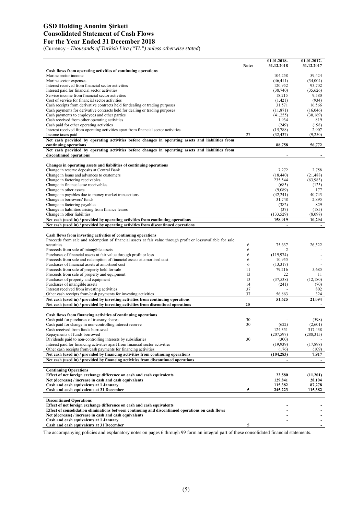## **GSD Holding Anonim Şirketi Consolidated Statement of Cash Flows For the Year Ended 31 December 2018**

(Currency - *Thousands of Turkish Lira ("TL") unless otherwise stated*)

|                                                                                                                                                                                              | <b>Notes</b> | 01.01.2018-<br>31.12.2018 | 01.01.2017-<br>31.12.2017 |
|----------------------------------------------------------------------------------------------------------------------------------------------------------------------------------------------|--------------|---------------------------|---------------------------|
| Cash flows from operating activities of continuing operations                                                                                                                                |              |                           |                           |
| Marine sector income                                                                                                                                                                         |              | 104,258                   | 59,424                    |
| Marine sector expenses                                                                                                                                                                       |              | (46, 411)                 | (34,004)                  |
| Interest received from financial sector activities                                                                                                                                           |              | 120,952                   | 93,702                    |
| Interest paid for financial sector activities                                                                                                                                                |              | (38,740)                  | (35,626)                  |
| Service income from financial sector activities                                                                                                                                              |              | 18,215                    | 9,580                     |
| Cost of service for financial sector activities                                                                                                                                              |              | (1,421)                   | (934)                     |
| Cash receipts from derivative contracts held for dealing or trading purposes                                                                                                                 |              | 31,571                    | 16,566                    |
| Cash payments for derivative contracts held for dealing or trading purposes                                                                                                                  |              | (11, 871)                 | (16,046)                  |
| Cash payments to employees and other parties                                                                                                                                                 |              | (41,255)                  | (30, 169)                 |
| Cash received from other operating activities                                                                                                                                                |              | 1,934                     | 819                       |
| Cash paid for other operating activities                                                                                                                                                     |              | (249)                     | (198)                     |
| Interest received from operating activities apart from financial sector activities<br>Income taxes paid                                                                                      | 27           | (15,788)<br>(32, 437)     | 2,907<br>(9,250)          |
| Net cash provided by operating activities before changes in operating assets and liabilities from                                                                                            |              |                           |                           |
| continuing operations                                                                                                                                                                        |              | 88,758                    | 56,772                    |
| Net cash provided by operating activities before changes in operating assets and liabilities from                                                                                            |              |                           |                           |
| discontinued operations                                                                                                                                                                      |              |                           |                           |
|                                                                                                                                                                                              |              |                           |                           |
| Changes in operating assets and liabilities of continuing operations                                                                                                                         |              |                           |                           |
| Change in reserve deposits at Central Bank                                                                                                                                                   |              | 7,272                     | 2,758                     |
| Change in loans and advances to customers<br>Change in factoring receivables                                                                                                                 |              | (18, 440)<br>235,544      | (21, 488)                 |
|                                                                                                                                                                                              |              |                           | (63,983)                  |
| Change in finance lease receivables<br>Change in other assets                                                                                                                                |              | (685)<br>(9,089)          | (125)<br>177              |
| Change in payables due to money market transactions                                                                                                                                          |              | (42, 241)                 | 40,743                    |
| Change in borrowers' funds                                                                                                                                                                   |              | 31,748                    | 2,895                     |
| Change in factoring payables                                                                                                                                                                 |              | (382)                     | 829                       |
| Change in liabilities arising from finance leases                                                                                                                                            |              | (37)                      | (185)                     |
| Change in other liabilities                                                                                                                                                                  |              | (133, 529)                | (8.098)                   |
| Net cash (used in) / provided by operating activities from continuing operations                                                                                                             |              | 158,919                   | 10,294                    |
| Net cash (used in) / provided by operating activities from discontinued operations                                                                                                           |              |                           |                           |
| Cash flows from investing activities of continuing operations<br>Proceeds from sale and redemption of financial assets at fair value through profit or loss/available for sale<br>securities | 6            | 75.637                    | 26,522                    |
| Proceeds from sale of intangible assets                                                                                                                                                      | 6            | $\overline{2}$            | ٠                         |
| Purchases of financial assets at fair value through profit or loss                                                                                                                           | 6            | (119, 974)                |                           |
| Proceeds from sale and redemption of financial assets at amortised cost                                                                                                                      | 6            | 10,955                    |                           |
| Purchases of financial assets at amortised cost                                                                                                                                              | 6            | (13,317)                  |                           |
| Proceeds from sale of property held for sale                                                                                                                                                 | 11           | 79,216                    | 5,685                     |
| Proceeds from sale of property and equipment                                                                                                                                                 | 13           | 22                        | 11                        |
| Purchases of property and equipment                                                                                                                                                          | 13<br>14     | (37, 538)                 | (12,180)                  |
| Purchases of intangible assets                                                                                                                                                               | 37           | (241)                     | (70)<br>802               |
| Interest received from investing activities<br>Other cash receipts from/cash payments for investing activities                                                                               | 37           | 56,863                    | 324                       |
| Net cash (used in) / provided by investing activities from continuing operations                                                                                                             |              | 51,625                    | 21,094                    |
| Net cash (used in) / provided by investing activities from discontiued operations                                                                                                            | 20           |                           | $\blacksquare$            |
|                                                                                                                                                                                              |              |                           |                           |
| Cash flows from financing activities of continuing operations                                                                                                                                |              |                           |                           |
| Cash paid for purchases of treasury shares                                                                                                                                                   | 30           |                           | (598)                     |
| Cash paid for change in non-controlling interest reserve                                                                                                                                     | 30           | (622)                     | (2,601)                   |
| Cash received from funds borrowed                                                                                                                                                            |              | 124,351                   | 317,438                   |
| Repayments of funds borrowed                                                                                                                                                                 |              | (207,597)                 | (288,315)                 |
| Dividends paid to non-controlling interests by subsidiaries                                                                                                                                  | 30           | (300)                     |                           |
| Interest paid for financing activities apart from financial sector activities                                                                                                                |              | (19,939)                  | (17, 898)                 |
| Other cash receipts from/cash payments for financing activities                                                                                                                              |              | (176)                     | (109)                     |
| Net cash (used in) / provided by financing activities from continuing operations                                                                                                             |              | (104, 283)                | 7,917                     |
| Net cash (used in) / provided by financing activities from discontinued operations                                                                                                           |              |                           |                           |
| <b>Continuing Operations</b>                                                                                                                                                                 |              |                           |                           |
| Effect of net foreign exchange difference on cash and cash equivalents                                                                                                                       |              | 23,580                    | (11,201)                  |
| Net (decrease) / increase in cash and cash equivalents                                                                                                                                       |              | 129,841                   | 28,104                    |
| Cash and cash equivalents at 1 January                                                                                                                                                       |              | 115,382                   | 87,278                    |
| Cash and cash equivalents at 31 December                                                                                                                                                     | 5            | 245,223                   | 115,382                   |
|                                                                                                                                                                                              |              |                           |                           |
| <b>Discontinued Operations</b>                                                                                                                                                               |              |                           |                           |
| Effect of net foreign exchange difference on cash and cash equivalents                                                                                                                       |              |                           |                           |
| Effect of consolidation eliminations between continuing and discontinued operations on cash flows                                                                                            |              |                           |                           |
| Net (decrease) / increase in cash and cash equivalents                                                                                                                                       |              |                           |                           |
| Cash and cash equivalents at 1 January                                                                                                                                                       |              |                           |                           |
| Cash and cash equivalents at 31 December                                                                                                                                                     | 5            |                           |                           |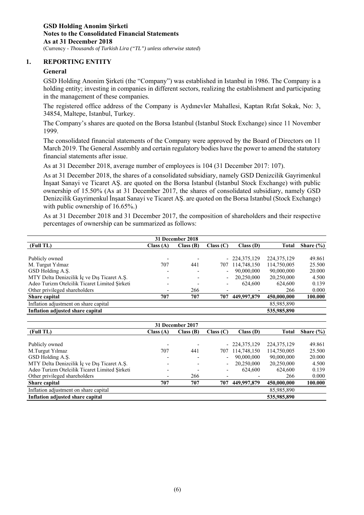#### **1. REPORTING ENTITY**

#### **General**

GSD Holding Anonim Şirketi (the "Company") was established in Istanbul in 1986. The Company is a holding entity; investing in companies in different sectors, realizing the establishment and participating in the management of these companies.

The registered office address of the Company is Aydınevler Mahallesi, Kaptan Rıfat Sokak, No: 3, 34854, Maltepe, Istanbul, Turkey.

The Company's shares are quoted on the Borsa Istanbul (Istanbul Stock Exchange) since 11 November 1999.

The consolidated financial statements of the Company were approved by the Board of Directors on 11 March 2019. The General Assembly and certain regulatory bodies have the power to amend the statutory financial statements after issue.

As at 31 December 2018, average number of employees is 104 (31 December 2017: 107).

As at 31 December 2018, the shares of a consolidated subsidiary, namely GSD Denizcilik Gayrimenkul İnşaat Sanayi ve Ticaret AŞ. are quoted on the Borsa Istanbul (Istanbul Stock Exchange) with public ownership of 15.50% (As at 31 December 2017, the shares of consolidated subsidiary, namely GSD Denizcilik Gayrimenkul İnşaat Sanayi ve Ticaret AŞ. are quoted on the Borsa Istanbul (Stock Exchange) with public ownership of 16.65%.)

As at 31 December 2018 and 31 December 2017, the composition of shareholders and their respective percentages of ownership can be summarized as follows:

| 31 December 2018                              |          |          |           |                |               |               |  |  |  |  |
|-----------------------------------------------|----------|----------|-----------|----------------|---------------|---------------|--|--|--|--|
| (Full TL)                                     | Class(A) | Class(B) | Class (C) | Class(D)       | <b>Total</b>  | Share $(\% )$ |  |  |  |  |
|                                               |          |          |           |                |               |               |  |  |  |  |
| Publicly owned                                |          |          |           | $-224,375,129$ | 224, 375, 129 | 49.861        |  |  |  |  |
| M. Turgut Yilmaz                              | 707      | 441      | 707       | 114,748,150    | 114,750,005   | 25.500        |  |  |  |  |
| GSD Holding A.S.                              |          |          |           | 90,000,000     | 90,000,000    | 20.000        |  |  |  |  |
| MTY Delta Denizcilik İç ve Dış Ticaret A.Ş.   |          |          |           | 20,250,000     | 20,250,000    | 4.500         |  |  |  |  |
| Adeo Turizm Otelcilik Ticaret Limited Sirketi |          |          |           | 624,600        | 624,600       | 0.139         |  |  |  |  |
| Other privileged shareholders                 |          | 266      |           |                | 266           | 0.000         |  |  |  |  |
| Share capital                                 | 707      | 707      | 707       | 449,997,879    | 450,000,000   | 100.000       |  |  |  |  |
| Inflation adjustment on share capital         |          |          |           |                | 85,985,890    |               |  |  |  |  |
| Inflation adjusted share capital              |          |          |           |                | 535,985,890   |               |  |  |  |  |

| 31 December 2017                              |          |             |           |                |               |               |  |  |  |  |  |
|-----------------------------------------------|----------|-------------|-----------|----------------|---------------|---------------|--|--|--|--|--|
| (Full TL)                                     | Class(A) | Class $(B)$ | Class (C) | Class(D)       | Total         | Share $(\% )$ |  |  |  |  |  |
|                                               |          |             |           |                |               |               |  |  |  |  |  |
| Publicly owned                                |          |             |           | $-224,375,129$ | 224, 375, 129 | 49.861        |  |  |  |  |  |
| M.Turgut Yilmaz                               | 707      | 441         | 707       | 114,748,150    | 114,750,005   | 25.500        |  |  |  |  |  |
| GSD Holding A.Ş.                              |          |             |           | 90,000,000     | 90,000,000    | 20.000        |  |  |  |  |  |
| MTY Delta Denizcilik İç ve Dış Ticaret A.Ş.   |          |             |           | 20,250,000     | 20,250,000    | 4.500         |  |  |  |  |  |
| Adeo Turizm Otelcilik Ticaret Limited Sirketi |          |             |           | 624,600        | 624,600       | 0.139         |  |  |  |  |  |
| Other privileged shareholders                 |          | 266         |           |                | 266           | 0.000         |  |  |  |  |  |
| <b>Share capital</b>                          | 707      | 707         | 707       | 449,997,879    | 450,000,000   | 100.000       |  |  |  |  |  |
| Inflation adjustment on share capital         |          |             |           |                | 85,985,890    |               |  |  |  |  |  |
| Inflation adjusted share capital              |          |             |           |                | 535,985,890   |               |  |  |  |  |  |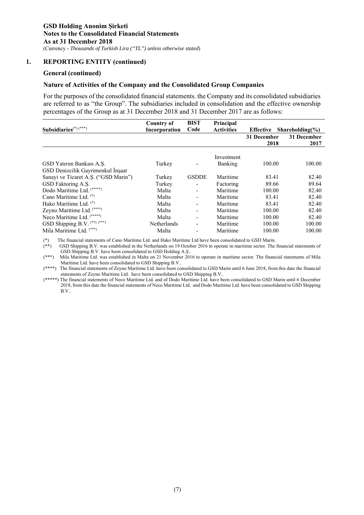## **1. REPORTING ENTITY (continued)**

#### **General (continued)**

#### **Nature of Activities of the Company and the Consolidated Group Companies**

For the purposes of the consolidated financial statements. the Company and its consolidated subsidiaries are referred to as "the Group". The subsidiaries included in consolidation and the effective ownership percentages of the Group as at 31 December 2018 and 31 December 2017 are as follows:

|                                      | Country of         | <b>BIST</b>              | Principal         |                  |                            |
|--------------------------------------|--------------------|--------------------------|-------------------|------------------|----------------------------|
| Subsidiaries <sup>(*)(***)</sup>     | Incorporation      | Code                     | <b>Activities</b> | <b>Effective</b> | Shareholding $\frac{6}{6}$ |
|                                      |                    |                          |                   | 31 December      | 31 December                |
|                                      |                    |                          |                   | 2018             | 2017                       |
|                                      |                    |                          | Investment        |                  |                            |
| GSD Yatırım Bankası A.S.             | Turkey             |                          | Banking           | 100.00           | 100.00                     |
| GSD Denizcilik Gayrimenkul İnşaat    |                    |                          |                   |                  |                            |
| Sanayi ve Ticaret A.S. ("GSD Marin") | Turkey             | <b>GSDDE</b>             | Maritime          | 83.41            | 82.40                      |
| GSD Faktoring A.S.                   | Turkey             |                          | Factoring         | 89.66            | 89.64                      |
| Dodo Maritime Ltd. (*****)           | Malta              | $\blacksquare$           | Maritime          | 100.00           | 82.40                      |
| Cano Maritime Ltd. $(*)$             | Malta              |                          | Maritime          | 83.41            | 82.40                      |
| Hako Maritime Ltd. (*)               | Malta              |                          | Maritime          | 83.41            | 82.40                      |
| Zeyno Maritime Ltd. (****)           | Malta              |                          | Maritime          | 100.00           | 82.40                      |
| Neco Maritime Ltd. (*****)           | Malta              | $\overline{\phantom{a}}$ | Maritime          | 100.00           | 82.40                      |
| GSD Shipping B.V. (**) (***)         | <b>Netherlands</b> |                          | Maritime          | 100.00           | 100.00                     |
| Mila Maritime Ltd. (***)             | Malta              |                          | Maritime          | 100.00           | 100.00                     |

(\*) The financial statements of Cano Maritime Ltd. and Hako Maritime Ltd have been consolidated to GSD Marin.

(\*) In the financial statements of Cano *maturing Log and Framerican* Log are concensived in the Sector. The financial statements of (\*\*) GSD Shipping B.V. was established in the Netherlands on 19 October 2016 to operate i GSD Shipping B.V. have been consolidated to GSD Holding A.Ş..

(\*\*\*) Mila Maritime Ltd. was established in Malta on 21 November 2016 to operate in maritime sector. The financial statements of Mila Maritime Ltd. have been consolidated to GSD Shipping B.V..

(\*\*\*\*) The financial statements of Zeyno Maritime Ltd. have been consolidated to GSD Marin until 6 June 2018, from this date the financial statements of Zeyno Maritime Ltd. have been consolidated to GSD Shipping B.V..

(\*\*\*\*\*) The financial statements of Neco Maritime Ltd. and of Dodo Maritime Ltd. have been consolidated to GSD Marin until 6 December 2018, from this date the financial statements of Neco Maritime Ltd. and Dodo Maritime Ltd. have been consolidated to GSD Shipping B.V..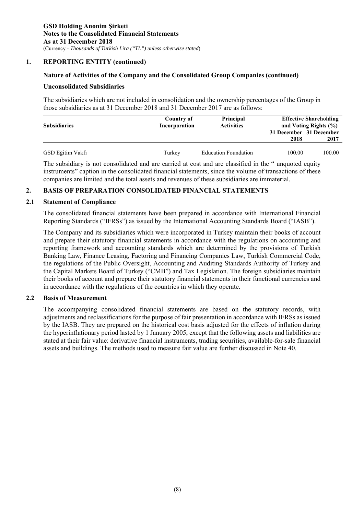## **1. REPORTING ENTITY (continued)**

## **Nature of Activities of the Company and the Consolidated Group Companies (continued)**

#### **Unconsolidated Subsidiaries**

The subsidiaries which are not included in consolidation and the ownership percentages of the Group in those subsidiaries as at 31 December 2018 and 31 December 2017 are as follows:

| <b>Subsidiaries</b> | Country of<br>Incorporation | <b>Principal</b><br><b>Activities</b> | <b>Effective Shareholding</b><br>and Voting Rights (%) |                                 |
|---------------------|-----------------------------|---------------------------------------|--------------------------------------------------------|---------------------------------|
|                     |                             |                                       | 2018                                                   | 31 December 31 December<br>2017 |
| GSD Eğitim Vakfı    | Turkey                      | <b>Education Foundation</b>           | 100.00                                                 | 100.00                          |

The subsidiary is not consolidated and are carried at cost and are classified in the " unquoted equity instruments" caption in the consolidated financial statements, since the volume of transactions of these companies are limited and the total assets and revenues of these subsidiaries are immaterial.

## **2. BASIS OF PREPARATION CONSOLIDATED FINANCIAL STATEMENTS**

#### **2.1 Statement of Compliance**

The consolidated financial statements have been prepared in accordance with International Financial Reporting Standards ("IFRSs") as issued by the International Accounting Standards Board ("IASB").

The Company and its subsidiaries which were incorporated in Turkey maintain their books of account and prepare their statutory financial statements in accordance with the regulations on accounting and reporting framework and accounting standards which are determined by the provisions of Turkish Banking Law, Finance Leasing, Factoring and Financing Companies Law, Turkish Commercial Code, the regulations of the Public Oversight, Accounting and Auditing Standards Authority of Turkey and the Capital Markets Board of Turkey ("CMB") and Tax Legislation. The foreign subsidiaries maintain their books of account and prepare their statutory financial statements in their functional currencies and in accordance with the regulations of the countries in which they operate.

## **2.2 Basis of Measurement**

The accompanying consolidated financial statements are based on the statutory records, with adjustments and reclassifications for the purpose of fair presentation in accordance with IFRSs as issued by the IASB. They are prepared on the historical cost basis adjusted for the effects of inflation during the hyperinflationary period lasted by 1 January 2005, except that the following assets and liabilities are stated at their fair value: derivative financial instruments, trading securities, available-for-sale financial assets and buildings. The methods used to measure fair value are further discussed in Note 40.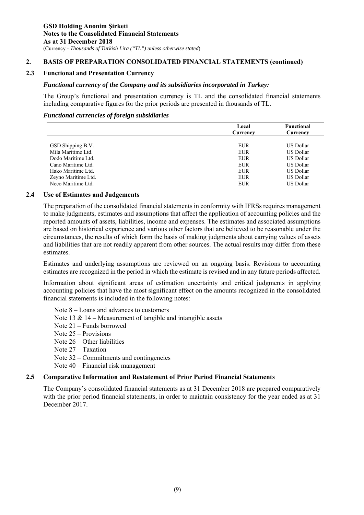## **2. BASIS OF PREPARATION CONSOLIDATED FINANCIAL STATEMENTS (continued)**

## **2.3 Functional and Presentation Currency**

#### *Functional currency of the Company and its subsidiaries incorporated in Turkey:*

The Group's functional and presentation currency is TL and the consolidated financial statements including comparative figures for the prior periods are presented in thousands of TL.

#### *Functional currencies of foreign subsidiaries*

|                     | <b>Functional</b><br>Local |           |
|---------------------|----------------------------|-----------|
|                     | Currency                   | Currency  |
|                     |                            |           |
| GSD Shipping B.V.   | <b>EUR</b>                 | US Dollar |
| Mila Maritime Ltd.  | <b>EUR</b>                 | US Dollar |
| Dodo Maritime Ltd.  | EUR                        | US Dollar |
| Cano Maritime Ltd.  | <b>EUR</b>                 | US Dollar |
| Hako Maritime Ltd.  | <b>EUR</b>                 | US Dollar |
| Zeyno Maritime Ltd. | <b>EUR</b>                 | US Dollar |
| Neco Maritime Ltd.  | EUR                        | US Dollar |

## **2.4 Use of Estimates and Judgements**

The preparation of the consolidated financial statements in conformity with IFRSs requires management to make judgments, estimates and assumptions that affect the application of accounting policies and the reported amounts of assets, liabilities, income and expenses. The estimates and associated assumptions are based on historical experience and various other factors that are believed to be reasonable under the circumstances, the results of which form the basis of making judgments about carrying values of assets and liabilities that are not readily apparent from other sources. The actual results may differ from these estimates.

Estimates and underlying assumptions are reviewed on an ongoing basis. Revisions to accounting estimates are recognized in the period in which the estimate is revised and in any future periods affected.

Information about significant areas of estimation uncertainty and critical judgments in applying accounting policies that have the most significant effect on the amounts recognized in the consolidated financial statements is included in the following notes:

Note 8 – Loans and advances to customers

- Note  $13 \& 14$  Measurement of tangible and intangible assets
- Note 21 Funds borrowed
- Note 25 Provisions
- Note 26 Other liabilities
- Note 27 Taxation
- Note 32 Commitments and contingencies
- Note 40 Financial risk management

## **2.5 Comparative Information and Restatement of Prior Period Financial Statements**

The Company's consolidated financial statements as at 31 December 2018 are prepared comparatively with the prior period financial statements, in order to maintain consistency for the year ended as at 31 December 2017.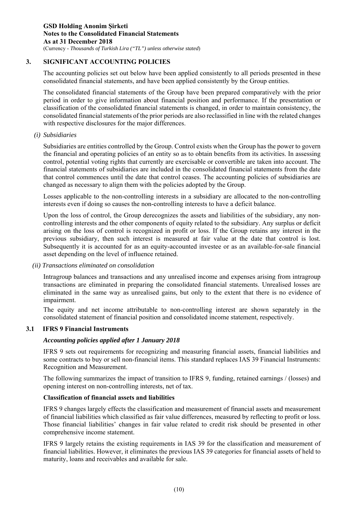## **3. SIGNIFICANT ACCOUNTING POLICIES**

The accounting policies set out below have been applied consistently to all periods presented in these consolidated financial statements, and have been applied consistently by the Group entities.

The consolidated financial statements of the Group have been prepared comparatively with the prior period in order to give information about financial position and performance. If the presentation or classification of the consolidated financial statements is changed, in order to maintain consistency, the consolidated financial statements of the prior periods are also reclassified in line with the related changes with respective disclosures for the major differences.

## *(i) Subsidiaries*

Subsidiaries are entities controlled by the Group. Control exists when the Group has the power to govern the financial and operating policies of an entity so as to obtain benefits from its activities. In assessing control, potential voting rights that currently are exercisable or convertible are taken into account. The financial statements of subsidiaries are included in the consolidated financial statements from the date that control commences until the date that control ceases. The accounting policies of subsidiaries are changed as necessary to align them with the policies adopted by the Group.

Losses applicable to the non-controlling interests in a subsidiary are allocated to the non-controlling interests even if doing so causes the non-controlling interests to have a deficit balance.

Upon the loss of control, the Group derecognizes the assets and liabilities of the subsidiary, any noncontrolling interests and the other components of equity related to the subsidiary. Any surplus or deficit arising on the loss of control is recognized in profit or loss. If the Group retains any interest in the previous subsidiary, then such interest is measured at fair value at the date that control is lost. Subsequently it is accounted for as an equity-accounted investee or as an available-for-sale financial asset depending on the level of influence retained.

## *(ii) Transactions eliminated on consolidation*

Intragroup balances and transactions and any unrealised income and expenses arising from intragroup transactions are eliminated in preparing the consolidated financial statements. Unrealised losses are eliminated in the same way as unrealised gains, but only to the extent that there is no evidence of impairment.

The equity and net income attributable to non-controlling interest are shown separately in the consolidated statement of financial position and consolidated income statement, respectively.

## **3.1 IFRS 9 Financial Instruments**

## *Accounting policies applied after 1 January 2018*

IFRS 9 sets out requirements for recognizing and measuring financial assets, financial liabilities and some contracts to buy or sell non-financial items. This standard replaces IAS 39 Financial Instruments: Recognition and Measurement.

The following summarizes the impact of transition to IFRS 9, funding, retained earnings / (losses) and opening interest on non-controlling interests, net of tax.

## **Classification of financial assets and liabilities**

IFRS 9 changes largely effects the classification and measurement of financial assets and measurement of financial liabilities which classified as fair value differences, measured by reflecting to profit or loss. Those financial liabilities' changes in fair value related to credit risk should be presented in other comprehensive income statement.

IFRS 9 largely retains the existing requirements in IAS 39 for the classification and measurement of financial liabilities. However, it eliminates the previous IAS 39 categories for financial assets of held to maturity, loans and receivables and available for sale.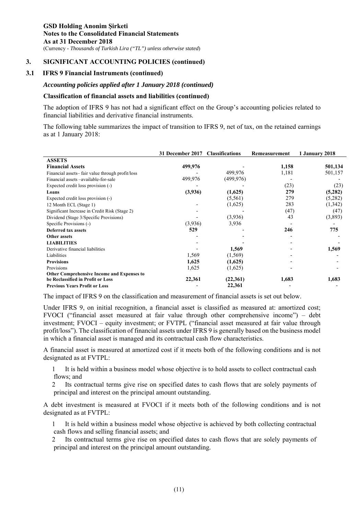#### **3.1 IFRS 9 Financial Instruments (continued)**

## *Accounting policies applied after 1 January 2018 (continued)*

#### **Classification of financial assets and liabilities (continued)**

The adoption of IFRS 9 has not had a significant effect on the Group's accounting policies related to financial liabilities and derivative financial instruments.

The following table summarizes the impact of transition to IFRS 9, net of tax, on the retained earnings as at 1 January 2018:

|                                                   | 31 December 2017 | <b>Classifications</b> | Remeasurement | 1 January 2018 |
|---------------------------------------------------|------------------|------------------------|---------------|----------------|
| <b>ASSETS</b>                                     |                  |                        |               |                |
| <b>Financial Assets</b>                           | 499,976          |                        | 1,158         | 501,134        |
| Financial assets-fair value through profit/loss   |                  | 499,976                | 1,181         | 501,157        |
| Financial assets -available-for-sale              | 499,976          | (499, 976)             |               |                |
| Expected credit loss provision (-)                |                  |                        | (23)          | (23)           |
| Loans                                             | (3,936)          | (1,625)                | 279           | (5,282)        |
| Expected credit loss provision (-)                |                  | (5, 561)               | 279           | (5,282)        |
| 12 Month ECL (Stage 1)                            |                  | (1,625)                | 283           | (1, 342)       |
| Significant Increase in Credit Risk (Stage 2)     |                  |                        | (47)          | (47)           |
| Dividend (Stage 3/Specific Provisions)            |                  | (3,936)                | 43            | (3,893)        |
| Specific Provisions (-)                           | (3,936)          | 3,936                  |               |                |
| <b>Deferred tax assets</b>                        | 529              |                        | 246           | 775            |
| Other assets                                      |                  |                        |               |                |
| <b>LIABILITIES</b>                                |                  |                        |               |                |
| Derivative financial liabilities                  |                  | 1,569                  |               | 1,569          |
| Liabilities                                       | 1,569            | (1,569)                |               |                |
| <b>Provisions</b>                                 | 1,625            | (1,625)                |               |                |
| Provisions                                        | 1,625            | (1,625)                |               |                |
| <b>Other Comprehensive Income and Expenses to</b> |                  |                        |               |                |
| be Reclassified in Profit or Loss                 | 22,361           | (22,361)               | 1,683         | 1,683          |
| <b>Previous Years Profit or Loss</b>              |                  | 22,361                 |               |                |

The impact of IFRS 9 on the classification and measurement of financial assets is set out below.

Under IFRS 9, on initial recognition, a financial asset is classified as measured at: amortized cost; FVOCI ("financial asset measured at fair value through other comprehensive income") – debt investment; FVOCI – equity investment; or FVTPL ("financial asset measured at fair value through profit/loss"). The classification of financial assets under IFRS 9 is generally based on the business model in which a financial asset is managed and its contractual cash flow characteristics.

A financial asset is measured at amortized cost if it meets both of the following conditions and is not designated as at FVTPL:

1 It is held within a business model whose objective is to hold assets to collect contractual cash flows; and

2 Its contractual terms give rise on specified dates to cash flows that are solely payments of principal and interest on the principal amount outstanding.

A debt investment is measured at FVOCI if it meets both of the following conditions and is not designated as at FVTPL:

1 It is held within a business model whose objective is achieved by both collecting contractual cash flows and selling financial assets; and

2 Its contractual terms give rise on specified dates to cash flows that are solely payments of principal and interest on the principal amount outstanding.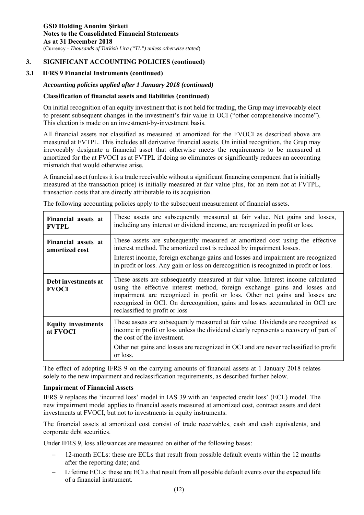## **3.1 IFRS 9 Financial Instruments (continued)**

## *Accounting policies applied after 1 January 2018 (continued)*

## **Classification of financial assets and liabilities (continued)**

On initial recognition of an equity investment that is not held for trading, the Grup may irrevocably elect to present subsequent changes in the investment's fair value in OCI ("other comprehensive income"). This election is made on an investment-by-investment basis.

All financial assets not classified as measured at amortized for the FVOCI as described above are measured at FVTPL. This includes all derivative financial assets. On initial recognition, the Grup may irrevocably designate a financial asset that otherwise meets the requirements to be measured at amortized for the at FVOCI as at FVTPL if doing so eliminates or significantly reduces an accounting mismatch that would otherwise arise.

A financial asset (unless it is a trade receivable without a significant financing component that is initially measured at the transaction price) is initially measured at fair value plus, for an item not at FVTPL, transaction costs that are directly attributable to its acquisition.

| Financial assets at<br><b>FVTPL</b>   | These assets are subsequently measured at fair value. Net gains and losses,<br>including any interest or dividend income, are recognized in profit or loss.                                                                                                                                                                                                     |
|---------------------------------------|-----------------------------------------------------------------------------------------------------------------------------------------------------------------------------------------------------------------------------------------------------------------------------------------------------------------------------------------------------------------|
| Financial assets at<br>amortized cost | These assets are subsequently measured at amortized cost using the effective<br>interest method. The amortized cost is reduced by impairment losses.<br>Interest income, foreign exchange gains and losses and impairment are recognized<br>in profit or loss. Any gain or loss on derecognition is recognized in profit or loss.                               |
| Debt investments at<br><b>FVOCI</b>   | These assets are subsequently measured at fair value. Interest income calculated<br>using the effective interest method, foreign exchange gains and losses and<br>impairment are recognized in profit or loss. Other net gains and losses are<br>recognized in OCI. On derecognition, gains and losses accumulated in OCI are<br>reclassified to profit or loss |
| <b>Equity investments</b><br>at FVOCI | These assets are subsequently measured at fair value. Dividends are recognized as<br>income in profit or loss unless the dividend clearly represents a recovery of part of<br>the cost of the investment.                                                                                                                                                       |
|                                       | Other net gains and losses are recognized in OCI and are never reclassified to profit<br>or loss.                                                                                                                                                                                                                                                               |

The following accounting policies apply to the subsequent measurement of financial assets.

The effect of adopting IFRS 9 on the carrying amounts of financial assets at 1 January 2018 relates solely to the new impairment and reclassification requirements, as described further below.

#### **Impairment of Financial Assets**

IFRS 9 replaces the 'incurred loss' model in IAS 39 with an 'expected credit loss' (ECL) model. The new impairment model applies to financial assets measured at amortized cost, contract assets and debt investments at FVOCI, but not to investments in equity instruments.

The financial assets at amortized cost consist of trade receivables, cash and cash equivalents, and corporate debt securities.

Under IFRS 9, loss allowances are measured on either of the following bases:

- 12-month ECLs: these are ECLs that result from possible default events within the 12 months after the reporting date; and
- Lifetime ECLs: these are ECLs that result from all possible default events over the expected life of a financial instrument.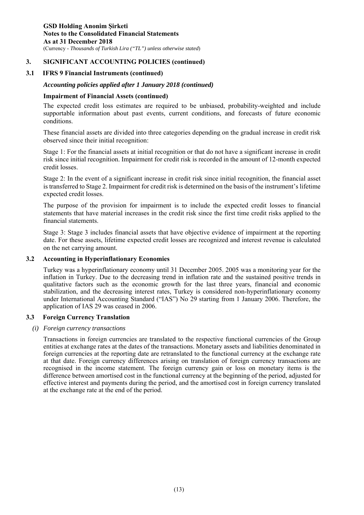#### **3.1 IFRS 9 Financial Instruments (continued)**

## *Accounting policies applied after 1 January 2018 (continued)*

#### **Impairment of Financial Assets (continued)**

The expected credit loss estimates are required to be unbiased, probability-weighted and include supportable information about past events, current conditions, and forecasts of future economic conditions.

These financial assets are divided into three categories depending on the gradual increase in credit risk observed since their initial recognition:

Stage 1: For the financial assets at initial recognition or that do not have a significant increase in credit risk since initial recognition. Impairment for credit risk is recorded in the amount of 12-month expected credit losses.

Stage 2: In the event of a significant increase in credit risk since initial recognition, the financial asset is transferred to Stage 2. Impairment for credit risk is determined on the basis of the instrument's lifetime expected credit losses.

The purpose of the provision for impairment is to include the expected credit losses to financial statements that have material increases in the credit risk since the first time credit risks applied to the financial statements.

Stage 3: Stage 3 includes financial assets that have objective evidence of impairment at the reporting date. For these assets, lifetime expected credit losses are recognized and interest revenue is calculated on the net carrying amount.

#### **3.2 Accounting in Hyperinflationary Economies**

Turkey was a hyperinflationary economy until 31 December 2005. 2005 was a monitoring year for the inflation in Turkey. Due to the decreasing trend in inflation rate and the sustained positive trends in qualitative factors such as the economic growth for the last three years, financial and economic stabilization, and the decreasing interest rates, Turkey is considered non-hyperinflationary economy under International Accounting Standard ("IAS") No 29 starting from 1 January 2006. Therefore, the application of IAS 29 was ceased in 2006.

## **3.3 Foreign Currency Translation**

#### *(i) Foreign currency transactions*

Transactions in foreign currencies are translated to the respective functional currencies of the Group entities at exchange rates at the dates of the transactions. Monetary assets and liabilities denominated in foreign currencies at the reporting date are retranslated to the functional currency at the exchange rate at that date. Foreign currency differences arising on translation of foreign currency transactions are recognised in the income statement. The foreign currency gain or loss on monetary items is the difference between amortised cost in the functional currency at the beginning of the period, adjusted for effective interest and payments during the period, and the amortised cost in foreign currency translated at the exchange rate at the end of the period.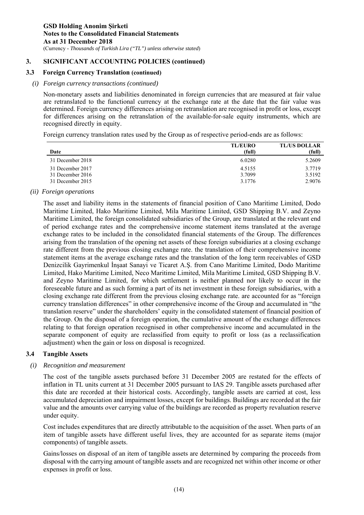#### **3.3 Foreign Currency Translation (continued)**

#### *(i) Foreign currency transactions (continued)*

Non-monetary assets and liabilities denominated in foreign currencies that are measured at fair value are retranslated to the functional currency at the exchange rate at the date that the fair value was determined. Foreign currency differences arising on retranslation are recognised in profit or loss, except for differences arising on the retranslation of the available-for-sale equity instruments, which are recognised directly in equity.

Foreign currency translation rates used by the Group as of respective period-ends are as follows:

| Date             | <b>TL/EURO</b><br>(full) | <b>TL/US DOLLAR</b><br>(full) |
|------------------|--------------------------|-------------------------------|
|                  |                          |                               |
| 31 December 2018 | 6.0280                   | 5.2609                        |
| 31 December 2017 | 4.5155                   | 3.7719                        |
| 31 December 2016 | 3.7099                   | 3.5192                        |
| 31 December 2015 | 3.1776                   | 2.9076                        |
|                  |                          |                               |

*(ii) Foreign operations* 

The asset and liability items in the statements of financial position of Cano Maritime Limited, Dodo Maritime Limited, Hako Maritime Limited, Mila Maritime Limited, GSD Shipping B.V. and Zeyno Maritime Limited, the foreign consolidated subsidiaries of the Group, are translated at the relevant end of period exchange rates and the comprehensive income statement items translated at the average exchange rates to be included in the consolidated financial statements of the Group. The differences arising from the translation of the opening net assets of these foreign subsidiaries at a closing exchange rate different from the previous closing exchange rate. the translation of their comprehensive income statement items at the average exchange rates and the translation of the long term receivables of GSD Denizcilik Gayrimenkul İnşaat Sanayi ve Ticaret A.Ş. from Cano Maritime Limited, Dodo Maritime Limited, Hako Maritime Limited, Neco Maritime Limited, Mila Maritime Limited, GSD Shipping B.V. and Zeyno Maritime Limited, for which settlement is neither planned nor likely to occur in the foreseeable future and as such forming a part of its net investment in these foreign subsidiaries, with a closing exchange rate different from the previous closing exchange rate. are accounted for as "foreign currency translation differences" in other comprehensive income of the Group and accumulated in "the translation reserve" under the shareholders' equity in the consolidated statement of financial position of the Group. On the disposal of a foreign operation, the cumulative amount of the exchange differences relating to that foreign operation recognised in other comprehensive income and accumulated in the separate component of equity are reclassified from equity to profit or loss (as a reclassification adjustment) when the gain or loss on disposal is recognized.

## **3.4 Tangible Assets**

#### *(i) Recognition and measurement*

The cost of the tangible assets purchased before 31 December 2005 are restated for the effects of inflation in TL units current at 31 December 2005 pursuant to IAS 29. Tangible assets purchased after this date are recorded at their historical costs. Accordingly, tangible assets are carried at cost, less accumulated depreciation and impairment losses, except for buildings. Buildings are recorded at the fair value and the amounts over carrying value of the buildings are recorded as property revaluation reserve under equity.

Cost includes expenditures that are directly attributable to the acquisition of the asset. When parts of an item of tangible assets have different useful lives, they are accounted for as separate items (major components) of tangible assets.

Gains/losses on disposal of an item of tangible assets are determined by comparing the proceeds from disposal with the carrying amount of tangible assets and are recognized net within other income or other expenses in profit or loss.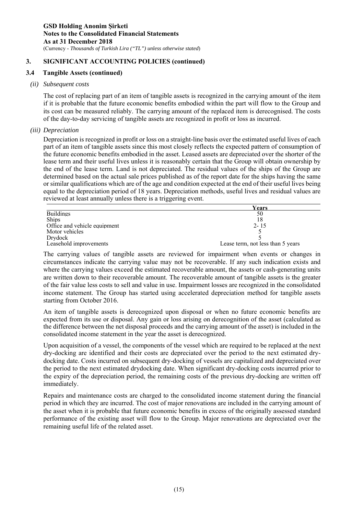#### **3.4 Tangible Assets (continued)**

#### *(ii) Subsequent costs*

The cost of replacing part of an item of tangible assets is recognized in the carrying amount of the item if it is probable that the future economic benefits embodied within the part will flow to the Group and its cost can be measured reliably. The carrying amount of the replaced item is derecognised. The costs of the day-to-day servicing of tangible assets are recognized in profit or loss as incurred.

#### *(iii) Depreciation*

Depreciation is recognized in profit or loss on a straight-line basis over the estimated useful lives of each part of an item of tangible assets since this most closely reflects the expected pattern of consumption of the future economic benefits embodied in the asset. Leased assets are depreciated over the shorter of the lease term and their useful lives unless it is reasonably certain that the Group will obtain ownership by the end of the lease term. Land is not depreciated. The residual values of the ships of the Group are determined based on the actual sale prices published as of the report date for the ships having the same or similar qualifications which are of the age and condition expected at the end of their useful lives being equal to the depreciation period of 18 years. Depreciation methods, useful lives and residual values are reviewed at least annually unless there is a triggering event.

|                              | Years                             |
|------------------------------|-----------------------------------|
| <b>Buildings</b>             | 50                                |
| <b>Ships</b>                 |                                   |
| Office and vehicle equipment | $2 - 15$                          |
| Motor vehicles               |                                   |
| Drydock                      |                                   |
| Leasehold improvements       | Lease term, not less than 5 years |

The carrying values of tangible assets are reviewed for impairment when events or changes in circumstances indicate the carrying value may not be recoverable. If any such indication exists and where the carrying values exceed the estimated recoverable amount, the assets or cash-generating units are written down to their recoverable amount. The recoverable amount of tangible assets is the greater of the fair value less costs to sell and value in use. Impairment losses are recognized in the consolidated income statement. The Group has started using accelerated depreciation method for tangible assets starting from October 2016.

An item of tangible assets is derecognized upon disposal or when no future economic benefits are expected from its use or disposal. Any gain or loss arising on derecognition of the asset (calculated as the difference between the net disposal proceeds and the carrying amount of the asset) is included in the consolidated income statement in the year the asset is derecognized.

Upon acquisition of a vessel, the components of the vessel which are required to be replaced at the next dry-docking are identified and their costs are depreciated over the period to the next estimated drydocking date. Costs incurred on subsequent dry-docking of vessels are capitalized and depreciated over the period to the next estimated drydocking date. When significant dry-docking costs incurred prior to the expiry of the depreciation period, the remaining costs of the previous dry-docking are written off immediately.

Repairs and maintenance costs are charged to the consolidated income statement during the financial period in which they are incurred. The cost of major renovations are included in the carrying amount of the asset when it is probable that future economic benefits in excess of the originally assessed standard performance of the existing asset will flow to the Group. Major renovations are depreciated over the remaining useful life of the related asset.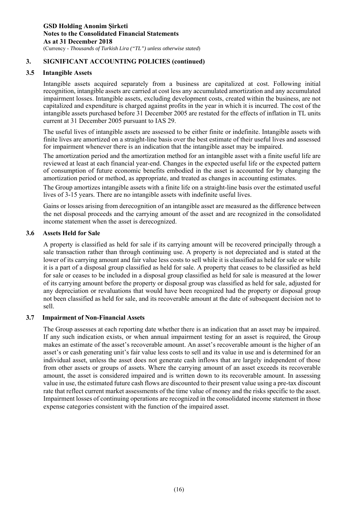#### **3.5 Intangible Assets**

Intangible assets acquired separately from a business are capitalized at cost. Following initial recognition, intangible assets are carried at cost less any accumulated amortization and any accumulated impairment losses. Intangible assets, excluding development costs, created within the business, are not capitalized and expenditure is charged against profits in the year in which it is incurred. The cost of the intangible assets purchased before 31 December 2005 are restated for the effects of inflation in TL units current at 31 December 2005 pursuant to IAS 29.

The useful lives of intangible assets are assessed to be either finite or indefinite. Intangible assets with finite lives are amortized on a straight-line basis over the best estimate of their useful lives and assessed for impairment whenever there is an indication that the intangible asset may be impaired.

The amortization period and the amortization method for an intangible asset with a finite useful life are reviewed at least at each financial year-end. Changes in the expected useful life or the expected pattern of consumption of future economic benefits embodied in the asset is accounted for by changing the amortization period or method, as appropriate, and treated as changes in accounting estimates.

The Group amortizes intangible assets with a finite life on a straight-line basis over the estimated useful lives of 3-15 years. There are no intangible assets with indefinite useful lives.

Gains or losses arising from derecognition of an intangible asset are measured as the difference between the net disposal proceeds and the carrying amount of the asset and are recognized in the consolidated income statement when the asset is derecognized.

#### **3.6 Assets Held for Sale**

A property is classified as held for sale if its carrying amount will be recovered principally through a sale transaction rather than through continuing use. A property is not depreciated and is stated at the lower of its carrying amount and fair value less costs to sell while it is classified as held for sale or while it is a part of a disposal group classified as held for sale. A property that ceases to be classified as held for sale or ceases to be included in a disposal group classified as held for sale is measured at the lower of its carrying amount before the property or disposal group was classified as held for sale, adjusted for any depreciation or revaluations that would have been recognized had the property or disposal group not been classified as held for sale, and its recoverable amount at the date of subsequent decision not to sell.

## **3.7 Impairment of Non-Financial Assets**

The Group assesses at each reporting date whether there is an indication that an asset may be impaired. If any such indication exists, or when annual impairment testing for an asset is required, the Group makes an estimate of the asset's recoverable amount. An asset's recoverable amount is the higher of an asset's or cash generating unit's fair value less costs to sell and its value in use and is determined for an individual asset, unless the asset does not generate cash inflows that are largely independent of those from other assets or groups of assets. Where the carrying amount of an asset exceeds its recoverable amount, the asset is considered impaired and is written down to its recoverable amount. In assessing value in use, the estimated future cash flows are discounted to their present value using a pre-tax discount rate that reflect current market assessments of the time value of money and the risks specific to the asset. Impairment losses of continuing operations are recognized in the consolidated income statement in those expense categories consistent with the function of the impaired asset.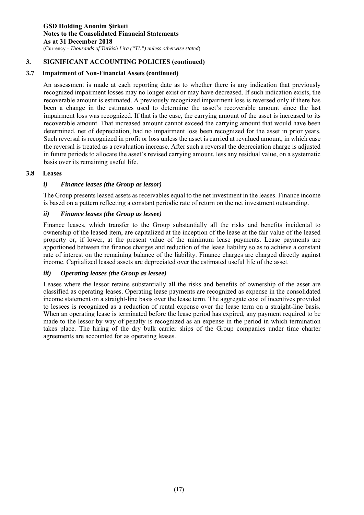(Currency - *Thousands of Turkish Lira ("TL") unless otherwise stated*)

## **3. SIGNIFICANT ACCOUNTING POLICIES (continued)**

## **3.7 Impairment of Non-Financial Assets (continued)**

An assessment is made at each reporting date as to whether there is any indication that previously recognized impairment losses may no longer exist or may have decreased. If such indication exists, the recoverable amount is estimated. A previously recognized impairment loss is reversed only if there has been a change in the estimates used to determine the asset's recoverable amount since the last impairment loss was recognized. If that is the case, the carrying amount of the asset is increased to its recoverable amount. That increased amount cannot exceed the carrying amount that would have been determined, net of depreciation, had no impairment loss been recognized for the asset in prior years. Such reversal is recognized in profit or loss unless the asset is carried at revalued amount, in which case the reversal is treated as a revaluation increase. After such a reversal the depreciation charge is adjusted in future periods to allocate the asset's revised carrying amount, less any residual value, on a systematic basis over its remaining useful life.

## **3.8 Leases**

## *i) Finance leases (the Group as lessor)*

The Group presents leased assets as receivables equal to the net investment in the leases. Finance income is based on a pattern reflecting a constant periodic rate of return on the net investment outstanding.

## *ii) Finance leases (the Group as lessee)*

Finance leases, which transfer to the Group substantially all the risks and benefits incidental to ownership of the leased item, are capitalized at the inception of the lease at the fair value of the leased property or, if lower, at the present value of the minimum lease payments. Lease payments are apportioned between the finance charges and reduction of the lease liability so as to achieve a constant rate of interest on the remaining balance of the liability. Finance charges are charged directly against income. Capitalized leased assets are depreciated over the estimated useful life of the asset.

## *iii) Operating leases (the Group as lessee)*

Leases where the lessor retains substantially all the risks and benefits of ownership of the asset are classified as operating leases. Operating lease payments are recognized as expense in the consolidated income statement on a straight-line basis over the lease term. The aggregate cost of incentives provided to lessees is recognized as a reduction of rental expense over the lease term on a straight-line basis. When an operating lease is terminated before the lease period has expired, any payment required to be made to the lessor by way of penalty is recognized as an expense in the period in which termination takes place. The hiring of the dry bulk carrier ships of the Group companies under time charter agreements are accounted for as operating leases.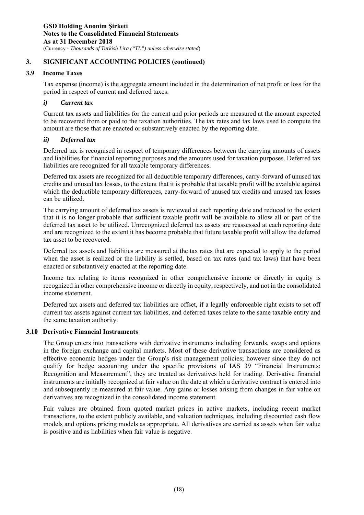## **3.9 Income Taxes**

Tax expense (income) is the aggregate amount included in the determination of net profit or loss for the period in respect of current and deferred taxes.

#### *i) Current tax*

Current tax assets and liabilities for the current and prior periods are measured at the amount expected to be recovered from or paid to the taxation authorities. The tax rates and tax laws used to compute the amount are those that are enacted or substantively enacted by the reporting date.

#### *ii) Deferred tax*

Deferred tax is recognised in respect of temporary differences between the carrying amounts of assets and liabilities for financial reporting purposes and the amounts used for taxation purposes. Deferred tax liabilities are recognized for all taxable temporary differences.

Deferred tax assets are recognized for all deductible temporary differences, carry-forward of unused tax credits and unused tax losses, to the extent that it is probable that taxable profit will be available against which the deductible temporary differences, carry-forward of unused tax credits and unused tax losses can be utilized.

The carrying amount of deferred tax assets is reviewed at each reporting date and reduced to the extent that it is no longer probable that sufficient taxable profit will be available to allow all or part of the deferred tax asset to be utilized. Unrecognized deferred tax assets are reassessed at each reporting date and are recognized to the extent it has become probable that future taxable profit will allow the deferred tax asset to be recovered.

Deferred tax assets and liabilities are measured at the tax rates that are expected to apply to the period when the asset is realized or the liability is settled, based on tax rates (and tax laws) that have been enacted or substantively enacted at the reporting date.

Income tax relating to items recognized in other comprehensive income or directly in equity is recognized in other comprehensive income or directly in equity, respectively, and not in the consolidated income statement.

Deferred tax assets and deferred tax liabilities are offset, if a legally enforceable right exists to set off current tax assets against current tax liabilities, and deferred taxes relate to the same taxable entity and the same taxation authority.

## **3.10 Derivative Financial Instruments**

The Group enters into transactions with derivative instruments including forwards, swaps and options in the foreign exchange and capital markets. Most of these derivative transactions are considered as effective economic hedges under the Group's risk management policies; however since they do not qualify for hedge accounting under the specific provisions of IAS 39 "Financial Instruments: Recognition and Measurement", they are treated as derivatives held for trading. Derivative financial instruments are initially recognized at fair value on the date at which a derivative contract is entered into and subsequently re-measured at fair value. Any gains or losses arising from changes in fair value on derivatives are recognized in the consolidated income statement.

Fair values are obtained from quoted market prices in active markets, including recent market transactions, to the extent publicly available, and valuation techniques, including discounted cash flow models and options pricing models as appropriate. All derivatives are carried as assets when fair value is positive and as liabilities when fair value is negative.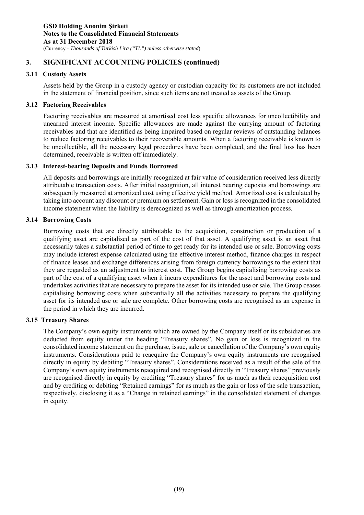#### **3.11 Custody Assets**

Assets held by the Group in a custody agency or custodian capacity for its customers are not included in the statement of financial position, since such items are not treated as assets of the Group.

#### **3.12 Factoring Receivables**

Factoring receivables are measured at amortised cost less specific allowances for uncollectibility and unearned interest income. Specific allowances are made against the carrying amount of factoring receivables and that are identified as being impaired based on regular reviews of outstanding balances to reduce factoring receivables to their recoverable amounts. When a factoring receivable is known to be uncollectible, all the necessary legal procedures have been completed, and the final loss has been determined, receivable is written off immediately.

#### **3.13 Interest-bearing Deposits and Funds Borrowed**

All deposits and borrowings are initially recognized at fair value of consideration received less directly attributable transaction costs. After initial recognition, all interest bearing deposits and borrowings are subsequently measured at amortized cost using effective yield method. Amortized cost is calculated by taking into account any discount or premium on settlement. Gain or loss is recognized in the consolidated income statement when the liability is derecognized as well as through amortization process.

#### **3.14 Borrowing Costs**

Borrowing costs that are directly attributable to the acquisition, construction or production of a qualifying asset are capitalised as part of the cost of that asset. A qualifying asset is an asset that necessarily takes a substantial period of time to get ready for its intended use or sale. Borrowing costs may include interest expense calculated using the effective interest method, finance charges in respect of finance leases and exchange differences arising from foreign currency borrowings to the extent that they are regarded as an adjustment to interest cost. The Group begins capitalising borrowing costs as part of the cost of a qualifying asset when it incurs expenditures for the asset and borrowing costs and undertakes activities that are necessary to prepare the asset for its intended use or sale. The Group ceases capitalising borrowing costs when substantially all the activities necessary to prepare the qualifying asset for its intended use or sale are complete. Other borrowing costs are recognised as an expense in the period in which they are incurred.

## **3.15 Treasury Shares**

The Company's own equity instruments which are owned by the Company itself or its subsidiaries are deducted from equity under the heading "Treasury shares". No gain or loss is recognized in the consolidated income statement on the purchase, issue, sale or cancellation of the Company's own equity instruments. Considerations paid to reacquire the Company's own equity instruments are recognised directly in equity by debiting "Treasury shares". Considerations received as a result of the sale of the Company's own equity instruments reacquired and recognised directly in "Treasury shares" previously are recognised directly in equity by crediting "Treasury shares" for as much as their reacquisition cost and by crediting or debiting "Retained earnings" for as much as the gain or loss of the sale transaction, respectively, disclosing it as a "Change in retained earnings" in the consolidated statement of changes in equity.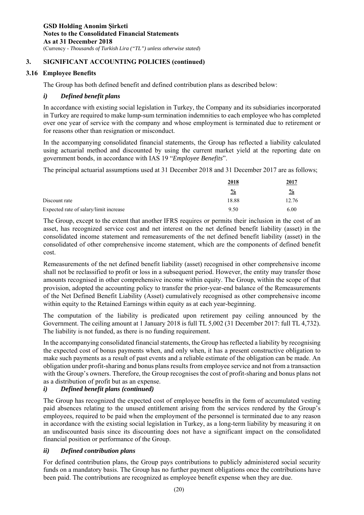## **3.16 Employee Benefits**

The Group has both defined benefit and defined contribution plans as described below:

## *i) Defined benefit plans*

In accordance with existing social legislation in Turkey, the Company and its subsidiaries incorporated in Turkey are required to make lump-sum termination indemnities to each employee who has completed over one year of service with the company and whose employment is terminated due to retirement or for reasons other than resignation or misconduct.

In the accompanying consolidated financial statements, the Group has reflected a liability calculated using actuarial method and discounted by using the current market yield at the reporting date on government bonds, in accordance with IAS 19 "*Employee Benefits*".

The principal actuarial assumptions used at 31 December 2018 and 31 December 2017 are as follows;

|                                        | 2018          | 2017          |  |
|----------------------------------------|---------------|---------------|--|
|                                        | $\frac{6}{9}$ | $\frac{0}{0}$ |  |
| Discount rate                          | 18.88         | 12.76         |  |
| Expected rate of salary/limit increase | 9.50          | 6.00          |  |

The Group, except to the extent that another IFRS requires or permits their inclusion in the cost of an asset, has recognized service cost and net interest on the net defined benefit liability (asset) in the consolidated income statement and remeasurements of the net defined benefit liability (asset) in the consolidated of other comprehensive income statement, which are the components of defined benefit cost.

Remeasurements of the net defined benefit liability (asset) recognised in other comprehensive income shall not be reclassified to profit or loss in a subsequent period. However, the entity may transfer those amounts recognised in other comprehensive income within equity. The Group, within the scope of that provision, adopted the accounting policy to transfer the prior-year-end balance of the Remeasurements of the Net Defined Benefit Liability (Asset) cumulatively recognised as other comprehensive income within equity to the Retained Earnings within equity as at each year-beginning.

The computation of the liability is predicated upon retirement pay ceiling announced by the Government. The ceiling amount at 1 January 2018 is full TL 5,002 (31 December 2017: full TL 4,732). The liability is not funded, as there is no funding requirement.

In the accompanying consolidated financial statements, the Group has reflected a liability by recognising the expected cost of bonus payments when, and only when, it has a present constructive obligation to make such payments as a result of past events and a reliable estimate of the obligation can be made. An obligation under profit-sharing and bonus plans results from employee service and not from a transaction with the Group's owners. Therefore, the Group recognises the cost of profit-sharing and bonus plans not as a distribution of profit but as an expense.

## *i) Defined benefit plans (continued)*

The Group has recognized the expected cost of employee benefits in the form of accumulated vesting paid absences relating to the unused entitlement arising from the services rendered by the Group's employees, required to be paid when the employment of the personnel is terminated due to any reason in accordance with the existing social legislation in Turkey, as a long-term liability by measuring it on an undiscounted basis since its discounting does not have a significant impact on the consolidated financial position or performance of the Group.

## *ii) Defined contribution plans*

For defined contribution plans, the Group pays contributions to publicly administered social security funds on a mandatory basis. The Group has no further payment obligations once the contributions have been paid. The contributions are recognized as employee benefit expense when they are due.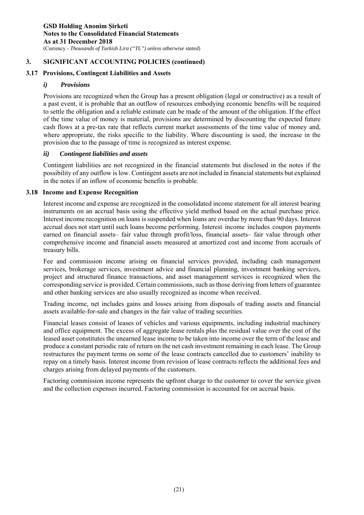## **3.17 Provisions, Contingent Liabilities and Assets**

## *i) Provisions*

Provisions are recognized when the Group has a present obligation (legal or constructive) as a result of a past event, it is probable that an outflow of resources embodying economic benefits will be required to settle the obligation and a reliable estimate can be made of the amount of the obligation. If the effect of the time value of money is material, provisions are determined by discounting the expected future cash flows at a pre-tax rate that reflects current market assessments of the time value of money and, where appropriate, the risks specific to the liability. Where discounting is used, the increase in the provision due to the passage of time is recognized as interest expense.

#### *ii) Contingent liabilities and assets*

Contingent liabilities are not recognized in the financial statements but disclosed in the notes if the possibility of any outflow is low. Contingent assets are not included in financial statements but explained in the notes if an inflow of economic benefits is probable.

#### **3.18 Income and Expense Recognition**

Interest income and expense are recognized in the consolidated income statement for all interest bearing instruments on an accrual basis using the effective yield method based on the actual purchase price. Interest income recognition on loans is suspended when loans are overdue by more than 90 days. Interest accrual does not start until such loans become performing. Interest income includes coupon payments earned on financial assets– fair value through profit/loss, financial assets– fair value through other comprehensive income and financial assets measured at amortized cost and income from accruals of treasury bills.

Fee and commission income arising on financial services provided, including cash management services, brokerage services, investment advice and financial planning, investment banking services, project and structured finance transactions, and asset management services is recognized when the corresponding service is provided. Certain commissions, such as those deriving from letters of guarantee and other banking services are also usually recognized as income when received.

Trading income, net includes gains and losses arising from disposals of trading assets and financial assets available-for-sale and changes in the fair value of trading securities.

Financial leases consist of leases of vehicles and various equipments, including industrial machinery and office equipment. The excess of aggregate lease rentals plus the residual value over the cost of the leased asset constitutes the unearned lease income to be taken into income over the term of the lease and produce a constant periodic rate of return on the net cash investment remaining in each lease. The Group restructures the payment terms on some of the lease contracts cancelled due to customers' inability to repay on a timely basis. Interest income from revision of lease contracts reflects the additional fees and charges arising from delayed payments of the customers.

Factoring commission income represents the upfront charge to the customer to cover the service given and the collection expenses incurred. Factoring commission is accounted for on accrual basis.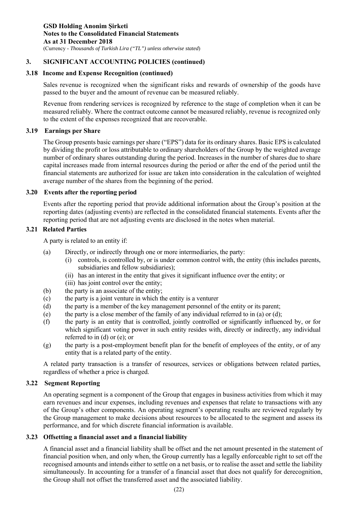## **3.18 Income and Expense Recognition (continued)**

Sales revenue is recognized when the significant risks and rewards of ownership of the goods have passed to the buyer and the amount of revenue can be measured reliably.

Revenue from rendering services is recognized by reference to the stage of completion when it can be measured reliably. Where the contract outcome cannot be measured reliably, revenue is recognized only to the extent of the expenses recognized that are recoverable.

## **3.19 Earnings per Share**

The Group presents basic earnings per share ("EPS") data for its ordinary shares. Basic EPS is calculated by dividing the profit or loss attributable to ordinary shareholders of the Group by the weighted average number of ordinary shares outstanding during the period. Increases in the number of shares due to share capital increases made from internal resources during the period or after the end of the period until the financial statements are authorized for issue are taken into consideration in the calculation of weighted average number of the shares from the beginning of the period.

#### **3.20 Events after the reporting period**

Events after the reporting period that provide additional information about the Group's position at the reporting dates (adjusting events) are reflected in the consolidated financial statements. Events after the reporting period that are not adjusting events are disclosed in the notes when material.

## **3.21 Related Parties**

A party is related to an entity if:

- (a) Directly, or indirectly through one or more intermediaries, the party:
	- (i) controls, is controlled by, or is under common control with, the entity (this includes parents, subsidiaries and fellow subsidiaries);
		- (ii) has an interest in the entity that gives it significant influence over the entity; or
		- (iii) has joint control over the entity;
- (b) the party is an associate of the entity;
- (c) the party is a joint venture in which the entity is a venturer
- (d) the party is a member of the key management personnel of the entity or its parent;
- (e) the party is a close member of the family of any individual referred to in (a) or (d);
- (f) the party is an entity that is controlled, jointly controlled or significantly influenced by, or for which significant voting power in such entity resides with, directly or indirectly, any individual referred to in (d) or (e); or
- (g) the party is a post-employment benefit plan for the benefit of employees of the entity, or of any entity that is a related party of the entity.

A related party transaction is a transfer of resources, services or obligations between related parties, regardless of whether a price is charged.

## **3.22 Segment Reporting**

An operating segment is a component of the Group that engages in business activities from which it may earn revenues and incur expenses, including revenues and expenses that relate to transactions with any of the Group's other components. An operating segment's operating results are reviewed regularly by the Group management to make decisions about resources to be allocated to the segment and assess its performance, and for which discrete financial information is available.

## **3.23 Offsetting a financial asset and a financial liability**

A financial asset and a financial liability shall be offset and the net amount presented in the statement of financial position when, and only when, the Group currently has a legally enforceable right to set off the recognised amounts and intends either to settle on a net basis, or to realise the asset and settle the liability simultaneously. In accounting for a transfer of a financial asset that does not qualify for derecognition, the Group shall not offset the transferred asset and the associated liability.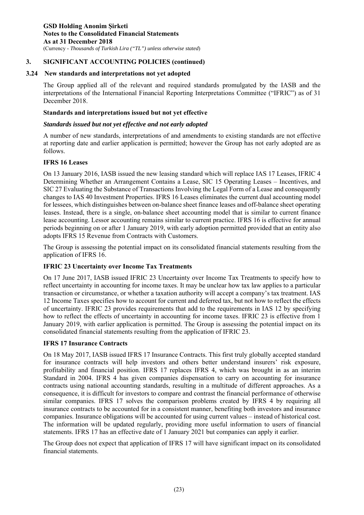#### **3.24 New standards and interpretations not yet adopted**

The Group applied all of the relevant and required standards promulgated by the IASB and the interpretations of the International Financial Reporting Interpretations Committee ("IFRIC") as of 31 December 2018.

#### **Standards and interpretations issued but not yet effective**

#### *Standards issued but not yet effective and not early adopted*

A number of new standards, interpretations of and amendments to existing standards are not effective at reporting date and earlier application is permitted; however the Group has not early adopted are as follows.

#### **IFRS 16 Leases**

On 13 January 2016, IASB issued the new leasing standard which will replace IAS 17 Leases, IFRIC 4 Determining Whether an Arrangement Contains a Lease, SIC 15 Operating Leases – Incentives, and SIC 27 Evaluating the Substance of Transactions Involving the Legal Form of a Lease and consequently changes to IAS 40 Investment Properties. IFRS 16 Leases eliminates the current dual accounting model for lessees, which distinguishes between on-balance sheet finance leases and off-balance sheet operating leases. Instead, there is a single, on-balance sheet accounting model that is similar to current finance lease accounting. Lessor accounting remains similar to current practice. IFRS 16 is effective for annual periods beginning on or after 1 January 2019, with early adoption permitted provided that an entity also adopts IFRS 15 Revenue from Contracts with Customers.

The Group is assessing the potential impact on its consolidated financial statements resulting from the application of IFRS 16.

## **IFRIC 23 Uncertainty over Income Tax Treatments**

On 17 June 2017, IASB issued IFRIC 23 Uncertainty over Income Tax Treatments to specify how to reflect uncertainty in accounting for income taxes. It may be unclear how tax law applies to a particular transaction or circumstance, or whether a taxation authority will accept a company's tax treatment. IAS 12 Income Taxes specifies how to account for current and deferred tax, but not how to reflect the effects of uncertainty. IFRIC 23 provides requirements that add to the requirements in IAS 12 by specifying how to reflect the effects of uncertainty in accounting for income taxes. IFRIC 23 is effective from 1 January 2019, with earlier application is permitted. The Group is assessing the potential impact on its consolidated financial statements resulting from the application of IFRIC 23.

## **IFRS 17 Insurance Contracts**

On 18 May 2017, IASB issued IFRS 17 Insurance Contracts. This first truly globally accepted standard for insurance contracts will help investors and others better understand insurers' risk exposure, profitability and financial position. IFRS 17 replaces IFRS 4, which was brought in as an interim Standard in 2004. IFRS 4 has given companies dispensation to carry on accounting for insurance contracts using national accounting standards, resulting in a multitude of different approaches. As a consequence, it is difficult for investors to compare and contrast the financial performance of otherwise similar companies. IFRS 17 solves the comparison problems created by IFRS 4 by requiring all insurance contracts to be accounted for in a consistent manner, benefiting both investors and insurance companies. Insurance obligations will be accounted for using current values – instead of historical cost. The information will be updated regularly, providing more useful information to users of financial statements. IFRS 17 has an effective date of 1 January 2021 but companies can apply it earlier.

The Group does not expect that application of IFRS 17 will have significant impact on its consolidated financial statements.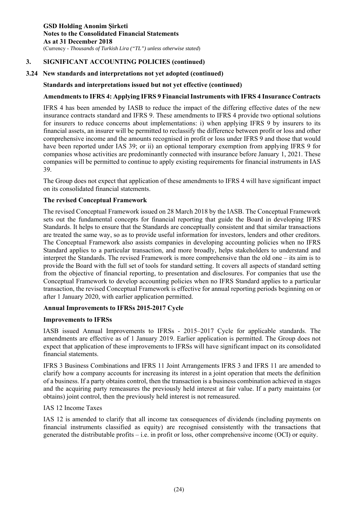## **3.24 New standards and interpretations not yet adopted (continued)**

#### **Standards and interpretations issued but not yet effective (continued)**

#### **Amendments to IFRS 4: Applying IFRS 9 Financial Instruments with IFRS 4 Insurance Contracts**

IFRS 4 has been amended by IASB to reduce the impact of the differing effective dates of the new insurance contracts standard and IFRS 9. These amendments to IFRS 4 provide two optional solutions for insurers to reduce concerns about implementations: i) when applying IFRS 9 by insurers to its financial assets, an insurer will be permitted to reclassify the difference between profit or loss and other comprehensive income and the amounts recognised in profit or loss under IFRS 9 and those that would have been reported under IAS 39; or ii) an optional temporary exemption from applying IFRS 9 for companies whose activities are predominantly connected with insurance before January 1, 2021. These companies will be permitted to continue to apply existing requirements for financial instruments in IAS 39.

The Group does not expect that application of these amendments to IFRS 4 will have significant impact on its consolidated financial statements.

#### **The revised Conceptual Framework**

The revised Conceptual Framework issued on 28 March 2018 by the IASB. The Conceptual Framework sets out the fundamental concepts for financial reporting that guide the Board in developing IFRS Standards. It helps to ensure that the Standards are conceptually consistent and that similar transactions are treated the same way, so as to provide useful information for investors, lenders and other creditors. The Conceptual Framework also assists companies in developing accounting policies when no IFRS Standard applies to a particular transaction, and more broadly, helps stakeholders to understand and interpret the Standards. The revised Framework is more comprehensive than the old one – its aim is to provide the Board with the full set of tools for standard setting. It covers all aspects of standard setting from the objective of financial reporting, to presentation and disclosures. For companies that use the Conceptual Framework to develop accounting policies when no IFRS Standard applies to a particular transaction, the revised Conceptual Framework is effective for annual reporting periods beginning on or after 1 January 2020, with earlier application permitted.

## **Annual Improvements to IFRSs 2015-2017 Cycle**

#### **Improvements to IFRSs**

IASB issued Annual Improvements to IFRSs - 2015–2017 Cycle for applicable standards. The amendments are effective as of 1 January 2019. Earlier application is permitted. The Group does not expect that application of these improvements to IFRSs will have significant impact on its consolidated financial statements.

IFRS 3 Business Combinations and IFRS 11 Joint Arrangements IFRS 3 and IFRS 11 are amended to clarify how a company accounts for increasing its interest in a joint operation that meets the definition of a business. If a party obtains control, then the transaction is a business combination achieved in stages and the acquiring party remeasures the previously held interest at fair value. If a party maintains (or obtains) joint control, then the previously held interest is not remeasured.

#### IAS 12 Income Taxes

IAS 12 is amended to clarify that all income tax consequences of dividends (including payments on financial instruments classified as equity) are recognised consistently with the transactions that generated the distributable profits – i.e. in profit or loss, other comprehensive income (OCI) or equity.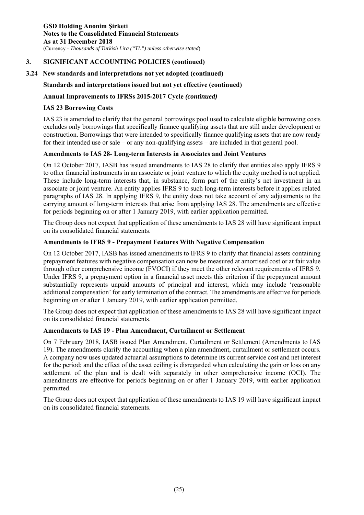## **3.24 New standards and interpretations not yet adopted (continued)**

## **Standards and interpretations issued but not yet effective (continued)**

## **Annual Improvements to IFRSs 2015-2017 Cycle** *(continued)*

## **IAS 23 Borrowing Costs**

IAS 23 is amended to clarify that the general borrowings pool used to calculate eligible borrowing costs excludes only borrowings that specifically finance qualifying assets that are still under development or construction. Borrowings that were intended to specifically finance qualifying assets that are now ready for their intended use or sale – or any non-qualifying assets – are included in that general pool.

## **Amendments to IAS 28- Long-term Interests in Associates and Joint Ventures**

On 12 October 2017, IASB has issued amendments to IAS 28 to clarify that entities also apply IFRS 9 to other financial instruments in an associate or joint venture to which the equity method is not applied. These include long-term interests that, in substance, form part of the entity's net investment in an associate or joint venture. An entity applies IFRS 9 to such long-term interests before it applies related paragraphs of IAS 28. In applying IFRS 9, the entity does not take account of any adjustments to the carrying amount of long-term interests that arise from applying IAS 28. The amendments are effective for periods beginning on or after 1 January 2019, with earlier application permitted.

The Group does not expect that application of these amendments to IAS 28 will have significant impact on its consolidated financial statements.

## **Amendments to IFRS 9 - Prepayment Features With Negative Compensation**

On 12 October 2017, IASB has issued amendments to IFRS 9 to clarify that financial assets containing prepayment features with negative compensation can now be measured at amortised cost or at fair value through other comprehensive income (FVOCI) if they meet the other relevant requirements of IFRS 9. Under IFRS 9, a prepayment option in a financial asset meets this criterion if the prepayment amount substantially represents unpaid amounts of principal and interest, which may include 'reasonable additional compensation' for early termination of the contract. The amendments are effective for periods beginning on or after 1 January 2019, with earlier application permitted.

The Group does not expect that application of these amendments to IAS 28 will have significant impact on its consolidated financial statements.

## **Amendments to IAS 19 - Plan Amendment, Curtailment or Settlement**

On 7 February 2018, IASB issued Plan Amendment, Curtailment or Settlement (Amendments to IAS 19). The amendments clarify the accounting when a plan amendment, curtailment or settlement occurs. A company now uses updated actuarial assumptions to determine its current service cost and net interest for the period; and the effect of the asset ceiling is disregarded when calculating the gain or loss on any settlement of the plan and is dealt with separately in other comprehensive income (OCI). The amendments are effective for periods beginning on or after 1 January 2019, with earlier application permitted.

The Group does not expect that application of these amendments to IAS 19 will have significant impact on its consolidated financial statements.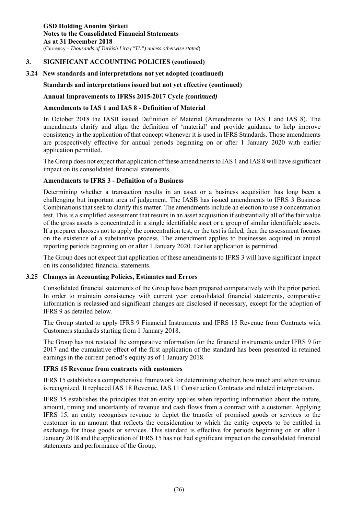**GSD Holding Anonim Şirketi Notes to the Consolidated Financial Statements As at 31 December 2018**  (Currency - *Thousands of Turkish Lira ("TL") unless otherwise stated*)

## **3. SIGNIFICANT ACCOUNTING POLICIES (continued)**

## **3.24 New standards and interpretations not yet adopted (continued)**

## **Standards and interpretations issued but not yet effective (continued)**

#### **Annual Improvements to IFRSs 2015-2017 Cycle** *(continued)*

#### **Amendments to IAS 1 and IAS 8 - Definition of Material**

In October 2018 the IASB issued Definition of Material (Amendments to IAS 1 and IAS 8). The amendments clarify and align the definition of 'material' and provide guidance to help improve consistency in the application of that concept whenever it is used in IFRS Standards. Those amendments are prospectively effective for annual periods beginning on or after 1 January 2020 with earlier application permitted.

The Group does not expect that application of these amendments to IAS 1 and IAS 8 will have significant impact on its consolidated financial statements.

#### **Amendments to IFRS 3 - Definition of a Business**

Determining whether a transaction results in an asset or a business acquisition has long been a challenging but important area of judgement. The IASB has issued amendments to IFRS 3 Business Combinations that seek to clarify this matter. The amendments include an election to use a concentration test. This is a simplified assessment that results in an asset acquisition if substantially all of the fair value of the gross assets is concentrated in a single identifiable asset or a group of similar identifiable assets. If a preparer chooses not to apply the concentration test, or the test is failed, then the assessment focuses on the existence of a substantive process. The amendment applies to businesses acquired in annual reporting periods beginning on or after 1 January 2020. Earlier application is permitted.

The Group does not expect that application of these amendments to IFRS 3 will have significant impact on its consolidated financial statements.

#### **3.25 Changes in Accounting Policies, Estimates and Errors**

Consolidated financial statements of the Group have been prepared comparatively with the prior period. In order to maintain consistency with current year consolidated financial statements, comparative information is reclassed and significant changes are disclosed if necessary, except for the adoption of IFRS 9 as detailed below.

The Group started to apply IFRS 9 Financial Instruments and IFRS 15 Revenue from Contracts with Customers standards starting from 1 January 2018.

The Group has not restated the comparative information for the financial instruments under IFRS 9 for 2017 and the cumulative effect of the first application of the standard has been presented in retained earnings in the current period's equity as of 1 January 2018.

#### **IFRS 15 Revenue from contracts with customers**

IFRS 15 establishes a comprehensive framework for determining whether, how much and when revenue is recognized. It replaced IAS 18 Revenue, IAS 11 Construction Contracts and related interpretation.

IFRS 15 establishes the principles that an entity applies when reporting information about the nature, amount, timing and uncertainty of revenue and cash flows from a contract with a customer. Applying IFRS 15, an entity recognises revenue to depict the transfer of promised goods or services to the customer in an amount that reflects the consideration to which the entity expects to be entitled in exchange for those goods or services. This standard is effective for periods beginning on or after 1 January 2018 and the application of IFRS 15 has not had significant impact on the consolidated financial statements and performance of the Group.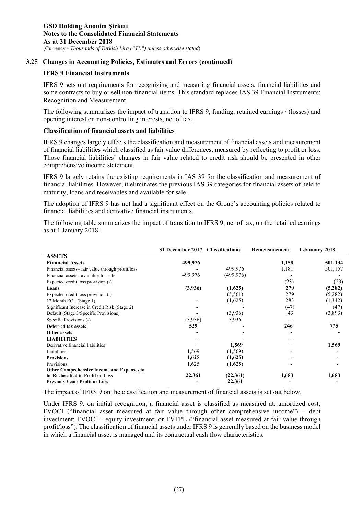## **3.25 Changes in Accounting Policies, Estimates and Errors (continued)**

#### **IFRS 9 Financial Instruments**

IFRS 9 sets out requirements for recognizing and measuring financial assets, financial liabilities and some contracts to buy or sell non-financial items. This standard replaces IAS 39 Financial Instruments: Recognition and Measurement.

The following summarizes the impact of transition to IFRS 9, funding, retained earnings / (losses) and opening interest on non-controlling interests, net of tax.

#### **Classification of financial assets and liabilities**

IFRS 9 changes largely effects the classification and measurement of financial assets and measurement of financial liabilities which classified as fair value differences, measured by reflecting to profit or loss. Those financial liabilities' changes in fair value related to credit risk should be presented in other comprehensive income statement.

IFRS 9 largely retains the existing requirements in IAS 39 for the classification and measurement of financial liabilities. However, it eliminates the previous IAS 39 categories for financial assets of held to maturity, loans and receivables and available for sale.

The adoption of IFRS 9 has not had a significant effect on the Group's accounting policies related to financial liabilities and derivative financial instruments.

The following table summarizes the impact of transition to IFRS 9, net of tax, on the retained earnings as at 1 January 2018:

|                                                   | <b>31 December 2017</b> | <b>Classifications</b> | Remeasurement | 1 January 2018 |
|---------------------------------------------------|-------------------------|------------------------|---------------|----------------|
| <b>ASSETS</b>                                     |                         |                        |               |                |
| <b>Financial Assets</b>                           | 499,976                 |                        | 1,158         | 501,134        |
| Financial assets-fair value through profit/loss   |                         | 499,976                | 1,181         | 501,157        |
| Financial assets -available-for-sale              | 499,976                 | (499,976)              |               |                |
| Expected credit loss provision (-)                |                         |                        | (23)          | (23)           |
| Loans                                             | (3,936)                 | (1,625)                | 279           | (5,282)        |
| Expected credit loss provision (-)                |                         | (5,561)                | 279           | (5,282)        |
| 12 Month ECL (Stage 1)                            |                         | (1,625)                | 283           | (1,342)        |
| Significant Increase in Credit Risk (Stage 2)     |                         |                        | (47)          | (47)           |
| Default (Stage 3/Specific Provisions)             |                         | (3,936)                | 43            | (3,893)        |
| Specific Provisions (-)                           | (3,936)                 | 3,936                  |               |                |
| <b>Deferred tax assets</b>                        | 529                     |                        | 246           | 775            |
| Other assets                                      |                         |                        |               |                |
| <b>LIABILITIES</b>                                |                         |                        |               |                |
| Derivative financial liabilities                  |                         | 1,569                  |               | 1,569          |
| Liabilities                                       | 1,569                   | (1, 569)               |               |                |
| <b>Provisions</b>                                 | 1,625                   | (1,625)                |               |                |
| Provisions                                        | 1,625                   | (1,625)                |               |                |
| <b>Other Comprehensive Income and Expenses to</b> |                         |                        |               |                |
| be Reclassified in Profit or Loss                 | 22,361                  | (22,361)               | 1,683         | 1,683          |
| <b>Previous Years Profit or Loss</b>              |                         | 22,361                 |               |                |

The impact of IFRS 9 on the classification and measurement of financial assets is set out below.

Under IFRS 9, on initial recognition, a financial asset is classified as measured at: amortized cost; FVOCI ("financial asset measured at fair value through other comprehensive income") – debt investment; FVOCI – equity investment; or FVTPL ("financial asset measured at fair value through profit/loss"). The classification of financial assets under IFRS 9 is generally based on the business model in which a financial asset is managed and its contractual cash flow characteristics.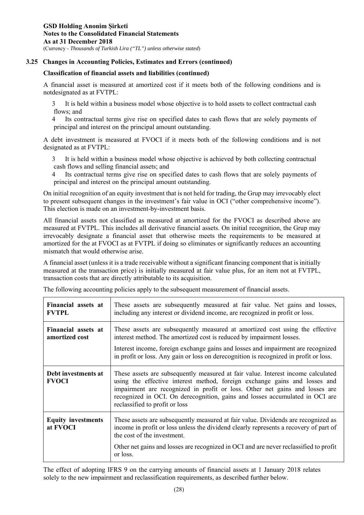## **3.25 Changes in Accounting Policies, Estimates and Errors (continued)**

#### **Classification of financial assets and liabilities (continued)**

A financial asset is measured at amortized cost if it meets both of the following conditions and is notdesignated as at FVTPL:

3 It is held within a business model whose objective is to hold assets to collect contractual cash flows: and

4 Its contractual terms give rise on specified dates to cash flows that are solely payments of principal and interest on the principal amount outstanding.

A debt investment is measured at FVOCI if it meets both of the following conditions and is not designated as at FVTPL:

3 It is held within a business model whose objective is achieved by both collecting contractual cash flows and selling financial assets; and

4 Its contractual terms give rise on specified dates to cash flows that are solely payments of principal and interest on the principal amount outstanding.

On initial recognition of an equity investment that is not held for trading, the Grup may irrevocably elect to present subsequent changes in the investment's fair value in OCI ("other comprehensive income"). This election is made on an investment-by-investment basis.

All financial assets not classified as measured at amortized for the FVOCI as described above are measured at FVTPL. This includes all derivative financial assets. On initial recognition, the Grup may irrevocably designate a financial asset that otherwise meets the requirements to be measured at amortized for the at FVOCI as at FVTPL if doing so eliminates or significantly reduces an accounting mismatch that would otherwise arise.

A financial asset (unless it is a trade receivable without a significant financing component that is initially measured at the transaction price) is initially measured at fair value plus, for an item not at FVTPL, transaction costs that are directly attributable to its acquisition.

|  |  |  | The following accounting policies apply to the subsequent measurement of financial assets. |  |
|--|--|--|--------------------------------------------------------------------------------------------|--|
|  |  |  |                                                                                            |  |

| Financial assets at<br><b>FVTPL</b>   | These assets are subsequently measured at fair value. Net gains and losses,<br>including any interest or dividend income, are recognized in profit or loss.                                                                                                                                                                                                     |
|---------------------------------------|-----------------------------------------------------------------------------------------------------------------------------------------------------------------------------------------------------------------------------------------------------------------------------------------------------------------------------------------------------------------|
| Financial assets at<br>amortized cost | These assets are subsequently measured at amortized cost using the effective<br>interest method. The amortized cost is reduced by impairment losses.<br>Interest income, foreign exchange gains and losses and impairment are recognized<br>in profit or loss. Any gain or loss on derecognition is recognized in profit or loss.                               |
| Debt investments at<br><b>FVOCI</b>   | These assets are subsequently measured at fair value. Interest income calculated<br>using the effective interest method, foreign exchange gains and losses and<br>impairment are recognized in profit or loss. Other net gains and losses are<br>recognized in OCI. On derecognition, gains and losses accumulated in OCI are<br>reclassified to profit or loss |
| <b>Equity investments</b><br>at FVOCI | These assets are subsequently measured at fair value. Dividends are recognized as<br>income in profit or loss unless the dividend clearly represents a recovery of part of<br>the cost of the investment.<br>Other net gains and losses are recognized in OCI and are never reclassified to profit<br>or loss.                                                  |

The effect of adopting IFRS 9 on the carrying amounts of financial assets at 1 January 2018 relates solely to the new impairment and reclassification requirements, as described further below.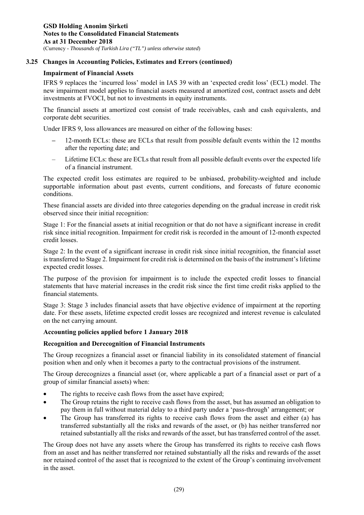# **3.25 Changes in Accounting Policies, Estimates and Errors (continued)**

# **Impairment of Financial Assets**

IFRS 9 replaces the 'incurred loss' model in IAS 39 with an 'expected credit loss' (ECL) model. The new impairment model applies to financial assets measured at amortized cost, contract assets and debt investments at FVOCI, but not to investments in equity instruments.

The financial assets at amortized cost consist of trade receivables, cash and cash equivalents, and corporate debt securities.

Under IFRS 9, loss allowances are measured on either of the following bases:

- 12-month ECLs: these are ECLs that result from possible default events within the 12 months after the reporting date; and
- Lifetime ECLs: these are ECLs that result from all possible default events over the expected life of a financial instrument.

The expected credit loss estimates are required to be unbiased, probability-weighted and include supportable information about past events, current conditions, and forecasts of future economic conditions.

These financial assets are divided into three categories depending on the gradual increase in credit risk observed since their initial recognition:

Stage 1: For the financial assets at initial recognition or that do not have a significant increase in credit risk since initial recognition. Impairment for credit risk is recorded in the amount of 12-month expected credit losses.

Stage 2: In the event of a significant increase in credit risk since initial recognition, the financial asset is transferred to Stage 2. Impairment for credit risk is determined on the basis of the instrument's lifetime expected credit losses.

The purpose of the provision for impairment is to include the expected credit losses to financial statements that have material increases in the credit risk since the first time credit risks applied to the financial statements.

Stage 3: Stage 3 includes financial assets that have objective evidence of impairment at the reporting date. For these assets, lifetime expected credit losses are recognized and interest revenue is calculated on the net carrying amount.

# **Accounting policies applied before 1 January 2018**

# **Recognition and Derecognition of Financial Instruments**

The Group recognizes a financial asset or financial liability in its consolidated statement of financial position when and only when it becomes a party to the contractual provisions of the instrument.

The Group derecognizes a financial asset (or, where applicable a part of a financial asset or part of a group of similar financial assets) when:

- The rights to receive cash flows from the asset have expired;
- The Group retains the right to receive cash flows from the asset, but has assumed an obligation to pay them in full without material delay to a third party under a 'pass-through' arrangement; or
- The Group has transferred its rights to receive cash flows from the asset and either (a) has transferred substantially all the risks and rewards of the asset, or (b) has neither transferred nor retained substantially all the risks and rewards of the asset, but has transferred control of the asset.

The Group does not have any assets where the Group has transferred its rights to receive cash flows from an asset and has neither transferred nor retained substantially all the risks and rewards of the asset nor retained control of the asset that is recognized to the extent of the Group's continuing involvement in the asset.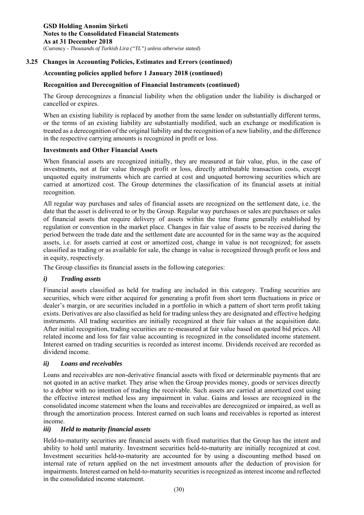# **3.25 Changes in Accounting Policies, Estimates and Errors (continued)**

# **Accounting policies applied before 1 January 2018 (continued)**

# **Recognition and Derecognition of Financial Instruments (continued)**

The Group derecognizes a financial liability when the obligation under the liability is discharged or cancelled or expires.

When an existing liability is replaced by another from the same lender on substantially different terms, or the terms of an existing liability are substantially modified, such an exchange or modification is treated as a derecognition of the original liability and the recognition of a new liability, and the difference in the respective carrying amounts is recognized in profit or loss.

### **Investments and Other Financial Assets**

When financial assets are recognized initially, they are measured at fair value, plus, in the case of investments, not at fair value through profit or loss, directly attributable transaction costs, except unquoted equity instruments which are carried at cost and unquoted borrowing securities which are carried at amortized cost. The Group determines the classification of its financial assets at initial recognition.

All regular way purchases and sales of financial assets are recognized on the settlement date, i.e. the date that the asset is delivered to or by the Group. Regular way purchases or sales are purchases or sales of financial assets that require delivery of assets within the time frame generally established by regulation or convention in the market place. Changes in fair value of assets to be received during the period between the trade date and the settlement date are accounted for in the same way as the acquired assets, i.e. for assets carried at cost or amortized cost, change in value is not recognized; for assets classified as trading or as available for sale, the change in value is recognized through profit or loss and in equity, respectively.

The Group classifies its financial assets in the following categories:

# *i) Trading assets*

Financial assets classified as held for trading are included in this category. Trading securities are securities, which were either acquired for generating a profit from short term fluctuations in price or dealer's margin, or are securities included in a portfolio in which a pattern of short term profit taking exists. Derivatives are also classified as held for trading unless they are designated and effective hedging instruments. All trading securities are initially recognized at their fair values at the acquisition date. After initial recognition, trading securities are re-measured at fair value based on quoted bid prices. All related income and loss for fair value accounting is recognized in the consolidated income statement. Interest earned on trading securities is recorded as interest income. Dividends received are recorded as dividend income.

# *ii) Loans and receivables*

Loans and receivables are non-derivative financial assets with fixed or determinable payments that are not quoted in an active market. They arise when the Group provides money, goods or services directly to a debtor with no intention of trading the receivable. Such assets are carried at amortized cost using the effective interest method less any impairment in value. Gains and losses are recognized in the consolidated income statement when the loans and receivables are derecognized or impaired, as well as through the amortization process. Interest earned on such loans and receivables is reported as interest income.

# *iii) Held to maturity financial assets*

Held-to-maturity securities are financial assets with fixed maturities that the Group has the intent and ability to hold until maturity. Investment securities held-to-maturity are initially recognized at cost. Investment securities held-to-maturity are accounted for by using a discounting method based on internal rate of return applied on the net investment amounts after the deduction of provision for impairments. Interest earned on held-to-maturity securities is recognized as interest income and reflected in the consolidated income statement.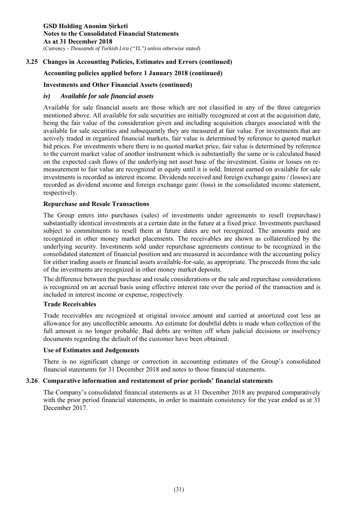# **3.25 Changes in Accounting Policies, Estimates and Errors (continued)**

# **Accounting policies applied before 1 January 2018 (continued)**

# **Investments and Other Financial Assets (continued)**

# *iv) Available for sale financial assets*

Available for sale financial assets are those which are not classified in any of the three categories mentioned above. All available for sale securities are initially recognized at cost at the acquisition date, being the fair value of the consideration given and including acquisition charges associated with the available for sale securities and subsequently they are measured at fair value. For investments that are actively traded in organized financial markets, fair value is determined by reference to quoted market bid prices. For investments where there is no quoted market price, fair value is determined by reference to the current market value of another instrument which is substantially the same or is calculated based on the expected cash flows of the underlying net asset base of the investment. Gains or losses on remeasurement to fair value are recognized in equity until it is sold. Interest earned on available for sale investments is recorded as interest income. Dividends received and foreign exchange gains / (losses) are recorded as dividend income and foreign exchange gain/ (loss) in the consolidated income statement, respectively.

# **Repurchase and Resale Transactions**

The Group enters into purchases (sales) of investments under agreements to resell (repurchase) substantially identical investments at a certain date in the future at a fixed price. Investments purchased subject to commitments to resell them at future dates are not recognized. The amounts paid are recognized in other money market placements. The receivables are shown as collateralized by the underlying security. Investments sold under repurchase agreements continue to be recognized in the consolidated statement of financial position and are measured in accordance with the accounting policy for either trading assets or financial assets available-for-sale, as appropriate. The proceeds from the sale of the investments are recognized in other money market deposits.

The difference between the purchase and resale considerations or the sale and repurchase considerations is recognized on an accrual basis using effective interest rate over the period of the transaction and is included in interest income or expense, respectively.

### **Trade Receivables**

Trade receivables are recognized at original invoice amount and carried at amortized cost less an allowance for any uncollectible amounts. An estimate for doubtful debts is made when collection of the full amount is no longer probable. Bad debts are written off when judicial decisions or insolvency documents regarding the default of the customer have been obtained.

### **Use of Estimates and Judgements**

There is no significant change or correction in accounting estimates of the Group's consolidated financial statements for 31 December 2018 and notes to those financial statements.

# **3.26 Comparative information and restatement of prior periods' financial statements**

The Company's consolidated financial statements as at 31 December 2018 are prepared comparatively with the prior period financial statements, in order to maintain consistency for the year ended as at 31 December 2017.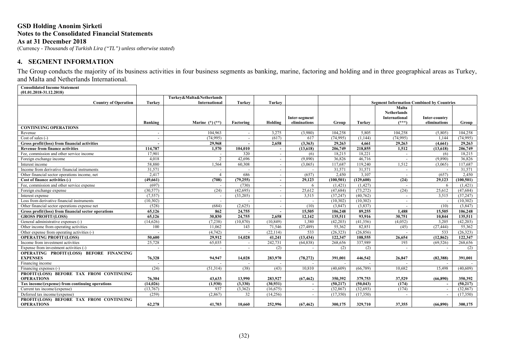### **GSD Holding Anonim Şirketi Notes to the Consolidated Financial Statements As at 31 December 2018** (Currency - *Thousands of Turkish Lira ("TL") unless otherwise stated*)

# **4. SEGMENT INFORMATION**

The Group conducts the majority of its business activities in four business segments as banking, marine, factoring and holding and in three geographical areas as Turkey, and Malta and Netherlands International.

**Consolidated Income Statement (01.01.2018-31.12.2018)**

|                                                               |                       | Turkey&Malta&Netherlands |               |                       |                               |                        |                       |                                                         |                                                  |                        |
|---------------------------------------------------------------|-----------------------|--------------------------|---------------|-----------------------|-------------------------------|------------------------|-----------------------|---------------------------------------------------------|--------------------------------------------------|------------------------|
| <b>Country of Operation</b>                                   | <b>Turkey</b>         | <b>International</b>     | <b>Turkey</b> | Turkey                |                               |                        |                       |                                                         | <b>Segment Information Combined by Countries</b> |                        |
|                                                               | Banking               | Marine $(*)$ $(**)$      | Factoring     | Holding               | Inter-segment<br>eliminations | Group                  | Turkey                | Malta<br><b>Netherlands</b><br>International<br>$(***)$ | Inter-country<br>eliminations                    | Group                  |
| <b>CONTINUING OPERATIONS</b>                                  |                       |                          |               |                       |                               |                        |                       |                                                         |                                                  |                        |
| Revenue                                                       |                       | 104,963                  |               | 3.275                 | (3.980)                       | 104,258                | 5.805                 | 104.258                                                 | (5,805)                                          | 104.258                |
| Cost of sales $(-)$                                           |                       | (74,995)                 |               | (617)                 | 617                           | (74,995)               | (1,144)               | (74, 995)                                               | 1.144                                            | (74,995)               |
| Gross profit/(loss) from financial activities                 |                       | 29.968                   | $\sim$        | 2.658                 | (3.363)                       | 29,263                 | 4.661                 | 29,263                                                  | (4.661)                                          | 29,263                 |
| <b>Revenue from finance activities</b>                        | 114,787               | 1,570                    | 104.010       |                       | (13,618)                      | 206,749                | 218,855               | 1,512                                                   | (13,618)                                         | 206,749                |
| Fee, commission and other service income                      | 17,901                |                          | 320           |                       | (6)                           | 18,215                 | 18,221                |                                                         | (6)                                              | 18,215                 |
| Foreign exchange income                                       | 4.018                 | $\overline{2}$           | 42,696        |                       | (9,890)                       | 36,826                 | 46,716                | $\sim$                                                  | (9.890)                                          | 36.826                 |
| Interest income                                               | 58,880                | 1,564                    | 60,308        |                       | (3,065)                       | 117,687                | 119,240               | 1,512                                                   | (3.065)                                          | 117,687                |
| Income from derivative financial instruments                  | 31,571                | $\sim$                   |               | $\sim$                |                               | 31,571                 | 31,571                | $\sim$                                                  |                                                  | 31,571                 |
| Other financial sector operations income, net                 | 2,417                 | $\overline{4}$           | 686           | $\sim$                | (657)                         | 2,450                  | 3,107                 | $\sim$                                                  | (657)                                            | 2,450                  |
| Cost of finance activities (-)                                | (49,661)              | (708)                    | (79, 255)     |                       | 29,123                        | (100, 501)             | (129,600)             | (24)                                                    | 29,123                                           | (100, 501)             |
| Fee, commission and other service expense                     | (697)                 |                          | (730)         |                       | 6                             | (1,421)                | (1,427)               | $\sim$                                                  | 6                                                | (1,421)                |
| Foreign exchange expense                                      | (30,577)              | (24)                     | (42, 695)     |                       | 25,612                        | (47, 684)              | (73, 272)             | (24)                                                    | 25,612                                           | (47, 684)              |
| Interest expense                                              | (7,557)               |                          | (33,205)      |                       | 3.515                         | (37, 247)              | (40, 762)             | $\sim$                                                  | 3.515                                            | (37, 247)              |
| Loss from derivative financial instruments                    | (10, 302)             | $\sim$                   |               | $\sim$                |                               | (10,302)               | (10,302)              | $\sim$                                                  |                                                  | (10, 302)              |
| Other financial sector operations expense net                 | (528)                 | (684)                    | (2,625)       | $\sim$                | (10)                          | (3.847)                | (3,837)               | $\sim$                                                  | (10)                                             | (3,847)                |
| Gross profit/(loss) from financial sector operations          | 65,126                | 862                      | 24,755        |                       | 15,505                        | 106.248                | 89,255                | 1.488                                                   | 15,505                                           | 106,248                |
| <b>GROSS PROFIT/(LOSS)</b>                                    | 65,126                | 30,830                   | 24,755        | 2,658                 | 12,142                        | 135,511                | 93,916                | 30,751                                                  | 10,844                                           | 135,511                |
| General administrative expenses (-)                           | (14,626)              | (7,238)                  | (10, 870)     | (10, 849)             | 1,380                         | (42,203)               | (41,356)              | (4,052)                                                 | 3,205                                            | (42, 203)              |
| Other income from operating activities                        | 100                   | 11,062                   | 143           | 71,546                | (27, 489)                     | 55,362                 | 82,851                | (45)                                                    | (27, 444)                                        | 55,362                 |
| Other expense from operating activities (-)                   |                       | (4,742)                  | $\sim$        | (22, 114)             | 533                           | (26.323)               | (26.856)              | $\sim$                                                  | 533                                              | (26.323)               |
| <b>OPERATING PROFIT/(LOSS)</b>                                | 50,600                | 29,912                   | 14,028        | 41,241                | (13, 434)                     | 122,347                | 108,555               | 26,654                                                  | (12, 862)                                        | 122,347                |
| Income from investment activities                             | 25,728                | 65.035                   |               | 242,731               | (64, 838)                     | 268,656                | 337,989               | 193                                                     | (69, 526)                                        | 268,656                |
| Expense from investment activities (-)                        |                       |                          |               | (2)                   |                               | (2)                    | (2)                   | $\sim$                                                  |                                                  | (2)                    |
| OPERATING PROFIT/(LOSS) BEFORE FINANCING<br><b>EXPENSES</b>   | 76,328                | 94,947                   | 14.028        | 283.970               | (78, 272)                     | 391,001                | 446,542               | 26,847                                                  | (82,388)                                         | 391.001                |
| Financing income                                              |                       |                          |               |                       |                               |                        |                       |                                                         |                                                  |                        |
| Financing expenses (-)                                        | (24)                  | (51,314)                 | (38)          | (43)                  | 10,810                        | (40,609)               | (66, 789)             | 10,682                                                  | 15,498                                           | (40,609)               |
| PROFIT/(LOSS) BEFORE TAX FROM CONTINUING                      |                       |                          |               |                       |                               |                        |                       |                                                         |                                                  |                        |
| <b>OPERATIONS</b>                                             | 76.304                | 43,633                   | 13,990        | 283,927               | (67, 462)                     | 350.392                | 379,753               | 37,529                                                  | (66,890)                                         | 350.392                |
| Tax income/(expense) from continuing operations               | (14, 026)<br>(13,767) | (1,930)<br>937           | (3,330)       | (30, 931)             | $\sim$                        | (50, 217)<br>(32, 867) | (50, 043)<br>(32,693) | (174)<br>(174)                                          |                                                  | (50, 217)<br>(32, 867) |
| Current tax income/(expense)<br>Deferred tax income/(expense) | (259)                 | (2,867)                  | (3,362)<br>32 | (16, 675)<br>(14,256) | $\sim$                        | (17,350)               | (17,350)              |                                                         |                                                  | (17,350)               |
| PROFIT/(LOSS) BEFORE TAX FROM CONTINUING                      |                       |                          |               |                       |                               |                        |                       |                                                         |                                                  |                        |
| <b>OPERATIONS</b>                                             | 62,278                | 41,703                   | 10.660        | 252,996               | (67, 462)                     | 300,175                | 329,710               | 37,355                                                  | (66, 890)                                        | 300,175                |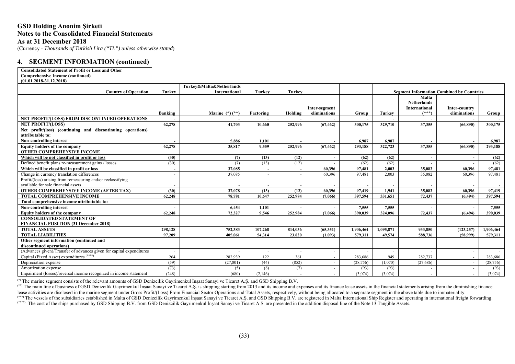# **GSD Holding Anonim Şirketi Notes to the Consolidated Financial Statements As at 31 December 2018**

(Currency - *Thousands of Turkish Lira ("TL") unless otherwise stated*)

# **4. SEGMENT INFORMATION (continued)**

| <b>Comprehensive Income (continued)</b><br>$(01.01.2018 - 31.12.2018)$<br>Turkey&Malta&Netherlands<br>Turkey<br><b>Turkey</b><br><b>Country of Operation</b><br><b>International</b><br><b>Turkey</b><br><b>Segment Information Combined by Countries</b><br>Malta<br><b>Netherlands</b><br>International<br>Inter-country<br>Inter-segment<br>$(***)$<br>Marine $(*)$ $(**)$<br>eliminations<br>eliminations<br>Banking<br>Factoring<br>Holding<br>Group<br><b>Turkey</b><br>Group<br>NET PROFIT/(LOSS) FROM DISCONTINUED OPERATIONS<br>62,278<br>41,703<br>10.660<br><b>NET PROFIT/(LOSS)</b><br>252,996<br>(67, 462)<br>300,175<br>329,710<br>37.355<br>(66.890)<br>300,175<br>Net profit/(loss) (continuing and discontinuing operations)<br>attributable to:<br>Non-controlling interest<br>6.987<br>6.987<br>6.987<br>5.886<br>1.101<br>62,278<br>9.559<br>37.355<br>Equity holders of the company<br>35,817<br>252,996<br>(67, 462)<br>293.188<br>322,723<br>(66.890)<br>293.188<br><b>OTHER COMPREHENSIVE INCOME</b><br>Which will be not classified in profit or loss<br>(30)<br>(7)<br>(13)<br>(12)<br>(62)<br>(62)<br>(62)<br>Defined benefit plans re-measurement gains / losses<br>(30)<br>(13)<br>(12)<br>(7)<br>(62)<br>(62)<br>(62)<br>Which will be classified in profit or loss<br>37,085<br>2,003<br>35,082<br>60,396<br>97,481<br>60,396<br>97,481<br>$\sim$<br>$\overline{\phantom{a}}$<br>$\overline{\phantom{a}}$<br>Change in currency translation differences<br>37,085<br>60,396<br>97,481<br>2.003<br>35,082<br>60,396<br>97,481<br>$\overline{\phantom{a}}$<br>$\overline{\phantom{a}}$<br>Profit/(loss) arising from remeasuring and/or reclassifying<br>available for sale financial assets<br>OTHER COMPREHENSIVE INCOME (AFTER TAX)<br>97.419<br>35,082<br>(30)<br>37,078<br>(13)<br>(12)<br>60,396<br>1.941<br>60.396<br>97,419<br><b>TOTAL COMPREHENSIVE INCOME</b><br>62,248<br>78,781<br>10.647<br>397.594<br>331.651<br>72,437<br>(6.494)<br>397,594<br>252,984<br>(7.066)<br>Total comprehensive income attributable to:<br>6,454<br>7.555<br>7,555<br>7,555<br>Non-controlling interest<br>1,101<br>Equity holders of the company<br>72,437<br>62,248<br>72,327<br>9.546<br>252,984<br>(7.066)<br>390.039<br>324,096<br>(6.494)<br>390,039<br><b>CONSOLIDATED STATEMENT OF</b><br><b>FINANCIAL POSITION (31 December 2018)</b> | <b>Consolidated Statement of Profit or Loss and Other</b> |         |         |         |         |          |           |           |         |            |           |
|-----------------------------------------------------------------------------------------------------------------------------------------------------------------------------------------------------------------------------------------------------------------------------------------------------------------------------------------------------------------------------------------------------------------------------------------------------------------------------------------------------------------------------------------------------------------------------------------------------------------------------------------------------------------------------------------------------------------------------------------------------------------------------------------------------------------------------------------------------------------------------------------------------------------------------------------------------------------------------------------------------------------------------------------------------------------------------------------------------------------------------------------------------------------------------------------------------------------------------------------------------------------------------------------------------------------------------------------------------------------------------------------------------------------------------------------------------------------------------------------------------------------------------------------------------------------------------------------------------------------------------------------------------------------------------------------------------------------------------------------------------------------------------------------------------------------------------------------------------------------------------------------------------------------------------------------------------------------------------------------------------------------------------------------------------------------------------------------------------------------------------------------------------------------------------------------------------------------------------------------------------------------------------------------------------------------------------------------------------------------------|-----------------------------------------------------------|---------|---------|---------|---------|----------|-----------|-----------|---------|------------|-----------|
|                                                                                                                                                                                                                                                                                                                                                                                                                                                                                                                                                                                                                                                                                                                                                                                                                                                                                                                                                                                                                                                                                                                                                                                                                                                                                                                                                                                                                                                                                                                                                                                                                                                                                                                                                                                                                                                                                                                                                                                                                                                                                                                                                                                                                                                                                                                                                                       |                                                           |         |         |         |         |          |           |           |         |            |           |
|                                                                                                                                                                                                                                                                                                                                                                                                                                                                                                                                                                                                                                                                                                                                                                                                                                                                                                                                                                                                                                                                                                                                                                                                                                                                                                                                                                                                                                                                                                                                                                                                                                                                                                                                                                                                                                                                                                                                                                                                                                                                                                                                                                                                                                                                                                                                                                       |                                                           |         |         |         |         |          |           |           |         |            |           |
|                                                                                                                                                                                                                                                                                                                                                                                                                                                                                                                                                                                                                                                                                                                                                                                                                                                                                                                                                                                                                                                                                                                                                                                                                                                                                                                                                                                                                                                                                                                                                                                                                                                                                                                                                                                                                                                                                                                                                                                                                                                                                                                                                                                                                                                                                                                                                                       |                                                           |         |         |         |         |          |           |           |         |            |           |
|                                                                                                                                                                                                                                                                                                                                                                                                                                                                                                                                                                                                                                                                                                                                                                                                                                                                                                                                                                                                                                                                                                                                                                                                                                                                                                                                                                                                                                                                                                                                                                                                                                                                                                                                                                                                                                                                                                                                                                                                                                                                                                                                                                                                                                                                                                                                                                       |                                                           |         |         |         |         |          |           |           |         |            |           |
|                                                                                                                                                                                                                                                                                                                                                                                                                                                                                                                                                                                                                                                                                                                                                                                                                                                                                                                                                                                                                                                                                                                                                                                                                                                                                                                                                                                                                                                                                                                                                                                                                                                                                                                                                                                                                                                                                                                                                                                                                                                                                                                                                                                                                                                                                                                                                                       |                                                           |         |         |         |         |          |           |           |         |            |           |
|                                                                                                                                                                                                                                                                                                                                                                                                                                                                                                                                                                                                                                                                                                                                                                                                                                                                                                                                                                                                                                                                                                                                                                                                                                                                                                                                                                                                                                                                                                                                                                                                                                                                                                                                                                                                                                                                                                                                                                                                                                                                                                                                                                                                                                                                                                                                                                       |                                                           |         |         |         |         |          |           |           |         |            |           |
|                                                                                                                                                                                                                                                                                                                                                                                                                                                                                                                                                                                                                                                                                                                                                                                                                                                                                                                                                                                                                                                                                                                                                                                                                                                                                                                                                                                                                                                                                                                                                                                                                                                                                                                                                                                                                                                                                                                                                                                                                                                                                                                                                                                                                                                                                                                                                                       |                                                           |         |         |         |         |          |           |           |         |            |           |
|                                                                                                                                                                                                                                                                                                                                                                                                                                                                                                                                                                                                                                                                                                                                                                                                                                                                                                                                                                                                                                                                                                                                                                                                                                                                                                                                                                                                                                                                                                                                                                                                                                                                                                                                                                                                                                                                                                                                                                                                                                                                                                                                                                                                                                                                                                                                                                       |                                                           |         |         |         |         |          |           |           |         |            |           |
|                                                                                                                                                                                                                                                                                                                                                                                                                                                                                                                                                                                                                                                                                                                                                                                                                                                                                                                                                                                                                                                                                                                                                                                                                                                                                                                                                                                                                                                                                                                                                                                                                                                                                                                                                                                                                                                                                                                                                                                                                                                                                                                                                                                                                                                                                                                                                                       |                                                           |         |         |         |         |          |           |           |         |            |           |
|                                                                                                                                                                                                                                                                                                                                                                                                                                                                                                                                                                                                                                                                                                                                                                                                                                                                                                                                                                                                                                                                                                                                                                                                                                                                                                                                                                                                                                                                                                                                                                                                                                                                                                                                                                                                                                                                                                                                                                                                                                                                                                                                                                                                                                                                                                                                                                       |                                                           |         |         |         |         |          |           |           |         |            |           |
|                                                                                                                                                                                                                                                                                                                                                                                                                                                                                                                                                                                                                                                                                                                                                                                                                                                                                                                                                                                                                                                                                                                                                                                                                                                                                                                                                                                                                                                                                                                                                                                                                                                                                                                                                                                                                                                                                                                                                                                                                                                                                                                                                                                                                                                                                                                                                                       |                                                           |         |         |         |         |          |           |           |         |            |           |
|                                                                                                                                                                                                                                                                                                                                                                                                                                                                                                                                                                                                                                                                                                                                                                                                                                                                                                                                                                                                                                                                                                                                                                                                                                                                                                                                                                                                                                                                                                                                                                                                                                                                                                                                                                                                                                                                                                                                                                                                                                                                                                                                                                                                                                                                                                                                                                       |                                                           |         |         |         |         |          |           |           |         |            |           |
|                                                                                                                                                                                                                                                                                                                                                                                                                                                                                                                                                                                                                                                                                                                                                                                                                                                                                                                                                                                                                                                                                                                                                                                                                                                                                                                                                                                                                                                                                                                                                                                                                                                                                                                                                                                                                                                                                                                                                                                                                                                                                                                                                                                                                                                                                                                                                                       |                                                           |         |         |         |         |          |           |           |         |            |           |
|                                                                                                                                                                                                                                                                                                                                                                                                                                                                                                                                                                                                                                                                                                                                                                                                                                                                                                                                                                                                                                                                                                                                                                                                                                                                                                                                                                                                                                                                                                                                                                                                                                                                                                                                                                                                                                                                                                                                                                                                                                                                                                                                                                                                                                                                                                                                                                       |                                                           |         |         |         |         |          |           |           |         |            |           |
|                                                                                                                                                                                                                                                                                                                                                                                                                                                                                                                                                                                                                                                                                                                                                                                                                                                                                                                                                                                                                                                                                                                                                                                                                                                                                                                                                                                                                                                                                                                                                                                                                                                                                                                                                                                                                                                                                                                                                                                                                                                                                                                                                                                                                                                                                                                                                                       |                                                           |         |         |         |         |          |           |           |         |            |           |
|                                                                                                                                                                                                                                                                                                                                                                                                                                                                                                                                                                                                                                                                                                                                                                                                                                                                                                                                                                                                                                                                                                                                                                                                                                                                                                                                                                                                                                                                                                                                                                                                                                                                                                                                                                                                                                                                                                                                                                                                                                                                                                                                                                                                                                                                                                                                                                       |                                                           |         |         |         |         |          |           |           |         |            |           |
|                                                                                                                                                                                                                                                                                                                                                                                                                                                                                                                                                                                                                                                                                                                                                                                                                                                                                                                                                                                                                                                                                                                                                                                                                                                                                                                                                                                                                                                                                                                                                                                                                                                                                                                                                                                                                                                                                                                                                                                                                                                                                                                                                                                                                                                                                                                                                                       |                                                           |         |         |         |         |          |           |           |         |            |           |
|                                                                                                                                                                                                                                                                                                                                                                                                                                                                                                                                                                                                                                                                                                                                                                                                                                                                                                                                                                                                                                                                                                                                                                                                                                                                                                                                                                                                                                                                                                                                                                                                                                                                                                                                                                                                                                                                                                                                                                                                                                                                                                                                                                                                                                                                                                                                                                       |                                                           |         |         |         |         |          |           |           |         |            |           |
|                                                                                                                                                                                                                                                                                                                                                                                                                                                                                                                                                                                                                                                                                                                                                                                                                                                                                                                                                                                                                                                                                                                                                                                                                                                                                                                                                                                                                                                                                                                                                                                                                                                                                                                                                                                                                                                                                                                                                                                                                                                                                                                                                                                                                                                                                                                                                                       |                                                           |         |         |         |         |          |           |           |         |            |           |
|                                                                                                                                                                                                                                                                                                                                                                                                                                                                                                                                                                                                                                                                                                                                                                                                                                                                                                                                                                                                                                                                                                                                                                                                                                                                                                                                                                                                                                                                                                                                                                                                                                                                                                                                                                                                                                                                                                                                                                                                                                                                                                                                                                                                                                                                                                                                                                       |                                                           |         |         |         |         |          |           |           |         |            |           |
|                                                                                                                                                                                                                                                                                                                                                                                                                                                                                                                                                                                                                                                                                                                                                                                                                                                                                                                                                                                                                                                                                                                                                                                                                                                                                                                                                                                                                                                                                                                                                                                                                                                                                                                                                                                                                                                                                                                                                                                                                                                                                                                                                                                                                                                                                                                                                                       |                                                           |         |         |         |         |          |           |           |         |            |           |
|                                                                                                                                                                                                                                                                                                                                                                                                                                                                                                                                                                                                                                                                                                                                                                                                                                                                                                                                                                                                                                                                                                                                                                                                                                                                                                                                                                                                                                                                                                                                                                                                                                                                                                                                                                                                                                                                                                                                                                                                                                                                                                                                                                                                                                                                                                                                                                       |                                                           |         |         |         |         |          |           |           |         |            |           |
|                                                                                                                                                                                                                                                                                                                                                                                                                                                                                                                                                                                                                                                                                                                                                                                                                                                                                                                                                                                                                                                                                                                                                                                                                                                                                                                                                                                                                                                                                                                                                                                                                                                                                                                                                                                                                                                                                                                                                                                                                                                                                                                                                                                                                                                                                                                                                                       |                                                           |         |         |         |         |          |           |           |         |            |           |
|                                                                                                                                                                                                                                                                                                                                                                                                                                                                                                                                                                                                                                                                                                                                                                                                                                                                                                                                                                                                                                                                                                                                                                                                                                                                                                                                                                                                                                                                                                                                                                                                                                                                                                                                                                                                                                                                                                                                                                                                                                                                                                                                                                                                                                                                                                                                                                       |                                                           |         |         |         |         |          |           |           |         |            |           |
|                                                                                                                                                                                                                                                                                                                                                                                                                                                                                                                                                                                                                                                                                                                                                                                                                                                                                                                                                                                                                                                                                                                                                                                                                                                                                                                                                                                                                                                                                                                                                                                                                                                                                                                                                                                                                                                                                                                                                                                                                                                                                                                                                                                                                                                                                                                                                                       |                                                           |         |         |         |         |          |           |           |         |            |           |
|                                                                                                                                                                                                                                                                                                                                                                                                                                                                                                                                                                                                                                                                                                                                                                                                                                                                                                                                                                                                                                                                                                                                                                                                                                                                                                                                                                                                                                                                                                                                                                                                                                                                                                                                                                                                                                                                                                                                                                                                                                                                                                                                                                                                                                                                                                                                                                       |                                                           |         |         |         |         |          |           |           |         |            |           |
|                                                                                                                                                                                                                                                                                                                                                                                                                                                                                                                                                                                                                                                                                                                                                                                                                                                                                                                                                                                                                                                                                                                                                                                                                                                                                                                                                                                                                                                                                                                                                                                                                                                                                                                                                                                                                                                                                                                                                                                                                                                                                                                                                                                                                                                                                                                                                                       |                                                           |         |         |         |         |          |           |           |         |            |           |
|                                                                                                                                                                                                                                                                                                                                                                                                                                                                                                                                                                                                                                                                                                                                                                                                                                                                                                                                                                                                                                                                                                                                                                                                                                                                                                                                                                                                                                                                                                                                                                                                                                                                                                                                                                                                                                                                                                                                                                                                                                                                                                                                                                                                                                                                                                                                                                       |                                                           |         |         |         |         |          |           |           |         |            |           |
|                                                                                                                                                                                                                                                                                                                                                                                                                                                                                                                                                                                                                                                                                                                                                                                                                                                                                                                                                                                                                                                                                                                                                                                                                                                                                                                                                                                                                                                                                                                                                                                                                                                                                                                                                                                                                                                                                                                                                                                                                                                                                                                                                                                                                                                                                                                                                                       | <b>TOTAL ASSETS</b>                                       | 298,128 | 752,383 | 107,268 | 814,036 | (65,351) | 1,906,464 | 1,095,871 | 933,850 | (123, 257) | 1,906,464 |
| <b>TOTAL LIABILITIES</b><br>97,209<br>49.574<br>405,061<br>54,314<br>23,820<br>(1.093)<br>579,311<br>588,736<br>(58.999)<br>579,311                                                                                                                                                                                                                                                                                                                                                                                                                                                                                                                                                                                                                                                                                                                                                                                                                                                                                                                                                                                                                                                                                                                                                                                                                                                                                                                                                                                                                                                                                                                                                                                                                                                                                                                                                                                                                                                                                                                                                                                                                                                                                                                                                                                                                                   |                                                           |         |         |         |         |          |           |           |         |            |           |
| Other segment information (continued and                                                                                                                                                                                                                                                                                                                                                                                                                                                                                                                                                                                                                                                                                                                                                                                                                                                                                                                                                                                                                                                                                                                                                                                                                                                                                                                                                                                                                                                                                                                                                                                                                                                                                                                                                                                                                                                                                                                                                                                                                                                                                                                                                                                                                                                                                                                              |                                                           |         |         |         |         |          |           |           |         |            |           |
| discontinued operations)                                                                                                                                                                                                                                                                                                                                                                                                                                                                                                                                                                                                                                                                                                                                                                                                                                                                                                                                                                                                                                                                                                                                                                                                                                                                                                                                                                                                                                                                                                                                                                                                                                                                                                                                                                                                                                                                                                                                                                                                                                                                                                                                                                                                                                                                                                                                              |                                                           |         |         |         |         |          |           |           |         |            |           |
| (Advances given)/Transfer of advances given for capital expenditures<br>$\sim$<br>$\sim$<br>$\sim$ 10 $\pm$<br>$\sim$<br>$\sim$<br>$\sim$                                                                                                                                                                                                                                                                                                                                                                                                                                                                                                                                                                                                                                                                                                                                                                                                                                                                                                                                                                                                                                                                                                                                                                                                                                                                                                                                                                                                                                                                                                                                                                                                                                                                                                                                                                                                                                                                                                                                                                                                                                                                                                                                                                                                                             |                                                           |         |         |         |         |          |           |           |         |            |           |
| Capital (Fixed Asset) expenditures (****)<br>264<br>282,939<br>122<br>361<br>283,686<br>949<br>282,737<br>283,686<br>$\sim$<br>$\sim$                                                                                                                                                                                                                                                                                                                                                                                                                                                                                                                                                                                                                                                                                                                                                                                                                                                                                                                                                                                                                                                                                                                                                                                                                                                                                                                                                                                                                                                                                                                                                                                                                                                                                                                                                                                                                                                                                                                                                                                                                                                                                                                                                                                                                                 |                                                           |         |         |         |         |          |           |           |         |            |           |
| Depreciation expense<br>(59)<br>(44)<br>(852)<br>(27, 801)<br>(28, 756)<br>(1,070)<br>(27,686)<br>(28, 756)<br>$\sim$<br>$\sim$                                                                                                                                                                                                                                                                                                                                                                                                                                                                                                                                                                                                                                                                                                                                                                                                                                                                                                                                                                                                                                                                                                                                                                                                                                                                                                                                                                                                                                                                                                                                                                                                                                                                                                                                                                                                                                                                                                                                                                                                                                                                                                                                                                                                                                       |                                                           |         |         |         |         |          |           |           |         |            |           |
| (73)<br>(5)<br>(8)<br>(7)<br>(93)<br>(93)<br>Amortization expense<br>(93)                                                                                                                                                                                                                                                                                                                                                                                                                                                                                                                                                                                                                                                                                                                                                                                                                                                                                                                                                                                                                                                                                                                                                                                                                                                                                                                                                                                                                                                                                                                                                                                                                                                                                                                                                                                                                                                                                                                                                                                                                                                                                                                                                                                                                                                                                             |                                                           |         |         |         |         |          |           |           |         |            |           |
| Impairment (losses)/reversal income recognized in income statement<br>(248)<br>(3,074)<br>(3,074)<br>(680)<br>(2,146)<br>(3,074)<br>$\sim$<br>$\sim$<br>$\overline{a}$                                                                                                                                                                                                                                                                                                                                                                                                                                                                                                                                                                                                                                                                                                                                                                                                                                                                                                                                                                                                                                                                                                                                                                                                                                                                                                                                                                                                                                                                                                                                                                                                                                                                                                                                                                                                                                                                                                                                                                                                                                                                                                                                                                                                |                                                           |         |         |         |         |          |           |           |         |            |           |

<sup>(\*)</sup> The marine segment consists of the relevant amounts of GSD Denizcilik Gayrimenkul İnşaat Sanayi ve Ticaret A.Ş. and GSD Shipping B.V.

(\*\*) The main line of business of GSD Denizcilik Gayrimenkul Insaat Sanayi ve Ticaret A.S. is shipping starting from 2013 and its income and expenses and its finance lease assets in the financial statements arising from th lease activities are disclosed in the marine segment under Gross Profit/(Loss) From Financial Sector Operations and Total Assets, respectively, without being allocated to a separate segment in the above table due to immate

(\*\*\*) The vessels of the subsidiaries established in Malta of GSD Denizcilik Gayrimenkul Insaat Sanayi ve Ticaret A.S. and GSD Shipping B.V. are registered in Malta International Ship Register and operating in internationa <sup>\*\*\*\*</sup>) The cost of the ships purchased by GSD Shipping B.V. from GSD Denizcilik Gayrimenkul Insaat Sanayi ve Ticaret A.S. are presented in the addition disposal line of the Note 13 Tangible Assets.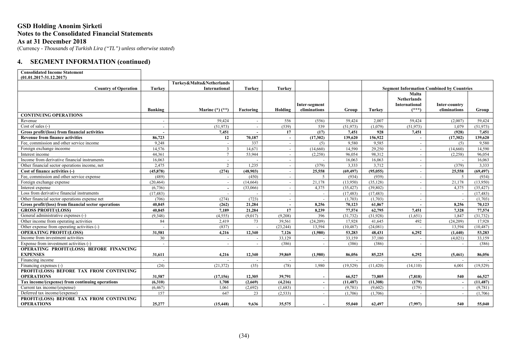# **GSD Holding Anonim Şirketi Notes to the Consolidated Financial Statements As at 31 December 2018**

(Currency - *Thousands of Turkish Lira ("TL") unless otherwise stated*)

# **4. SEGMENT INFORMATION (continued)**

| <b>Consolidated Income Statement</b>                        |                |                                           |           |               |                               |           |           |                                                       |                               |           |  |
|-------------------------------------------------------------|----------------|-------------------------------------------|-----------|---------------|-------------------------------|-----------|-----------|-------------------------------------------------------|-------------------------------|-----------|--|
| $(01.01.2017 - 31.12.2017)$                                 |                |                                           |           |               |                               |           |           |                                                       |                               |           |  |
| <b>Country of Operation</b>                                 | <b>Turkey</b>  | Turkey&Malta&Netherlands<br>International | Turkey    | <b>Turkey</b> |                               |           |           | <b>Segment Information Combined by Countries</b>      |                               |           |  |
|                                                             |                |                                           |           |               |                               |           |           | Malta                                                 |                               |           |  |
|                                                             | <b>Banking</b> | Marine $(*)$ $(*)$                        | Factoring | Holding       | Inter-segment<br>eliminations | Group     | Turkey    | <b>Netherlands</b><br><b>International</b><br>$(***)$ | Inter-country<br>eliminations | Group     |  |
| <b>CONTINUING OPERATIONS</b>                                |                |                                           |           |               |                               |           |           |                                                       |                               |           |  |
| Revenue                                                     | $\sim$         | 59,424                                    |           | 556           | (556)                         | 59,424    | 2.007     | 59,424                                                | (2,007)                       | 59,424    |  |
| Cost of sales (-)                                           |                | (51,973)                                  |           | (539)         | 539                           | (51, 973) | (1,079)   | (51, 973)                                             | 1.079                         | (51, 973) |  |
| Gross profit/(loss) from financial activities               | $\sim$         | 7,451                                     |           | 17            | (17)                          | 7,451     | 928       | 7,451                                                 | (928)                         | 7,451     |  |
| <b>Revenue from finance activities</b>                      | 86,723         | 12                                        | 70.187    | $\sim$        | (17,302)                      | 139,620   | 156,922   | $\overline{a}$                                        | (17,302)                      | 139,620   |  |
| Fee, commission and other service income                    | 9,248          |                                           | 337       | $\sim$        | (5)                           | 9,580     | 9,585     | $\sim$                                                | (5)                           | 9,580     |  |
| Foreign exchange inceome                                    | 14,576         | $\overline{3}$                            | 14,671    | $\sim$        | (14,660)                      | 14,590    | 29,250    | $\sim$                                                | (14,660)                      | 14,590    |  |
| Interest income                                             | 44.361         | $7\overline{ }$                           | 53,944    | $\sim$        | (2,258)                       | 96.054    | 98,312    | $\sim$                                                | (2,258)                       | 96,054    |  |
| Income from derivative financial instruments                | 16,063         | $\sim$                                    |           | $\sim$        | $\sim$                        | 16.063    | 16,063    | $\sim$                                                |                               | 16,063    |  |
| Other financial sector operations income, net               | 2,475          | $\overline{2}$                            | 1,235     | $\sim$        | (379)                         | 3,333     | 3,712     | $\sim$                                                | (379)                         | 3,333     |  |
| Cost of finance activities (-)                              | (45.878)       | (274)                                     | (48.903)  | $\sim$        | 25,558                        | (69, 497) | (95.055)  | $\sim$                                                | 25,558                        | (69, 497) |  |
| Fee, commission and other service expense                   | (489)          | $\sim$                                    | (450)     |               | $\mathfrak{L}$                | (934)     | (939)     | $\sim$                                                | -5                            | (934)     |  |
| Foreign exchange expense                                    | (20, 464)      | $\sim$                                    | (14, 664) | $\sim$        | 21.178                        | (13.950)  | (35, 128) | $\sim$                                                | 21,178                        | (13.950)  |  |
| Interest expense                                            | (6.736)        | $\sim$                                    | (33,066)  | $\sim$        | 4.375                         | (35, 427) | (39,802)  | $\sim$                                                | 4.375                         | (35, 427) |  |
| Loss from derivative financial instruments                  | (17, 483)      | $\sim$                                    |           |               | $\sim$                        | (17, 483) | (17, 483) | $\sim$                                                |                               | (17, 483) |  |
| Other financial sector operations expense net               | (706)          | (274)                                     | (723)     | $\sim$        |                               | (1,703)   | (1,703)   | $\sim$                                                |                               | (1,703)   |  |
| Gross profit/(loss) from financial sector operations        | 40.845         | (262)                                     | 21,284    | $\sim$        | 8.256                         | 70,123    | 61,867    | $\sim$                                                | 8.256                         | 70.123    |  |
| <b>GROSS PROFIT/(LOSS)</b>                                  | 40.845         | 7,189                                     | 21,284    | 17            | 8,239                         | 77,574    | 62,795    | 7,451                                                 | 7.328                         | 77,574    |  |
| General administrative expenses (-)                         | (9,348)        | (4,555)                                   | (9,017)   | (9,208)       | 396                           | (31, 732) | (31,928)  | (1,651)                                               | 1.847                         | (31, 732) |  |
| Other income from operating activities                      | 84             | 2.419                                     | 73        | 39.561        | (24.209)                      | 17.928    | 41,645    | 492                                                   | (24.209)                      | 17.928    |  |
| Other expense from operating activities (-)                 |                | (837)                                     |           | (23, 244)     | 13.594                        | (10, 487) | (24,081)  |                                                       | 13.594                        | (10, 487) |  |
| <b>OPERATING PROFIT/(LOSS)</b>                              | 31.581         | 4,216                                     | 12.340    | 7.126         | (1,980)                       | 53,283    | 48,431    | 6,292                                                 | (1.440)                       | 53,283    |  |
| Income from investment activities                           | 30             | $\sim$                                    |           | 33,129        | $\overline{\phantom{a}}$      | 33,159    | 37,180    | $\sim$                                                | (4,021)                       | 33.159    |  |
| Expense from investment activities (-)                      | $\sim$         | $\sim$                                    |           | (386)         | $\sim$                        | (386)     | (386)     | $\sim$                                                |                               | (386)     |  |
| OPERATING PROFIT/(LOSS) BEFORE FINANCING<br><b>EXPENSES</b> | 31.611         | 4,216                                     | 12.340    | 39,869        | (1,980)                       | 86,056    | 85,225    | 6,292                                                 | (5,461)                       | 86,056    |  |
| Financing income                                            |                |                                           |           |               |                               |           |           |                                                       |                               |           |  |
| Financing expenses (-)                                      | (24)           | (21.372)                                  | (35)      | (78)          | 1.980                         | (19.529)  | (11, 420) | (14.110)                                              | 6.001                         | (19.529)  |  |
| PROFIT/(LOSS) BEFORE TAX FROM CONTINUING                    |                |                                           |           |               |                               |           |           |                                                       |                               |           |  |
| <b>OPERATIONS</b>                                           | 31.587         | (17,156)                                  | 12.305    | 39,791        | $\sim$                        | 66,527    | 73,805    | (7, 818)                                              | 540                           | 66,527    |  |
| Tax income/(expense) from continuing operations             | (6,310)        | 1,708                                     | (2,669)   | (4,216)       | $\sim$                        | (11, 487) | (11,308)  | (179)                                                 |                               | (11, 487) |  |
| Current tax income/(expense)                                | (6, 467)       | 1,061                                     | (2,692)   | (1,683)       | $\sim$                        | (9,781)   | (9,602)   | (179)                                                 |                               | (9,781)   |  |
| Deferred tax income/(expense)                               | 157            | 647                                       | 23        | (2.533)       |                               | (1,706)   | (1,706)   |                                                       |                               | (1.706)   |  |
| PROFIT/(LOSS) BEFORE TAX FROM CONTINUING                    |                |                                           |           |               |                               |           |           |                                                       |                               |           |  |
| <b>OPERATIONS</b>                                           | 25,277         | (15, 448)                                 | 9.636     | 35,575        |                               | 55,040    | 62,497    | (7,997)                                               | 540                           | 55,040    |  |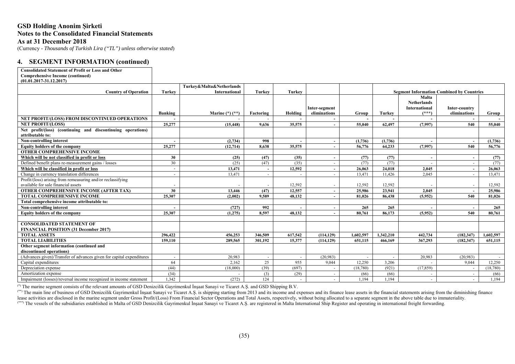# **GSD Holding Anonim Şirketi Notes to the Consolidated Financial Statements As at 31 December 2018**

(Currency - *Thousands of Turkish Lira ("TL") unless otherwise stated*)

### **4. SEGMENT INFORMATION (continued)**

| <b>Consolidated Statement of Profit or Loss and Other</b>                                          |                          |                          |                          |                |                               |           |               |                                                                |                                                  |           |
|----------------------------------------------------------------------------------------------------|--------------------------|--------------------------|--------------------------|----------------|-------------------------------|-----------|---------------|----------------------------------------------------------------|--------------------------------------------------|-----------|
| <b>Comprehensive Income (continued)</b>                                                            |                          |                          |                          |                |                               |           |               |                                                                |                                                  |           |
| $(01.01.2017 - 31.12.2017)$                                                                        |                          |                          |                          |                |                               |           |               |                                                                |                                                  |           |
|                                                                                                    |                          | Turkey&Malta&Netherlands |                          |                |                               |           |               |                                                                |                                                  |           |
| <b>Country of Operation</b>                                                                        | <b>Turkey</b>            | <b>International</b>     | <b>Turkey</b>            | <b>Turkey</b>  |                               |           |               |                                                                | <b>Segment Information Combined by Countries</b> |           |
|                                                                                                    | Banking                  | Marine $(*)$ $(**)$      | Factoring                | Holding        | Inter-segment<br>eliminations | Group     | <b>Turkey</b> | Malta<br><b>Netherlands</b><br><b>International</b><br>$(***)$ | Inter-country<br>eliminations                    | Group     |
| NET PROFIT/(LOSS) FROM DISCONTINUED OPERATIONS                                                     |                          |                          |                          |                |                               |           |               |                                                                |                                                  |           |
| <b>NET PROFIT/(LOSS)</b>                                                                           | 25,277                   | (15, 448)                | 9.636                    | 35,575         | $\sim$                        | 55,040    | 62,497        | (7,997)                                                        | 540                                              | 55,040    |
| Net profit/(loss) (continuing and discontinuing operations)                                        |                          |                          |                          |                |                               |           |               |                                                                |                                                  |           |
| attributable to:                                                                                   |                          |                          |                          |                |                               |           |               |                                                                |                                                  |           |
| Non-controlling interest                                                                           |                          | (2,734)                  | 998                      |                |                               | (1,736)   | (1,736)       |                                                                | $\sim$                                           | (1,736)   |
| <b>Equity holders of the company</b>                                                               | 25,277                   | (12, 714)                | 8.638                    | 35,575         |                               | 56,776    | 64.233        | (7,997)                                                        | 540                                              | 56,776    |
| <b>OTHER COMPREHENSIVE INCOME</b>                                                                  |                          |                          |                          |                |                               |           |               |                                                                |                                                  |           |
| Which will be not classified in profit or loss                                                     | 30                       | (25)                     | (47)                     | (35)           |                               | (77)      | (77)          |                                                                |                                                  | (77)      |
| Defined benefit plans re-measurement gains / losses                                                | 30                       | (25)                     | (47)                     | (35)           |                               | (77)      | (77)          |                                                                |                                                  | (77)      |
| Which will be classified in profit or loss                                                         | $\overline{\phantom{a}}$ | 13,471                   | $\sim$                   | 12.592         | $\sim$                        | 26,063    | 24.018        | 2.045                                                          |                                                  | 26.063    |
| Change in currency translation differences                                                         | $\overline{\phantom{a}}$ | 13,471                   | $\overline{\phantom{a}}$ |                |                               | 13,471    | 11.426        | 2.045                                                          |                                                  | 13,471    |
| Profit/(loss) arising from remeasuring and/or reclassifying<br>available for sale financial assets |                          |                          |                          | 12,592         |                               | 12,592    | 12,592        |                                                                |                                                  | 12,592    |
| <b>OTHER COMPREHENSIVE INCOME (AFTER TAX)</b>                                                      | 30                       | 13,446                   | (47)                     | 12,557         | $\overline{\phantom{a}}$      | 25,986    | 23,941        | 2.045                                                          |                                                  | 25,986    |
| <b>TOTAL COMPREHENSIVE INCOME</b>                                                                  | 25,307                   | (2.002)                  | 9.589                    | 48,132         |                               | 81.026    | 86.438        | (5,952)                                                        | 540                                              | 81,026    |
| Total comprehensive income attributable to:                                                        |                          |                          |                          |                |                               |           |               |                                                                |                                                  |           |
| Non-controlling interest                                                                           |                          | (727)                    | 992                      |                |                               | 265       | 265           |                                                                |                                                  | 265       |
| Equity holders of the company                                                                      | 25.307                   | (1,275)                  | 8.597                    | 48.132         |                               | 80,761    | 86,173        | (5,952)                                                        | 540                                              | 80,761    |
|                                                                                                    |                          |                          |                          |                |                               |           |               |                                                                |                                                  |           |
| <b>CONSOLIDATED STATEMENT OF</b><br><b>FINANCIAL POSITION (31 December 2017)</b>                   |                          |                          |                          |                |                               |           |               |                                                                |                                                  |           |
| <b>TOTAL ASSETS</b>                                                                                | 296.422                  | 456,253                  | 346,509                  | 617,542        | (114.129)                     | 1,602,597 | 1.342.210     | 442,734                                                        | (182.347)                                        | 1.602.597 |
| <b>TOTAL LIABILITIES</b>                                                                           | 159,110                  | 289,565                  | 301.192                  | 15,377         | (114, 129)                    | 651,115   | 466,169       | 367,293                                                        | (182, 347)                                       | 651,115   |
| Other segment information (continued and                                                           |                          |                          |                          |                |                               |           |               |                                                                |                                                  |           |
| discontinued operations)                                                                           |                          |                          |                          |                |                               |           |               |                                                                |                                                  |           |
| (Advances given)/Transfer of advances given for capital expenditures                               | $\overline{a}$           | 20.983                   | $\sim$                   |                | (20.983)                      |           |               | 20.983                                                         | (20,983)                                         |           |
| Capital expenditures                                                                               | 64                       | 2.162                    | 25                       | 955            | 9.044                         | 12.250    | 3.206         |                                                                | 9.044                                            | 12,250    |
| Depreciation expense                                                                               | (44)                     | (18,000)                 | (39)                     | (697)          |                               | (18, 780) | (921)         | (17, 859)                                                      |                                                  | (18,780)  |
| Amortization expense                                                                               | (34)                     |                          | (3)                      | (29)           |                               | (66)      | (66)          |                                                                |                                                  | (66)      |
| Impairment (losses)/reversal income recognized in income statement                                 | 1.342                    | (272)                    | 124                      | $\overline{a}$ |                               | 1.194     | 1.194         |                                                                |                                                  | 1,194     |

(\*) The marine segment consists of the relevant amounts of GSD Denizcilik Gayrimenkul İnşaat Sanayi ve Ticaret A.Ş. and GSD Shipping B.V.

(\*\*) The main line of business of GSD Denizcilik Gayrimenkul Insaat Sanayi ve Ticaret A.S. is shipping starting from 2013 and its income and expenses and its finance lease assets in the financial statements arising from th lease activities are disclosed in the marine segment under Gross Profit/(Loss) From Financial Sector Operations and Total Assets, respectively, without being allocated to a separate segment in the above table due to immate (\*\*\*) The vessels of the subsidiaries established in Malta of GSD Denizcilik Gayrimenkul İnşaat Sanayi ve Ticaret A.Ş. are registered in Malta International Ship Register and operating in international freight forwarding.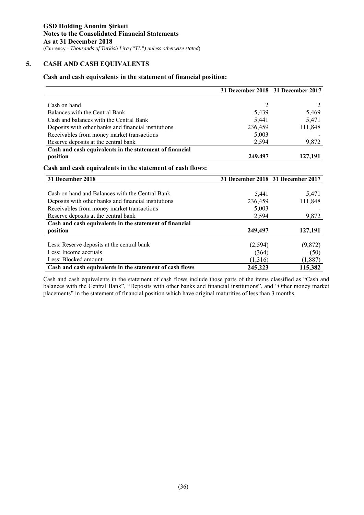# **5. CASH AND CASH EQUIVALENTS**

# **Cash and cash equivalents in the statement of financial position:**

|                                                           |                | 31 December 2018 31 December 2017 |
|-----------------------------------------------------------|----------------|-----------------------------------|
|                                                           |                |                                   |
| Cash on hand                                              | $\overline{2}$ | 2                                 |
| Balances with the Central Bank                            | 5,439          | 5,469                             |
| Cash and balances with the Central Bank                   | 5,441          | 5,471                             |
| Deposits with other banks and financial institutions      | 236,459        | 111,848                           |
| Receivables from money market transactions                | 5,003          |                                   |
| Reserve deposits at the central bank                      | 2,594          | 9,872                             |
| Cash and cash equivalents in the statement of financial   |                |                                   |
| position                                                  | 249,497        | 127,191                           |
| Cash and cash equivalents in the statement of cash flows: |                |                                   |
| 31 December 2018                                          |                | 31 December 2018 31 December 2017 |
|                                                           |                |                                   |
| Cash on hand and Balances with the Central Bank           | 5,441          | 5,471                             |
| Deposits with other banks and financial institutions      | 236,459        | 111,848                           |
| Receivables from money market transactions                | 5,003          |                                   |
| Reserve deposits at the central bank                      | 2,594          | 9,872                             |
| Cash and cash equivalents in the statement of financial   |                |                                   |
| position                                                  | 249,497        | 127,191                           |
|                                                           |                |                                   |
| Less: Reserve deposits at the central bank                | (2,594)        | (9,872)                           |
| Less: Income accruals                                     | (364)          | (50)                              |
| Less: Blocked amount                                      | (1,316)        | (1,887)                           |
| Cash and cash equivalents in the statement of cash flows  | 245,223        | 115,382                           |

Cash and cash equivalents in the statement of cash flows include those parts of the items classified as "Cash and balances with the Central Bank", "Deposits with other banks and financial institutions", and "Other money market placements" in the statement of financial position which have original maturities of less than 3 months.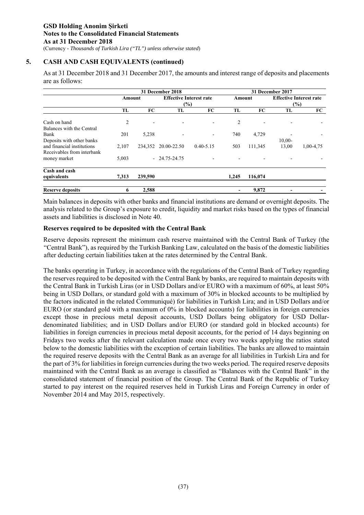# **5. CASH AND CASH EQUIVALENTS (continued)**

As at 31 December 2018 and 31 December 2017, the amounts and interest range of deposits and placements are as follows:

|                                                          |        |         | 31 December 2018                         |                          |        | 31 December 2017 |                                       |           |  |  |
|----------------------------------------------------------|--------|---------|------------------------------------------|--------------------------|--------|------------------|---------------------------------------|-----------|--|--|
|                                                          | Amount |         | <b>Effective Interest rate</b><br>$(\%)$ |                          | Amount |                  | <b>Effective Interest rate</b><br>(%) |           |  |  |
|                                                          | TL     | FC      | TL                                       | FC                       | TL     | <b>FC</b>        | TL                                    | FC        |  |  |
| Cash on hand<br>Balances with the Central                | 2      |         |                                          |                          | 2      |                  |                                       |           |  |  |
| Bank<br>Deposits with other banks                        | 201    | 5,238   |                                          | $\overline{\phantom{a}}$ | 740    | 4,729            | $10,00-$                              |           |  |  |
| and financial institutions<br>Receivables from interbank | 2.107  | 234,352 | 20.00-22.50                              | $0.40 - 5.15$            | 503    | 111,345          | 13,00                                 | 1,00-4,75 |  |  |
| money market                                             | 5,003  |         | $-24.75 - 24.75$                         |                          |        |                  |                                       |           |  |  |
| Cash and cash<br>equivalents                             | 7,313  | 239,590 |                                          |                          | 1,245  | 116,074          |                                       |           |  |  |
| <b>Reserve deposits</b>                                  | 6      | 2,588   |                                          |                          |        | 9,872            |                                       |           |  |  |

Main balances in deposits with other banks and financial institutions are demand or overnight deposits. The analysis related to the Group's exposure to credit, liquidity and market risks based on the types of financial assets and liabilities is disclosed in Note 40.

# **Reserves required to be deposited with the Central Bank**

Reserve deposits represent the minimum cash reserve maintained with the Central Bank of Turkey (the "Central Bank"), as required by the Turkish Banking Law, calculated on the basis of the domestic liabilities after deducting certain liabilities taken at the rates determined by the Central Bank.

The banks operating in Turkey, in accordance with the regulations of the Central Bank of Turkey regarding the reserves required to be deposited with the Central Bank by banks, are required to maintain deposits with the Central Bank in Turkish Liras (or in USD Dollars and/or EURO with a maximum of 60%, at least 50% being in USD Dollars, or standard gold with a maximum of 30% in blocked accounts to be multiplied by the factors indicated in the related Communiqué) for liabilities in Turkish Lira; and in USD Dollars and/or EURO (or standard gold with a maximum of 0% in blocked accounts) for liabilities in foreign currencies except those in precious metal deposit accounts, USD Dollars being obligatory for USD Dollardenominated liabilities; and in USD Dollars and/or EURO (or standard gold in blocked accounts) for liabilities in foreign currencies in precious metal deposit accounts, for the period of 14 days beginning on Fridays two weeks after the relevant calculation made once every two weeks applying the ratios stated below to the domestic liabilities with the exception of certain liabilities. The banks are allowed to maintain the required reserve deposits with the Central Bank as an average for all liabilities in Turkish Lira and for the part of 3% for liabilities in foreign currencies during the two weeks period. The required reserve deposits maintained with the Central Bank as an average is classified as "Balances with the Central Bank" in the consolidated statement of financial position of the Group. The Central Bank of the Republic of Turkey started to pay interest on the required reserves held in Turkish Liras and Foreign Currency in order of November 2014 and May 2015, respectively.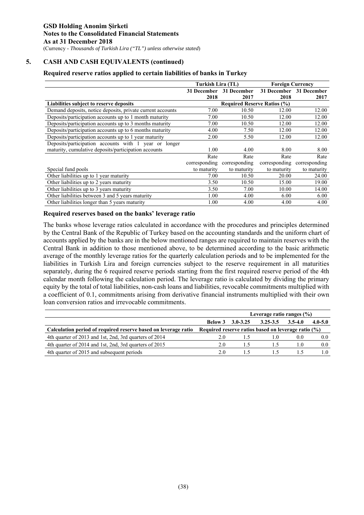# **5. CASH AND CASH EQUIVALENTS (continued)**

# **Required reserve ratios applied to certain liabilities of banks in Turkey**

|                                                            | Turkish Lira (TL) |                                    | <b>Foreign Currency</b> |                         |
|------------------------------------------------------------|-------------------|------------------------------------|-------------------------|-------------------------|
|                                                            |                   | 31 December 31 December            |                         | 31 December 31 December |
|                                                            | 2018              | 2017                               | 2018                    | 2017                    |
| Liabilities subject to reserve deposits                    |                   | <b>Required Reserve Ratios (%)</b> |                         |                         |
| Demand deposits, notice deposits, private current accounts | 7.00              | 10.50                              | 12.00                   | 12.00                   |
| Deposits/participation accounts up to 1 month maturity     | 7.00              | 10.50                              | 12.00                   | 12.00                   |
| Deposits/participation accounts up to 3 months maturity    | 7.00              | 10.50                              | 12.00                   | 12.00                   |
| Deposits/participation accounts up to 6 months maturity    | 4.00              | 7.50                               | 12.00                   | 12.00                   |
| Deposits/participation accounts up to 1 year maturity      | 2.00              | 5.50                               | 12.00                   | 12.00                   |
| Deposits/participation accounts with 1 year or longer      |                   |                                    |                         |                         |
| maturity, cumulative deposits/participation accounts       | 1.00              | 4.00                               | 8.00                    | 8.00                    |
|                                                            | Rate              | Rate                               | Rate                    | Rate                    |
|                                                            | corresponding     | corresponding                      | corresponding           | corresponding           |
| Special fund pools                                         | to maturity       | to maturity                        | to maturity             | to maturity             |
| Other liabilities up to 1 year maturity                    | 7.00              | 10.50                              | 20.00                   | 24.00                   |
| Other liabilities up to 2 years maturity                   | 3.50              | 10.50                              | 15.00                   | 19.00                   |
| Other liabilities up to 3 years maturity                   | 3.50              | 7.00                               | 10.00                   | 14.00                   |
| Other liabilities between 3 and 5 years maturity           | 1.00              | 4.00                               | 6.00                    | 6.00                    |
| Other liabilities longer than 5 years maturity             | 1.00              | 4.00                               | 4.00                    | 4.00                    |

## **Required reserves based on the banks' leverage ratio**

The banks whose leverage ratios calculated in accordance with the procedures and principles determined by the Central Bank of the Republic of Turkey based on the accounting standards and the uniform chart of accounts applied by the banks are in the below mentioned ranges are required to maintain reserves with the Central Bank in addition to those mentioned above, to be determined according to the basic arithmetic average of the monthly leverage ratios for the quarterly calculation periods and to be implemented for the liabilities in Turkish Lira and foreign currencies subject to the reserve requirement in all maturities separately, during the 6 required reserve periods starting from the first required reserve period of the 4th calendar month following the calculation period. The leverage ratio is calculated by dividing the primary equity by the total of total liabilities, non-cash loans and liabilities, revocable commitments multiplied with a coefficient of 0.1, commitments arising from derivative financial instruments multiplied with their own loan conversion ratios and irrevocable commitments.

|                                                                | Leverage ratio ranges $(\% )$                          |                         |              |             |             |  |  |  |
|----------------------------------------------------------------|--------------------------------------------------------|-------------------------|--------------|-------------|-------------|--|--|--|
|                                                                |                                                        | <b>Below 3 3.0-3.25</b> | $3.25 - 3.5$ | $3.5 - 4.0$ | $4.0 - 5.0$ |  |  |  |
| Calculation period of required reserve based on leverage ratio | Required reserve ratios based on leverage ratio $(\%)$ |                         |              |             |             |  |  |  |
| 4th quarter of 2013 and 1st, 2nd, 3rd quarters of 2014         | 2.0                                                    |                         | l .O         | 0.0         | 0.0         |  |  |  |
| 4th quarter of 2014 and 1st, 2nd, 3rd quarters of 2015         | 2.0                                                    |                         |              |             | 0.0         |  |  |  |
| 4th quarter of 2015 and subsequent periods                     | 2.0                                                    |                         |              |             |             |  |  |  |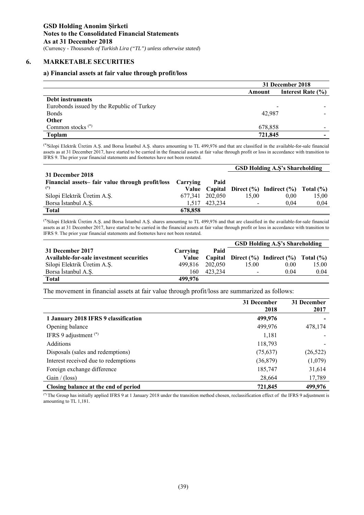### **6. MARKETABLE SECURITIES**

### **a) Financial assets at fair value through profit/loss**

|                                            | 31 December 2018 |                       |  |  |
|--------------------------------------------|------------------|-----------------------|--|--|
|                                            | Amount           | Interest Rate $(\% )$ |  |  |
| Debt instruments                           |                  |                       |  |  |
| Eurobonds issued by the Republic of Turkey |                  |                       |  |  |
| <b>Bonds</b>                               | 42,987           |                       |  |  |
| <b>Other</b>                               |                  |                       |  |  |
| Common stocks $(*)$                        | 678,858          |                       |  |  |
| Toplam                                     | 721,845          |                       |  |  |
|                                            |                  |                       |  |  |

(\*)Silopi Elektrik Üretim A.Ş. and Borsa İstanbul A.Ş. shares amounting to TL 499,976 and that are classified in the available-for-sale financial assets as at 31 December 2017, have started to be carried in the financial assets at fair value through profit or loss in accordance with transition to IFRS 9. The prior year financial statements and footnotes have not been restated.

|                                                          |         |                 | <b>GSD Holding A.S's Shareholding</b> |                                                             |       |  |
|----------------------------------------------------------|---------|-----------------|---------------------------------------|-------------------------------------------------------------|-------|--|
| 31 December 2018                                         |         |                 |                                       |                                                             |       |  |
| Financial assets-fair value through profit/loss Carrying |         | Paid            |                                       |                                                             |       |  |
| $(*)$                                                    |         |                 |                                       | Value Capital Direct $(\% )$ Indirect $(\% )$ Total $(\% )$ |       |  |
| Silopi Elektrik Üretim A.Ş.                              |         | 677.341 202.050 | 15.00                                 | 0.00                                                        | 15.00 |  |
| Borsa İstanbul A.Ş.                                      | 1.517   | 423.234         |                                       | 0.04                                                        | 0,04  |  |
| <b>Total</b>                                             | 678,858 |                 |                                       |                                                             |       |  |

(\*)Silopi Elektrik Üretim A.Ş. and Borsa İstanbul A.Ş. shares amounting to TL 499,976 and that are classified in the available-for-sale financial assets as at 31 December 2017, have started to be carried in the financial assets at fair value through profit or loss in accordance with transition to IFRS 9. The prior year financial statements and footnotes have not been restated.

|                                          |          |         | <b>GSD Holding A.S's Shareholding</b> |                                                    |       |  |  |
|------------------------------------------|----------|---------|---------------------------------------|----------------------------------------------------|-------|--|--|
| 31 December 2017                         | Carrying | Paid    |                                       |                                                    |       |  |  |
| Available-for-sale investment securities | Value    |         |                                       | Capital Direct $(\%)$ Indirect $(\%)$ Total $(\%)$ |       |  |  |
| Silopi Elektrik Üretim A.Ş.              | 499.816  | 202,050 | 15.00                                 | 0.00                                               | 15.00 |  |  |
| Borsa Istanbul A.S.                      | 160      | 423.234 | -                                     | 0.04                                               | 0.04  |  |  |
| <b>Total</b>                             | 499,976  |         |                                       |                                                    |       |  |  |

The movement in financial assets at fair value through profit/loss are summarized as follows:

|                                      | 31 December<br>2018 | 31 December<br>2017 |
|--------------------------------------|---------------------|---------------------|
| 1 January 2018 IFRS 9 classification | 499,976             |                     |
| Opening balance                      | 499,976             | 478,174             |
| IFRS 9 adjustment $(*)$              | 1,181               |                     |
| <b>Additions</b>                     | 118,793             |                     |
| Disposals (sales and redemptions)    | (75,637)            | (26, 522)           |
| Interest received due to redemptions | (36,879)            | (1,079)             |
| Foreign exchange difference          | 185,747             | 31,614              |
| Gain / (loss)                        | 28,664              | 17,789              |
| Closing balance at the end of period | 721,845             | 499,976             |

(\*) The Group has initially applied IFRS 9 at 1 January 2018 under the transition method chosen, reclassification effect of the IFRS 9 adjustment is amounting to TL 1,181.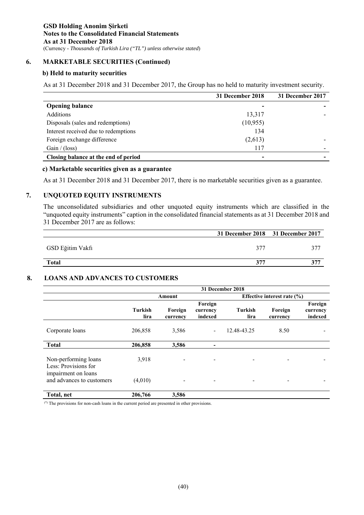# **6. MARKETABLE SECURITIES (Continued)**

### **b) Held to maturity securities**

As at 31 December 2018 and 31 December 2017, the Group has no held to maturity investment security.

|                                      | 31 December 2018 | 31 December 2017 |
|--------------------------------------|------------------|------------------|
| <b>Opening balance</b>               |                  |                  |
| <b>Additions</b>                     | 13,317           |                  |
| Disposals (sales and redemptions)    | (10, 955)        |                  |
| Interest received due to redemptions | 134              |                  |
| Foreign exchange difference          | (2,613)          |                  |
| Gain / (loss)                        | 117              |                  |
| Closing balance at the end of period | -                |                  |

### **c) Marketable securities given as a guarantee**

As at 31 December 2018 and 31 December 2017, there is no marketable securities given as a guarantee.

# **7. UNQUOTED EQUITY INSTRUMENTS**

The unconsolidated subsidiaries and other unquoted equity instruments which are classified in the "unquoted equity instruments" caption in the consolidated financial statements as at 31 December 2018 and 31 December 2017 are as follows:

|                  | 31 December 2018 31 December 2017 |  |
|------------------|-----------------------------------|--|
| GSD Eğitim Vakfı | 377                               |  |
| <b>Total</b>     | 377                               |  |

# **8. LOANS AND ADVANCES TO CUSTOMERS**

|                                                  | 31 December 2018       |                     |                                |                                 |                     |                                |  |
|--------------------------------------------------|------------------------|---------------------|--------------------------------|---------------------------------|---------------------|--------------------------------|--|
|                                                  |                        | Amount              |                                | Effective interest rate $(\% )$ |                     |                                |  |
|                                                  | <b>Turkish</b><br>lira | Foreign<br>currency | Foreign<br>currency<br>indexed | Turkish<br>lira                 | Foreign<br>currency | Foreign<br>currency<br>indexed |  |
| Corporate loans                                  | 206,858                | 3,586               | $\blacksquare$                 | 12.48-43.25                     | 8.50                |                                |  |
| <b>Total</b>                                     | 206,858                | 3,586               |                                |                                 |                     |                                |  |
| Non-performing loans<br>Less: Provisions for     | 3,918                  | -                   |                                |                                 |                     |                                |  |
| impairment on loans<br>and advances to customers | (4,010)                | ۰                   |                                |                                 | -                   |                                |  |
| Total, net                                       | 206,766                | 3,586               |                                |                                 |                     |                                |  |

(\*) The provisions for non-cash loans in the current period are presented in other provisions.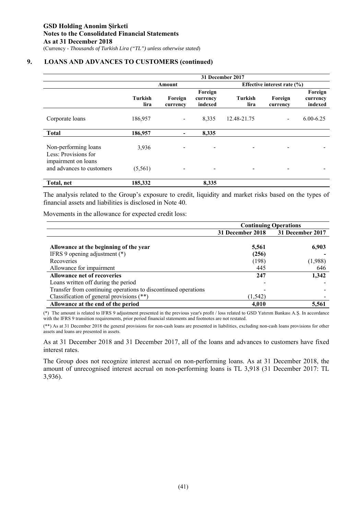# **9. LOANS AND ADVANCES TO CUSTOMERS (continued)**

|                                                  | 31 December 2017       |                     |                                |                                 |                     |                                |  |
|--------------------------------------------------|------------------------|---------------------|--------------------------------|---------------------------------|---------------------|--------------------------------|--|
|                                                  |                        | Amount              |                                | Effective interest rate $(\% )$ |                     |                                |  |
|                                                  | <b>Turkish</b><br>lira | Foreign<br>currency | Foreign<br>currency<br>indexed | Turkish<br>lira                 | Foreign<br>currency | Foreign<br>currency<br>indexed |  |
| Corporate loans                                  | 186,957                |                     | 8,335                          | 12.48-21.75                     |                     | $6.00 - 6.25$                  |  |
| <b>Total</b>                                     | 186,957                |                     | 8,335                          |                                 |                     |                                |  |
| Non-performing loans<br>Less: Provisions for     | 3,936                  |                     |                                |                                 |                     |                                |  |
| impairment on loans<br>and advances to customers | (5,561)                |                     | -                              |                                 |                     |                                |  |
| Total, net                                       | 185,332                |                     | 8,335                          |                                 |                     |                                |  |

The analysis related to the Group's exposure to credit, liquidity and market risks based on the types of financial assets and liabilities is disclosed in Note 40.

Movements in the allowance for expected credit loss:

|                                                                | <b>Continuing Operations</b> |                  |
|----------------------------------------------------------------|------------------------------|------------------|
|                                                                | 31 December 2018             | 31 December 2017 |
|                                                                |                              |                  |
| Allowance at the beginning of the year                         | 5,561                        | 6,903            |
| IFRS 9 opening adjustment $(*)$                                | (256)                        |                  |
| Recoveries                                                     | (198)                        | (1,988)          |
| Allowance for impairment                                       | 445                          | 646              |
| Allowance net of recoveries                                    | 247                          | 1,342            |
| Loans written off during the period                            |                              |                  |
| Transfer from continuing operations to discontinued operations |                              |                  |
| Classification of general provisions (**)                      | (1, 542)                     |                  |
| Allowance at the end of the period                             | 4,010                        | 5,561            |

(\*) The amount is related to IFRS 9 adjustment presented in the previous year's profit / loss related to GSD Yatırım Bankası A.Ş. In accordance with the IFRS 9 transition requirements, prior period financial statements and footnotes are not restated.

(\*\*) As at 31 December 2018 the general provisions for non-cash loans are presented in liabilities, excluding non-cash loans provisions for other assets and loans are presented in assets.

As at 31 December 2018 and 31 December 2017, all of the loans and advances to customers have fixed interest rates.

The Group does not recognize interest accrual on non-performing loans. As at 31 December 2018, the amount of unrecognised interest accrual on non-performing loans is TL 3,918 (31 December 2017: TL 3,936).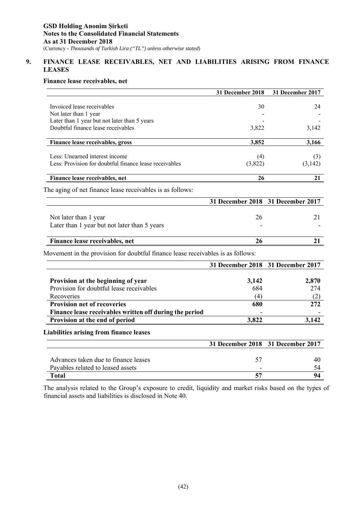# **9. FINANCE LEASE RECEIVABLES, NET AND LIABILITIES ARISING FROM FINANCE LEASES**

# **Finance lease receivables, net**

| Invoiced lease receivables<br>30<br>24<br>Not later than 1 year<br>Later than 1 year but not later than 5 years<br>Doubtful finance lease receivables<br>3,822<br>3,142<br>3,852<br>3,166<br>Finance lease receivables, gross<br>Less: Unearned interest income<br>(4)<br>(3)<br>Less: Provision for doubtful finance lease receivables<br>(3,822)<br>(3,142)<br>21<br>Finance lease receivables, net<br>26<br>31 December 2018 31 December 2017<br>26<br>21<br>Not later than 1 year<br>Later than 1 year but not later than 5 years<br>Finance lease receivables, net<br>26<br>21<br>Movement in the provision for doubtful finance lease receivables is as follows:<br>31 December 2017<br>31 December 2018<br>Provision at the beginning of year<br>3,142<br>2,870<br>Provision for doubtful lease receivables<br>684<br>274<br>Recoveries<br>(2)<br>(4)<br><b>Provision net of recoveries</b><br>680<br>272<br>Finance lease receivables written off during the period<br>3,142<br>3,822<br>Provision at the end of period<br><b>31 December 2018</b><br>31 December 2017<br>Advances taken due to finance leases<br>57<br>40<br>Payables related to leased assets<br>54 |                                                           | 31 December 2018 | 31 December 2017 |
|-------------------------------------------------------------------------------------------------------------------------------------------------------------------------------------------------------------------------------------------------------------------------------------------------------------------------------------------------------------------------------------------------------------------------------------------------------------------------------------------------------------------------------------------------------------------------------------------------------------------------------------------------------------------------------------------------------------------------------------------------------------------------------------------------------------------------------------------------------------------------------------------------------------------------------------------------------------------------------------------------------------------------------------------------------------------------------------------------------------------------------------------------------------------------------|-----------------------------------------------------------|------------------|------------------|
|                                                                                                                                                                                                                                                                                                                                                                                                                                                                                                                                                                                                                                                                                                                                                                                                                                                                                                                                                                                                                                                                                                                                                                               |                                                           |                  |                  |
|                                                                                                                                                                                                                                                                                                                                                                                                                                                                                                                                                                                                                                                                                                                                                                                                                                                                                                                                                                                                                                                                                                                                                                               |                                                           |                  |                  |
|                                                                                                                                                                                                                                                                                                                                                                                                                                                                                                                                                                                                                                                                                                                                                                                                                                                                                                                                                                                                                                                                                                                                                                               |                                                           |                  |                  |
|                                                                                                                                                                                                                                                                                                                                                                                                                                                                                                                                                                                                                                                                                                                                                                                                                                                                                                                                                                                                                                                                                                                                                                               |                                                           |                  |                  |
|                                                                                                                                                                                                                                                                                                                                                                                                                                                                                                                                                                                                                                                                                                                                                                                                                                                                                                                                                                                                                                                                                                                                                                               |                                                           |                  |                  |
|                                                                                                                                                                                                                                                                                                                                                                                                                                                                                                                                                                                                                                                                                                                                                                                                                                                                                                                                                                                                                                                                                                                                                                               |                                                           |                  |                  |
|                                                                                                                                                                                                                                                                                                                                                                                                                                                                                                                                                                                                                                                                                                                                                                                                                                                                                                                                                                                                                                                                                                                                                                               |                                                           |                  |                  |
|                                                                                                                                                                                                                                                                                                                                                                                                                                                                                                                                                                                                                                                                                                                                                                                                                                                                                                                                                                                                                                                                                                                                                                               |                                                           |                  |                  |
|                                                                                                                                                                                                                                                                                                                                                                                                                                                                                                                                                                                                                                                                                                                                                                                                                                                                                                                                                                                                                                                                                                                                                                               | The aging of net finance lease receivables is as follows: |                  |                  |
|                                                                                                                                                                                                                                                                                                                                                                                                                                                                                                                                                                                                                                                                                                                                                                                                                                                                                                                                                                                                                                                                                                                                                                               |                                                           |                  |                  |
|                                                                                                                                                                                                                                                                                                                                                                                                                                                                                                                                                                                                                                                                                                                                                                                                                                                                                                                                                                                                                                                                                                                                                                               |                                                           |                  |                  |
|                                                                                                                                                                                                                                                                                                                                                                                                                                                                                                                                                                                                                                                                                                                                                                                                                                                                                                                                                                                                                                                                                                                                                                               |                                                           |                  |                  |
|                                                                                                                                                                                                                                                                                                                                                                                                                                                                                                                                                                                                                                                                                                                                                                                                                                                                                                                                                                                                                                                                                                                                                                               |                                                           |                  |                  |
|                                                                                                                                                                                                                                                                                                                                                                                                                                                                                                                                                                                                                                                                                                                                                                                                                                                                                                                                                                                                                                                                                                                                                                               |                                                           |                  |                  |
|                                                                                                                                                                                                                                                                                                                                                                                                                                                                                                                                                                                                                                                                                                                                                                                                                                                                                                                                                                                                                                                                                                                                                                               |                                                           |                  |                  |
|                                                                                                                                                                                                                                                                                                                                                                                                                                                                                                                                                                                                                                                                                                                                                                                                                                                                                                                                                                                                                                                                                                                                                                               |                                                           |                  |                  |
|                                                                                                                                                                                                                                                                                                                                                                                                                                                                                                                                                                                                                                                                                                                                                                                                                                                                                                                                                                                                                                                                                                                                                                               |                                                           |                  |                  |
|                                                                                                                                                                                                                                                                                                                                                                                                                                                                                                                                                                                                                                                                                                                                                                                                                                                                                                                                                                                                                                                                                                                                                                               |                                                           |                  |                  |
|                                                                                                                                                                                                                                                                                                                                                                                                                                                                                                                                                                                                                                                                                                                                                                                                                                                                                                                                                                                                                                                                                                                                                                               |                                                           |                  |                  |
|                                                                                                                                                                                                                                                                                                                                                                                                                                                                                                                                                                                                                                                                                                                                                                                                                                                                                                                                                                                                                                                                                                                                                                               |                                                           |                  |                  |
|                                                                                                                                                                                                                                                                                                                                                                                                                                                                                                                                                                                                                                                                                                                                                                                                                                                                                                                                                                                                                                                                                                                                                                               |                                                           |                  |                  |
|                                                                                                                                                                                                                                                                                                                                                                                                                                                                                                                                                                                                                                                                                                                                                                                                                                                                                                                                                                                                                                                                                                                                                                               |                                                           |                  |                  |
|                                                                                                                                                                                                                                                                                                                                                                                                                                                                                                                                                                                                                                                                                                                                                                                                                                                                                                                                                                                                                                                                                                                                                                               | <b>Liabilities arising from finance leases</b>            |                  |                  |
|                                                                                                                                                                                                                                                                                                                                                                                                                                                                                                                                                                                                                                                                                                                                                                                                                                                                                                                                                                                                                                                                                                                                                                               |                                                           |                  |                  |
|                                                                                                                                                                                                                                                                                                                                                                                                                                                                                                                                                                                                                                                                                                                                                                                                                                                                                                                                                                                                                                                                                                                                                                               |                                                           |                  |                  |
|                                                                                                                                                                                                                                                                                                                                                                                                                                                                                                                                                                                                                                                                                                                                                                                                                                                                                                                                                                                                                                                                                                                                                                               |                                                           |                  |                  |
|                                                                                                                                                                                                                                                                                                                                                                                                                                                                                                                                                                                                                                                                                                                                                                                                                                                                                                                                                                                                                                                                                                                                                                               | <b>Total</b>                                              | 57               | 94               |

The analysis related to the Group's exposure to credit, liquidity and market risks based on the types of financial assets and liabilities is disclosed in Note 40.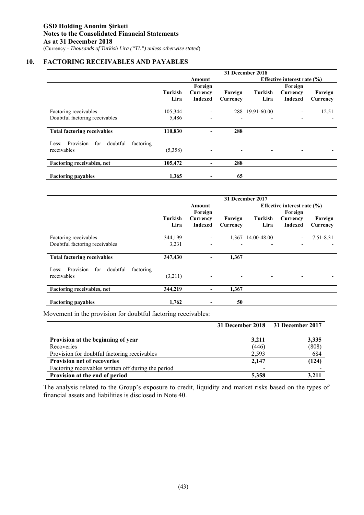## **10. FACTORING RECEIVABLES AND PAYABLES**

|                                              | 31 December 2018 |                              |          |                          |                             |          |  |  |
|----------------------------------------------|------------------|------------------------------|----------|--------------------------|-----------------------------|----------|--|--|
|                                              |                  | Amount                       |          |                          | Effective interest rate (%) |          |  |  |
|                                              |                  | Foreign                      |          |                          | Foreign                     |          |  |  |
|                                              | Turkish          | Currency                     | Foreign  | Turkish                  | Currency                    | Foreign  |  |  |
|                                              | Lira             | <b>Indexed</b>               | Currency | Lira                     | <b>Indexed</b>              | Currency |  |  |
|                                              |                  |                              |          |                          |                             |          |  |  |
| Factoring receivables                        | 105,344          | $\qquad \qquad \blacksquare$ |          | 288 19.91-60.00          |                             | 12.51    |  |  |
| Doubtful factoring receivables               | 5,486            | $\overline{a}$               |          |                          |                             |          |  |  |
| <b>Total factoring receivables</b>           | 110,830          |                              | 288      |                          |                             |          |  |  |
| Less: Provision for<br>doubtful<br>factoring |                  |                              |          |                          |                             |          |  |  |
| receivables                                  | (5,358)          |                              |          | $\overline{\phantom{a}}$ |                             |          |  |  |
| Factoring receivables, net                   | 105,472          | -                            | 288      |                          |                             |          |  |  |
|                                              |                  |                              |          |                          |                             |          |  |  |
| <b>Factoring payables</b>                    | 1,365            |                              | 65       |                          |                             |          |  |  |

|                                                    | 31 December 2017 |                          |                          |                                 |                |           |  |
|----------------------------------------------------|------------------|--------------------------|--------------------------|---------------------------------|----------------|-----------|--|
|                                                    |                  | Amount                   |                          | Effective interest rate $(\% )$ |                |           |  |
|                                                    |                  | Foreign                  |                          |                                 | Foreign        |           |  |
|                                                    | <b>Turkish</b>   | Currency                 | Foreign                  | Turkish                         | Currency       | Foreign   |  |
|                                                    | Lira             | <b>Indexed</b>           | Currency                 | Lira                            | <b>Indexed</b> | Currency  |  |
|                                                    |                  |                          |                          |                                 |                |           |  |
| Factoring receivables                              | 344,199          | $\overline{\phantom{a}}$ |                          | 1,367 14.00-48.00               |                | 7.51-8.31 |  |
| Doubtful factoring receivables                     | 3,231            | $\overline{\phantom{a}}$ |                          |                                 |                |           |  |
| <b>Total factoring receivables</b>                 | 347,430          | -                        | 1,367                    |                                 |                |           |  |
|                                                    |                  |                          |                          |                                 |                |           |  |
| Provision<br>doubtful<br>factoring<br>for<br>Less: |                  |                          |                          |                                 |                |           |  |
| receivables                                        | (3,211)          | $\overline{\phantom{a}}$ | $\overline{\phantom{a}}$ |                                 |                |           |  |
| <b>Factoring receivables, net</b>                  | 344,219          | $\overline{\phantom{a}}$ | 1,367                    |                                 |                |           |  |
|                                                    |                  |                          |                          |                                 |                |           |  |
| <b>Factoring payables</b>                          | 1,762            | $\overline{\phantom{a}}$ | 50                       |                                 |                |           |  |

Movement in the provision for doubtful factoring receivables:

|                                                     |       | 31 December 2018 31 December 2017 |
|-----------------------------------------------------|-------|-----------------------------------|
| Provision at the beginning of year                  | 3,211 | 3,335                             |
| Recoveries                                          | (446) | (808)                             |
| Provision for doubtful factoring receivables        | 2,593 | 684                               |
| <b>Provision net of recoveries</b>                  | 2,147 | (124)                             |
| Factoring receivables written off during the period |       |                                   |
| Provision at the end of period                      | 5,358 | 3,211                             |

The analysis related to the Group's exposure to credit, liquidity and market risks based on the types of financial assets and liabilities is disclosed in Note 40.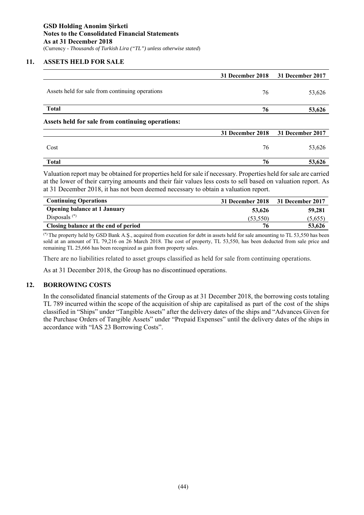# **11. ASSETS HELD FOR SALE**

|                                                  | 31 December 2018 | 31 December 2017 |
|--------------------------------------------------|------------------|------------------|
| Assets held for sale from continuing operations  | 76               | 53,626           |
| <b>Total</b>                                     | 76               | 53,626           |
| Assets held for sale from continuing operations: |                  |                  |
|                                                  | 31 December 2018 | 31 December 2017 |
| Cost                                             | 76               | 53,626           |
| <b>Total</b>                                     | 76               | 53,626           |

Valuation report may be obtained for properties held for sale if necessary. Properties held for sale are carried at the lower of their carrying amounts and their fair values less costs to sell based on valuation report. As at 31 December 2018, it has not been deemed necessary to obtain a valuation report.

| <b>Continuing Operations</b>         |           | 31 December 2018 31 December 2017 |
|--------------------------------------|-----------|-----------------------------------|
| <b>Opening balance at 1 January</b>  | 53,626    | 59,281                            |
| Disposals $(*)$                      | (53, 550) | (5,655)                           |
| Closing balance at the end of period | 76        | 53,626                            |
|                                      |           |                                   |

(\*) The property held by GSD Bank A.Ş., acquired from execution for debt in assets held for sale amounting to TL 53,550 has been sold at an amount of TL 79,216 on 26 March 2018. The cost of property, TL 53,550, has been deducted from sale price and remaining TL 25,666 has been recognized as gain from property sales.

There are no liabilities related to asset groups classified as held for sale from continuing operations.

As at 31 December 2018, the Group has no discontinued operations.

# **12. BORROWING COSTS**

In the consolidated financial statements of the Group as at 31 December 2018, the borrowing costs totaling TL 789 incurred within the scope of the acquisition of ship are capitalised as part of the cost of the ships classified in "Ships" under "Tangible Assets" after the delivery dates of the ships and "Advances Given for the Purchase Orders of Tangible Assets" under "Prepaid Expenses" until the delivery dates of the ships in accordance with "IAS 23 Borrowing Costs".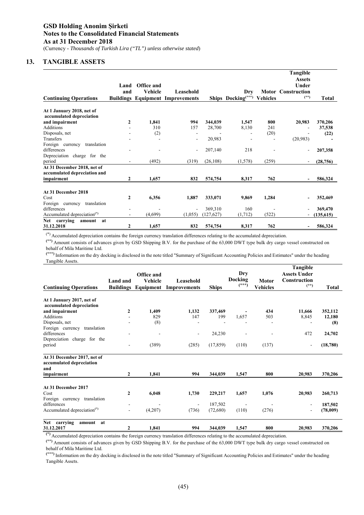# **13. TANGIBLE ASSETS**

|                                         |              |                   |                                         |            |                                |                 | Tangible                  |              |
|-----------------------------------------|--------------|-------------------|-----------------------------------------|------------|--------------------------------|-----------------|---------------------------|--------------|
|                                         | Land         | <b>Office and</b> |                                         |            |                                |                 | <b>Assets</b><br>Under    |              |
|                                         | and          | <b>Vehicle</b>    | Leasehold                               |            | Dry                            |                 | <b>Motor Construction</b> |              |
| <b>Continuing Operations</b>            |              |                   | <b>Buildings Equipment Improvements</b> |            | Ships Docking <sup>(***)</sup> | <b>Vehicles</b> | $(**)$                    | <b>Total</b> |
| At 1 January 2018, net of               |              |                   |                                         |            |                                |                 |                           |              |
| accumulated depreciation                |              |                   |                                         |            |                                |                 |                           |              |
| and impairment                          | 2            | 1,841             | 994                                     | 344,039    | 1,547                          | 800             | 20,983                    | 370,206      |
| <b>Additions</b>                        |              | 310               | 157                                     | 28,700     | 8,130                          | 241             |                           | 37,538       |
| Disposals, net                          |              | (2)               |                                         |            |                                | (20)            |                           | (22)         |
| Transfers                               |              |                   | ٠                                       | 20,983     |                                |                 | (20, 983)                 |              |
| Foreign currency<br>translation         |              |                   |                                         |            |                                |                 |                           |              |
| differences                             |              |                   | ٠                                       | 207,140    | 218                            |                 |                           | 207,358      |
| Depreciation<br>charge for the          |              |                   |                                         |            |                                |                 |                           |              |
| period                                  |              | (492)             | (319)                                   | (26, 108)  | (1,578)                        | (259)           |                           | (28, 756)    |
| At 31 December 2018, net of             |              |                   |                                         |            |                                |                 |                           |              |
| accumulated depreciation and            |              |                   |                                         |            |                                |                 |                           |              |
| impairment                              | 2            | 1,657             | 832                                     | 574,754    | 8,317                          | 762             |                           | 586,324      |
|                                         |              |                   |                                         |            |                                |                 |                           |              |
| At 31 December 2018                     |              |                   |                                         |            |                                |                 |                           |              |
| Cost                                    | $\mathbf{2}$ | 6,356             | 1,887                                   | 333,071    | 9,869                          | 1,284           |                           | 352,469      |
| translation<br>Foreign currency         |              |                   |                                         |            |                                |                 |                           |              |
| differences                             |              |                   | ٠                                       | 369,310    | 160                            |                 |                           | 369,470      |
| Accumulated depreciation <sup>(*)</sup> | ۰            | (4,699)           | (1,055)                                 | (127, 627) | (1,712)                        | (522)           |                           | (135, 615)   |
| Net<br>carrying<br>at<br>amount         |              |                   |                                         |            |                                |                 |                           |              |
| 31.12.2018                              | 2            | 1,657             | 832                                     | 574,754    | 8,317                          | 762             | ٠                         | 586,324      |

(\*) Accumulated depreciation contains the foreign currency translation differences relating to the accumulated depreciation.

**(\*\*)** Amount consists of advances given by GSD Shipping B.V. for the purchase of the 63,000 DWT type bulk dry cargo vessel constructed on behalf of Mila Maritime Ltd.

**(\*\*\*)** Information on the dry docking is disclosed in the note titled "Summary of Significant Accounting Policies and Estimates" under the heading Tangible Assets.

| <b>Continuing Operations</b>                                   | Land and<br><b>Buildings</b> | Office and<br><b>Vehicle</b><br>Equipment | Leasehold<br><b>Improvements</b> | <b>Ships</b> | Dry<br>Docking<br>$(***)$ | Motor<br><b>Vehicles</b> | Tangible<br><b>Assets Under</b><br>Construction<br>$(**)$ | <b>Total</b> |
|----------------------------------------------------------------|------------------------------|-------------------------------------------|----------------------------------|--------------|---------------------------|--------------------------|-----------------------------------------------------------|--------------|
| At 1 January 2017, net of                                      |                              |                                           |                                  |              |                           |                          |                                                           |              |
| accumulated depreciation                                       |                              |                                           |                                  |              |                           |                          |                                                           |              |
| and impairment                                                 | 2                            | 1.409                                     | 1.132                            | 337,469      |                           | 434                      | 11,666                                                    | 352,112      |
| <b>Additions</b>                                               |                              | 829                                       | 147                              | 199          | 1,657                     | 503                      | 8,845                                                     | 12,180       |
| Disposals, net                                                 |                              | (8)                                       |                                  |              |                           |                          |                                                           | (8)          |
| Foreign currency<br>translation<br>differences                 |                              |                                           |                                  |              |                           |                          | 472                                                       |              |
| Depreciation<br>charge for the                                 |                              | $\blacksquare$                            | $\overline{\phantom{a}}$         | 24,230       |                           |                          |                                                           | 24,702       |
| period                                                         | ٠                            | (389)                                     | (285)                            | (17, 859)    | (110)                     | (137)                    |                                                           | (18,780)     |
| At 31 December 2017, net of<br>accumulated depreciation<br>and |                              |                                           |                                  |              |                           |                          |                                                           |              |
| impairment                                                     | 2                            | 1,841                                     | 994                              | 344,039      | 1,547                     | 800                      | 20,983                                                    | 370,206      |
| At 31 December 2017                                            |                              |                                           |                                  |              |                           |                          |                                                           |              |
| Cost                                                           | $\mathbf{2}$                 | 6,048                                     | 1,730                            | 229,217      | 1,657                     | 1,076                    | 20,983                                                    | 260,713      |
| translation<br>Foreign currency                                |                              |                                           |                                  |              |                           |                          |                                                           |              |
| differences                                                    |                              |                                           | ٠                                | 187,502      |                           |                          |                                                           | 187,502      |
| Accumulated depreciation <sup>(*)</sup>                        | $\overline{a}$               | (4,207)                                   | (736)                            | (72,680)     | (110)                     | (276)                    |                                                           | (78,009)     |
| carrying<br><b>Net</b><br>amount<br>at                         |                              |                                           |                                  |              |                           |                          |                                                           |              |
| 31.12.2017                                                     | $\overline{2}$               | 1,841                                     | 994                              | 344,039      | 1,547                     | 800                      | 20,983                                                    | 370,206      |

**(\*)** Accumulated depreciation contains the foreign currency translation differences relating to the accumulated depreciation.

**(\*\*)** Amount consists of advances given by GSD Shipping B.V. for the purchase of the 63,000 DWT type bulk dry cargo vessel constructed on behalf of Mila Maritime Ltd.

**(\*\*\*)** Information on the dry docking is disclosed in the note titled "Summary of Significant Accounting Policies and Estimates" under the heading Tangible Assets.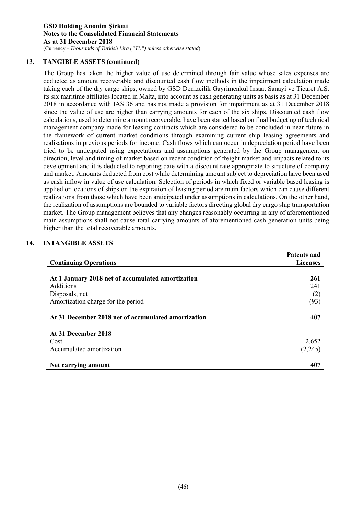**GSD Holding Anonim Şirketi Notes to the Consolidated Financial Statements As at 31 December 2018**  (Currency - *Thousands of Turkish Lira ("TL") unless otherwise stated*)

# **13. TANGIBLE ASSETS (continued)**

The Group has taken the higher value of use determined through fair value whose sales expenses are deducted as amount recoverable and discounted cash flow methods in the impairment calculation made taking each of the dry cargo ships, owned by GSD Denizcilik Gayrimenkul İnşaat Sanayi ve Ticaret A.Ş. its six maritime affiliates located in Malta, into account as cash generating units as basis as at 31 December 2018 in accordance with IAS 36 and has not made a provision for impairment as at 31 December 2018 since the value of use are higher than carrying amounts for each of the six ships. Discounted cash flow calculations, used to determine amount recoverable, have been started based on final budgeting of technical management company made for leasing contracts which are considered to be concluded in near future in the framework of current market conditions through examining current ship leasing agreements and realisations in previous periods for income. Cash flows which can occur in depreciation period have been tried to be anticipated using expectations and assumptions generated by the Group management on direction, level and timing of market based on recent condition of freight market and impacts related to its development and it is deducted to reporting date with a discount rate appropriate to structure of company and market. Amounts deducted from cost while determining amount subject to depreciation have been used as cash inflow in value of use calculation. Selection of periods in which fixed or variable based leasing is applied or locations of ships on the expiration of leasing period are main factors which can cause different realizations from those which have been anticipated under assumptions in calculations. On the other hand, the realization of assumptions are bounded to variable factors directing global dry cargo ship transportation market. The Group management believes that any changes reasonably occurring in any of aforementioned main assumptions shall not cause total carrying amounts of aforementioned cash generation units being higher than the total recoverable amounts.

# **14. INTANGIBLE ASSETS**

|                                                     | <b>Patents and</b> |
|-----------------------------------------------------|--------------------|
| <b>Continuing Operations</b>                        | <b>Licenses</b>    |
| At 1 January 2018 net of accumulated amortization   | 261                |
| <b>Additions</b>                                    | 241                |
| Disposals, net                                      | (2)                |
| Amortization charge for the period                  | (93)               |
| At 31 December 2018 net of accumulated amortization | 407                |
| At 31 December 2018                                 |                    |
| Cost                                                | 2,652              |
| Accumulated amortization                            | (2,245)            |
| Net carrying amount                                 | 407                |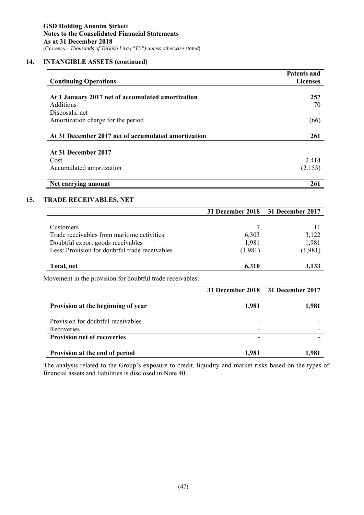# **14. INTANGIBLE ASSETS (continued)**

| <b>Continuing Operations</b>                        | <b>Patents and</b><br><b>Licenses</b> |
|-----------------------------------------------------|---------------------------------------|
|                                                     |                                       |
| At 1 January 2017 net of accumulated amortization   | 257                                   |
| Additions                                           | 70                                    |
| Disposals, net                                      |                                       |
| Amortization charge for the period                  | (66)                                  |
| At 31 December 2017 net of accumulated amortization | 261                                   |
| At 31 December 2017                                 |                                       |
| Cost                                                | 2.414                                 |
| Accumulated amortization                            | (2.153)                               |
| Net carrying amount                                 | 261                                   |

# **15. TRADE RECEIVABLES, NET**

|                                                           | 31 December 2018 | 31 December 2017 |
|-----------------------------------------------------------|------------------|------------------|
|                                                           |                  |                  |
| Customers                                                 |                  | 11               |
| Trade receivables from maritime activities                | 6,303            | 3,122            |
| Doubtful export goods receivables                         | 1,981            | 1,981            |
| Less: Provision for doubtful trade receivables            | (1,981)          | (1,981)          |
| Total, net                                                | 6,310            | 3,133            |
| Movement in the provision for doubtful trade receivables: |                  |                  |
|                                                           | 31 December 2018 | 31 December 2017 |
|                                                           |                  |                  |
| Provision at the beginning of year                        | 1,981            | 1,981            |
| Provision for doubtful receivables                        |                  |                  |
| Recoveries                                                |                  |                  |
| <b>Provision net of recoveries</b>                        |                  |                  |

The analysis related to the Group's exposure to credit, liquidity and market risks based on the types of financial assets and liabilities is disclosed in Note 40.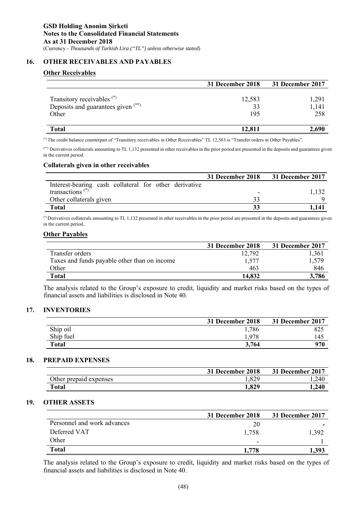# **16. OTHER RECEIVABLES AND PAYABLES**

# **Other Receivables**

|                                                                                      | 31 December 2018    | 31 December 2017      |
|--------------------------------------------------------------------------------------|---------------------|-----------------------|
| Transitory receivables <sup>(*)</sup><br>Deposits and guarantees given (**)<br>Other | 12,583<br>33<br>195 | 1,291<br>1,141<br>258 |
| <b>Total</b>                                                                         | 12,811              | 2,690                 |

(\*) The credit balance counterpart of "Transitory receivables in Other Receivables" TL 12,583 is "Transfer orders in Other Payables".

(\*\*) Derivatives collaterals amounting to TL 1,132 presented in other receivables in the prior period are presented in the deposits and guarantees given in the current period.

### **Collaterals given in other receivables**

|                                                       | 31 December 2018         | 31 December 2017 |
|-------------------------------------------------------|--------------------------|------------------|
| Interest-bearing cash collateral for other derivative |                          |                  |
| transactions <sup><math>(*)</math></sup>              | $\overline{\phantom{0}}$ |                  |
| Other collaterals given                               |                          |                  |
| Total                                                 |                          | 1.141            |

 $(*)$  Derivatives collaterals amounting to TL 1,132 presented in other receivables in the prior period are presented in the deposits and guarantees given in the current period..

### **Other Payables**

|                                              | 31 December 2018 | 31 December 2017 |
|----------------------------------------------|------------------|------------------|
| Transfer orders                              | 12.792           | 1,361            |
| Taxes and funds payable other than on income | 1.577            | 1.579            |
| Other                                        | 463              | 846              |
| Total                                        | 14.832           | 3,786            |

The analysis related to the Group's exposure to credit, liquidity and market risks based on the types of financial assets and liabilities is disclosed in Note 40.

# **17. INVENTORIES**

|           | 31 December 2018 | 31 December 2017 |
|-----------|------------------|------------------|
| Ship oil  | 1,786            | 825              |
| Ship fuel | 1,978            | 145              |
| Total     | 3,764            | 970              |

## **18. PREPAID EXPENSES**

|                        | 31 December 2018 | 31 December 2017 |
|------------------------|------------------|------------------|
| Other prepaid expenses | .829             | 240. ا           |
| Total                  | 1,829            | 1,240            |

### **19. OTHER ASSETS**

|                             | 31 December 2018 | 31 December 2017 |
|-----------------------------|------------------|------------------|
| Personnel and work advances | 20               |                  |
| Deferred VAT                | 1,758            | 1.392            |
| Other                       | -                |                  |
| <b>Total</b>                | 1.778            | 1.393            |

The analysis related to the Group's exposure to credit, liquidity and market risks based on the types of financial assets and liabilities is disclosed in Note 40.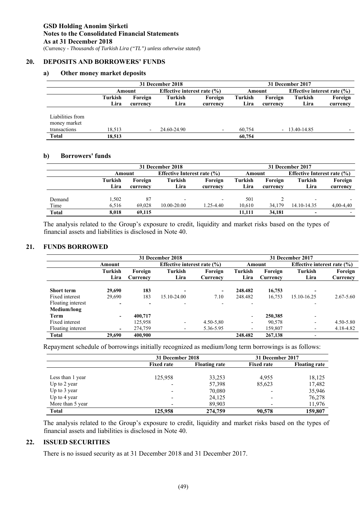# **20. DEPOSITS AND BORROWERS' FUNDS**

### **a) Other money market deposits**

|                  | 31 December 2018 |                          |             |                                 |         | 31 December 2017 |                  |                                 |  |
|------------------|------------------|--------------------------|-------------|---------------------------------|---------|------------------|------------------|---------------------------------|--|
|                  |                  | Amount                   |             | Effective interest rate $(\% )$ |         | Amount           |                  | Effective interest rate $(\% )$ |  |
|                  | Turkish          | Foreign                  | Turkish     | Foreign                         | Turkish | Foreign          | Turkish          | Foreign                         |  |
|                  | Lira             | currency                 | Lira        | currency                        | Lira    | currency         | Lira             | currency                        |  |
|                  |                  |                          |             |                                 |         |                  |                  |                                 |  |
| Liabilities from |                  |                          |             |                                 |         |                  |                  |                                 |  |
| money market     |                  |                          |             |                                 |         |                  |                  |                                 |  |
| transactions     | 18,513           | $\overline{\phantom{a}}$ | 24.60-24.90 | $\overline{\phantom{0}}$        | 60.754  |                  | $-13.40 - 14.85$ |                                 |  |
| <b>Total</b>     | 18,513           |                          |             |                                 | 60,754  |                  |                  |                                 |  |

### **b) Borrowers' funds**

|              |         | 31 December 2018 |                          |                                    |         | 31 December 2017 |                |                                 |  |
|--------------|---------|------------------|--------------------------|------------------------------------|---------|------------------|----------------|---------------------------------|--|
|              |         | Amount           |                          | <b>Effective Interest rate (%)</b> |         | Amount           |                | Effective Interest rate $(\% )$ |  |
|              | Turkish | Foreign          | Turkish                  | Foreign                            | Turkish | Foreign          | <b>Turkish</b> | Foreign                         |  |
|              | Lira    | currency         | Lira                     | currency                           | Lira    | currency         | Lira           | currency                        |  |
|              |         |                  |                          |                                    |         |                  |                |                                 |  |
| Demand       | 1,502   | 87               | $\overline{\phantom{0}}$ | $\overline{\phantom{0}}$           | 501     |                  |                |                                 |  |
| Time         | 6.516   | 69.028           | $10.00 - 20.00$          | 1.25-4.40                          | 10.610  | 34,179           | 14.10-14.35    | $4,00-4,40$                     |  |
| <b>Total</b> | 8.018   | 69.115           |                          |                                    | 11.111  | 34.181           | -              |                                 |  |

The analysis related to the Group's exposure to credit, liquidity and market risks based on the types of financial assets and liabilities is disclosed in Note 40.

# **21. FUNDS BORROWED**

|                   |                          |                     | 31 December 2018         |                                 |                          |                     | 31 December 2017         |                                 |  |
|-------------------|--------------------------|---------------------|--------------------------|---------------------------------|--------------------------|---------------------|--------------------------|---------------------------------|--|
|                   | Amount                   |                     |                          | Effective interest rate $(\% )$ |                          | Amount              |                          | Effective interest rate $(\% )$ |  |
|                   | Turkish<br>Lira          | Foreign<br>Currency | Turkish<br>Lira          | Foreign<br>Currency             | Turkish<br>Lira          | Foreign<br>Currency | Turkish<br>Lira          | Foreign<br>Currency             |  |
| <b>Short term</b> | 29,690                   | 183                 | $\overline{\phantom{0}}$ | $\blacksquare$                  | 248.482                  | 16,753              | $\,$                     |                                 |  |
| Fixed interest    | 29,690                   | 183                 | 15.10-24.00              | 7.10                            | 248.482                  | 16,753              | 15.10-16.25              | $2.67 - 5.60$                   |  |
| Floating interest | $\overline{\phantom{0}}$ |                     | $\overline{\phantom{a}}$ | $\overline{\phantom{a}}$        | $\overline{\phantom{0}}$ |                     | $\overline{\phantom{a}}$ |                                 |  |
| Medium/long       |                          |                     |                          |                                 |                          |                     |                          |                                 |  |
| Term              |                          | 400,717             |                          |                                 | $\overline{\phantom{a}}$ | 250,385             | $\overline{\phantom{a}}$ |                                 |  |
| Fixed interest    |                          | 125,958             | $\overline{\phantom{a}}$ | $4.50 - 5.80$                   | $\overline{\phantom{a}}$ | 90,578              | $\overline{\phantom{a}}$ | 4.50-5.80                       |  |
| Floating interest | $\overline{\phantom{0}}$ | 274,759             | $\overline{\phantom{a}}$ | 5.36-5.95                       | $\overline{\phantom{a}}$ | 159,807             | $\overline{\phantom{a}}$ | 4.18-4.82                       |  |
| Total             | 29,690                   | 400.900             |                          |                                 | 248.482                  | 267,138             | -                        |                                 |  |

Repayment schedule of borrowings initially recognized as medium/long term borrowings is as follows:

|                  | 31 December 2018  |                      | 31 December 2017  |                      |
|------------------|-------------------|----------------------|-------------------|----------------------|
|                  | <b>Fixed rate</b> | <b>Floating rate</b> | <b>Fixed rate</b> | <b>Floating rate</b> |
|                  |                   |                      |                   |                      |
| Less than 1 year | 125,958           | 33,253               | 4.955             | 18,125               |
| Up to 2 year     |                   | 57,398               | 85,623            | 17,482               |
| Up to 3 year     |                   | 70,080               |                   | 35,946               |
| Up to 4 year     |                   | 24,125               |                   | 76,278               |
| More than 5 year | -                 | 89,903               | ۰                 | 11,976               |
| <b>Total</b>     | 125,958           | 274,759              | 90,578            | 159,807              |

The analysis related to the Group's exposure to credit, liquidity and market risks based on the types of financial assets and liabilities is disclosed in Note 40.

# **22. ISSUED SECURITIES**

There is no issued security as at 31 December 2018 and 31 December 2017.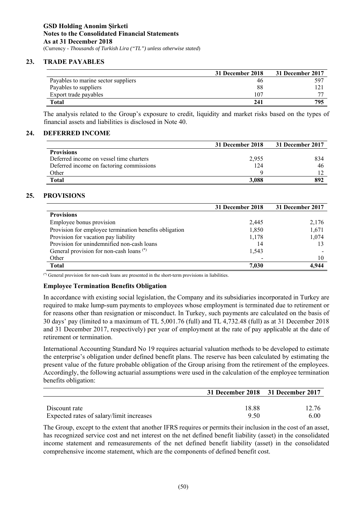# **23. TRADE PAYABLES**

|                                     | 31 December 2018 | 31 December 2017  |
|-------------------------------------|------------------|-------------------|
| Payables to marine sector suppliers | 46               | .59 <sup>-1</sup> |
| Payables to suppliers               | 88               |                   |
| Export trade payables               | 107              |                   |
| Total                               | 241              | 795               |

The analysis related to the Group's exposure to credit, liquidity and market risks based on the types of financial assets and liabilities is disclosed in Note 40.

# **24. DEFERRED INCOME**

|                                          | 31 December 2018 | 31 December 2017 |
|------------------------------------------|------------------|------------------|
| <b>Provisions</b>                        |                  |                  |
| Deferred income on vessel time charters  | 2,955            | 834              |
| Deferred income on factoring commissions | 124              | 46               |
| Other                                    |                  |                  |
| <b>Total</b>                             | 3.088            | 892              |

# **25. PROVISIONS**

|                                                        | 31 December 2018 | 31 December 2017 |
|--------------------------------------------------------|------------------|------------------|
| <b>Provisions</b>                                      |                  |                  |
| Employee bonus provision                               | 2,445            | 2,176            |
| Provision for employee termination benefits obligation | 1,850            | 1,671            |
| Provision for vacation pay liability                   | 1,178            | 1,074            |
| Provision for unindemnified non-cash loans             | 14               |                  |
| General provision for non-cash loans <sup>(*)</sup>    | 1,543            |                  |
| Other                                                  |                  | 10               |
| <b>Total</b>                                           | 7,030            | 4.944            |

(\*) General provision for non-cash loans are presented in the short-term provisions in liabilities.

### **Employee Termination Benefits Obligation**

In accordance with existing social legislation, the Company and its subsidiaries incorporated in Turkey are required to make lump-sum payments to employees whose employment is terminated due to retirement or for reasons other than resignation or misconduct. In Turkey, such payments are calculated on the basis of 30 days' pay (limited to a maximum of TL 5,001.76 (full) and TL 4,732.48 (full) as at 31 December 2018 and 31 December 2017, respectively) per year of employment at the rate of pay applicable at the date of retirement or termination.

International Accounting Standard No 19 requires actuarial valuation methods to be developed to estimate the enterprise's obligation under defined benefit plans. The reserve has been calculated by estimating the present value of the future probable obligation of the Group arising from the retirement of the employees. Accordingly, the following actuarial assumptions were used in the calculation of the employee termination benefits obligation:

|                                          | 31 December 2018 31 December 2017 |       |
|------------------------------------------|-----------------------------------|-------|
|                                          |                                   |       |
| Discount rate                            | 18.88                             | 12.76 |
| Expected rates of salary/limit increases | 950                               | 6.00  |

The Group, except to the extent that another IFRS requires or permits their inclusion in the cost of an asset, has recognized service cost and net interest on the net defined benefit liability (asset) in the consolidated income statement and remeasurements of the net defined benefit liability (asset) in the consolidated comprehensive income statement, which are the components of defined benefit cost.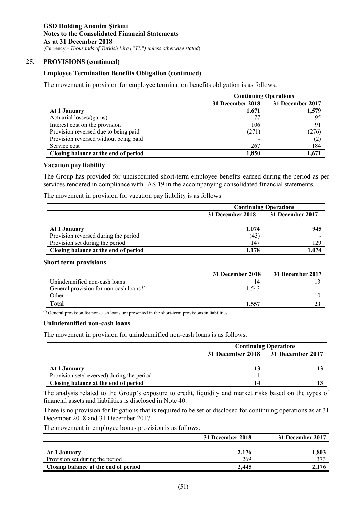## **25. PROVISIONS (continued)**

### **Employee Termination Benefits Obligation (continued)**

The movement in provision for employee termination benefits obligation is as follows:

|                                       | <b>Continuing Operations</b> |                  |
|---------------------------------------|------------------------------|------------------|
|                                       | 31 December 2018             | 31 December 2017 |
| At 1 January                          | 1,671                        | 1,579            |
| Actuarial losses/(gains)              |                              | 95               |
| Interest cost on the provision        | 106                          | 91               |
| Provision reversed due to being paid  | (271)                        | (276)            |
| Provision reversed without being paid |                              | (2)              |
| Service cost                          | 267                          | 184              |
| Closing balance at the end of period  | 1,850                        | 1.671            |

### **Vacation pay liability**

The Group has provided for undiscounted short-term employee benefits earned during the period as per services rendered in compliance with IAS 19 in the accompanying consolidated financial statements.

The movement in provision for vacation pay liability is as follows:

|                                                      | <b>Continuing Operations</b> |                  |  |
|------------------------------------------------------|------------------------------|------------------|--|
|                                                      | 31 December 2018             | 31 December 2017 |  |
| At 1 January<br>Provision reversed during the period | 1.074<br>(43)                | 945              |  |
| Provision set during the period                      | 147                          | 129              |  |
| Closing balance at the end of period                 | 1.178                        | 074              |  |

#### **Short term provisions**

|                                                     | 31 December 2018         | 31 December 2017 |
|-----------------------------------------------------|--------------------------|------------------|
| Unindemnified non-cash loans                        |                          |                  |
| General provision for non-cash loans <sup>(*)</sup> | 1.543                    |                  |
| Other                                               | $\overline{\phantom{0}}$ |                  |
| Total                                               | 1,557                    |                  |

(\*) General provision for non-cash loans are presented in the short-term provisions in liabilities.

#### **Unindemnified non-cash loans**

The movement in provision for unindemnified non-cash loans is as follows:

|                                            | <b>Continuing Operations</b>      |   |  |
|--------------------------------------------|-----------------------------------|---|--|
|                                            | 31 December 2018 31 December 2017 |   |  |
|                                            |                                   |   |  |
| At 1 January                               | 13                                |   |  |
| Provision set/(reversed) during the period |                                   | - |  |
| Closing balance at the end of period       | 14                                |   |  |

The analysis related to the Group's exposure to credit, liquidity and market risks based on the types of financial assets and liabilities is disclosed in Note 40.

There is no provision for litigations that is required to be set or disclosed for continuing operations as at 31 December 2018 and 31 December 2017.

The movement in employee bonus provision is as follows:

|                                      | 31 December 2018 | 31 December 2017 |
|--------------------------------------|------------------|------------------|
| At 1 January                         | 2,176            | 1,803            |
| Provision set during the period      | 269              | 373              |
| Closing balance at the end of period | 2.445            | 2.176            |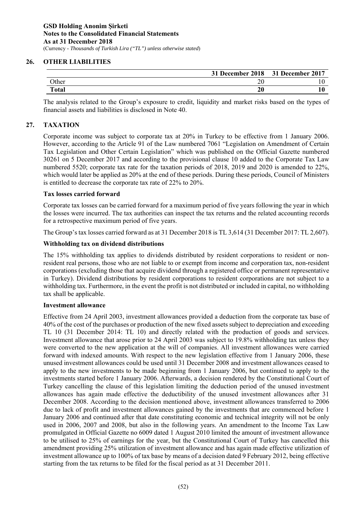# **26. OTHER LIABILITIES**

|              | 31 December 2018 | 31 December 2017 |
|--------------|------------------|------------------|
| <b>Other</b> | $\sim$<br>∠∪     |                  |
| <b>Total</b> | 20               |                  |

The analysis related to the Group's exposure to credit, liquidity and market risks based on the types of financial assets and liabilities is disclosed in Note 40.

# **27. TAXATION**

Corporate income was subject to corporate tax at 20% in Turkey to be effective from 1 January 2006. However, according to the Article 91 of the Law numbered 7061 "Legislation on Amendment of Certain Tax Legislation and Other Certain Legislation" which was published on the Official Gazette numbered 30261 on 5 December 2017 and according to the provisional clause 10 added to the Corporate Tax Law numbered 5520; corporate tax rate for the taxation periods of 2018, 2019 and 2020 is amended to 22%, which would later be applied as 20% at the end of these periods. During these periods, Council of Ministers is entitled to decrease the corporate tax rate of 22% to 20%.

# **Tax losses carried forward**

Corporate tax losses can be carried forward for a maximum period of five years following the year in which the losses were incurred. The tax authorities can inspect the tax returns and the related accounting records for a retrospective maximum period of five years.

The Group's tax losses carried forward as at 31 December 2018 is TL 3,614 (31 December 2017: TL 2,607).

# **Withholding tax on dividend distributions**

The 15% withholding tax applies to dividends distributed by resident corporations to resident or nonresident real persons, those who are not liable to or exempt from income and corporation tax, non-resident corporations (excluding those that acquire dividend through a registered office or permanent representative in Turkey). Dividend distributions by resident corporations to resident corporations are not subject to a withholding tax. Furthermore, in the event the profit is not distributed or included in capital, no withholding tax shall be applicable.

# **Investment allowance**

Effective from 24 April 2003, investment allowances provided a deduction from the corporate tax base of 40% of the cost of the purchases or production of the new fixed assets subject to depreciation and exceeding TL 10 (31 December 2014: TL 10) and directly related with the production of goods and services. Investment allowance that arose prior to 24 April 2003 was subject to 19.8% withholding tax unless they were converted to the new application at the will of companies. All investment allowances were carried forward with indexed amounts. With respect to the new legislation effective from 1 January 2006, these unused investment allowances could be used until 31 December 2008 and investment allowances ceased to apply to the new investments to be made beginning from 1 January 2006, but continued to apply to the investments started before 1 January 2006. Afterwards, a decision rendered by the Constitutional Court of Turkey cancelling the clause of this legislation limiting the deduction period of the unused investment allowances has again made effective the deductibility of the unused investment allowances after 31 December 2008. According to the decision mentioned above, investment allowances transferred to 2006 due to lack of profit and investment allowances gained by the investments that are commenced before 1 January 2006 and continued after that date constituting economic and technical integrity will not be only used in 2006, 2007 and 2008, but also in the following years. An amendment to the Income Tax Law promulgated in Official Gazette no 6009 dated 1 August 2010 limited the amount of investment allowance to be utilised to 25% of earnings for the year, but the Constitutional Court of Turkey has cancelled this amendment providing 25% utilization of investment allowance and has again made effective utilization of investment allowance up to 100% of tax base by means of a decision dated 9 February 2012, being effective starting from the tax returns to be filed for the fiscal period as at 31 December 2011.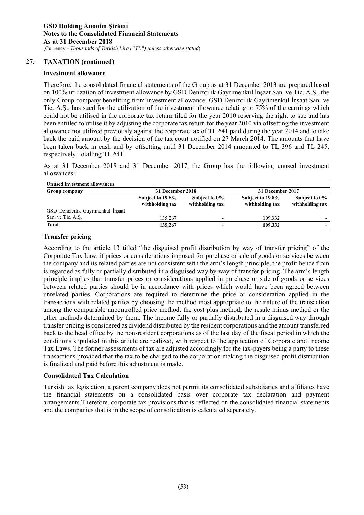### **Investment allowance**

Therefore, the consolidated financial statements of the Group as at 31 December 2013 are prepared based on 100% utilization of investment allowance by GSD Denizcilik Gayrimenkul İnşaat San. ve Tic. A.Ş., the only Group company benefiting from investment allowance. GSD Denizcilik Gayrimenkul İnşaat San. ve Tic. A.Ş., has sued for the utilization of the investment allowance relating to 75% of the earnings which could not be utilised in the corporate tax return filed for the year 2010 reserving the right to sue and has been entitled to utilise it by adjusting the corporate tax return for the year 2010 via offsetting the investment allowance not utilized previously against the corporate tax of TL 641 paid during the year 2014 and to take back the paid amount by the decision of the tax court notified on 27 March 2014. The amounts that have been taken back in cash and by offsetting until 31 December 2014 amounted to TL 396 and TL 245, respectively, totalling TL 641.

As at 31 December 2018 and 31 December 2017, the Group has the following unused investment allowances:

| <b>Unused investment allowances</b> |                                     |                                  |                                     |                                  |
|-------------------------------------|-------------------------------------|----------------------------------|-------------------------------------|----------------------------------|
| Group company                       | 31 December 2018                    |                                  | 31 December 2017                    |                                  |
|                                     | Subject to 19.8%<br>withholding tax | Subject to 0%<br>withholding tax | Subject to 19.8%<br>withholding tax | Subject to 0%<br>withholding tax |
| GSD Denizcilik Gayrimenkul İnşaat   |                                     |                                  |                                     |                                  |
| San. ve Tic. A.S.                   | 135,267                             | $\overline{\phantom{0}}$         | 109,332                             |                                  |
| Total                               | 135,267                             |                                  | 109.332                             |                                  |

### **Transfer pricing**

According to the article 13 titled "the disguised profit distribution by way of transfer pricing" of the Corporate Tax Law, if prices or considerations imposed for purchase or sale of goods or services between the company and its related parties are not consistent with the arm's length principle, the profit hence from is regarded as fully or partially distributed in a disguised way by way of transfer pricing. The arm's length principle implies that transfer prices or considerations applied in purchase or sale of goods or services between related parties should be in accordance with prices which would have been agreed between unrelated parties. Corporations are required to determine the price or consideration applied in the transactions with related parties by choosing the method most appropriate to the nature of the transaction among the comparable uncontrolled price method, the cost plus method, the resale minus method or the other methods determined by them. The income fully or partially distributed in a disguised way through transfer pricing is considered as dividend distributed by the resident corporations and the amount transferred back to the head office by the non-resident corporations as of the last day of the fiscal period in which the conditions stipulated in this article are realized, with respect to the application of Corporate and Income Tax Laws. The former assessments of tax are adjusted accordingly for the tax-payers being a party to these transactions provided that the tax to be charged to the corporation making the disguised profit distribution is finalized and paid before this adjustment is made.

# **Consolidated Tax Calculation**

Turkish tax legislation, a parent company does not permit its consolidated subsidiaries and affiliates have the financial statements on a consolidated basis over corporate tax declaration and payment arrangements.Therefore, corporate tax provisions that is reflected on the consolidated financial statements and the companies that is in the scope of consolidation is calculated seperately.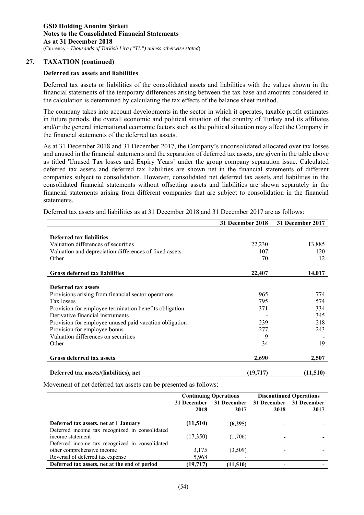# **Deferred tax assets and liabilities**

Deferred tax assets or liabilities of the consolidated assets and liabilities with the values shown in the financial statements of the temporary differences arising between the tax base and amounts considered in the calculation is determined by calculating the tax effects of the balance sheet method.

The company takes into account developments in the sector in which it operates, taxable profit estimates in future periods, the overall economic and political situation of the country of Turkey and its affiliates and/or the general international economic factors such as the political situation may affect the Company in the financial statements of the deferred tax assets.

As at 31 December 2018 and 31 December 2017, the Company's unconsolidated allocated over tax losses and unused in the financial statements and the separation of deferred tax assets, are given in the table above as titled 'Unused Tax losses and Expiry Years' under the group company separation issue. Calculated deferred tax assets and deferred tax liabilities are shown net in the financial statements of different companies subject to consolidation. However, consolidated net deferred tax assets and liabilities in the consolidated financial statements without offsetting assets and liabilities are shown separately in the financial statements arising from different companies that are subject to consolidation in the financial statements.

|                                                        | 31 December 2018 | 31 December 2017 |
|--------------------------------------------------------|------------------|------------------|
|                                                        |                  |                  |
| Deferred tax liabilities                               |                  |                  |
| Valuation differences of securities                    | 22,230           | 13,885           |
| Valuation and depreciation differences of fixed assets | 107              | 120              |
| Other                                                  | 70               | 12               |
| <b>Gross deferred tax liabilities</b>                  | 22,407           | 14,017           |
|                                                        |                  |                  |
| Deferred tax assets                                    |                  |                  |
| Provisions arising from financial sector operations    | 965              | 774              |
| Tax losses                                             | 795              | 574              |
| Provision for employee termination benefits obligation | 371              | 334              |
| Derivative financial instruments                       |                  | 345              |
| Provision for employee unused paid vacation obligation | 239              | 218              |
| Provision for employee bonus                           | 277              | 243              |
| Valuation differences on securities                    | 9                |                  |
| Other                                                  | 34               | 19               |
| <b>Gross deferred tax assets</b>                       | 2,690            | 2,507            |
|                                                        |                  |                  |
| Deferred tax assets/(liabilities), net                 | (19, 717)        | (11,510)         |

Deferred tax assets and liabilities as at 31 December 2018 and 31 December 2017 are as follows:

Movement of net deferred tax assets can be presented as follows:

|                                                                                         |             | <b>Continuing Operations</b> | <b>Discontinued Operations</b> |                         |  |
|-----------------------------------------------------------------------------------------|-------------|------------------------------|--------------------------------|-------------------------|--|
|                                                                                         | 31 December | 31 December                  |                                | 31 December 31 December |  |
|                                                                                         | 2018        | 2017                         | 2018                           | 2017                    |  |
| Deferred tax assets, net at 1 January<br>Deferred income tax recognized in consolidated | (11,510)    | (6,295)                      |                                |                         |  |
| income statement<br>Deferred income tax recognized in consolidated                      | (17,350)    | (1,706)                      |                                |                         |  |
| other comprehensive income                                                              | 3,175       | (3,509)                      |                                |                         |  |
| Reversal of deferred tax expense                                                        | 5,968       |                              |                                |                         |  |
| Deferred tax assets, net at the end of period                                           | (19,717)    | (11,510)                     |                                |                         |  |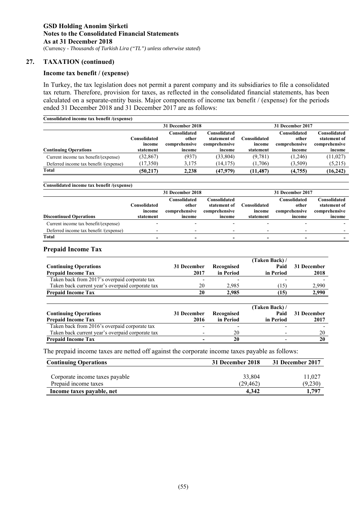### **Income tax benefit / (expense)**

In Turkey, the tax legislation does not permit a parent company and its subsidiaries to file a consolidated tax return. Therefore, provision for taxes, as reflected in the consolidated financial statements, has been calculated on a separate-entity basis. Major components of income tax benefit / (expense) for the periods ended 31 December 2018 and 31 December 2017 are as follows:

| Consolidated income tax benefit /(expense) |                                     |                                                  |                                                         |                                            |                                                  |                                                         |  |  |  |  |  |
|--------------------------------------------|-------------------------------------|--------------------------------------------------|---------------------------------------------------------|--------------------------------------------|--------------------------------------------------|---------------------------------------------------------|--|--|--|--|--|
|                                            |                                     | 31 December 2018                                 |                                                         |                                            | 31 December 2017                                 |                                                         |  |  |  |  |  |
| <b>Continuing Operations</b>               | Consolidated<br>income<br>statement | Consolidated<br>other<br>comprehensive<br>income | Consolidated<br>statement of<br>comprehensive<br>income | <b>Consolidated</b><br>income<br>statement | Consolidated<br>other<br>comprehensive<br>income | Consolidated<br>statement of<br>comprehensive<br>income |  |  |  |  |  |
| Current income tax benefit/(expense)       | (32, 867)                           | (937)                                            | (33, 804)                                               | (9,781)                                    | (1,246)                                          | (11, 027)                                               |  |  |  |  |  |
| Deferred income tax benefit /(expense)     | (17,350)                            | 3,175                                            | (14, 175)                                               | (1,706)                                    | (3,509)                                          | (5,215)                                                 |  |  |  |  |  |
| Total                                      | (50.217)                            | 2.238                                            | (47,979)                                                | (11.487)                                   | (4,755)                                          | (16, 242)                                               |  |  |  |  |  |

#### **Consolidated income tax benefit /(expense)**

|                                        |                                     | 31 December 2018                                 |                                                         |                                            | 31 December 2017                                 |                                                         |
|----------------------------------------|-------------------------------------|--------------------------------------------------|---------------------------------------------------------|--------------------------------------------|--------------------------------------------------|---------------------------------------------------------|
| <b>Discontinued Operations</b>         | Consolidated<br>income<br>statement | Consolidated<br>other<br>comprehensive<br>income | Consolidated<br>statement of<br>comprehensive<br>income | <b>Consolidated</b><br>income<br>statement | Consolidated<br>other<br>comprehensive<br>income | Consolidated<br>statement of<br>comprehensive<br>income |
| Current income tax benefit/(expense)   |                                     |                                                  |                                                         |                                            |                                                  |                                                         |
| Deferred income tax benefit /(expense) |                                     | $\overline{\phantom{0}}$                         |                                                         |                                            |                                                  |                                                         |
| Total                                  |                                     |                                                  |                                                         |                                            |                                                  |                                                         |

### **Prepaid Income Tax**

|                                                  |             |            | (Taken Back) / |             |
|--------------------------------------------------|-------------|------------|----------------|-------------|
| <b>Continuing Operations</b>                     | 31 December | Recognised | Paid           | 31 December |
| <b>Prepaid Income Tax</b>                        | 2017        | in Period  | in Period      | 2018        |
| Taken back from 2017's overpaid corporate tax    |             |            |                |             |
| Taken back current year's overpaid corporate tax | 20          | 2,985      | (15)           | 2,990       |
| <b>Prepaid Income Tax</b>                        | 20          | 2,985      | (15)           | 2,990       |
|                                                  |             |            |                |             |
|                                                  |             |            | (Taken Back) / |             |
| <b>Continuing Operations</b>                     | 31 December | Recognised | Paid           | 31 December |
| <b>Prepaid Income Tax</b>                        | 2016        | in Period  | in Period      | 2017        |
| Taken back from 2016's overpaid corporate tax    |             |            |                |             |
| Taken back current year's overpaid corporate tax |             | 20         |                | 20          |
| <b>Prepaid Income Tax</b>                        |             | 20         |                | 20          |

The prepaid income taxes are netted off against the corporate income taxes payable as follows:

| <b>Continuing Operations</b>   | 31 December 2018 | 31 December 2017 |
|--------------------------------|------------------|------------------|
|                                |                  |                  |
| Corporate income taxes payable | 33,804           | 11.027           |
| Prepaid income taxes           | (29.462)         | (9,230)          |
| Income taxes payable, net      | 4.342            | 1.797            |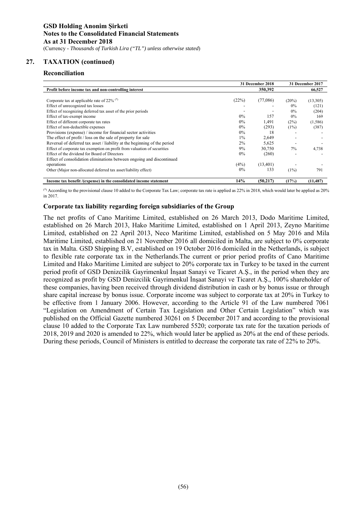### **Reconciliation**

|                                                                           |       | 31 December 2018 | 31 December 2017 |           |  |
|---------------------------------------------------------------------------|-------|------------------|------------------|-----------|--|
| Profit before income tax and non-controlling interest                     |       | 350,392          |                  | 66,527    |  |
|                                                                           |       |                  |                  |           |  |
| Corporate tax at applicable rate of 22% (*)                               | (22%) | (77,086)         | (20%)            | (13,305)  |  |
| Effect of unrecognized tax losses                                         |       |                  | $0\%$            | (121)     |  |
| Effect of recognizing deferred tax asset of the prior periods             |       |                  | 0%               | (204)     |  |
| Effect of tax-exempt income                                               | $0\%$ | 157              | 0%               | 169       |  |
| Effect of different corporate tax rates                                   | $0\%$ | 1,491            | (2%)             | (1,586)   |  |
| Effect of non-deductible expenses                                         | $0\%$ | (293)            | (1%)             | (387)     |  |
| Provisions (expense) / income for financial sector activities             | $0\%$ | 18               |                  |           |  |
| The effect of profit / loss on the sale of property for sale              | $1\%$ | 2,649            |                  |           |  |
| Reversal of deferred tax asset / liability at the beginning of the period | 2%    | 5,625            |                  |           |  |
| Effect of corporate tax exemption on profit from valuation of securities  | 9%    | 30,750           | 7%               | 4,738     |  |
| Effect of the dividend for Board of Directors                             | $0\%$ | (260)            |                  |           |  |
| Effect of consolidation eliminations between ongoing and discontinued     |       |                  |                  |           |  |
| operations                                                                | (4%)  | (13, 401)        |                  |           |  |
| Other (Major non-allocated deferred tax asset/liability effect)           | $0\%$ | 133              | (1%)             | 791       |  |
| Income tax benefit /(expense) in the consolidated income statement        | 14%   | (50, 217)        | (17%)            | (11, 487) |  |

(\*) According to the provisional clause 10 added to the Corporate Tax Law; corporate tax rate is applied as 22% in 2018, which would later be applied as 20% in 2017.

### **Corporate tax liability regarding foreign subsidiaries of the Group**

The net profits of Cano Maritime Limited, established on 26 March 2013, Dodo Maritime Limited, established on 26 March 2013, Hako Maritime Limited, established on 1 April 2013, Zeyno Maritime Limited, established on 22 April 2013, Neco Maritime Limited, established on 5 May 2016 and Mila Maritime Limited, established on 21 November 2016 all domiciled in Malta, are subject to 0% corporate tax in Malta. GSD Shipping B.V, established on 19 October 2016 domiciled in the Netherlands, is subject to flexible rate corporate tax in the Netherlands.The current or prior period profits of Cano Maritime Limited and Hako Maritime Limited are subject to 20% corporate tax in Turkey to be taxed in the current period profit of GSD Denizcilik Gayrimenkul İnşaat Sanayi ve Ticaret A.Ş., in the period when they are recognized as profit by GSD Denizcilik Gayrimenkul İnşaat Sanayi ve Ticaret A.Ş., 100% shareholder of these companies, having been received through dividend distribution in cash or by bonus issue or through share capital increase by bonus issue. Corporate income was subject to corporate tax at 20% in Turkey to be effective from 1 January 2006. However, according to the Article 91 of the Law numbered 7061 "Legislation on Amendment of Certain Tax Legislation and Other Certain Legislation" which was published on the Official Gazette numbered 30261 on 5 December 2017 and according to the provisional clause 10 added to the Corporate Tax Law numbered 5520; corporate tax rate for the taxation periods of 2018, 2019 and 2020 is amended to 22%, which would later be applied as 20% at the end of these periods. During these periods, Council of Ministers is entitled to decrease the corporate tax rate of 22% to 20%.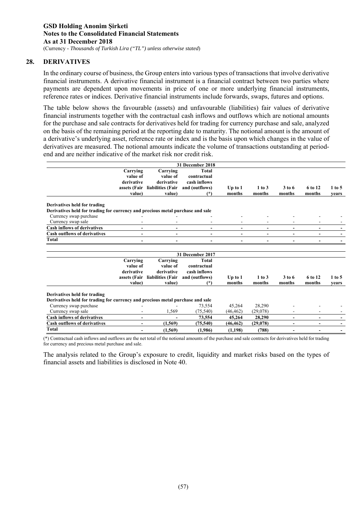### **28. DERIVATIVES**

In the ordinary course of business, the Group enters into various types of transactions that involve derivative financial instruments. A derivative financial instrument is a financial contract between two parties where payments are dependent upon movements in price of one or more underlying financial instruments, reference rates or indices. Derivative financial instruments include forwards, swaps, futures and options.

The table below shows the favourable (assets) and unfavourable (liabilities) fair values of derivative financial instruments together with the contractual cash inflows and outflows which are notional amounts for the purchase and sale contracts for derivatives held for trading for currency purchase and sale, analyzed on the basis of the remaining period at the reporting date to maturity. The notional amount is the amount of a derivative's underlying asset, reference rate or index and is the basis upon which changes in the value of derivatives are measured. The notional amounts indicate the volume of transactions outstanding at periodend and are neither indicative of the market risk nor credit risk.

|                                                                                |                          |                   | 31 December 2018 |                          |                          |                |                |          |
|--------------------------------------------------------------------------------|--------------------------|-------------------|------------------|--------------------------|--------------------------|----------------|----------------|----------|
|                                                                                | Carrying                 | Carrying          | <b>Total</b>     |                          |                          |                |                |          |
|                                                                                | value of                 | value of          | contractual      |                          |                          |                |                |          |
|                                                                                | derivative               | derivative        | cash inflows     |                          |                          |                |                |          |
|                                                                                | assets (Fair             | liabilities (Fair | and (outflows)   | Up to $1$                | 1 to 3                   | 3 to 6         | 6 to 12        | $1$ to 5 |
|                                                                                | value)                   | value)            | $(*)$            | months                   | months                   | months         | months         | vears    |
| Derivatives held for trading                                                   |                          |                   |                  |                          |                          |                |                |          |
| Derivatives held for trading for currency and precious metal purchase and sale |                          |                   |                  |                          |                          |                |                |          |
| Currency swap purchase                                                         |                          |                   |                  |                          |                          |                |                |          |
| Currency swap sale                                                             |                          |                   |                  |                          |                          |                |                |          |
| <b>Cash inflows of derivatives</b>                                             |                          |                   | -                | $\overline{\phantom{a}}$ | $\overline{\phantom{a}}$ |                | ٠              |          |
| <b>Cash outflows of derivatives</b>                                            | $\overline{\phantom{a}}$ | $\blacksquare$    | $\blacksquare$   | $\blacksquare$           | $\blacksquare$           |                | ٠              |          |
| <b>Total</b>                                                                   |                          |                   |                  |                          |                          |                |                |          |
|                                                                                |                          |                   |                  |                          |                          |                |                |          |
|                                                                                |                          |                   | 31 December 2017 |                          |                          |                |                |          |
|                                                                                | Carrying                 | Carrying          | <b>Total</b>     |                          |                          |                |                |          |
|                                                                                | value of                 | value of          | contractual      |                          |                          |                |                |          |
|                                                                                | derivative               | derivative        | cash inflows     |                          |                          |                |                |          |
|                                                                                | assets (Fair             | liabilities (Fair | and (outflows)   | $Up$ to $1$              | 1 to 3                   | $3$ to 6       | 6 to 12        | 1 to 5   |
|                                                                                | value)                   | value)            | $(*)$            | months                   | months                   | months         | months         | vears    |
| Derivatives held for trading                                                   |                          |                   |                  |                          |                          |                |                |          |
| Derivatives held for trading for currency and precious metal purchase and sale |                          |                   |                  |                          |                          |                |                |          |
| Currency swap purchase                                                         |                          |                   | 73,554           | 45,264                   | 28,290                   |                |                |          |
| Currency swap sale                                                             |                          | 1,569             | (75.540)         | (46, 462)                | (29,078)                 |                |                |          |
| <b>Cash inflows of derivatives</b>                                             | $\blacksquare$           |                   | 73,554           | 45,264                   | 28,290                   | $\blacksquare$ | $\blacksquare$ |          |
| <b>Cash outflows of derivatives</b>                                            | $\overline{\phantom{0}}$ | (1, 569)          | (75, 540)        | (46, 462)                | (29,078)                 |                | ٠              |          |
| Total                                                                          |                          | (1, 569)          | (1,986)          | (1, 198)                 | (788)                    |                |                |          |

(\*) Contractual cash inflows and outflows are the net total of the notional amounts of the purchase and sale contracts for derivatives held for trading for currency and precious metal purchase and sale.

The analysis related to the Group's exposure to credit, liquidity and market risks based on the types of financial assets and liabilities is disclosed in Note 40.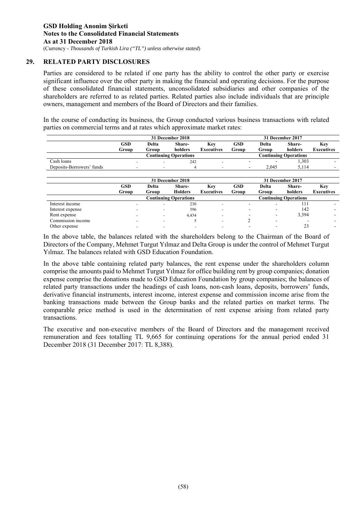# **29. RELATED PARTY DISCLOSURES**

Parties are considered to be related if one party has the ability to control the other party or exercise significant influence over the other party in making the financial and operating decisions. For the purpose of these consolidated financial statements, unconsolidated subsidiaries and other companies of the shareholders are referred to as related parties. Related parties also include individuals that are principle owners, management and members of the Board of Directors and their families.

In the course of conducting its business, the Group conducted various business transactions with related parties on commercial terms and at rates which approximate market rates:

|                           | 31 December 2018              |       |                              |                   |       |                          | 31 December 2017             |            |
|---------------------------|-------------------------------|-------|------------------------------|-------------------|-------|--------------------------|------------------------------|------------|
|                           | GSD<br>Delta<br>Share-<br>Key |       |                              | <b>GSD</b>        | Delta | Share-                   | Key                          |            |
|                           | Group                         | Group | holders                      | <b>Executives</b> | Group | Group                    | holders                      | Executives |
|                           |                               |       | <b>Continuing Operations</b> |                   |       |                          | <b>Continuing Operations</b> |            |
| Cash loans                |                               |       | 242                          |                   |       | $\overline{\phantom{a}}$ | 1,303                        |            |
| Deposits-Borrowers' funds |                               |       | 4                            |                   | ۰     | 2.045                    | 5.114                        |            |
|                           |                               |       |                              |                   |       |                          |                              |            |

|                   |                     | 31 December 2018 |                              |                          |                     |                | 31 December 2017             |                          |
|-------------------|---------------------|------------------|------------------------------|--------------------------|---------------------|----------------|------------------------------|--------------------------|
|                   | <b>GSD</b><br>Group | Delta<br>Group   | Share-<br><b>Holders</b>     | Kev<br><b>Executives</b> | <b>GSD</b><br>Group | Delta<br>Group | Share-<br>holders            | Key<br><b>Executives</b> |
|                   |                     |                  | <b>Continuing Operations</b> |                          |                     |                | <b>Continuing Operations</b> |                          |
| Interest income   |                     |                  | 230                          | $\overline{\phantom{a}}$ |                     |                | 111                          |                          |
| Interest expense  |                     |                  | 596                          | -                        |                     |                | 142                          |                          |
| Rent expense      |                     |                  | 4,434                        |                          | -                   | ۰              | 3,394                        |                          |
| Commission income |                     |                  |                              | -                        |                     | -              |                              |                          |
| Other expense     |                     |                  |                              |                          |                     |                | 23                           | $\overline{\phantom{0}}$ |

In the above table, the balances related with the shareholders belong to the Chairman of the Board of Directors of the Company, Mehmet Turgut Yılmaz and Delta Group is under the control of Mehmet Turgut Yılmaz. The balances related with GSD Education Foundation.

In the above table containing related party balances, the rent expense under the shareholders column comprise the amounts paid to Mehmet Turgut Yılmaz for office building rent by group companies; donation expense comprise the donations made to GSD Education Foundation by group companies; the balances of related party transactions under the headings of cash loans, non-cash loans, deposits, borrowers' funds, derivative financial instruments, interest income, interest expense and commission income arise from the banking transactions made between the Group banks and the related parties on market terms. The comparable price method is used in the determination of rent expense arising from related party transactions.

The executive and non-executive members of the Board of Directors and the management received remuneration and fees totalling TL 9,665 for continuing operations for the annual period ended 31 December 2018 (31 December 2017: TL 8,388).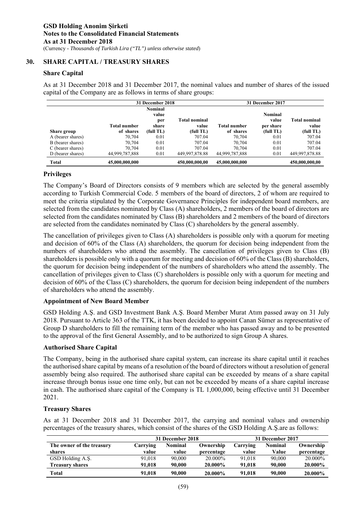# **30. SHARE CAPITAL / TREASURY SHARES**

# **Share Capital**

As at 31 December 2018 and 31 December 2017, the nominal values and number of shares of the issued capital of the Company are as follows in terms of share groups:

|                   |                     | 31 December 2018 |                               |                | 31 December 2017   |                               |
|-------------------|---------------------|------------------|-------------------------------|----------------|--------------------|-------------------------------|
|                   |                     | Nominal<br>value |                               |                | Nominal            |                               |
|                   | <b>Total number</b> | per<br>share     | <b>Total nominal</b><br>value | Total number   | value<br>per share | <b>Total nominal</b><br>value |
| Share group       | of shares           | (full TL)        | (full TL)                     | of shares      | (full TL)          | (full TL)                     |
| A (bearer shares) | 70,704              | 0.01             | 707.04                        | 70,704         | 0.01               | 707.04                        |
| B (bearer shares) | 70,704              | 0.01             | 707.04                        | 70,704         | 0.01               | 707.04                        |
| C (bearer shares) | 70.704              | 0.01             | 707.04                        | 70,704         | 0.01               | 707.04                        |
| D (bearer shares) | 44,999,787,888      | 0.01             | 449.997.878.88                | 44,999,787,888 | 0.01               | 449,997,878.88                |
| Total             | 45,000,000,000      |                  | 450,000,000,00                | 45,000,000,000 |                    | 450,000,000,00                |

# **Privileges**

The Company's Board of Directors consists of 9 members which are selected by the general assembly according to Turkish Commercial Code. 5 members of the board of directors, 2 of whom are required to meet the criteria stipulated by the Corporate Governance Principles for independent board members, are selected from the candidates nominated by Class (A) shareholders, 2 members of the board of directors are selected from the candidates nominated by Class (B) shareholders and 2 members of the board of directors are selected from the candidates nominated by Class (C) shareholders by the general assembly.

The cancellation of privileges given to Class (A) shareholders is possible only with a quorum for meeting and decision of 60% of the Class (A) shareholders, the quorum for decision being independent from the numbers of shareholders who attend the assembly. The cancellation of privileges given to Class (B) shareholders is possible only with a quorum for meeting and decision of 60% of the Class (B) shareholders, the quorum for decision being independent of the numbers of shareholders who attend the assembly. The cancellation of privileges given to Class (C) shareholders is possible only with a quorum for meeting and decision of 60% of the Class (C) shareholders, the quorum for decision being independent of the numbers of shareholders who attend the assembly.

# **Appointment of New Board Member**

GSD Holding A.Ş. and GSD Investment Bank A.Ş. Board Member Murat Atım passed away on 31 July 2018. Pursuant to Article 363 of the TTK, it has been decided to appoint Canan Sümer as representative of Group D shareholders to fill the remaining term of the member who has passed away and to be presented to the approval of the first General Assembly, and to be authorized to sign Group A shares.

# **Authorised Share Capital**

The Company, being in the authorised share capital system, can increase its share capital until it reaches the authorised share capital by means of a resolution of the board of directors without a resolution of general assembly being also required. The authorised share capital can be exceeded by means of a share capital increase through bonus issue one time only, but can not be exceeded by means of a share capital increase in cash. The authorised share capital of the Company is TL 1,000,000, being effective until 31 December 2021.

# **Treasury Shares**

As at 31 December 2018 and 31 December 2017, the carrying and nominal values and ownership percentages of the treasury shares, which consist of the shares of the GSD Holding A.Ş.are as follows:

|                           |          | 31 December 2018 |            |          | 31 December 2017 |            |
|---------------------------|----------|------------------|------------|----------|------------------|------------|
| The owner of the treasury | Carrying | Nominal          | Ownership  | Carrving | Nominal          | Ownership  |
| shares                    | value    | value            | percentage | value    | Value            | percentage |
| GSD Holding A.S.          | 91,018   | 90,000           | 20.000\%   | 91,018   | 90,000           | 20.000\%   |
| <b>Treasury shares</b>    | 91.018   | 90,000           | 20.000%    | 91.018   | 90,000           | 20.000%    |
| Total                     | 91.018   | 90,000           | 20.000%    | 91,018   | 90,000           | 20.000%    |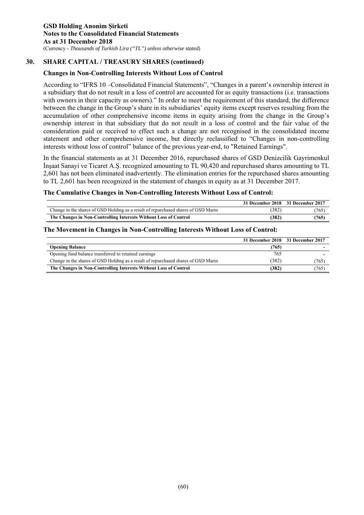# **30. SHARE CAPITAL / TREASURY SHARES (continued)**

# **Changes in Non-Controlling Interests Without Loss of Control**

According to "IFRS 10 –Consolidated Financial Statements", "Changes in a parent's ownership interest in a subsidiary that do not result in a loss of control are accounted for as equity transactions (i.e. transactions with owners in their capacity as owners)." In order to meet the requirement of this standard, the difference between the change in the Group's share in its subsidiaries' equity items except reserves resulting from the accumulation of other comprehensive income items in equity arising from the change in the Group's ownership interest in that subsidiary that do not result in a loss of control and the fair value of the consideration paid or received to effect such a change are not recognised in the consolidated income statement and other comprehensive income, but directly reclassified to "Changes in non-controlling interests without loss of control" balance of the previous year-end, to "Retained Earnings".

In the financial statements as at 31 December 2016, repurchased shares of GSD Denizcilik Gayrimenkul İnşaat Sanayi ve Ticaret A.Ş. recognized amounting to TL 90,420 and repurchased shares amounting to TL 2,601 has not been eliminated inadvertently. The elimination entries for the repurchased shares amounting to TL 2,601 has been recognized in the statement of changes in equity as at 31 December 2017.

### **The Cumulative Changes in Non-Controlling Interests Without Loss of Control:**

|                                                                                    | 31 December 2018 31 December 2017 |       |
|------------------------------------------------------------------------------------|-----------------------------------|-------|
| Change in the shares of GSD Holding as a result of repurchased shares of GSD Marin | (382)                             | (765) |
| The Changes in Non-Controlling Interests Without Loss of Control                   | (382)                             | (765) |

### **The Movement in Changes in Non-Controlling Interests Without Loss of Control:**

|                                                                                    |       | 31 December 2018 31 December 2017 |
|------------------------------------------------------------------------------------|-------|-----------------------------------|
| <b>Opening Balance</b>                                                             | (765) |                                   |
| Opening fund balance transferred to retained earnings                              | 765   |                                   |
| Change in the shares of GSD Holding as a result of repurchased shares of GSD Marin | (382) | (765)                             |
| The Changes in Non-Controlling Interests Without Loss of Control                   | (382) | (765)                             |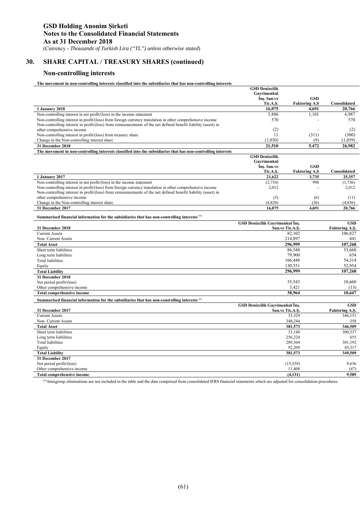# **30. SHARE CAPITAL / TREASURY SHARES (continued)**

### **Non-controlling interests**

**The movement in non-controlling interests classified into the subsidiaries that has non-controlling interests** 

|                                                                                                               | <b>GSD Denizcilik</b>                  |                      |                         |
|---------------------------------------------------------------------------------------------------------------|----------------------------------------|----------------------|-------------------------|
|                                                                                                               | Gavrimenkul                            |                      |                         |
|                                                                                                               | Ins. San.ve                            | <b>GSD</b>           |                         |
|                                                                                                               | Tic.A.S.                               | <b>Faktoring A.S</b> | Consolidated            |
| $1$ January 2018                                                                                              | 16,075                                 | 4.691                | 20,766                  |
| Non-controlling interest in net profit/(loss) in the income statement                                         | 5.886                                  | 1.101                | 6.987                   |
| Non-controlling interest in profit/(loss) from foreign currency translation in other comprehensive income     | 570                                    |                      | 570                     |
| Non-controlling interest in profit/(loss) from remeasurements of the net defined benefit liability (asset) in |                                        |                      |                         |
| other comprehensive income                                                                                    | (2)                                    |                      | (2)                     |
| Non-controlling interest in profit/(loss) from treasury share                                                 | 11                                     | (311)                | (300)                   |
| Change in the Non-controlling interest share                                                                  | (1,030)                                | (9)                  | (1,039)                 |
| 31 December 2018                                                                                              | 21.510                                 | 5.472                | 26.982                  |
| The movement in non-controlling interests classified into the subsidiaries that has non-controlling interests |                                        |                      |                         |
|                                                                                                               | <b>GSD Denizcilik</b>                  |                      |                         |
|                                                                                                               | Gavrimenkul                            |                      |                         |
|                                                                                                               | Ins. San.ve                            | <b>GSD</b>           |                         |
|                                                                                                               | Tic.A.S.                               | <b>Faktoring A.S</b> | Consolidated            |
| 1 January 2017                                                                                                | 21.622                                 | 3.735                | 25.357                  |
| Non-controlling interest in net profit/(loss) in the income statement                                         | (2,734)                                | 998                  | (1,736)                 |
| Non-controlling interest in profit/(loss) from foreign currency translation in other comprehensive income     | 2,012                                  |                      | 2,012                   |
| Non-controlling interest in profit/(loss) from remeasurements of the net defined benefit liability (asset) in |                                        |                      |                         |
| other comprehensive income                                                                                    | (5)                                    | (6)                  | (11)                    |
| Change in the Non-controlling interest share                                                                  | (4,820)                                | (36)                 | (4,856)                 |
| 31 December 2017                                                                                              | 16.075                                 | 4.691                | 20,766                  |
| Summarised financial information for the subsidiaries that has non-controlling interests (*)                  |                                        |                      |                         |
|                                                                                                               | <b>GSD Denizcilik Gavrimenkul Ins.</b> |                      | $\overline{\text{GSD}}$ |
| 31 December 2018                                                                                              | San.ve Tic.A.S.                        |                      | <b>Faktoring A.S.</b>   |
| <b>Current Assets</b>                                                                                         |                                        | 82,102               | 106,827                 |
| Non- Current Assets                                                                                           |                                        | 214,897              | 441                     |
| <b>Total Asset</b>                                                                                            |                                        | 296.999              | 107.268                 |
| Short term liabilities                                                                                        |                                        | 86,548               | 53,660                  |
| Long term liabilities                                                                                         |                                        | 79.900               | 654                     |
| <b>Total liabilities</b>                                                                                      |                                        | 166,448              | 54,314                  |
| Equity                                                                                                        |                                        | 130.551              | 52.954                  |
| <b>Total Liability</b>                                                                                        |                                        | 296.999              | 107.268                 |
| 31 December 2018                                                                                              |                                        |                      |                         |
| Net period profit/(loss)                                                                                      |                                        | 35.543               | 10.660                  |
| Other comprehensive income                                                                                    |                                        | 3,421                | (13)                    |
| <b>Total comprehensive income</b>                                                                             |                                        | 38.964               | 10.647                  |
|                                                                                                               |                                        |                      |                         |
| Summarised financial information for the subsidiaries that has non-controlling interests (*)                  |                                        |                      |                         |
|                                                                                                               | <b>GSD Denizcilik Gavrimenkul Ins.</b> |                      | <b>GSD</b>              |
| 31 December 2017<br><b>Current Assets</b>                                                                     |                                        | San.ve Tic.A.S.      | Faktoring A.S.          |
|                                                                                                               |                                        | 33.329               | 346,151                 |
| Non- Current Assets                                                                                           |                                        | 348,244              | 358                     |
| <b>Total Asset</b>                                                                                            |                                        | 381,573              | 346,509                 |
| Short term liabilities                                                                                        |                                        | 33,140               | 300,537                 |
| Long term liabilities                                                                                         |                                        | 256,224              | 655                     |
| <b>Total liabilities</b>                                                                                      |                                        | 289,364              | 301,192                 |
| Equity                                                                                                        |                                        | 92,209               | 45,317                  |
| <b>Total Liability</b>                                                                                        |                                        | 381.573              | 349,509                 |
| 31 December 2017                                                                                              |                                        |                      |                         |
| Net period profit/(loss)                                                                                      |                                        | (15, 539)            | 9,636                   |
| Other comprehensive income                                                                                    |                                        | 11,408               | (47)                    |
| <b>Total comprehensive income</b>                                                                             |                                        | (4, 131)             | 9.589                   |
|                                                                                                               |                                        |                      |                         |

**(\*)** Intragroup eliminations are not included in the table and the data comprised from consolidated IFRS financial statements which are adjusted for consolidation procedures.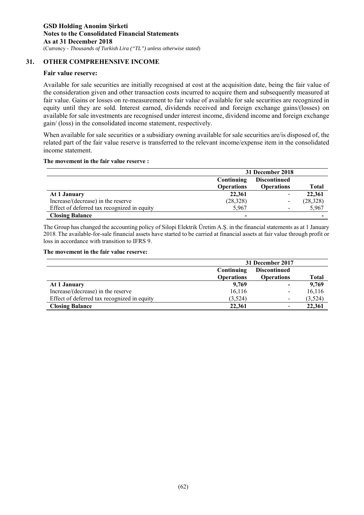# **31. OTHER COMPREHENSIVE INCOME**

### **Fair value reserve:**

Available for sale securities are initially recognised at cost at the acquisition date, being the fair value of the consideration given and other transaction costs incurred to acquire them and subsequently measured at fair value. Gains or losses on re-measurement to fair value of available for sale securities are recognized in equity until they are sold. Interest earned, dividends received and foreign exchange gains/(losses) on available for sale investments are recognised under interest income, dividend income and foreign exchange gain/ (loss) in the consolidated income statement, respectively.

When available for sale securities or a subsidiary owning available for sale securities are/is disposed of, the related part of the fair value reserve is transferred to the relevant income/expense item in the consolidated income statement.

### **The movement in the fair value reserve :**

|                                             | 31 December 2018                  |                   |              |  |
|---------------------------------------------|-----------------------------------|-------------------|--------------|--|
|                                             | <b>Discontinued</b><br>Continuing |                   |              |  |
|                                             | <b>Operations</b>                 | <b>Operations</b> | <b>Total</b> |  |
| At 1 January                                | 22,361                            |                   | 22,361       |  |
| Increase/(decrease) in the reserve          | (28, 328)                         |                   | (28, 328)    |  |
| Effect of deferred tax recognized in equity | 5.967                             |                   | 5,967        |  |
| <b>Closing Balance</b>                      | $\overline{\phantom{0}}$          |                   |              |  |

The Group has changed the accounting policy of Silopi Elektrik Üretim A.Ş. in the financial statements as at 1 January 2018. The available-for-sale financial assets have started to be carried at financial assets at fair value through profit or loss in accordance with transition to IFRS 9.

#### **The movement in the fair value reserve:**

|                                             | 31 December 2017  |                          |              |
|---------------------------------------------|-------------------|--------------------------|--------------|
|                                             | Continuing        | <b>Discontinued</b>      |              |
|                                             | <b>Operations</b> | <b>Operations</b>        | <b>Total</b> |
| At 1 January                                | 9,769             | $\overline{\phantom{a}}$ | 9,769        |
| Increase/(decrease) in the reserve          | 16,116            | $\overline{\phantom{a}}$ | 16,116       |
| Effect of deferred tax recognized in equity | (3,524)           | $\overline{\phantom{a}}$ | (3,524)      |
| <b>Closing Balance</b>                      | 22.361            | $\overline{\phantom{a}}$ | 22,361       |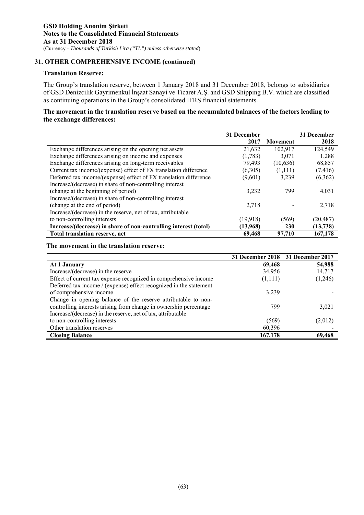# **31. OTHER COMPREHENSIVE INCOME (continued)**

### **Translation Reserve:**

The Group's translation reserve, between 1 January 2018 and 31 December 2018, belongs to subsidiaries of GSD Denizcilik Gayrimenkul İnşaat Sanayi ve Ticaret A.Ş. and GSD Shipping B.V. which are classified as continuing operations in the Group's consolidated IFRS financial statements.

# **The movement in the translation reserve based on the accumulated balances of the factors leading to the exchange differences:**

|                                                                   | 31 December |                 | 31 December |
|-------------------------------------------------------------------|-------------|-----------------|-------------|
|                                                                   | 2017        | <b>Movement</b> | 2018        |
| Exchange differences arising on the opening net assets            | 21,632      | 102,917         | 124,549     |
| Exchange differences arising on income and expenses               | (1,783)     | 3.071           | 1,288       |
| Exchange differences arising on long-term receivables             | 79,493      | (10,636)        | 68,857      |
| Current tax income/(expense) effect of FX translation difference  | (6,305)     | (1,111)         | (7, 416)    |
| Deferred tax income/(expense) effect of FX translation difference | (9,601)     | 3.239           | (6,362)     |
| Increase/(decrease) in share of non-controlling interest          |             |                 |             |
| (change at the beginning of period)                               | 3,232       | 799             | 4,031       |
| Increase/(decrease) in share of non-controlling interest          |             |                 |             |
| (change at the end of period)                                     | 2,718       |                 | 2,718       |
| Increase/(decrease) in the reserve, net of tax, attributable      |             |                 |             |
| to non-controlling interests                                      | (19, 918)   | (569)           | (20, 487)   |
| Increase/(decrease) in share of non-controlling interest (total)  | (13,968)    | <b>230</b>      | (13,738)    |
| Total translation reserve, net                                    | 69,468      | 97,710          | 167,178     |

### **The movement in the translation reserve:**

|                                                                    |         | 31 December 2018 31 December 2017 |
|--------------------------------------------------------------------|---------|-----------------------------------|
| At 1 January                                                       | 69,468  | 54,988                            |
| Increase/(decrease) in the reserve                                 | 34,956  | 14,717                            |
| Effect of current tax expense recognized in comprehensive income   | (1,111) | (1,246)                           |
| Deferred tax income / (expense) effect recognized in the statement |         |                                   |
| of comprehensive income                                            | 3,239   |                                   |
| Change in opening balance of the reserve attributable to non-      |         |                                   |
| controlling interests arising from change in ownership percentage  | 799     | 3,021                             |
| Increase/(decrease) in the reserve, net of tax, attributable       |         |                                   |
| to non-controlling interests                                       | (569)   | (2,012)                           |
| Other translation reserves                                         | 60,396  |                                   |
| <b>Closing Balance</b>                                             | 167,178 | 69,468                            |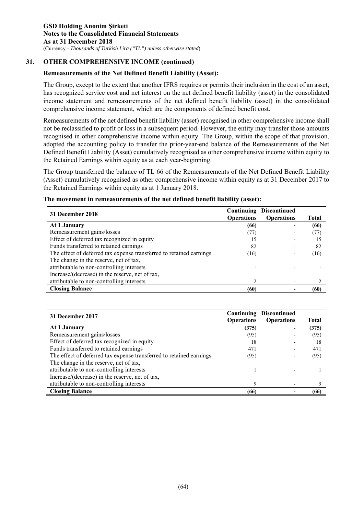# **31. OTHER COMPREHENSIVE INCOME (continued)**

# **Remeasurements of the Net Defined Benefit Liability (Asset):**

The Group, except to the extent that another IFRS requires or permits their inclusion in the cost of an asset, has recognized service cost and net interest on the net defined benefit liability (asset) in the consolidated income statement and remeasurements of the net defined benefit liability (asset) in the consolidated comprehensive income statement, which are the components of defined benefit cost.

Remeasurements of the net defined benefit liability (asset) recognised in other comprehensive income shall not be reclassified to profit or loss in a subsequent period. However, the entity may transfer those amounts recognised in other comprehensive income within equity. The Group, within the scope of that provision, adopted the accounting policy to transfer the prior-year-end balance of the Remeasurements of the Net Defined Benefit Liability (Asset) cumulatively recognised as other comprehensive income within equity to the Retained Earnings within equity as at each year-beginning.

The Group transferred the balance of TL 66 of the Remeasurements of the Net Defined Benefit Liability (Asset) cumulatively recognised as other comprehensive income within equity as at 31 December 2017 to the Retained Earnings within equity as at 1 January 2018.

| The movement in remeasurements of the net defined benefit liability (asset): |  |
|------------------------------------------------------------------------------|--|
|------------------------------------------------------------------------------|--|

| 31 December 2018                                                    |                   | <b>Continuing Discontinued</b> |       |
|---------------------------------------------------------------------|-------------------|--------------------------------|-------|
|                                                                     | <b>Operations</b> | <b>Operations</b>              | Total |
| At 1 January                                                        | (66)              |                                | (66)  |
| Remeasurement gains/losses                                          | (77)              |                                | (77)  |
| Effect of deferred tax recognized in equity                         | 15                |                                | 15    |
| Funds transferred to retained earnings                              | 82                |                                | 82    |
| The effect of deferred tax expense transferred to retained earnings | (16)              |                                | (16)  |
| The change in the reserve, net of tax,                              |                   |                                |       |
| attributable to non-controlling interests                           |                   |                                |       |
| Increase/(decrease) in the reserve, net of tax,                     |                   |                                |       |
| attributable to non-controlling interests                           |                   |                                |       |
| <b>Closing Balance</b>                                              | (60)              |                                | (60   |

| 31 December 2017                                                    | <b>Operations</b> | <b>Continuing Discontinued</b><br><b>Operations</b> | Total |
|---------------------------------------------------------------------|-------------------|-----------------------------------------------------|-------|
| At 1 January                                                        | (375)             | -                                                   | (375) |
| Remeasurement gains/losses                                          | (95)              |                                                     | (95)  |
| Effect of deferred tax recognized in equity                         | 18                |                                                     | 18    |
| Funds transferred to retained earnings                              | 471               |                                                     | 471   |
| The effect of deferred tax expense transferred to retained earnings | (95)              |                                                     | (95)  |
| The change in the reserve, net of tax,                              |                   |                                                     |       |
| attributable to non-controlling interests                           |                   |                                                     |       |
| Increase/(decrease) in the reserve, net of tax,                     |                   |                                                     |       |
| attributable to non-controlling interests                           | 9                 |                                                     |       |
| <b>Closing Balance</b>                                              | (66)              |                                                     | (66)  |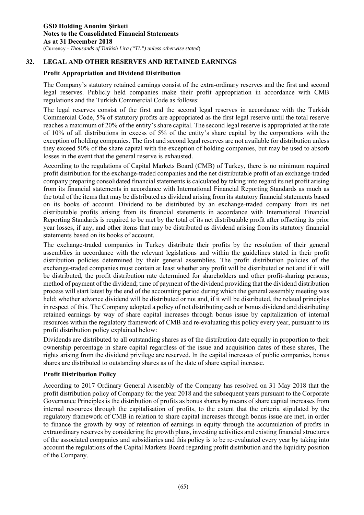# **32. LEGAL AND OTHER RESERVES AND RETAINED EARNINGS**

# **Profit Appropriation and Dividend Distribution**

The Company's statutory retained earnings consist of the extra-ordinary reserves and the first and second legal reserves. Publicly held companies make their profit appropriation in accordance with CMB regulations and the Turkish Commercial Code as follows:

The legal reserves consist of the first and the second legal reserves in accordance with the Turkish Commercial Code, 5% of statutory profits are appropriated as the first legal reserve until the total reserve reaches a maximum of 20% of the entity's share capital. The second legal reserve is appropriated at the rate of 10% of all distributions in excess of 5% of the entity's share capital by the corporations with the exception of holding companies. The first and second legal reserves are not available for distribution unless they exceed 50% of the share capital with the exception of holding companies, but may be used to absorb losses in the event that the general reserve is exhausted.

According to the regulations of Capital Markets Board (CMB) of Turkey, there is no minimum required profit distribution for the exchange-traded companies and the net distributable profit of an exchange-traded company preparing consolidated financial statements is calculated by taking into regard its net profit arising from its financial statements in accordance with International Financial Reporting Standards as much as the total of the items that may be distributed as dividend arising from its statutory financial statements based on its books of account. Dividend to be distributed by an exchange-traded company from its net distributable profits arising from its financial statements in accordance with International Financial Reporting Standards is required to be met by the total of its net distributable profit after offsetting its prior year losses, if any, and other items that may be distributed as dividend arising from its statutory financial statements based on its books of account.

The exchange-traded companies in Turkey distribute their profits by the resolution of their general assemblies in accordance with the relevant legislations and within the guidelines stated in their profit distribution policies determined by their general assemblies. The profit distribution policies of the exchange-traded companies must contain at least whether any profit will be distributed or not and if it will be distributed, the profit distribution rate determined for shareholders and other profit-sharing persons; method of payment of the dividend; time of payment of the dividend providing that the dividend distribution process will start latest by the end of the accounting period during which the general assembly meeting was held; whether advance dividend will be distributed or not and, if it will be distributed, the related principles in respect of this. The Company adopted a policy of not distributing cash or bonus dividend and distributing retained earnings by way of share capital increases through bonus issue by capitalization of internal resources within the regulatory framework of CMB and re-evaluating this policy every year, pursuant to its profit distribution policy explained below:

Dividends are distributed to all outstanding shares as of the distribution date equally in proportion to their ownership percentage in share capital regardless of the issue and acquisition dates of these shares, The rights arising from the dividend privilege are reserved. In the capital increases of public companies, bonus shares are distributed to outstanding shares as of the date of share capital increase.

### **Profit Distribution Policy**

According to 2017 Ordinary General Assembly of the Company has resolved on 31 May 2018 that the profit distribution policy of Company for the year 2018 and the subsequent years pursuant to the Corporate Governance Principles is the distribution of profits as bonus shares by means of share capital increases from internal resources through the capitalisation of profits, to the extent that the criteria stipulated by the regulatory framework of CMB in relation to share capital increases through bonus issue are met, in order to finance the growth by way of retention of earnings in equity through the accumulation of profits in extraordinary reserves by considering the growth plans, investing activities and existing financial structures of the associated companies and subsidiaries and this policy is to be re-evaluated every year by taking into account the regulations of the Capital Markets Board regarding profit distribution and the liquidity position of the Company.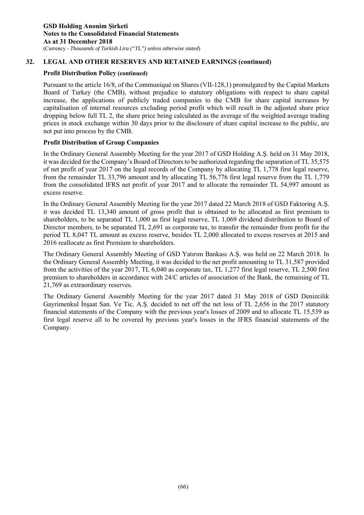# **32. LEGAL AND OTHER RESERVES AND RETAINED EARNINGS (continued)**

# **Profit Distribution Policy (continued)**

Pursuant to the article 16/8, of the Communiqué on Shares (VII-128,1) promulgated by the Capital Markets Board of Turkey (the CMB), without prejudice to statutory obligations with respect to share capital increase, the applications of publicly traded companies to the CMB for share capital increases by capitalisation of internal resources excluding period profit which will result in the adjusted share price dropping below full TL 2, the share price being calculated as the average of the weighted average trading prices in stock exchange within 30 days prior to the disclosure of share capital increase to the public, are not put into process by the CMB.

# **Profit Distribution of Group Companies**

In the Ordinary General Assembly Meeting for the year 2017 of GSD Holding A.Ş. held on 31 May 2018, it was decided for the Company's Board of Directors to be authorized regarding the separation of TL 35,575 of net profit of year 2017 on the legal records of the Company by allocating TL 1,778 first legal reserve, from the remainder TL 33,796 amount and by allocating TL 56,776 first legal reserve from the TL 1,779 from the consolidated IFRS net profit of year 2017 and to allocate the remainder TL 54,997 amount as excess reserve.

In the Ordinary General Assembly Meeting for the year 2017 dated 22 March 2018 of GSD Faktoring A.Ş. it was decided TL 13,340 amount of gross profit that is obtained to be allocated as first premium to shareholders, to be separated TL 1,000 as first legal reserve, TL 1,069 dividend distribution to Board of Director members, to be separated TL 2,691 as corporate tax, to transfer the remainder from profit for the period TL 8,047 TL amount as excess reserve, besides TL 2,000 allocated to excess reserves at 2015 and 2016 reallocate as first Premium to shareholders.

The Ordinary General Assembly Meeting of GSD Yatırım Bankası A.Ş. was held on 22 March 2018. In the Ordinary General Assembly Meeting, it was decided to the net profit amounting to TL 31,587 provided from the activities of the year 2017, TL 6,040 as corporate tax, TL 1,277 first legal reserve, TL 2,500 first premium to shareholders in accordance with 24/C articles of association of the Bank, the remaining of TL 21,769 as extraordinary reserves.

The Ordinary General Assembly Meeting for the year 2017 dated 31 May 2018 of GSD Denizcilik Gayrimenkul İnşaat San. Ve Tic. A.Ş. decided to net off the net loss of TL 2,656 in the 2017 statutory financial statements of the Company with the previous year's losses of 2009 and to allocate TL 15,539 as first legal reserve all to be covered by previous year's losses in the IFRS financial statements of the Company.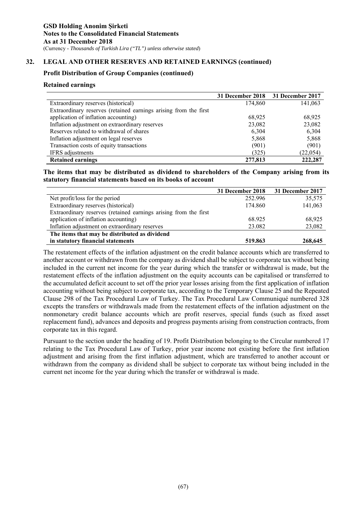# **32. LEGAL AND OTHER RESERVES AND RETAINED EARNINGS (continued)**

### **Profit Distribution of Group Companies (continued)**

### **Retained earnings**

|                                                                  | 31 December 2018 | 31 December 2017 |
|------------------------------------------------------------------|------------------|------------------|
| Extraordinary reserves (historical)                              | 174,860          | 141,063          |
| Extraordinary reserves (retained earnings arising from the first |                  |                  |
| application of inflation accounting)                             | 68,925           | 68,925           |
| Inflation adjustment on extraordinary reserves                   | 23,082           | 23,082           |
| Reserves related to withdrawal of shares                         | 6,304            | 6,304            |
| Inflation adjustment on legal reserves                           | 5,868            | 5,868            |
| Transaction costs of equity transactions                         | (901)            | (901)            |
| IFRS adjustments                                                 | (325)            | (22, 054)        |
| <b>Retained earnings</b>                                         | 277,813          | 222,287          |

**The items that may be distributed as dividend to shareholders of the Company arising from its statutory financial statements based on its books of account** 

|                                                                  | 31 December 2018 | 31 December 2017 |
|------------------------------------------------------------------|------------------|------------------|
| Net profit/loss for the period                                   | 252.996          | 35,575           |
| Extraordinary reserves (historical)                              | 174.860          | 141,063          |
| Extraordinary reserves (retained earnings arising from the first |                  |                  |
| application of inflation accounting)                             | 68.925           | 68,925           |
| Inflation adjustment on extraordinary reserves                   | 23.082           | 23,082           |
| The items that may be distributed as dividend                    |                  |                  |
| in statutory financial statements                                | 519.863          | 268,645          |

The restatement effects of the inflation adjustment on the credit balance accounts which are transferred to another account or withdrawn from the company as dividend shall be subject to corporate tax without being included in the current net income for the year during which the transfer or withdrawal is made, but the restatement effects of the inflation adjustment on the equity accounts can be capitalised or transferred to the accumulated deficit account to set off the prior year losses arising from the first application of inflation accounting without being subject to corporate tax, according to the Temporary Clause 25 and the Repeated Clause 298 of the Tax Procedural Law of Turkey. The Tax Procedural Law Communiqué numbered 328 excepts the transfers or withdrawals made from the restatement effects of the inflation adjustment on the nonmonetary credit balance accounts which are profit reserves, special funds (such as fixed asset replacement fund), advances and deposits and progress payments arising from construction contracts, from corporate tax in this regard.

Pursuant to the section under the heading of 19. Profit Distribution belonging to the Circular numbered 17 relating to the Tax Procedural Law of Turkey, prior year income not existing before the first inflation adjustment and arising from the first inflation adjustment, which are transferred to another account or withdrawn from the company as dividend shall be subject to corporate tax without being included in the current net income for the year during which the transfer or withdrawal is made.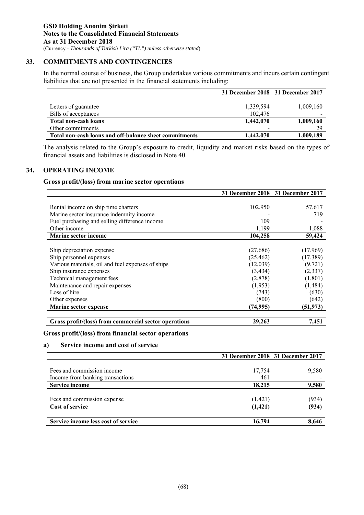# **33. COMMITMENTS AND CONTINGENCIES**

In the normal course of business, the Group undertakes various commitments and incurs certain contingent liabilities that are not presented in the financial statements including:

|                                                        |           | 31 December 2018 31 December 2017 |
|--------------------------------------------------------|-----------|-----------------------------------|
|                                                        |           |                                   |
| Letters of guarantee                                   | 1,339,594 | 1,009,160                         |
| Bills of acceptances                                   | 102.476   |                                   |
| <b>Total non-cash loans</b>                            | 1,442,070 | 1,009,160                         |
| Other commitments                                      | -         | 29                                |
| Total non-cash loans and off-balance sheet commitments | 1,442,070 | 1,009,189                         |

The analysis related to the Group's exposure to credit, liquidity and market risks based on the types of financial assets and liabilities is disclosed in Note 40.

### **34. OPERATING INCOME**

### **Gross profit/(loss) from marine sector operations**

|                                                       |           | 31 December 2018 31 December 2017 |
|-------------------------------------------------------|-----------|-----------------------------------|
|                                                       |           |                                   |
| Rental income on ship time charters                   | 102,950   | 57,617                            |
| Marine sector insurance indemnity income              |           | 719                               |
| Fuel purchasing and selling difference income         | 109       |                                   |
| Other income                                          | 1,199     | 1,088                             |
| <b>Marine sector income</b>                           | 104,258   | 59,424                            |
|                                                       |           |                                   |
| Ship depreciation expense                             | (27,686)  | (17,969)                          |
| Ship personnel expenses                               | (25, 462) | (17, 389)                         |
| Various materials, oil and fuel expenses of ships     | (12,039)  | (9, 721)                          |
| Ship insurance expenses                               | (3, 434)  | (2,337)                           |
| Technical management fees                             | (2,878)   | (1,801)                           |
| Maintenance and repair expenses                       | (1,953)   | (1,484)                           |
| Loss of hire                                          | (743)     | (630)                             |
| Other expenses                                        | (800)     | (642)                             |
| Marine sector expense                                 | (74, 995) | (51, 973)                         |
|                                                       |           |                                   |
| Gross profit/(loss) from commercial sector operations | 29,263    | 7,451                             |

### **Gross profit/(loss) from financial sector operations**

### **a) Service income and cost of service**

|                                     |          | 31 December 2018 31 December 2017 |
|-------------------------------------|----------|-----------------------------------|
|                                     |          |                                   |
| Fees and commission income          | 17,754   | 9,580                             |
| Income from banking transactions    | 461      |                                   |
| <b>Service income</b>               | 18,215   | 9,580                             |
|                                     |          |                                   |
| Fees and commission expense         | (1,421)  | (934)                             |
| Cost of service                     | (1, 421) | (934)                             |
|                                     |          |                                   |
| Service income less cost of service | 16,794   | 8,646                             |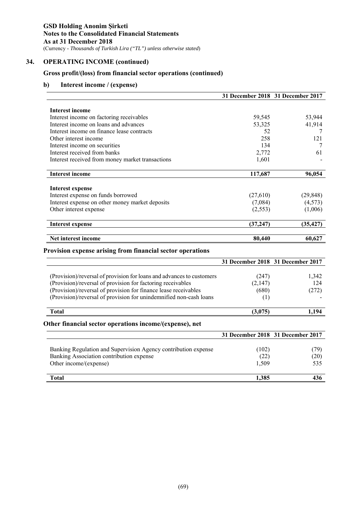# **34. OPERATING INCOME (continued)**

# **Gross profit/(loss) from financial sector operations (continued)**

# **b) Interest income / (expense)**

|                                                                       |                                   | 31 December 2018 31 December 2017 |
|-----------------------------------------------------------------------|-----------------------------------|-----------------------------------|
| <b>Interest income</b>                                                |                                   |                                   |
| Interest income on factoring receivables                              | 59,545                            | 53,944                            |
| Interest income on loans and advances                                 | 53,325                            | 41,914                            |
| Interest income on finance lease contracts                            | 52                                | 7                                 |
| Other interest income                                                 | 258                               | 121                               |
| Interest income on securities                                         | 134                               | 7                                 |
| Interest received from banks                                          | 2,772                             | 61                                |
| Interest received from money market transactions                      | 1,601                             |                                   |
| <b>Interest income</b>                                                | 117,687                           | 96,054                            |
|                                                                       |                                   |                                   |
| Interest expense<br>Interest expense on funds borrowed                | (27,610)                          | (29, 848)                         |
| Interest expense on other money market deposits                       | (7,084)                           | (4,573)                           |
| Other interest expense                                                | (2, 553)                          | (1,006)                           |
|                                                                       |                                   |                                   |
| <b>Interest expense</b>                                               | (37, 247)                         | (35, 427)                         |
| Net interest income                                                   | 80,440                            | 60,627                            |
| <b>Provision expense arising from financial sector operations</b>     |                                   |                                   |
|                                                                       |                                   | 31 December 2018 31 December 2017 |
|                                                                       |                                   |                                   |
| (Provision)/reversal of provision for loans and advances to customers | (247)                             | 1,342                             |
| (Provision)/reversal of provision for factoring receivables           | (2,147)                           | 124                               |
| (Provision)/reversal of provision for finance lease receivables       | (680)                             | (272)                             |
| (Provision)/reversal of provision for unindemnified non-cash loans    | (1)                               |                                   |
| <b>Total</b>                                                          | (3,075)                           | 1,194                             |
| Other financial sector operations income/(expense), net               |                                   |                                   |
|                                                                       | 31 December 2018 31 December 2017 |                                   |

|                                                                                                                                      | 51 DUUNINU 4910 -51 DUUNINU 4917 |                                  |
|--------------------------------------------------------------------------------------------------------------------------------------|----------------------------------|----------------------------------|
| Banking Regulation and Supervision Agency contribution expense<br>Banking Association contribution expense<br>Other income/(expense) | (102)<br>(22)<br>1.509           | 79`<br>$\left( 20\right)$<br>535 |
| <b>Total</b>                                                                                                                         | 1.385                            | 436                              |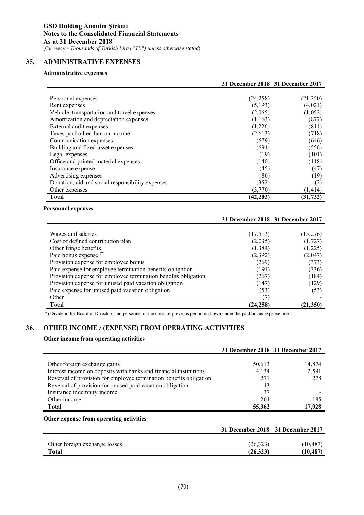# **35. ADMINISTRATIVE EXPENSES**

### **Administrative expenses**

|                                                  |           | 31 December 2018 31 December 2017 |
|--------------------------------------------------|-----------|-----------------------------------|
|                                                  |           |                                   |
| Personnel expenses                               | (24,258)  | (21,350)                          |
| Rent expenses                                    | (5,193)   | (4,021)                           |
| Vehicle, transportation and travel expenses      | (2,065)   | (1,052)                           |
| Amortization and depreciation expenses           | (1,163)   | (877)                             |
| External audit expenses                          | (1,226)   | (811)                             |
| Taxes paid other than on income                  | (2,613)   | (718)                             |
| Communication expenses                           | (579)     | (646)                             |
| Building and fixed-asset expenses                | (694)     | (556)                             |
| Legal expenses                                   | (19)      | (101)                             |
| Office and printed material expenses             | (140)     | (118)                             |
| Insurance expense                                | (45)      | (47)                              |
| Advertising expenses                             | (86)      | (19)                              |
| Donation, aid and social responsibility expenses | (352)     | (2)                               |
| Other expenses                                   | (3,770)   | (1, 414)                          |
| <b>Total</b>                                     | (42, 203) | (31, 732)                         |

### **Personnel expenses**

|                                                                |          | 31 December 2018 31 December 2017 |
|----------------------------------------------------------------|----------|-----------------------------------|
|                                                                |          |                                   |
| Wages and salaries                                             | (17,513) | (15,276)                          |
| Cost of defined contribution plan                              | (2,035)  | (1, 727)                          |
| Other fringe benefits                                          | (1, 384) | (1,225)                           |
| Paid bonus expense <sup>(*)</sup>                              | (2,392)  | (2,047)                           |
| Provision expense for employee bonus                           | (269)    | (373)                             |
| Paid expense for employee termination benefits obligation      | (191)    | (336)                             |
| Provision expense for employee termination benefits obligation | (267)    | (184)                             |
| Provision expense for unused paid vacation obligation          | (147)    | (129)                             |
| Paid expense for unused paid vacation obligation               | (53)     | (53)                              |
| Other                                                          |          |                                   |
| <b>Total</b>                                                   | (24,258) | (21, 350)                         |

(\*) Dividend for Board of Directors and personnel in the notes of previous period is shown under the paid bonus expense line

### **36. OTHER INCOME / (EXPENSE) FROM OPERATING ACTIVITIES**

### **Other income from operating activities**

|                                                                    | 31 December 2018 31 December 2017 |        |
|--------------------------------------------------------------------|-----------------------------------|--------|
|                                                                    |                                   |        |
| Other foreign exchange gains                                       | 50,613                            | 14,874 |
| Interest income on deposits with banks and financial institutions  | 4,134                             | 2,591  |
| Reversal of provision for employee termination benefits obligation | 271                               | 278    |
| Reversal of provision for unused paid vacation obligation          | 43                                |        |
| Insurance indemnity income                                         | 37                                |        |
| Other income                                                       | 264                               | 185    |
| Total                                                              | 55,362                            | 17.928 |

### **Other expense from operating activities**

|                               | 31 December 2018 31 December 2017 |        |
|-------------------------------|-----------------------------------|--------|
| Other foreign exchange losses | 26.323                            | 10.487 |
| Total                         | (26.323)                          | 10,487 |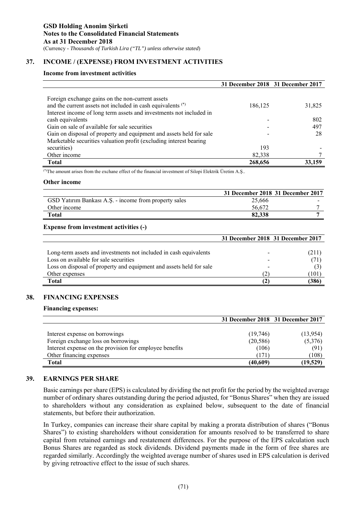# **37. INCOME / (EXPENSE) FROM INVESTMENT ACTIVITIES**

### **Income from investment activities**

|                                                                        |         | 31 December 2018 31 December 2017 |
|------------------------------------------------------------------------|---------|-----------------------------------|
|                                                                        |         |                                   |
| Foreign exchange gains on the non-current assets                       |         |                                   |
| and the current assets not included in cash equivalents <sup>(*)</sup> | 186,125 | 31,825                            |
| Interest income of long term assets and investments not included in    |         |                                   |
| cash equivalents                                                       |         | 802                               |
| Gain on sale of available for sale securities                          |         | 497                               |
| Gain on disposal of property and equipment and assets held for sale    |         | 28                                |
| Marketable securities valuation profit (excluding interest bearing     |         |                                   |
| securities)                                                            | 193     |                                   |
| Other income                                                           | 82,338  |                                   |
| <b>Total</b>                                                           | 268,656 | 33,159                            |

(\*)The amount arises from the exchane effect of the financial investment of Silopi Elektrik Üretim A.Ş..

#### **Other income**

|                                                       | 31 December 2018 31 December 2017 |  |
|-------------------------------------------------------|-----------------------------------|--|
| GSD Yatırım Bankası A.Ş. - income from property sales | 25,666                            |  |
| Other income                                          | 56,672                            |  |
| Total                                                 | 82,338                            |  |

### **Expense from investment activities (-)**

|                                                                     | 31 December 2018 31 December 2017 |       |
|---------------------------------------------------------------------|-----------------------------------|-------|
|                                                                     |                                   |       |
| Long-term assets and investments not included in cash equivalents   |                                   | (211) |
| Loss on available for sale securities                               |                                   |       |
| Loss on disposal of property and equipment and assets held for sale |                                   |       |
| Other expenses                                                      | '21                               | [101] |
| Total                                                               |                                   | 386   |

### **38. FINANCING EXPENSES**

### **Financing expenses:**

|                                                         | 31 December 2018 31 December 2017 |           |
|---------------------------------------------------------|-----------------------------------|-----------|
|                                                         |                                   |           |
| Interest expense on borrowings                          | (19,746)                          | (13, 954) |
| Foreign exchange loss on borrowings                     | (20, 586)                         | (5,376)   |
| Interest expense on the provision for employee benefits | (106)                             | (91)      |
| Other financing expenses                                | (171)                             | (108)     |
| <b>Total</b>                                            | (40, 609)                         | (19, 529) |

### **39. EARNINGS PER SHARE**

Basic earnings per share (EPS) is calculated by dividing the net profit for the period by the weighted average number of ordinary shares outstanding during the period adjusted, for "Bonus Shares" when they are issued to shareholders without any consideration as explained below, subsequent to the date of financial statements, but before their authorization.

In Turkey, companies can increase their share capital by making a prorata distribution of shares ("Bonus Shares") to existing shareholders without consideration for amounts resolved to be transferred to share capital from retained earnings and restatement differences. For the purpose of the EPS calculation such Bonus Shares are regarded as stock dividends. Dividend payments made in the form of free shares are regarded similarly. Accordingly the weighted average number of shares used in EPS calculation is derived by giving retroactive effect to the issue of such shares.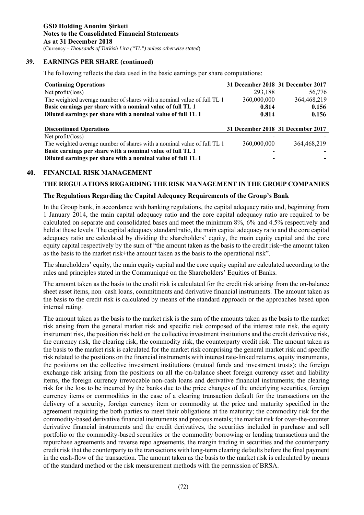# **39. EARNINGS PER SHARE (continued)**

The following reflects the data used in the basic earnings per share computations:

| <b>Continuing Operations</b>                                            |             | 31 December 2018 31 December 2017 |
|-------------------------------------------------------------------------|-------------|-----------------------------------|
| Net $profit/(\text{loss})$                                              | 293,188     | 56,776                            |
| The weighted average number of shares with a nominal value of full TL 1 | 360,000,000 | 364,468,219                       |
| Basic earnings per share with a nominal value of full TL 1              | 0.814       | 0.156                             |
| Diluted earnings per share with a nominal value of full TL 1            | 0.814       | 0.156                             |
|                                                                         |             |                                   |
| <b>Discontinued Operations</b>                                          |             | 31 December 2018 31 December 2017 |
| Net $profit/(\text{loss})$                                              |             |                                   |
| The weighted average number of shares with a nominal value of full TL 1 | 360,000,000 | 364, 468, 219                     |
| Basic earnings per share with a nominal value of full TL 1              |             |                                   |
| Diluted earnings per share with a nominal value of full TL 1            |             |                                   |

### **40. FINANCIAL RISK MANAGEMENT**

### **THE REGULATIONS REGARDING THE RISK MANAGEMENT IN THE GROUP COMPANIES**

### **The Regulations Regarding the Capital Adequacy Requirements of the Group's Bank**

In the Group bank, in accordance with banking regulations, the capital adequacy ratio and, beginning from 1 January 2014, the main capital adequacy ratio and the core capital adequacy ratio are required to be calculated on separate and consolidated bases and meet the minimum 8%, 6% and 4.5% respectively and held at these levels. The capital adequacy standard ratio, the main capital adequacy ratio and the core capital adequacy ratio are calculated by dividing the shareholders' equity, the main equity capital and the core equity capital respectively by the sum of "the amount taken as the basis to the credit risk+the amount taken as the basis to the market risk+the amount taken as the basis to the operational risk".

The shareholders' equity, the main equity capital and the core equity capital are calculated according to the rules and principles stated in the Communiqué on the Shareholders' Equities of Banks.

The amount taken as the basis to the credit risk is calculated for the credit risk arising from the on-balance sheet asset items, non–cash loans, commitments and derivative financial instruments. The amount taken as the basis to the credit risk is calculated by means of the standard approach or the approaches based upon internal rating.

The amount taken as the basis to the market risk is the sum of the amounts taken as the basis to the market risk arising from the general market risk and specific risk composed of the interest rate risk, the equity instrument risk, the position risk held on the collective investment institutions and the credit derivative risk, the currency risk, the clearing risk, the commodity risk, the counterparty credit risk. The amount taken as the basis to the market risk is calculated for the market risk comprising the general market risk and specific risk related to the positions on the financial instruments with interest rate-linked returns, equity instruments, the positions on the collective investment institutions (mutual funds and investment trusts); the foreign exchange risk arising from the positions on all the on-balance sheet foreign currency asset and liability items, the foreign currency irrevocable non-cash loans and derivative financial instruments; the clearing risk for the loss to be incurred by the banks due to the price changes of the underlying securities, foreign currency items or commodities in the case of a clearing transaction default for the transactions on the delivery of a security, foreign currency item or commodity at the price and maturity specified in the agreement requiring the both parties to meet their obligations at the maturity; the commodity risk for the commodity-based derivative financial instruments and precious metals; the market risk for over-the-counter derivative financial instruments and the credit derivatives, the securities included in purchase and sell portfolio or the commodity-based securities or the commodity borrowing or lending transactions and the repurchase agreements and reverse repo agreements, the margin trading in securities and the counterparty credit risk that the counterparty to the transactions with long-term clearing defaults before the final payment in the cash-flow of the transaction. The amount taken as the basis to the market risk is calculated by means of the standard method or the risk measurement methods with the permission of BRSA.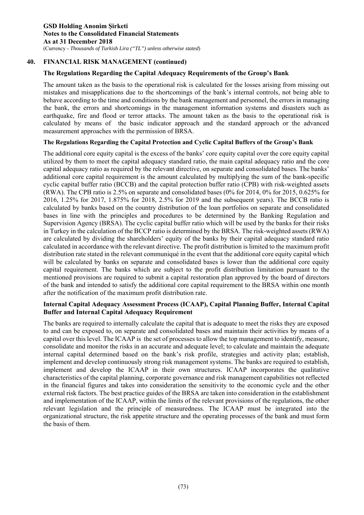# **The Regulations Regarding the Capital Adequacy Requirements of the Group's Bank**

The amount taken as the basis to the operational risk is calculated for the losses arising from missing out mistakes and misapplications due to the shortcomings of the bank's internal controls, not being able to behave according to the time and conditions by the bank management and personnel, the errors in managing the bank, the errors and shortcomings in the management information systems and disasters such as earthquake, fire and flood or terror attacks. The amount taken as the basis to the operational risk is calculated by means of the basic indicator approach and the standard approach or the advanced measurement approaches with the permission of BRSA.

### **The Regulations Regarding the Capital Protection and Cyclic Capital Buffers of the Group's Bank**

The additional core equity capital is the excess of the banks' core equity capital over the core equity capital utilized by them to meet the capital adequacy standard ratio, the main capital adequacy ratio and the core capital adequacy ratio as required by the relevant directive, on separate and consolidated bases. The banks' additional core capital requirement is the amount calculated by multiplying the sum of the bank-specific cyclic capital buffer ratio (BCCB) and the capital protection buffer ratio (CPB) with risk-weighted assets (RWA). The CPB ratio is 2.5% on separate and consolidated bases (0% for 2014, 0% for 2015, 0.625% for 2016, 1.25% for 2017, 1.875% for 2018, 2.5% for 2019 and the subsequent years). The BCCB ratio is calculated by banks based on the country distribution of the loan portfolios on separate and consolidated bases in line with the principles and procedures to be determined by the Banking Regulation and Supervision Agency (BRSA). The cyclic capital buffer ratio which will be used by the banks for their risks in Turkey in the calculation of the BCCP ratio is determined by the BRSA. The risk-weighted assets (RWA) are calculated by dividing the shareholders' equity of the banks by their capital adequacy standard ratio calculated in accordance with the relevant directive. The profit distribution is limited to the maximum profit distribution rate stated in the relevant communiqué in the event that the additional core equity capital which will be calculated by banks on separate and consolidated bases is lower than the additional core equity capital requirement. The banks which are subject to the profit distribution limitation pursuant to the mentioned provisions are required to submit a capital restoration plan approved by the board of directors of the bank and intended to satisfy the additional core capital requirement to the BRSA within one month after the notification of the maximum profit distribution rate.

### **Internal Capital Adequacy Assessment Process (ICAAP), Capital Planning Buffer, Internal Capital Buffer and Internal Capital Adequacy Requirement**

The banks are required to internally calculate the capital that is adequate to meet the risks they are exposed to and can be exposed to, on separate and consolidated bases and maintain their activities by means of a capital over this level. The ICAAP is the set of processes to allow the top management to identify, measure, consolidate and monitor the risks in an accurate and adequate level; to calculate and maintain the adequate internal capital determined based on the bank's risk profile, strategies and activity plan; establish, implement and develop continuously strong risk management systems. The banks are required to establish, implement and develop the ICAAP in their own structures. ICAAP incorporates the qualitative characteristics of the capital planning, corporate governance and risk management capabilities not reflected in the financial figures and takes into consideration the sensitivity to the economic cycle and the other external risk factors. The best practice guides of the BRSA are taken into consideration in the establishment and implementation of the ICAAP, within the limits of the relevant provisions of the regulations, the other relevant legislation and the principle of measuredness. The ICAAP must be integrated into the organizational structure, the risk appetite structure and the operating processes of the bank and must form the basis of them.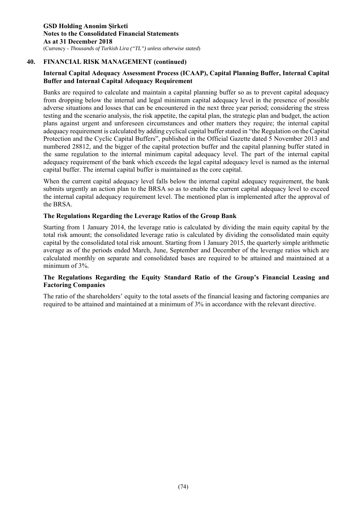# **Internal Capital Adequacy Assessment Process (ICAAP), Capital Planning Buffer, Internal Capital Buffer and Internal Capital Adequacy Requirement**

Banks are required to calculate and maintain a capital planning buffer so as to prevent capital adequacy from dropping below the internal and legal minimum capital adequacy level in the presence of possible adverse situations and losses that can be encountered in the next three year period; considering the stress testing and the scenario analysis, the risk appetite, the capital plan, the strategic plan and budget, the action plans against urgent and unforeseen circumstances and other matters they require; the internal capital adequacy requirement is calculated by adding cyclical capital buffer stated in "the Regulation on the Capital Protection and the Cyclic Capital Buffers", published in the Official Gazette dated 5 November 2013 and numbered 28812, and the bigger of the capital protection buffer and the capital planning buffer stated in the same regulation to the internal minimum capital adequacy level. The part of the internal capital adequacy requirement of the bank which exceeds the legal capital adequacy level is named as the internal capital buffer. The internal capital buffer is maintained as the core capital.

When the current capital adequacy level falls below the internal capital adequacy requirement, the bank submits urgently an action plan to the BRSA so as to enable the current capital adequacy level to exceed the internal capital adequacy requirement level. The mentioned plan is implemented after the approval of the BRSA.

### **The Regulations Regarding the Leverage Ratios of the Group Bank**

Starting from 1 January 2014, the leverage ratio is calculated by dividing the main equity capital by the total risk amount; the consolidated leverage ratio is calculated by dividing the consolidated main equity capital by the consolidated total risk amount. Starting from 1 January 2015, the quarterly simple arithmetic average as of the periods ended March, June, September and December of the leverage ratios which are calculated monthly on separate and consolidated bases are required to be attained and maintained at a minimum of 3%.

# **The Regulations Regarding the Equity Standard Ratio of the Group's Financial Leasing and Factoring Companies**

The ratio of the shareholders' equity to the total assets of the financial leasing and factoring companies are required to be attained and maintained at a minimum of 3% in accordance with the relevant directive.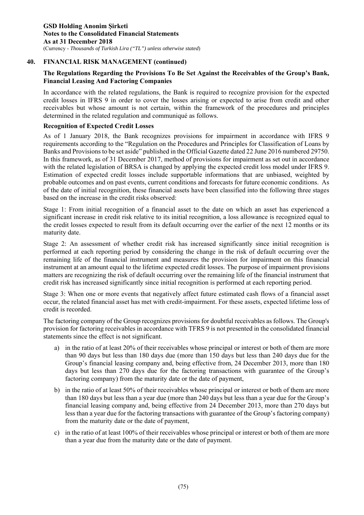# **The Regulations Regarding the Provisions To Be Set Against the Receivables of the Group's Bank, Financial Leasing And Factoring Companies**

In accordance with the related regulations, the Bank is required to recognize provision for the expected credit losses in IFRS 9 in order to cover the losses arising or expected to arise from credit and other receivables but whose amount is not certain, within the framework of the procedures and principles determined in the related regulation and communiqué as follows.

### **Recognition of Expected Credit Losses**

As of 1 January 2018, the Bank recognizes provisions for impairment in accordance with IFRS 9 requirements according to the "Regulation on the Procedures and Principles for Classification of Loans by Banks and Provisions to be set aside" published in the Official Gazette dated 22 June 2016 numbered 29750. In this framework, as of 31 December 2017, method of provisions for impairment as set out in accordance with the related legislation of BRSA is changed by applying the expected credit loss model under IFRS 9. Estimation of expected credit losses include supportable informations that are unbiased, weighted by probable outcomes and on past events, current conditions and forecasts for future economic conditions. As of the date of initial recognition, these financial assets have been classified into the following three stages based on the increase in the credit risks observed:

Stage 1: From initial recognition of a financial asset to the date on which an asset has experienced a significant increase in credit risk relative to its initial recognition, a loss allowance is recognized equal to the credit losses expected to result from its default occurring over the earlier of the next 12 months or its maturity date.

Stage 2: An assessment of whether credit risk has increased significantly since initial recognition is performed at each reporting period by considering the change in the risk of default occurring over the remaining life of the financial instrument and measures the provision for impairment on this financial instrument at an amount equal to the lifetime expected credit losses. The purpose of impairment provisions matters are recognizing the risk of default occurring over the remaining life of the financial instrument that credit risk has increased significantly since initial recognition is performed at each reporting period.

Stage 3: When one or more events that negatively affect future estimated cash flows of a financial asset occur, the related financial asset has met with credit-impairment. For these assets, expected lifetime loss of credit is recorded.

The factoring company of the Group recognizes provisions for doubtful receivables as follows. The Group's provision for factoring receivables in accordance with TFRS 9 is not presented in the consolidated financial statements since the effect is not significant.

- a) in the ratio of at least 20% of their receivables whose principal or interest or both of them are more than 90 days but less than 180 days due (more than 150 days but less than 240 days due for the Group's financial leasing company and, being effective from, 24 December 2013, more than 180 days but less than 270 days due for the factoring transactions with guarantee of the Group's factoring company) from the maturity date or the date of payment,
- b) in the ratio of at least 50% of their receivables whose principal or interest or both of them are more than 180 days but less than a year due (more than 240 days but less than a year due for the Group's financial leasing company and, being effective from 24 December 2013, more than 270 days but less than a year due for the factoring transactions with guarantee of the Group's factoring company) from the maturity date or the date of payment,
- c) in the ratio of at least 100% of their receivables whose principal or interest or both of them are more than a year due from the maturity date or the date of payment.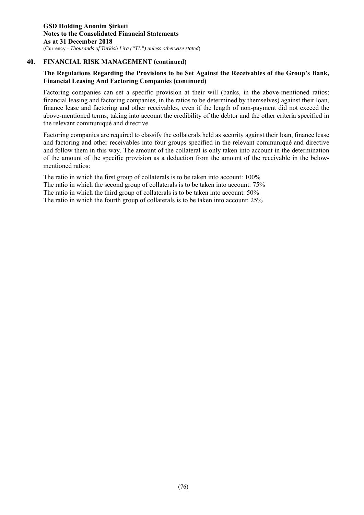# **The Regulations Regarding the Provisions to be Set Against the Receivables of the Group's Bank, Financial Leasing And Factoring Companies (continued)**

Factoring companies can set a specific provision at their will (banks, in the above-mentioned ratios; financial leasing and factoring companies, in the ratios to be determined by themselves) against their loan, finance lease and factoring and other receivables, even if the length of non-payment did not exceed the above-mentioned terms, taking into account the credibility of the debtor and the other criteria specified in the relevant communiqué and directive.

Factoring companies are required to classify the collaterals held as security against their loan, finance lease and factoring and other receivables into four groups specified in the relevant communiqué and directive and follow them in this way. The amount of the collateral is only taken into account in the determination of the amount of the specific provision as a deduction from the amount of the receivable in the belowmentioned ratios:

The ratio in which the first group of collaterals is to be taken into account: 100% The ratio in which the second group of collaterals is to be taken into account: 75% The ratio in which the third group of collaterals is to be taken into account: 50% The ratio in which the fourth group of collaterals is to be taken into account: 25%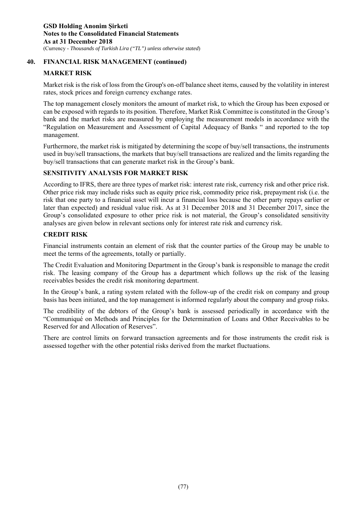# **MARKET RISK**

Market risk is the risk of loss from the Group's on-off balance sheet items, caused by the volatility in interest rates, stock prices and foreign currency exchange rates.

The top management closely monitors the amount of market risk, to which the Group has been exposed or can be exposed with regards to its position. Therefore, Market Risk Committee is constituted in the Group's bank and the market risks are measured by employing the measurement models in accordance with the "Regulation on Measurement and Assessment of Capital Adequacy of Banks " and reported to the top management.

Furthermore, the market risk is mitigated by determining the scope of buy/sell transactions, the instruments used in buy/sell transactions, the markets that buy/sell transactions are realized and the limits regarding the buy/sell transactions that can generate market risk in the Group's bank.

# **SENSITIVITY ANALYSIS FOR MARKET RISK**

According to IFRS, there are three types of market risk: interest rate risk, currency risk and other price risk. Other price risk may include risks such as equity price risk, commodity price risk, prepayment risk (i.e. the risk that one party to a financial asset will incur a financial loss because the other party repays earlier or later than expected) and residual value risk. As at 31 December 2018 and 31 December 2017, since the Group's consolidated exposure to other price risk is not material, the Group's consolidated sensitivity analyses are given below in relevant sections only for interest rate risk and currency risk.

# **CREDIT RISK**

Financial instruments contain an element of risk that the counter parties of the Group may be unable to meet the terms of the agreements, totally or partially.

The Credit Evaluation and Monitoring Department in the Group's bank is responsible to manage the credit risk. The leasing company of the Group has a department which follows up the risk of the leasing receivables besides the credit risk monitoring department.

In the Group's bank, a rating system related with the follow-up of the credit risk on company and group basis has been initiated, and the top management is informed regularly about the company and group risks.

The credibility of the debtors of the Group's bank is assessed periodically in accordance with the "Communiqué on Methods and Principles for the Determination of Loans and Other Receivables to be Reserved for and Allocation of Reserves".

There are control limits on forward transaction agreements and for those instruments the credit risk is assessed together with the other potential risks derived from the market fluctuations.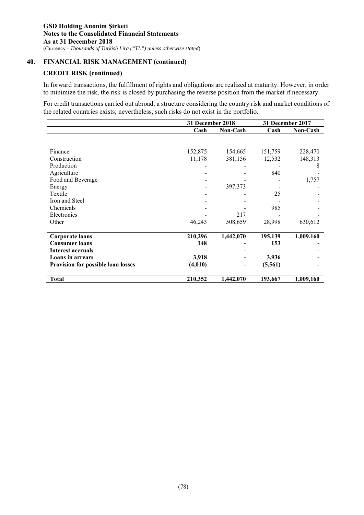# **CREDIT RISK (continued)**

In forward transactions, the fulfillment of rights and obligations are realized at maturity. However, in order to minimize the risk, the risk is closed by purchasing the reverse position from the market if necessary.

For credit transactions carried out abroad, a structure considering the country risk and market conditions of the related countries exists; nevertheless, such risks do not exist in the portfolio.

|                                    | 31 December 2018 |           |          | 31 December 2017 |
|------------------------------------|------------------|-----------|----------|------------------|
|                                    | Cash             | Non-Cash  | Cash     | <b>Non-Cash</b>  |
|                                    |                  |           |          |                  |
|                                    |                  |           |          |                  |
| Finance                            | 152,875          | 154,665   | 151,759  | 228,470          |
| Construction                       | 11,178           | 381,156   | 12,532   | 148,313          |
| Production                         |                  |           |          | 8                |
| Agriculture                        |                  |           | 840      |                  |
| Food and Beverage                  |                  |           |          | 1,757            |
| Energy                             |                  | 397,373   |          |                  |
| Textile                            |                  |           | 25       |                  |
| Iron and Steel                     |                  |           |          |                  |
| Chemicals                          |                  |           | 985      |                  |
| Electronics                        |                  | 217       |          |                  |
| Other                              | 46,243           | 508,659   | 28,998   | 630,612          |
|                                    |                  |           |          |                  |
| <b>Corporate loans</b>             | 210,296          | 1,442,070 | 195,139  | 1,009,160        |
| <b>Consumer loans</b>              | 148              |           | 153      |                  |
| <b>Interest accruals</b>           |                  |           |          |                  |
| <b>Loans in arrears</b>            | 3,918            |           | 3,936    |                  |
| Provision for possible loan losses | (4,010)          | -         | (5, 561) |                  |
|                                    |                  |           |          |                  |
| <b>Total</b>                       | 210,352          | 1,442,070 | 193,667  | 1,009,160        |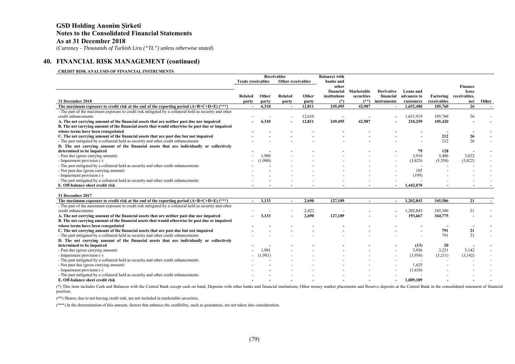# **GSD Holding Anonim Şirketi Notes to the Consolidated Financial Statements As at 31 December 2018**

(Currency - *Thousands of Turkish Lira ("TL") unless otherwise stated*)

### **40. FINANCIAL RISK MANAGEMENT (continued)**

#### **CREDIT RISK ANALYSIS OF FINANCIAL INSTRUMENTS**

|                                                                                                        |                          |         | <b>Receivables</b>       |        | <b>Balances with</b> |                          |                   |             |             |              |       |
|--------------------------------------------------------------------------------------------------------|--------------------------|---------|--------------------------|--------|----------------------|--------------------------|-------------------|-------------|-------------|--------------|-------|
|                                                                                                        | <b>Trade receivables</b> |         | Other receivables        |        | banks and            |                          |                   |             |             |              |       |
|                                                                                                        |                          |         |                          |        | other                |                          |                   |             |             | Finance      |       |
|                                                                                                        |                          |         |                          |        | financial            | Marketable               | <b>Derivative</b> | Loans and   |             | lease        |       |
|                                                                                                        | Related                  | Other   | Related                  | Other  | institutions         | securities               | financial         | advances to | Factoring   | receivables, |       |
| 31 December 2018                                                                                       | party                    | party   | party                    | party  | $(*)$                |                          | instruments       | customers   | receivables | net          | Other |
| The maximum exposure to credit risk at the end of the reporting period $(A+B+C+D+E)$ (***)             |                          | 6,310   | $\overline{a}$           | 12,811 | 249,495              | 42,987                   |                   | 1,652,408   | 105,760     | 26           |       |
| - The part of the maximum exposure to credit risk mitigated by a collateral held as security and other |                          |         |                          |        |                      |                          |                   |             |             |              |       |
| credit enhancements                                                                                    |                          |         | $\overline{\phantom{a}}$ | 12,610 |                      |                          |                   | 1,651,919   | 105,760     | 26           |       |
| A. The net carrying amount of the financial assets that are neither past due nor impaired              |                          | 6,310   |                          | 12,811 | 249,495              | 42,987                   |                   | 210,259     | 105,420     |              |       |
| B. The net carrying amount of the financial assets that would otherwise be past due or impaired        |                          |         |                          |        |                      |                          |                   |             |             |              |       |
| whose terms have been renegotiated                                                                     |                          |         |                          |        |                      |                          |                   |             |             |              |       |
| C. The net carrying amount of the financial assets that are past due but not impaired                  |                          |         |                          |        |                      |                          |                   |             | 212         | 26           |       |
| - The part mitigated by a collateral held as security and other credit enhancements                    |                          |         |                          |        |                      |                          |                   |             | 212         | 26           |       |
| D. The net carrying amount of the financial assets that are individually or collectively               |                          |         |                          |        |                      |                          |                   |             |             |              |       |
| determined to be impaired                                                                              |                          |         |                          |        |                      |                          |                   | 79          | 128         |              |       |
| - Past due (gross carrying amount)                                                                     |                          | 1.980   |                          |        |                      |                          |                   | 3,918       | 5,486       | 3,822        |       |
| - Impairment provision (-)                                                                             |                          | (1,980) |                          |        |                      |                          | $\sim$            | (3,825)     | (5,358)     | (3,822)      |       |
| - The part mitigated by a collateral held as security and other credit enhancements                    |                          |         |                          |        |                      |                          |                   |             |             |              |       |
| - Not past due (gross carrying amount)                                                                 |                          |         |                          |        |                      |                          |                   | 185         |             |              |       |
| - Impairment provision (-)                                                                             |                          |         |                          |        |                      |                          |                   | (199)       |             |              |       |
| - The part mitigated by a collateral held as security and other credit enhancements                    |                          |         |                          |        |                      | $\overline{\phantom{a}}$ |                   |             |             |              |       |
| E. Off-balance sheet credit risk                                                                       |                          |         |                          |        |                      |                          |                   | 1,442,070   |             |              |       |
|                                                                                                        |                          |         |                          |        |                      |                          |                   |             |             |              |       |
| 31 December 2017                                                                                       |                          |         |                          |        |                      |                          |                   |             |             |              |       |
| The maximum exposure to credit risk at the end of the reporting period $(A+B+C+D+E)$ (***)             |                          | 3,133   | $\overline{\phantom{a}}$ | 2,690  | 127,189              |                          |                   | 1,202,843   | 345,586     | 21           |       |

| The maximum exposure to credit risk at the end of the reporting period $(A+B+C+D+E)$ (***)             | $\overline{\phantom{0}}$ | 3,133       |                          | 2.690 | 127,189 |                          |        | 1.202.843                | 345,586 |         |                          |
|--------------------------------------------------------------------------------------------------------|--------------------------|-------------|--------------------------|-------|---------|--------------------------|--------|--------------------------|---------|---------|--------------------------|
| - The part of the maximum exposure to credit risk mitigated by a collateral held as security and other |                          |             |                          |       |         |                          |        |                          |         |         |                          |
| credit enhancements                                                                                    |                          |             |                          | 2,422 |         |                          |        | 1.202.843                | 345,586 | 21      |                          |
| A. The net carrying amount of the financial assets that are neither past due nor impaired              | $\sim$                   | 3.133       |                          | 2,690 | 127,189 | $\overline{\phantom{0}}$ |        | 193.667                  | 344,775 |         |                          |
| B. The net carrying amount of the financial assets that would otherwise be past due or impaired        |                          |             |                          |       |         |                          |        |                          |         |         |                          |
| whose terms have been renegotiated                                                                     |                          |             |                          |       |         |                          |        |                          |         |         |                          |
| C. The net carrying amount of the financial assets that are past due but not impaired                  |                          |             | $\overline{\phantom{0}}$ |       |         | $\overline{\phantom{0}}$ | $\sim$ |                          | 791     |         |                          |
| - The part mitigated by a collateral held as security and other credit enhancements                    |                          |             |                          |       |         |                          |        | $\overline{\phantom{a}}$ | 791     | 21      |                          |
| D. The net carrying amount of the financial assets that are individually or collectively               |                          |             |                          |       |         |                          |        |                          |         |         |                          |
| determined to be impaired                                                                              |                          |             |                          |       |         |                          |        | (13)                     | 20      |         |                          |
| - Past due (gross carrying amount)                                                                     | $\overline{\phantom{0}}$ | 1.981       |                          |       |         |                          |        | 3,936                    | 3,231   | 3,142   | $\overline{\phantom{0}}$ |
| - Impairment provision (-)                                                                             |                          | $- (1,981)$ | $\overline{\phantom{a}}$ |       |         | $\overline{\phantom{0}}$ |        | (3,936)                  | (3,211) | (3,142) |                          |
| - The part mitigated by a collateral held as security and other credit enhancements                    |                          |             |                          |       |         |                          |        | . .                      |         |         |                          |
| - Not past due (gross carrying amount)                                                                 |                          |             |                          |       |         |                          |        | 1.625                    |         |         |                          |
| - Impairment provision (-)                                                                             |                          |             |                          |       |         |                          |        | (1,638)                  |         |         |                          |
| - The part mitigated by a collateral held as security and other credit enhancements                    |                          |             |                          |       |         |                          |        |                          |         |         |                          |
| E. Off-balance sheet credit risk                                                                       |                          |             |                          |       |         |                          |        | 1.009.189                |         |         |                          |

(\*) This item includes Cash and Balances with the Central Bank except cash on hand, Deposits with other banks and financial institutions, Other money market placements and Reserve deposits at the Central Bank in the consol position.

(\*\*) Shares, due to not having credit risk, are not included in marketable securities.

(\*\*\*) In the determination of this amount, factors that enhance the credibility, such as guarantees, are not taken into consideration.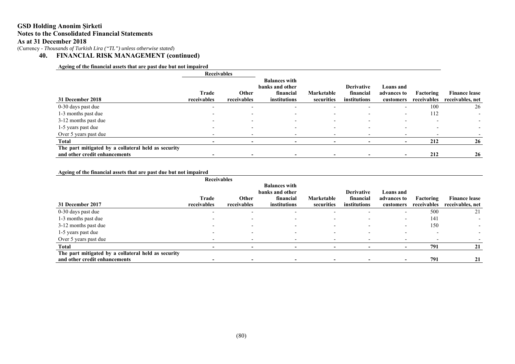### **GSD Holding Anonim Şirketi Notes to the Consolidated Financial Statements As at 31 December 2018**

(Currency - *Thousands of Turkish Lira ("TL") unless otherwise stated*)

**40. FINANCIAL RISK MANAGEMENT (continued)** 

### **Ageing of the financial assets that are past due but not impaired**

|                                                     | <b>Receivables</b>       |                          |                                         |                          |                           |                          |                          |                                          |
|-----------------------------------------------------|--------------------------|--------------------------|-----------------------------------------|--------------------------|---------------------------|--------------------------|--------------------------|------------------------------------------|
|                                                     |                          |                          | <b>Balances with</b><br>banks and other |                          | <b>Derivative</b>         | Loans and                |                          |                                          |
| 31 December 2018                                    | Trade<br>receivables     | Other<br>receivables     | financial<br>institutions               | Marketable<br>securities | financial<br>institutions | advances to<br>customers | Factoring<br>receivables | <b>Finance lease</b><br>receivables, net |
| 0-30 days past due                                  | $\overline{\phantom{a}}$ | $\overline{\phantom{0}}$ | $\overline{\phantom{0}}$                | $\overline{\phantom{0}}$ | $\overline{\phantom{0}}$  | $\overline{\phantom{0}}$ | 100                      | 26                                       |
| 1-3 months past due                                 |                          | $\overline{\phantom{0}}$ |                                         |                          | -                         | $\overline{\phantom{0}}$ | 112                      |                                          |
| 3-12 months past due                                |                          | $\overline{\phantom{0}}$ |                                         |                          | $\overline{\phantom{0}}$  | $\overline{\phantom{0}}$ |                          |                                          |
| 1-5 years past due                                  | $\overline{\phantom{a}}$ | $\overline{\phantom{a}}$ |                                         | $\overline{\phantom{0}}$ | $\overline{\phantom{a}}$  | $\overline{\phantom{0}}$ |                          |                                          |
| Over 5 years past due                               | $\overline{\phantom{a}}$ | $\overline{\phantom{0}}$ |                                         |                          |                           | $\overline{\phantom{0}}$ |                          |                                          |
| <b>Total</b>                                        |                          | $\overline{\phantom{a}}$ | $\overline{\phantom{0}}$                |                          |                           | $\overline{\phantom{a}}$ | 212                      | 26                                       |
| The part mitigated by a collateral held as security |                          |                          |                                         |                          |                           |                          |                          |                                          |
| and other credit enhancements                       |                          | $\blacksquare$           |                                         | $\overline{\phantom{0}}$ |                           | $\overline{\phantom{a}}$ | 212                      | 26                                       |

#### **Ageing of the financial assets that are past due but not impaired**

|                                                     | <b>Receivables</b>       |                          |                                         |                          |                          |                          |             |                      |
|-----------------------------------------------------|--------------------------|--------------------------|-----------------------------------------|--------------------------|--------------------------|--------------------------|-------------|----------------------|
|                                                     |                          |                          | <b>Balances with</b><br>banks and other |                          | <b>Derivative</b>        | <b>Loans</b> and         |             |                      |
|                                                     | Trade                    | Other                    | financial                               | Marketable               | financial                | advances to              | Factoring   | <b>Finance lease</b> |
| 31 December 2017                                    | receivables              | receivables              | institutions                            | securities               | institutions             | customers                | receivables | receivables, net     |
| 0-30 days past due                                  | $\overline{\phantom{a}}$ | $\overline{\phantom{a}}$ | $\overline{\phantom{0}}$                |                          |                          | $\overline{\phantom{0}}$ | 500         | 21                   |
| 1-3 months past due                                 |                          |                          |                                         |                          |                          | $\overline{\phantom{0}}$ | 141         |                      |
| 3-12 months past due                                |                          | $\overline{\phantom{a}}$ |                                         |                          |                          | $\overline{\phantom{0}}$ | 150         |                      |
| 1-5 years past due                                  | $\overline{\phantom{a}}$ | $\overline{\phantom{a}}$ |                                         |                          | $\overline{\phantom{0}}$ | $\overline{\phantom{0}}$ |             |                      |
| Over 5 years past due                               | $\overline{\phantom{a}}$ |                          |                                         |                          |                          | $\overline{\phantom{0}}$ |             |                      |
| <b>Total</b>                                        | $\overline{\phantom{0}}$ | $\,$                     | $\overline{\phantom{0}}$                | $\overline{\phantom{0}}$ | $\overline{\phantom{a}}$ | $\overline{\phantom{a}}$ | 791         | 21                   |
| The part mitigated by a collateral held as security |                          |                          |                                         |                          |                          |                          |             |                      |
| and other credit enhancements                       |                          |                          |                                         |                          |                          |                          | 791         | 21                   |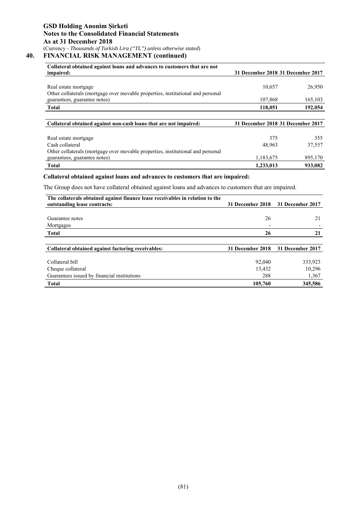# **40. FINANCIAL RISK MANAGEMENT (continued)**

| Collateral obtained against loans and advances to customers that are not<br>impaired:                           | 31 December 2018 31 December 2017 |               |
|-----------------------------------------------------------------------------------------------------------------|-----------------------------------|---------------|
| Real estate mortgage<br>Other collaterals (mortgage over movable properties, institutional and personal         | 10,657                            | 26,950        |
| guarantees, guarantee notes)                                                                                    | 107,868                           | 165,103       |
| <b>Total</b>                                                                                                    | 118,051                           | 192,054       |
|                                                                                                                 |                                   |               |
| Collateral obtained against non-cash loans that are not impaired:                                               | 31 December 2018 31 December 2017 |               |
|                                                                                                                 |                                   |               |
|                                                                                                                 |                                   |               |
| Real estate mortgage<br>Cash collateral                                                                         | 375<br>48,963                     | 355<br>37,557 |
| Other collaterals (mortgage over movable properties, institutional and personal<br>guarantees, guarantee notes) | 1,183,675                         | 895,170       |

### **Collateral obtained against loans and advances to customers that are impaired:**

The Group does not have collateral obtained against loans and advances to customers that are impaired.

| The collaterals obtained against finance lease receivables in relation to the |                  |                  |
|-------------------------------------------------------------------------------|------------------|------------------|
| outstanding lease contracts:                                                  | 31 December 2018 | 31 December 2017 |
|                                                                               |                  |                  |
| Guarantee notes                                                               | 26               |                  |
| Mortgages                                                                     |                  |                  |
| <b>Total</b>                                                                  | 26               | 21               |
|                                                                               |                  |                  |
| Collateral obtained against factoring receivables:                            | 31 December 2018 | 31 December 2017 |
|                                                                               |                  |                  |
| Collateral bill                                                               | 92,040           | 333,923          |
| Cheque collateral                                                             | 13,432           | 10,296           |
| Guarantees issued by financial institutions                                   | 288              | 1,367            |
| <b>Total</b>                                                                  | 105,760          | 345,586          |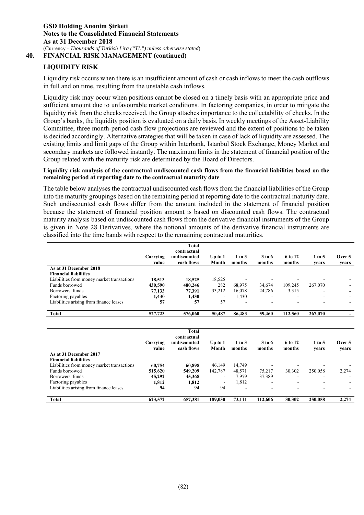**40. FINANCIAL RISK MANAGEMENT (continued)** 

# **LIQUIDITY RISK**

Liquidity risk occurs when there is an insufficient amount of cash or cash inflows to meet the cash outflows in full and on time, resulting from the unstable cash inflows.

Liquidity risk may occur when positions cannot be closed on a timely basis with an appropriate price and sufficient amount due to unfavourable market conditions. In factoring companies, in order to mitigate the liquidity risk from the checks received, the Group attaches importance to the collectability of checks. In the Group's banks, the liquidity position is evaluated on a daily basis. In weekly meetings of the Asset-Liability Committee, three month-period cash flow projections are reviewed and the extent of positions to be taken is decided accordingly. Alternative strategies that will be taken in case of lack of liquidity are assessed. The existing limits and limit gaps of the Group within Interbank, Istanbul Stock Exchange, Money Market and secondary markets are followed instantly. The maximum limits in the statement of financial position of the Group related with the maturity risk are determined by the Board of Directors.

### **Liquidity risk analysis of the contractual undiscounted cash flows from the financial liabilities based on the remaining period at reporting date to the contractual maturity date**

The table below analyses the contractual undiscounted cash flows from the financial liabilities of the Group into the maturity groupings based on the remaining period at reporting date to the contractual maturity date. Such undiscounted cash flows differ from the amount included in the statement of financial position because the statement of financial position amount is based on discounted cash flows. The contractual maturity analysis based on undiscounted cash flows from the derivative financial instruments of the Group is given in Note 28 Derivatives, where the notional amounts of the derivative financial instruments are classified into the time bands with respect to the remaining contractual maturities.

|                                            |          | <b>Total</b>                |                          |            |        |         |          |        |
|--------------------------------------------|----------|-----------------------------|--------------------------|------------|--------|---------|----------|--------|
|                                            | Carrying | contractual<br>undiscounted |                          | $1$ to $3$ | 3 to 6 | 6 to 12 | $1$ to 5 | Over 5 |
|                                            | value    | cash flows                  | Up to $1$<br>Month       | months     | months | months  | vears    | vears  |
| As at 31 December 2018                     |          |                             |                          |            |        |         |          |        |
| <b>Financial liabilities</b>               |          |                             |                          |            |        |         |          |        |
| Liabilities from money market transactions | 18,513   | 18.525                      | 18,525                   |            |        |         |          |        |
| Funds borrowed                             | 430,590  | 480,246                     | 282                      | 68,975     | 34,674 | 109,245 | 267,070  |        |
| Borrowers' funds                           | 77,133   | 77.391                      | 33,212                   | 16,078     | 24,786 | 3,315   |          |        |
| Factoring payables                         | 1,430    | 1,430                       | $\overline{\phantom{a}}$ | 1,430      |        |         |          |        |
| Liabilities arising from finance leases    | 57       | 57                          | 57                       |            |        |         |          |        |
|                                            |          |                             |                          |            |        |         |          |        |
| <b>Total</b>                               | 527,723  | 576,060                     | 50,487                   | 86,483     | 59,460 | 112,560 | 267,070  |        |
|                                            |          |                             |                          |            |        |         |          |        |
|                                            |          | <b>Total</b>                |                          |            |        |         |          |        |
|                                            |          | contractual                 |                          |            |        |         |          |        |
|                                            | Carrying | undiscounted                | $Up$ to $1$              | $1$ to $3$ | 3 to 6 | 6 to 12 | $1$ to 5 | Over 5 |
|                                            | value    | cash flows                  | Month                    | months     | months | months  | vears    | vears  |
| As at 31 December 2017                     |          |                             |                          |            |        |         |          |        |
| <b>Financial liabilities</b>               |          |                             |                          |            |        |         |          |        |
|                                            |          |                             |                          |            |        |         |          |        |
| Liabilities from money market transactions | 60,754   | 60.898                      | 46.149                   | 14,749     |        |         |          |        |
| Funds borrowed                             | 515,620  | 549,209                     | 142,787                  | 48,571     | 75,217 | 30,302  | 250,058  | 2,274  |
| Borrowers' funds                           | 45,292   | 45,368                      | $\overline{\phantom{a}}$ | 7,979      | 37,389 | -       |          |        |
| Factoring payables                         | 1,812    | 1,812                       |                          | 1,812      |        |         |          |        |
| Liabilities arising from finance leases    | 94       | 94                          | 94                       |            |        |         |          |        |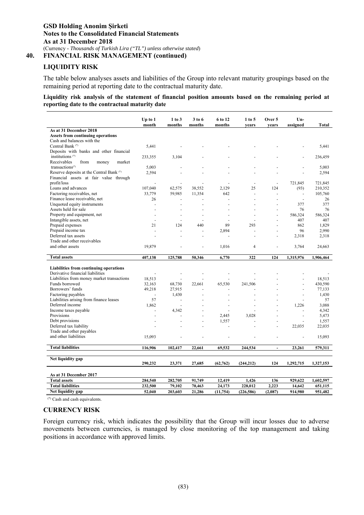**40. FINANCIAL RISK MANAGEMENT (continued)** 

# **LIQUIDITY RISK**

The table below analyses assets and liabilities of the Group into relevant maturity groupings based on the remaining period at reporting date to the contractual maturity date.

**Liquidity risk analysis of the statement of financial position amounts based on the remaining period at reporting date to the contractual maturity date** 

|                                               | Up to $1$<br>month | 1 to 3<br>months  | 3 to 6<br>months | 6 to 12<br>months    | $1$ to $5$<br>vears   | Over 5<br>vears  | Un-<br>assigned          | Total              |
|-----------------------------------------------|--------------------|-------------------|------------------|----------------------|-----------------------|------------------|--------------------------|--------------------|
| As at 31 December 2018                        |                    |                   |                  |                      |                       |                  |                          |                    |
| <b>Assets from continuing operations</b>      |                    |                   |                  |                      |                       |                  |                          |                    |
| Cash and balances with the                    |                    |                   |                  |                      |                       |                  |                          |                    |
| Central Bank <sup>(*)</sup>                   | 5,441              |                   |                  |                      |                       |                  |                          | 5,441              |
| Deposits with banks and other financial       |                    |                   |                  |                      |                       |                  |                          |                    |
| institutions <sup>(*)</sup>                   | 233,355            | 3,104             |                  |                      |                       |                  |                          | 236,459            |
| Receivables<br>from<br>market<br>money        |                    |                   |                  |                      |                       |                  |                          |                    |
| transactions <sup>(*)</sup>                   | 5.003              |                   |                  |                      |                       |                  |                          | 5.003              |
| Reserve deposits at the Central Bank (*)      | 2,594              |                   |                  |                      |                       |                  |                          | 2,594              |
| Financial assets at fair value through        |                    |                   |                  |                      |                       |                  |                          |                    |
| profit/loss                                   |                    | ÷.                |                  |                      | ÷.                    | ÷,               | 721,845                  | 721,845            |
| Loans and advances                            | 107,040            | 62,575            | 38,552           | 2,129                | 25                    | 124              | (93)                     | 210,352            |
| Factoring receivables, net                    | 33,779             | 59,985            | 11,354           | 642                  |                       |                  | $\overline{\phantom{a}}$ | 105,760            |
| Finance lease receivable, net                 | 26                 |                   |                  | $\overline{a}$       |                       |                  | ÷.                       | 26                 |
| Unquoted equity instruments                   |                    |                   |                  |                      |                       |                  | 377                      | 377                |
| Assets held for sale                          |                    |                   |                  |                      |                       |                  | 76                       | 76                 |
| Property and equipment, net                   |                    |                   |                  | $\ddot{\phantom{1}}$ |                       |                  | 586,324                  | 586,324            |
| Intangible assets, net                        |                    |                   |                  | $\overline{a}$       |                       |                  | 407                      | 407                |
| Prepaid expenses                              | 21                 | 124               | 440              | 89                   | 293                   |                  | 862                      | 1,829              |
| Prepaid income tax                            |                    |                   |                  | 2,894                |                       |                  | 96                       | 2,990              |
| Deferred tax assets                           |                    |                   |                  |                      |                       |                  | 2,318                    | 2,318              |
| Trade and other receivables                   |                    |                   |                  |                      |                       |                  |                          |                    |
| and other assets                              | 19,879             |                   |                  | 1,016                | 4                     |                  | 3,764                    | 24,663             |
|                                               |                    |                   | 50,346           | 6,770                | 322                   | 124              | 1,315,976                | 1,906,464          |
| <b>Total assets</b>                           | 407,138            | 125,788           |                  |                      |                       |                  |                          |                    |
|                                               |                    |                   |                  |                      |                       |                  |                          |                    |
| Liabilities from continuing operations        |                    |                   |                  |                      |                       |                  |                          |                    |
| Derivative financial liabilities              | ÷                  |                   |                  | ÷,                   |                       |                  |                          |                    |
| Liabilities from money market transactions    | 18,513             |                   |                  |                      |                       |                  |                          | 18,513             |
| Funds borrowed                                | 32,163             | 68,730            | 22,661           | 65,530               | 241,506               |                  | ä,                       | 430,590            |
| Borrowers' funds                              | 49,218             | 27,915            |                  |                      |                       |                  | $\overline{a}$           | 77,133             |
| Factoring payables                            | ÷,                 | 1,430             |                  |                      |                       |                  |                          | 1,430              |
| Liabilities arising from finance leases       | 57                 | $\sim$            |                  |                      |                       |                  | $\overline{\phantom{a}}$ | 57                 |
| Deferred income                               | 1,862              |                   |                  |                      |                       |                  | 1,226                    | 3,088              |
| Income taxes payable                          | L.                 | 4,342             |                  | ä,                   |                       |                  |                          | 4,342              |
| Provisions                                    |                    |                   |                  | 2,445                | 3,028                 |                  | $\overline{a}$           | 5,473              |
| Debt provisions                               |                    |                   |                  | 1,557                |                       |                  |                          | 1,557              |
| Deferred tax liability                        |                    |                   | $\overline{a}$   | ÷.                   |                       | $\overline{a}$   | 22,035                   | 22,035             |
| Trade and other payables                      |                    |                   |                  |                      |                       |                  |                          |                    |
| and other liabilities                         | 15,093             |                   |                  |                      |                       |                  | ÷.                       | 15,093             |
| <b>Total liabilities</b>                      | 116,906            | 102,417           | 22,661           | 69,532               | 244,534               | $\overline{a}$   | 23,261                   | 579,311            |
|                                               |                    |                   |                  |                      |                       |                  |                          |                    |
| Net liquidity gap                             |                    |                   |                  |                      |                       |                  |                          |                    |
|                                               | 290,232            | 23,371            | 27,685           | (62, 762)            | (244, 212)            | 124              | 1,292,715                | 1,327,153          |
|                                               |                    |                   |                  |                      |                       |                  |                          |                    |
| As at 31 December 2017                        |                    |                   |                  |                      |                       |                  |                          |                    |
| <b>Total assets</b>                           | 284,540            | 282,705           | 91,749           | 12,419               | 1,426                 | 136              | 929,622                  | 1,602,597          |
| <b>Total liabilities</b><br>Net liquidity gap | 232,500<br>52,040  | 79,102<br>203,603 | 70,463<br>21,286 | 24,173<br>(11, 754)  | 228,012<br>(226, 586) | 2,223<br>(2,087) | 14,642<br>914,980        | 651,115<br>951,482 |

(\*) Cash and cash equivalents.

### **CURRENCY RISK**

Foreign currency risk, which indicates the possibility that the Group will incur losses due to adverse movements between currencies, is managed by close monitoring of the top management and taking positions in accordance with approved limits.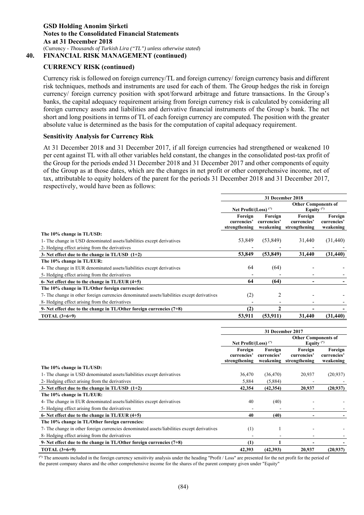# **CURRENCY RISK (continued)**

Currency risk is followed on foreign currency/TL and foreign currency/ foreign currency basis and different risk techniques, methods and instruments are used for each of them. The Group hedges the risk in foreign currency/ foreign currency position with spot/forward arbitrage and future transactions. In the Group's banks, the capital adequacy requirement arising from foreign currency risk is calculated by considering all foreign currency assets and liabilities and derivative financial instruments of the Group's bank. The net short and long positions in terms of TL of each foreign currency are computed. The position with the greater absolute value is determined as the basis for the computation of capital adequacy requirement.

### **Sensitivity Analysis for Currency Risk**

At 31 December 2018 and 31 December 2017, if all foreign currencies had strengthened or weakened 10 per cent against TL with all other variables held constant, the changes in the consolidated post-tax profit of the Group for the periods ended 31 December 2018 and 31 December 2017 and other components of equity of the Group as at those dates, which are the changes in net profit or other comprehensive income, net of tax, attributable to equity holders of the parent for the periods 31 December 2018 and 31 December 2017, respectively, would have been as follows:

|                                                                                             |                         |                        | 31 December 2018                           |                        |
|---------------------------------------------------------------------------------------------|-------------------------|------------------------|--------------------------------------------|------------------------|
|                                                                                             | Net Profit/(Loss) $(*)$ |                        | <b>Other Components of</b><br>Equity $(*)$ |                        |
|                                                                                             | Foreign<br>currencies'  | Foreign<br>currencies' | Foreign<br>currencies'                     | Foreign<br>currencies' |
|                                                                                             | strengthening           |                        | weakening strengthening                    | weakening              |
| The 10% change in TL/USD:                                                                   |                         |                        |                                            |                        |
| 1- The change in USD denominated assets/liabilities except derivatives                      | 53,849                  | (53, 849)              | 31,440                                     | (31, 440)              |
| 2- Hedging effect arising from the derivatives                                              |                         |                        |                                            |                        |
| 3- Net effect due to the change in $TL/USD$ $(1+2)$                                         | 53,849                  | (53, 849)              | 31,440                                     | (31, 440)              |
| The 10% change in TL/EUR:                                                                   |                         |                        |                                            |                        |
| 4- The change in EUR denominated assets/liabilities except derivatives                      | 64                      | (64)                   |                                            |                        |
| 5-Hedging effect arising from the derivatives                                               |                         |                        |                                            |                        |
| 6- Net effect due to the change in $TL/EUR$ (4+5)                                           | 64                      | (64)                   |                                            |                        |
| The 10% change in TL/Other foreign currencies:                                              |                         |                        |                                            |                        |
| 7- The change in other foreign currencies denominated assets/liabilities except derivatives | (2)                     | 2                      |                                            |                        |
| 8- Hedging effect arising from the derivatives                                              |                         |                        |                                            |                        |
| 9- Net effect due to the change in TL/Other foreign currencies (7+8)                        | (2)                     | $\mathbf{2}$           |                                            |                        |
| <b>TOTAL</b> $(3+6+9)$                                                                      | 53,911                  | (53, 911)              | 31,440                                     | (31, 440)              |

|                                                                                             |                                         |                        | 31 December 2017                                  |                                     |
|---------------------------------------------------------------------------------------------|-----------------------------------------|------------------------|---------------------------------------------------|-------------------------------------|
|                                                                                             | Net Profit/(Loss) $(*)$                 |                        | <b>Other Components of</b><br>Equity $(*)$        |                                     |
|                                                                                             | Foreign<br>currencies'<br>strengthening | Foreign<br>currencies' | Foreign<br>currencies'<br>weakening strengthening | Foreign<br>currencies'<br>weakening |
| The 10% change in TL/USD:                                                                   |                                         |                        |                                                   |                                     |
| 1- The change in USD denominated assets/liabilities except derivatives                      | 36,470                                  | (36, 470)              | 20,937                                            | (20, 937)                           |
| 2- Hedging effect arising from the derivatives                                              | 5,884                                   | (5,884)                |                                                   |                                     |
| 3- Net effect due to the change in $TL/USD$ $(1+2)$                                         | 42,354                                  | (42, 354)              | 20,937                                            | (20,937)                            |
| The 10% change in TL/EUR:                                                                   |                                         |                        |                                                   |                                     |
| 4- The change in EUR denominated assets/liabilities except derivatives                      | 40                                      | (40)                   |                                                   |                                     |
| 5-Hedging effect arising from the derivatives                                               |                                         |                        |                                                   |                                     |
| 6- Net effect due to the change in $TL/EUR$ (4+5)                                           | 40                                      | (40)                   |                                                   |                                     |
| The 10% change in TL/Other foreign currencies:                                              |                                         |                        |                                                   |                                     |
| 7- The change in other foreign currencies denominated assets/liabilities except derivatives | (1)                                     |                        |                                                   |                                     |
| 8- Hedging effect arising from the derivatives                                              |                                         |                        |                                                   |                                     |
| 9- Net effect due to the change in $TL/Other$ foreign currencies $(7+8)$                    | (1)                                     |                        |                                                   |                                     |
| <b>TOTAL</b> $(3+6+9)$                                                                      | 42,393                                  | (42,393)               | 20,937                                            | (20, 937)                           |

**(\*)** The amounts included in the foreign currency sensitivity analysis under the heading "Profit / Loss" are presented for the net profit for the period of the parent company shares and the other comprehensive income for the shares of the parent company given under "Equity"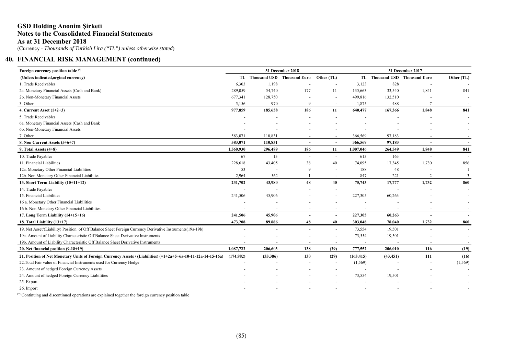# **GSD Holding Anonim Şirketi Notes to the Consolidated Financial Statements As at 31 December 2018**

(Currency - *Thousands of Turkish Lira ("TL") unless otherwise stated*)

# **40. FINANCIAL RISK MANAGEMENT (continued)**

| Foreign currency position table (*)                                                                                        |                          |          | 31 December 2018                         |                          |                          | 31 December 2017              |                          |            |
|----------------------------------------------------------------------------------------------------------------------------|--------------------------|----------|------------------------------------------|--------------------------|--------------------------|-------------------------------|--------------------------|------------|
| (Unless indicated, orginal currency)                                                                                       |                          |          | TL Thousand USD Thousand Euro Other (TL) |                          |                          | TL Thousand USD Thousand Euro |                          | Other (TL) |
| 1. Trade Receivables                                                                                                       | 6,303                    | 1,198    |                                          |                          | 3,123                    | 828                           |                          |            |
| 2a. Monetary Financial Assets (Cash and Bank)                                                                              | 289,059                  | 54,740   | 177                                      | 11                       | 135,663                  | 33,540                        | 1,841                    | 841        |
| 2b. Non-Monetary Financial Assets                                                                                          | 677,341                  | 128,750  |                                          | $\overline{\phantom{a}}$ | 499,816                  | 132,510                       |                          |            |
| 3. Other                                                                                                                   | 5,156                    | 970      | $\mathbf{Q}$                             | $\overline{\phantom{a}}$ | 1,875                    | 488                           |                          |            |
| 4. Current Asset $(1+2+3)$                                                                                                 | 977,859                  | 185,658  | 186                                      | 11                       | 640,477                  | 167,366                       | 1,848                    | 841        |
| 5. Trade Receivables                                                                                                       |                          |          |                                          |                          |                          |                               |                          | $\sim$     |
| 6a. Monetary Financial Assets (Cash and Bank                                                                               |                          |          |                                          |                          |                          |                               |                          |            |
| 6b. Non-Monetary Financial Assets                                                                                          |                          |          |                                          |                          |                          |                               |                          |            |
| 7. Other                                                                                                                   | 583,071                  | 110,831  |                                          |                          | 366,569                  | 97,183                        |                          |            |
| 8. Non Current Assets (5+6+7)                                                                                              | 583,071                  | 110,831  | $\sim$                                   | $\overline{\phantom{a}}$ | 366,569                  | 97,183                        |                          | $\sim$     |
| 9. Total Assets $(4+8)$                                                                                                    | 1,560,930                | 296,489  | 186                                      | 11                       | 1,007,046                | 264,549                       | 1,848                    | 841        |
| 10. Trade Payables                                                                                                         | 67                       | 13       | $\sim$                                   | $\overline{\phantom{a}}$ | 613                      | 163                           |                          |            |
| 11. Financial Liabilities                                                                                                  | 228,618                  | 43,405   | 38                                       | 40                       | 74,095                   | 17,345                        | 1,730                    | 856        |
| 12a. Monetary Other Financial Liabilities                                                                                  | 53                       |          | $\mathbf{Q}$                             | $\overline{\phantom{a}}$ | 188                      | 48                            |                          |            |
| 12b. Non Monetary Other Financial Liabilities                                                                              | 2,964                    | 562      |                                          | $\overline{\phantom{a}}$ | 847                      | 221                           | $\overline{2}$           | 3          |
| 13. Short Term Liability (10+11+12)                                                                                        | 231,702                  | 43,980   | 48                                       | 40                       | 75,743                   | 17,777                        | 1,732                    | 860        |
| 14. Trade Payables                                                                                                         | ÷.                       |          | ÷.                                       | $\sim$                   | $\sim$                   |                               |                          | $\sim$     |
| 15. Financial Liabilities                                                                                                  | 241,506                  | 45,906   |                                          |                          | 227,305                  | 60,263                        |                          |            |
| 16 a. Monetary Other Financial Liabilities                                                                                 |                          |          |                                          |                          |                          |                               |                          |            |
| 16 b. Non Monetary Other Financial Liabilities                                                                             |                          |          |                                          |                          |                          |                               |                          |            |
| 17. Long Term Liability (14+15+16)                                                                                         | 241,506                  | 45,906   | $\blacksquare$                           | $\overline{\phantom{a}}$ | 227,305                  | 60,263                        | $\overline{\phantom{a}}$ | $\sim$     |
| 18. Total Liability (13+17)                                                                                                | 473,208                  | 89,886   | 48                                       | 40                       | 303,048                  | 78,040                        | 1,732                    | 860        |
| 19. Net Asset/(Liability) Position of Off Balance Sheet Foreign Currency Derivative Instruments(19a-19b)                   | $\overline{\phantom{a}}$ |          | $\overline{a}$                           | $\sim$                   | 73,554                   | 19,501                        |                          | $\sim$     |
| 19a. Amount of Liability Characteristic Off Balance Sheet Derivative Instruments                                           |                          |          |                                          | $\sim$                   | 73,554                   | 19,501                        |                          | $\sim$     |
| 19b. Amount of Liability Characteristic Off Balance Sheet Derivative Instruments                                           | $\overline{\phantom{a}}$ |          | $\overline{\phantom{a}}$                 | $\overline{\phantom{a}}$ | $\overline{\phantom{a}}$ |                               |                          | $\sim$     |
| 20. Net financial position (9-18+19)                                                                                       | 1,087,722                | 206,603  | 138                                      | (29)                     | 777,552                  | 206,010                       | 116                      | (19)       |
| 21. Position of Net Monetary Units of Foreign Currency Assets / (Liabilities) $(=1+2a+5+6a-10-11-12a-14-15-16a)$ (174,882) |                          | (33,386) | 130                                      | (29)                     | (163, 415)               | (43, 451)                     | 111                      | (16)       |
| 22. Total Fair value of Financial Instruments used for Currency Hedge                                                      |                          |          |                                          | $\overline{\phantom{a}}$ | (1, 569)                 |                               |                          | (1,569)    |
| 23. Amount of hedged Foreign Currency Assets                                                                               |                          |          |                                          |                          |                          |                               |                          |            |
| 24. Amount of hedged Foreign Currency Liabilities                                                                          |                          |          |                                          |                          | 73,554                   | 19,501                        |                          |            |
| 25. Export                                                                                                                 |                          |          |                                          |                          |                          |                               |                          |            |
| 26. Import                                                                                                                 |                          |          |                                          |                          |                          |                               |                          |            |

(\*) Continuing and discontinued operations are explained together the foreign currency position table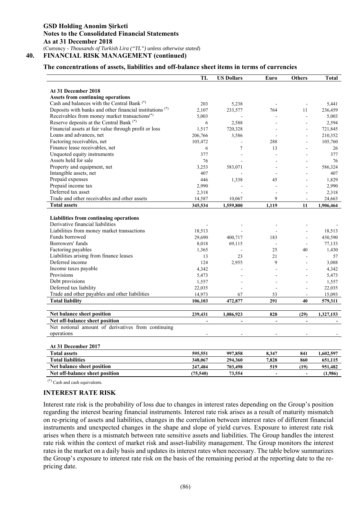# **The concentrations of assets, liabilities and off-balance sheet items in terms of currencies**

|                                                          | TL        | <b>US Dollars</b> | Euro           | <b>Others</b>  | <b>Total</b> |
|----------------------------------------------------------|-----------|-------------------|----------------|----------------|--------------|
| At 31 December 2018                                      |           |                   |                |                |              |
| <b>Assets from continuing operations</b>                 |           |                   |                |                |              |
| Cash and balances with the Central Bank (*)              | 203       | 5,238             |                |                | 5,441        |
| Deposits with banks and other financial institutions (*) | 2,107     | 233,577           | 764            | 11             | 236,459      |
| Receivables from money market transactions(*)            | 5,003     |                   | ÷.             | ÷,             | 5,003        |
| Reserve deposits at the Central Bank <sup>(*)</sup>      | 6         | 2,588             |                |                | 2,594        |
| Financial assets at fair value through profit or loss    | 1,517     | 720,328           |                |                | 721,845      |
| Loans and advances, net                                  | 206,766   | 3,586             |                |                | 210,352      |
| Factoring receivables, net                               | 105,472   |                   | 288            |                | 105,760      |
| Finance lease receivables, net                           | 6         | $\tau$            | 13             |                | 26           |
| Unquoted equity instruments                              | 377       |                   |                |                | 377          |
| Assets held for sale                                     | 76        |                   |                |                | 76           |
| Property and equipment, net                              | 3,253     | 583,071           |                |                | 586,324      |
| Intangible assets, net                                   | 407       |                   |                |                | 407          |
| Prepaid expenses                                         | 446       | 1,338             | 45             |                | 1,829        |
| Prepaid income tax                                       | 2,990     |                   |                |                | 2,990        |
| Deferred tax asset                                       | 2,318     |                   | ÷              |                | 2,318        |
| Trade and other receivables and other assets             | 14,587    | 10,067            | 9              |                | 24,663       |
| <b>Total assets</b>                                      | 345,534   | 1,559,800         | 1,119          | 11             | 1,906,464    |
|                                                          |           |                   |                |                |              |
| Liabilities from continuing operations                   |           |                   |                |                |              |
| Derivative financial liabilities                         |           |                   |                |                |              |
| Liabilities from money market transactions               | 18,513    |                   |                |                | 18,513       |
| Funds borrowed                                           | 29,690    | 400,717           | 183            |                | 430,590      |
| Borrowers' funds                                         | 8,018     | 69,115            |                |                | 77,133       |
| Factoring payables                                       | 1,365     |                   | 25             | 40             | 1,430        |
| Liabilities arising from finance leases                  | 13        | 23                | 21             |                | 57           |
| Deferred income                                          | 124       | 2,955             | 9              |                | 3.088        |
| Income taxes payable                                     | 4,342     |                   |                |                | 4,342        |
| Provisions                                               | 5,473     |                   |                |                | 5,473        |
| Debt provisions                                          | 1,557     |                   |                |                | 1,557        |
| Deferred tax liability                                   | 22,035    |                   |                |                | 22,035       |
| Trade and other payables and other liabilities           | 14,973    | 67                | 53             |                | 15,093       |
| <b>Total liability</b>                                   | 106,103   | 472,877           | 291            | 40             | 579,311      |
|                                                          |           |                   |                |                |              |
| Net balance sheet position                               | 239,431   | 1,086,923         | 828            | (29)           | 1,327,153    |
| Net off-balance sheet position                           |           |                   | $\overline{a}$ | $\overline{a}$ |              |
| Net notional amount of derivatives from continuing       |           |                   |                |                |              |
| operations                                               |           |                   | ÷,             |                |              |
| At 31 December 2017                                      |           |                   |                |                |              |
| <b>Total assets</b>                                      | 595,551   | 997,858           | 8,347          | 841            | 1,602,597    |
| <b>Total liabilities</b>                                 | 348,067   | 294,360           | 7,828          | 860            | 651,115      |
| Net balance sheet position                               | 247,484   | 703,498           | 519            | (19)           | 951,482      |
| Net off-balance sheet position                           | (75, 540) | 73,554            |                | $\overline{a}$ | (1,986)      |

(\*) Cash and cash equivalents.

### **INTEREST RATE RISK**

Interest rate risk is the probability of loss due to changes in interest rates depending on the Group's position regarding the interest bearing financial instruments. Interest rate risk arises as a result of maturity mismatch on re-pricing of assets and liabilities, changes in the correlation between interest rates of different financial instruments and unexpected changes in the shape and slope of yield curves. Exposure to interest rate risk arises when there is a mismatch between rate sensitive assets and liabilities. The Group handles the interest rate risk within the context of market risk and asset-liability management. The Group monitors the interest rates in the market on a daily basis and updates its interest rates when necessary. The table below summarizes the Group's exposure to interest rate risk on the basis of the remaining period at the reporting date to the repricing date.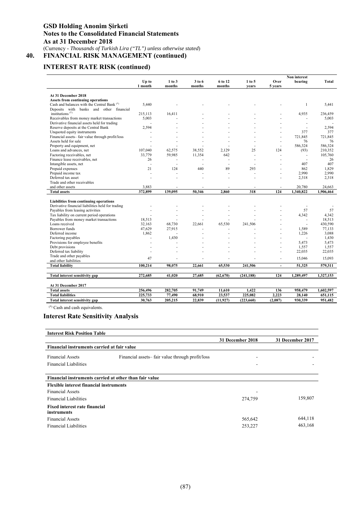# **INTEREST RATE RISK (continued)**

|                                                        |         |            |        |           |            |         | Non interest |           |
|--------------------------------------------------------|---------|------------|--------|-----------|------------|---------|--------------|-----------|
|                                                        | Up to   | $1$ to $3$ | 3 to 6 | 6 to 12   | $1$ to $5$ | Over    | bearing      | Total     |
|                                                        | 1 month | months     | months | months    | vears      | 5 years |              |           |
|                                                        |         |            |        |           |            |         |              |           |
| At 31 December 2018                                    |         |            |        |           |            |         |              |           |
| <b>Assets from continuing operations</b>               |         |            |        |           |            |         |              |           |
| Cash and balances with the Central Bank <sup>(*)</sup> | 5,440   |            |        |           |            |         | 1            | 5,441     |
| Deposits with banks and other financial                |         |            |        |           |            |         |              |           |
| institutions $(*)$                                     | 215,113 | 16,411     |        |           |            |         | 4.935        | 236,459   |
| Receivables from money market transactions             | 5,003   |            |        |           |            |         |              | 5,003     |
| Derivative financial assets held for trading           |         |            |        |           |            |         | ×.           |           |
| Reserve deposits at the Central Bank                   | 2,594   |            |        |           |            |         | ÷            | 2,594     |
| Unquoted equity instruments                            |         |            |        |           |            | ä,      | 377          | 377       |
| Financial assets-fair value through profit/loss        |         |            |        |           |            | ä,      | 721.845      | 721.845   |
| Assets held for sale                                   |         |            |        |           |            | ٠       | 76           | 76        |
| Property and equipment, net                            |         |            |        |           |            | ä,      | 586,324      | 586,324   |
| Loans and advances, net                                | 107,040 | 62,575     | 38,552 | 2.129     | 25         | 124     | (93)         | 210,352   |
| Factoring receivables, net                             | 33,779  | 59,985     | 11,354 | 642       |            | ä,      | ÷            | 105,760   |
| Finance lease receivables, net                         | 26      |            |        |           | ٠          | ٠       | ×.           | 26        |
| Intangible assets, net                                 | ä,      |            |        | ÷.        |            |         | 407          | 407       |
| Prepaid expenses                                       | 21      | 124        | 440    | 89        | 293        |         | 862          | 1,829     |
| Prepaid income tax                                     |         |            |        |           |            |         | 2,990        | 2.990     |
|                                                        |         | ÷.         |        |           |            | ÷.      |              |           |
| Deferred tax asset                                     |         |            |        |           |            | í.      | 2,318        | 2,318     |
| Trade and other receivables                            |         |            |        |           |            |         |              |           |
| and other assets                                       | 3,883   |            |        |           |            | ä,      | 20,780       | 24,663    |
| <b>Total assets</b>                                    | 372,899 | 139,095    | 50,346 | 2.860     | 318        | 124     | 1,340,822    | 1,906,464 |
|                                                        |         |            |        |           |            |         |              |           |
| Liabilities from continuing operations                 |         |            |        |           |            |         |              |           |
| Derivative financial liabilities held for trading      |         |            |        |           |            |         |              |           |
| Payables from leasing activities                       |         |            |        |           |            |         | 57           | 57        |
| Tax liability on current period operations             |         |            |        |           |            |         | 4,342        | 4,342     |
| Payables from money market transactions                | 18,513  |            |        |           |            |         | ÷,           | 18,513    |
| Loans received                                         | 32,163  | 68,730     | 22,661 | 65,530    | 241,506    |         | $\sim$       | 430,590   |
| Borrower funds                                         | 47,629  | 27,915     |        |           |            |         | 1,589        | 77,133    |
| Deferred income                                        | 1,862   |            |        |           |            | Ĭ.      | 1,226        | 3,088     |
| Factoring payables                                     |         | 1,430      |        |           |            |         |              | 1,430     |
| Provisions for employee benefits                       | ä,      |            |        |           |            | L,      | 5,473        | 5,473     |
| Debt provisions                                        |         |            |        |           |            | ä,      | 1,557        | 1,557     |
| Deferred tax liability                                 |         |            |        |           |            | L,      | 22,035       | 22,035    |
| Trade and other payables                               |         |            |        |           |            |         |              |           |
| and other liabilities                                  | 47      |            |        |           |            | ٠       | 15,046       | 15,093    |
| <b>Total liability</b>                                 | 100,214 | 98,075     | 22,661 | 65,530    | 241,506    | ۰       | 51,325       | 579,311   |
|                                                        |         |            |        |           |            |         |              |           |
| Total interest sensitivity gap                         | 272,685 | 41,020     | 27,685 | (62, 670) | (241, 188) | 124     | 1,289,497    | 1,327,153 |
|                                                        |         |            |        |           |            |         |              |           |
| At 31 December 2017                                    |         |            |        |           |            |         |              |           |
| <b>Total assets</b>                                    | 256,496 | 282,705    | 91,749 | 11,610    | 1,422      | 136     | 958,479      | 1,602,597 |
| <b>Total liabilities</b>                               | 225,733 | 77,490     | 68,910 | 23,537    | 225.082    | 2,223   | 28,140       | 651,115   |
| <b>Total interest sensitivity gap</b>                  | 30,763  | 205,215    | 22,839 | (11, 927) | (223,660)  | (2,087) | 930,339      | 951,482   |

(\*) Cash and cash equivalents.

# **Interest Rate Sensitivity Analysis**

| <b>Interest Risk Position Table</b>                    |                                                 |                  |                  |
|--------------------------------------------------------|-------------------------------------------------|------------------|------------------|
|                                                        |                                                 | 31 December 2018 | 31 December 2017 |
| Financial instruments carried at fair value            |                                                 |                  |                  |
| <b>Financial Assets</b>                                | Financial assets-fair value through profit/loss |                  |                  |
| <b>Financial Liabilities</b>                           |                                                 |                  |                  |
| Financial instruments carried at other than fair value |                                                 |                  |                  |
| Flexible interest financial instruments                |                                                 |                  |                  |
| <b>Financial Assets</b>                                |                                                 |                  |                  |
| <b>Financial Liabilities</b>                           |                                                 | 274,759          | 159,807          |
| <b>Fixed interest rate financial</b><br>instruments    |                                                 |                  |                  |
| <b>Financial Assets</b>                                |                                                 | 565,642          | 644,118          |
| <b>Financial Liabilities</b>                           |                                                 | 253,227          | 463,168          |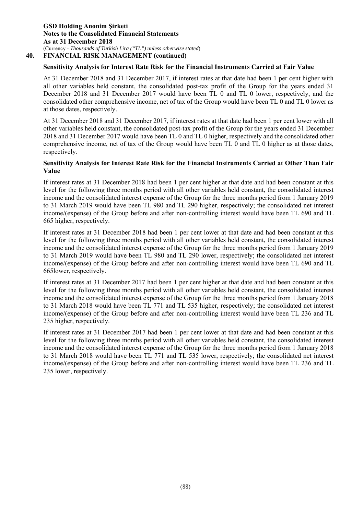### **40. FINANCIAL RISK MANAGEMENT (continued)**

# **Sensitivity Analysis for Interest Rate Risk for the Financial Instruments Carried at Fair Value**

At 31 December 2018 and 31 December 2017, if interest rates at that date had been 1 per cent higher with all other variables held constant, the consolidated post-tax profit of the Group for the years ended 31 December 2018 and 31 December 2017 would have been TL 0 and TL 0 lower, respectively, and the consolidated other comprehensive income, net of tax of the Group would have been TL 0 and TL 0 lower as at those dates, respectively.

At 31 December 2018 and 31 December 2017, if interest rates at that date had been 1 per cent lower with all other variables held constant, the consolidated post-tax profit of the Group for the years ended 31 December 2018 and 31 December 2017 would have been TL 0 and TL 0 higher, respectively and the consolidated other comprehensive income, net of tax of the Group would have been TL 0 and TL 0 higher as at those dates, respectively.

### **Sensitivity Analysis for Interest Rate Risk for the Financial Instruments Carried at Other Than Fair Value**

If interest rates at 31 December 2018 had been 1 per cent higher at that date and had been constant at this level for the following three months period with all other variables held constant, the consolidated interest income and the consolidated interest expense of the Group for the three months period from 1 January 2019 to 31 March 2019 would have been TL 980 and TL 290 higher, respectively; the consolidated net interest income/(expense) of the Group before and after non-controlling interest would have been TL 690 and TL 665 higher, respectively.

If interest rates at 31 December 2018 had been 1 per cent lower at that date and had been constant at this level for the following three months period with all other variables held constant, the consolidated interest income and the consolidated interest expense of the Group for the three months period from 1 January 2019 to 31 March 2019 would have been TL 980 and TL 290 lower, respectively; the consolidated net interest income/(expense) of the Group before and after non-controlling interest would have been TL 690 and TL 665lower, respectively.

If interest rates at 31 December 2017 had been 1 per cent higher at that date and had been constant at this level for the following three months period with all other variables held constant, the consolidated interest income and the consolidated interest expense of the Group for the three months period from 1 January 2018 to 31 March 2018 would have been TL 771 and TL 535 higher, respectively; the consolidated net interest income/(expense) of the Group before and after non-controlling interest would have been TL 236 and TL 235 higher, respectively.

If interest rates at 31 December 2017 had been 1 per cent lower at that date and had been constant at this level for the following three months period with all other variables held constant, the consolidated interest income and the consolidated interest expense of the Group for the three months period from 1 January 2018 to 31 March 2018 would have been TL 771 and TL 535 lower, respectively; the consolidated net interest income/(expense) of the Group before and after non-controlling interest would have been TL 236 and TL 235 lower, respectively.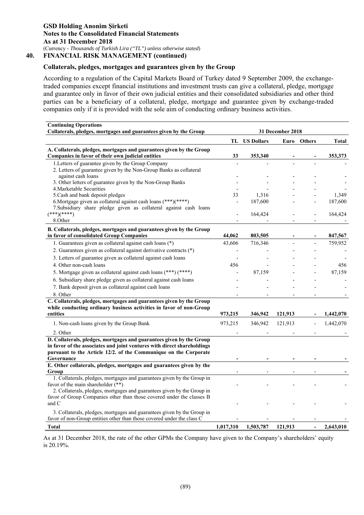### **Collaterals, pledges, mortgages and guarantees given by the Group**

According to a regulation of the Capital Markets Board of Turkey dated 9 September 2009, the exchangetraded companies except financial institutions and investment trusts can give a collateral, pledge, mortgage and guarantee only in favor of their own judicial entities and their consolidated subsidiaries and other third parties can be a beneficiary of a collateral, pledge, mortgage and guarantee given by exchange-traded companies only if it is provided with the sole aim of conducting ordinary business activities.

| <b>Continuing Operations</b>                                                       |           |                   |                  |                |           |  |
|------------------------------------------------------------------------------------|-----------|-------------------|------------------|----------------|-----------|--|
| Collaterals, pledges, mortgages and guarantees given by the Group                  |           |                   | 31 December 2018 |                |           |  |
|                                                                                    | TL        | <b>US Dollars</b> | Euro             |                | Total     |  |
| A. Collaterals, pledges, mortgages and guarantees given by the Group               |           |                   | <b>Others</b>    |                |           |  |
| Companies in favor of their own judicial entities                                  | 33        | 353,340           |                  |                | 353,373   |  |
| 1. Letters of guarantee given by the Group Company                                 |           |                   |                  |                |           |  |
| 2. Letters of guarantee given by the Non-Group Banks as collateral                 |           |                   |                  |                |           |  |
| against cash loans                                                                 |           |                   |                  |                |           |  |
| 3. Other letters of guarantee given by the Non-Group Banks                         |           |                   |                  |                |           |  |
| 4. Marketable Securities<br>5. Cash and bank deposit pledges                       | 33        | 1,316             |                  |                | 1,349     |  |
| 6. Mortgage given as collateral against cash loans (***)(****)                     |           | 187,600           |                  |                | 187,600   |  |
| 7. Subsidiary share pledge given as collateral against cash loans                  |           |                   |                  |                |           |  |
| $(***)(***)$                                                                       |           | 164,424           |                  |                | 164,424   |  |
| 8.Other                                                                            |           |                   |                  |                |           |  |
| B. Collaterals, pledges, mortgages and guarantees given by the Group               |           |                   |                  |                |           |  |
| in favor of consolidated Group Companies                                           | 44,062    | 803,505           |                  |                | 847,567   |  |
| 1. Guarantees given as collateral against cash loans (*)                           | 43,606    | 716,346           |                  |                | 759,952   |  |
| 2. Guarantees given as collateral against derivative contracts (*)                 |           |                   |                  |                |           |  |
| 3. Letters of guarantee given as collateral against cash loans                     |           |                   |                  |                |           |  |
| 4. Other non-cash loans                                                            | 456       |                   |                  |                | 456       |  |
| 5. Mortgage given as collateral against cash loans (***) (****)                    |           | 87,159            |                  |                | 87,159    |  |
| 6. Subsidiary share pledge given as collateral against cash loans                  |           |                   |                  |                |           |  |
| 7. Bank deposit given as collateral against cash loans                             |           |                   |                  |                |           |  |
| 8. Other                                                                           |           |                   |                  |                |           |  |
| C. Collaterals, pledges, mortgages and guarantees given by the Group               |           |                   |                  |                |           |  |
| while conducting ordinary business activities in favor of non-Group                |           |                   |                  |                |           |  |
| entities                                                                           | 973,215   | 346,942           | 121,913          |                | 1,442,070 |  |
| 1. Non-cash loans given by the Group Bank                                          | 973,215   | 346,942           | 121,913          |                | 1,442,070 |  |
| 2. Other                                                                           |           |                   |                  |                |           |  |
| D. Collaterals, pledges, mortgages and guarantees given by the Group               |           |                   |                  |                |           |  |
| in favor of the associates and joint ventures with direct shareholdings            |           |                   |                  |                |           |  |
| pursuant to the Article 12/2. of the Communique on the Corporate                   |           |                   |                  |                |           |  |
| Governance<br>E. Other collaterals, pledges, mortgages and guarantees given by the |           |                   |                  |                |           |  |
| Group                                                                              |           |                   |                  |                |           |  |
| 1. Collaterals, pledges, mortgages and guarantees given by the Group in            |           |                   |                  |                |           |  |
| favor of the main shareholder (**)                                                 |           |                   |                  |                |           |  |
| 2. Collaterals, pledges, mortgages and guarantees given by the Group in            |           |                   |                  |                |           |  |
| favor of Group Companies other than those covered under the classes B              |           |                   |                  |                |           |  |
| and C                                                                              |           |                   |                  |                |           |  |
| 3. Collaterals, pledges, mortgages and guarantees given by the Group in            |           |                   |                  |                |           |  |
| favor of non-Group entities other than those covered under the class C             |           |                   |                  |                |           |  |
| <b>Total</b>                                                                       | 1,017,310 | 1,503,787         | 121,913          | $\blacksquare$ | 2,643,010 |  |

As at 31 December 2018, the rate of the other GPMs the Company have given to the Company's shareholders' equity is 20.19%.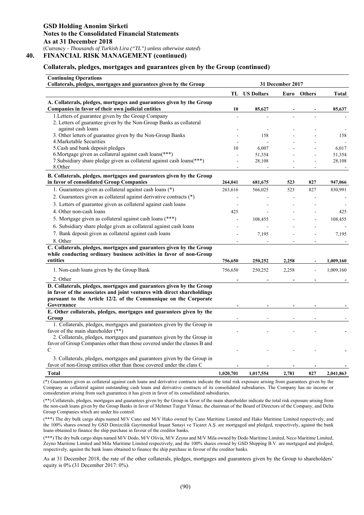### **Collaterals, pledges, mortgages and guarantees given by the Group (continued)**

| <b>Continuing Operations</b><br>Collaterals, pledges, mortgages and guarantees given by the Group                                                                                                                                 | 31 December 2017 |                      |       |        |                 |
|-----------------------------------------------------------------------------------------------------------------------------------------------------------------------------------------------------------------------------------|------------------|----------------------|-------|--------|-----------------|
|                                                                                                                                                                                                                                   |                  | <b>TL</b> US Dollars | Euro  | Others | <b>Total</b>    |
| A. Collaterals, pledges, mortgages and guarantees given by the Group<br>Companies in favor of their own judicial entities                                                                                                         | 10               | 85,627               |       |        | 85,637          |
| 1. Letters of guarantee given by the Group Company<br>2. Letters of guarantee given by the Non-Group Banks as collateral<br>against cash loans                                                                                    |                  |                      |       |        |                 |
| 3. Other letters of guarantee given by the Non-Group Banks<br>4. Marketable Securities                                                                                                                                            |                  | 158                  |       |        | 158             |
| 5. Cash and bank deposit pledges<br>6. Mortgage given as collateral against cash loans(***)                                                                                                                                       | 10               | 6,007<br>51,354      |       |        | 6,017<br>51,354 |
| 7. Subsidiary share pledge given as collateral against cash loans(***)<br>8.Other                                                                                                                                                 |                  | 28,108               |       |        | 28,108          |
| B. Collaterals, pledges, mortgages and guarantees given by the Group<br>in favor of consolidated Group Companies                                                                                                                  | 264,041          | 681,675              | 523   | 827    | 947,066         |
| 1. Guarantees given as collateral against cash loans (*)                                                                                                                                                                          | 263,616          | 566,025              | 523   | 827    | 830,991         |
| 2. Guarantees given as collateral against derivative contracts (*)<br>3. Letters of guarantee given as collateral against cash loans                                                                                              | ÷,               |                      |       |        |                 |
| 4. Other non-cash loans                                                                                                                                                                                                           | 425              |                      |       |        | 425             |
| 5. Mortgage given as collateral against cash loans (***)<br>6. Subsidiary share pledge given as collateral against cash loans                                                                                                     |                  | 108,455              |       |        | 108,455         |
| 7. Bank deposit given as collateral against cash loans<br>8. Other                                                                                                                                                                |                  | 7,195                |       |        | 7,195           |
| C. Collaterals, pledges, mortgages and guarantees given by the Group<br>while conducting ordinary business activities in favor of non-Group<br>entities                                                                           | 756,650          | 250,252              | 2,258 |        | 1,009,160       |
| 1. Non-cash loans given by the Group Bank                                                                                                                                                                                         | 756,650          | 250,252              | 2,258 | ÷,     | 1,009,160       |
| 2. Other                                                                                                                                                                                                                          |                  |                      |       |        |                 |
| D. Collaterals, pledges, mortgages and guarantees given by the Group<br>in favor of the associates and joint ventures with direct shareholdings<br>pursuant to the Article 12/2. of the Communique on the Corporate<br>Governance |                  |                      |       |        |                 |
| E. Other collaterals, pledges, mortgages and guarantees given by the                                                                                                                                                              |                  |                      |       |        |                 |
| Group<br>1. Collaterals, pledges, mortgages and guarantees given by the Group in<br>favor of the main shareholder (**)                                                                                                            |                  |                      |       |        |                 |
| 2. Collaterals, pledges, mortgages and guarantees given by the Group in<br>favor of Group Companies other than those covered under the classes B and                                                                              |                  |                      |       |        |                 |
| $\mathcal{C}$<br>3. Collaterals, pledges, mortgages and guarantees given by the Group in                                                                                                                                          |                  |                      |       |        |                 |
| favor of non-Group entities other than those covered under the class C<br><b>Total</b>                                                                                                                                            | 1,020,701        | 1,017,554            | 2,781 | 827    | 2,041,863       |

(\*) Guarantees given as collateral against cash loans and derivative contracts indicate the total risk exposure arising from guarantees given by the Company as collateral against outstanding cash loans and derivative contracts of its consolidated subsidiaries. The Company has no income or consideration arising from such guarantees it has given in favor of its consolidated subsidiaries.

(\*\*) Collaterals, pledges, mortgages and guarantees given by the Group in favor of the main shareholder indicate the total risk exposure arising from the non-cash loans given by the Group Banks in favor of Mehmet Turgut Yılmaz, the chairman of the Board of Directors of the Company, and Delta Group Companies which are under his control.

(\*\*\*) The dry bulk cargo ships named M/V Cano and M/V Hako owned by Cano Maritime Limited and Hako Maritime Limited respectively, and the 100% shares owned by GSD Denizcilik Gayrimenkul İnşaat Sanayi ve Ticaret A.Ş. are mortgaged and pledged, respectively, against the bank loans obtained to finance the ship purchase in favour of the creditor banks.

(\*\*\*) The dry bulk cargo ships named M/V Dodo, M/V Olivia, M/V Zeyno and M/V Mila owned by Dodo Maritime Limited, Neco Maritime Limited, Zeyno Maritime Limited and Mila Maritime Limited respectively, and the 100% shares owned by GSD Shipping B.V. are mortgaged and pledged, respectively, against the bank loans obtained to finance the ship purchase in favour of the creditor banks.

As at 31 December 2018, the rate of the other collaterals, pledges, mortgages and guarantees given by the Group to shareholders' equity is 0% (31 December 2017: 0%).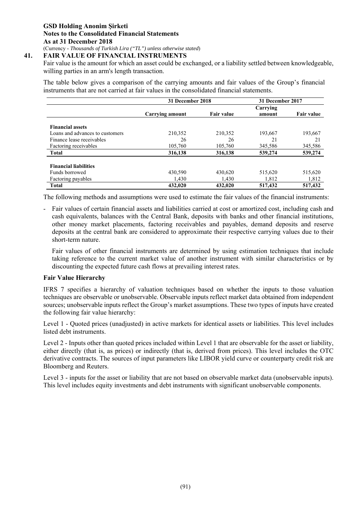# **41. FAIR VALUE OF FINANCIAL INSTRUMENTS**

Fair value is the amount for which an asset could be exchanged, or a liability settled between knowledgeable, willing parties in an arm's length transaction.

The table below gives a comparison of the carrying amounts and fair values of the Group's financial instruments that are not carried at fair values in the consolidated financial statements.

|                                 | 31 December 2018<br>31 December 2017 |                   |          |                   |
|---------------------------------|--------------------------------------|-------------------|----------|-------------------|
|                                 |                                      |                   | Carrying |                   |
|                                 | Carrying amount                      | <b>Fair value</b> | amount   | <b>Fair value</b> |
|                                 |                                      |                   |          |                   |
| <b>Financial assets</b>         |                                      |                   |          |                   |
| Loans and advances to customers | 210,352                              | 210,352           | 193,667  | 193,667           |
| Finance lease receivables       | 26                                   | 26                | 21       | 21                |
| Factoring receivables           | 105,760                              | 105,760           | 345,586  | 345,586           |
| <b>Total</b>                    | 316,138                              | 316,138           | 539,274  | 539,274           |
|                                 |                                      |                   |          |                   |
| <b>Financial liabilities</b>    |                                      |                   |          |                   |
| Funds borrowed                  | 430,590                              | 430,620           | 515,620  | 515,620           |
| Factoring payables              | 1,430                                | 1,430             | 1,812    | 1,812             |
| <b>Total</b>                    | 432,020                              | 432,020           | 517,432  | 517,432           |

The following methods and assumptions were used to estimate the fair values of the financial instruments:

- Fair values of certain financial assets and liabilities carried at cost or amortized cost, including cash and cash equivalents, balances with the Central Bank, deposits with banks and other financial institutions, other money market placements, factoring receivables and payables, demand deposits and reserve deposits at the central bank are considered to approximate their respective carrying values due to their short-term nature.

 Fair values of other financial instruments are determined by using estimation techniques that include taking reference to the current market value of another instrument with similar characteristics or by discounting the expected future cash flows at prevailing interest rates.

### **Fair Value Hierarchy**

IFRS 7 specifies a hierarchy of valuation techniques based on whether the inputs to those valuation techniques are observable or unobservable. Observable inputs reflect market data obtained from independent sources; unobservable inputs reflect the Group's market assumptions. These two types of inputs have created the following fair value hierarchy:

Level 1 - Quoted prices (unadjusted) in active markets for identical assets or liabilities. This level includes listed debt instruments.

Level 2 - Inputs other than quoted prices included within Level 1 that are observable for the asset or liability, either directly (that is, as prices) or indirectly (that is, derived from prices). This level includes the OTC derivative contracts. The sources of input parameters like LIBOR yield curve or counterparty credit risk are Bloomberg and Reuters.

Level 3 - inputs for the asset or liability that are not based on observable market data (unobservable inputs). This level includes equity investments and debt instruments with significant unobservable components.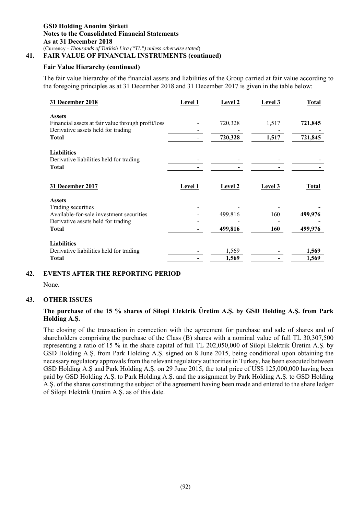# **41. FAIR VALUE OF FINANCIAL INSTRUMENTS (continued)**

# **Fair Value Hierarchy (continued)**

The fair value hierarchy of the financial assets and liabilities of the Group carried at fair value according to the foregoing principles as at 31 December 2018 and 31 December 2017 is given in the table below:

| 31 December 2018                                                                         | Level 1 | <b>Level 2</b> | Level 3 | <b>Total</b> |
|------------------------------------------------------------------------------------------|---------|----------------|---------|--------------|
| <b>Assets</b>                                                                            |         |                |         |              |
| Financial assets at fair value through profit/loss<br>Derivative assets held for trading |         | 720,328        | 1,517   | 721,845      |
| Total                                                                                    |         | 720,328        | 1,517   | 721,845      |
| <b>Liabilities</b>                                                                       |         |                |         |              |
| Derivative liabilities held for trading                                                  |         |                |         |              |
| <b>Total</b>                                                                             |         |                |         |              |
| 31 December 2017                                                                         | Level 1 | <b>Level 2</b> | Level 3 | <b>Total</b> |
| <b>Assets</b>                                                                            |         |                |         |              |
| Trading securities                                                                       |         |                |         |              |
| Available-for-sale investment securities                                                 |         | 499,816        | 160     | 499,976      |
| Derivative assets held for trading                                                       |         |                |         |              |
| <b>Total</b>                                                                             |         | 499,816        | 160     | 499,976      |
| <b>Liabilities</b>                                                                       |         |                |         |              |
| Derivative liabilities held for trading                                                  |         | 1,569          |         | 1,569        |
| <b>Total</b>                                                                             |         | 1,569          |         | 1,569        |

# **42. EVENTS AFTER THE REPORTING PERIOD**

None.

### **43. OTHER ISSUES**

# **The purchase of the 15 % shares of Silopi Elektrik Üretim A.Ş. by GSD Holding A.Ş. from Park Holding A.Ş.**

The closing of the transaction in connection with the agreement for purchase and sale of shares and of shareholders comprising the purchase of the Class (B) shares with a nominal value of full TL 30,307,500 representing a ratio of 15 % in the share capital of full TL 202,050,000 of Silopi Elektrik Üretim A.Ş. by GSD Holding A.Ş. from Park Holding A.Ş. signed on 8 June 2015, being conditional upon obtaining the necessary regulatory approvals from the relevant regulatory authorities in Turkey, has been executed between GSD Holding A.Ş and Park Holding A.Ş. on 29 June 2015, the total price of US\$ 125,000,000 having been paid by GSD Holding A.Ş. to Park Holding A.Ş. and the assignment by Park Holding A.Ş. to GSD Holding A.Ş. of the shares constituting the subject of the agreement having been made and entered to the share ledger of Silopi Elektrik Üretim A.Ş. as of this date.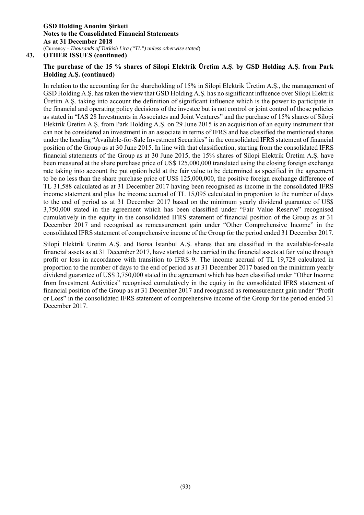**43. OTHER ISSUES (continued)** 

# **The purchase of the 15 % shares of Silopi Elektrik Üretim A.Ş. by GSD Holding A.Ş. from Park Holding A.Ş. (continued)**

In relation to the accounting for the shareholding of 15% in Silopi Elektrik Üretim A.Ş., the management of GSD Holding A.Ş. has taken the view that GSD Holding A.Ş. has no significant influence over Silopi Elektrik Üretim A.Ş. taking into account the definition of significant influence which is the power to participate in the financial and operating policy decisions of the investee but is not control or joint control of those policies as stated in "IAS 28 Investments in Associates and Joint Ventures" and the purchase of 15% shares of Silopi Elektrik Üretim A.Ş. from Park Holding A.Ş. on 29 June 2015 is an acquisition of an equity instrument that can not be considered an investment in an associate in terms of IFRS and has classified the mentioned shares under the heading "Available-for-Sale Investment Securities" in the consolidated IFRS statement of financial position of the Group as at 30 June 2015. In line with that classification, starting from the consolidated IFRS financial statements of the Group as at 30 June 2015, the 15% shares of Silopi Elektrik Üretim A.Ş. have been measured at the share purchase price of US\$ 125,000,000 translated using the closing foreign exchange rate taking into account the put option held at the fair value to be determined as specified in the agreement to be no less than the share purchase price of US\$ 125,000,000, the positive foreign exchange difference of TL 31,588 calculated as at 31 December 2017 having been recognised as income in the consolidated IFRS income statement and plus the income accrual of TL 15,095 calculated in proportion to the number of days to the end of period as at 31 December 2017 based on the minimum yearly dividend guarantee of US\$ 3,750,000 stated in the agreement which has been classified under "Fair Value Reserve" recognised cumulatively in the equity in the consolidated IFRS statement of financial position of the Group as at 31 December 2017 and recognised as remeasurement gain under "Other Comprehensive Income" in the consolidated IFRS statement of comprehensive income of the Group for the period ended 31 December 2017.

Silopi Elektrik Üretim A.Ş. and Borsa İstanbul A.Ş. shares that are classified in the available-for-sale financial assets as at 31 December 2017, have started to be carried in the financial assets at fair value through profit or loss in accordance with transition to IFRS 9. The income accrual of TL 19,728 calculated in proportion to the number of days to the end of period as at 31 December 2017 based on the minimum yearly dividend guarantee of US\$ 3,750,000 stated in the agreement which has been classified under "Other Income from Investment Activities" recognised cumulatively in the equity in the consolidated IFRS statement of financial position of the Group as at 31 December 2017 and recognised as remeasurement gain under "Profit or Loss" in the consolidated IFRS statement of comprehensive income of the Group for the period ended 31 December 2017.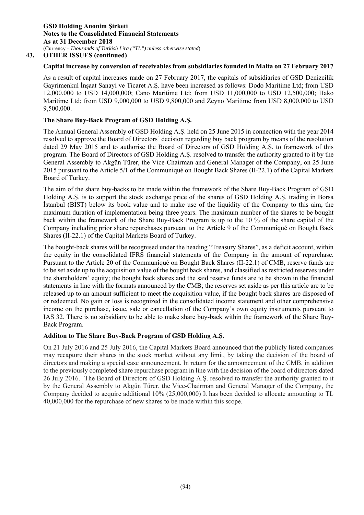# **Capital increase by conversion of receivables from subsidiaries founded in Malta on 27 February 2017**

As a result of capital increases made on 27 February 2017, the capitals of subsidiaries of GSD Denizcilik Gayrimenkul İnşaat Sanayi ve Ticaret A.Ş. have been increased as follows: Dodo Maritime Ltd; from USD 12,000,000 to USD 14,000,000; Cano Maritime Ltd; from USD 11,000,000 to USD 12,500,000; Hako Maritime Ltd; from USD 9,000,000 to USD 9,800,000 and Zeyno Maritime from USD 8,000,000 to USD 9,500,000.

# **The Share Buy-Back Program of GSD Holding A.Ş.**

The Annual General Assembly of GSD Holding A.Ş. held on 25 June 2015 in connection with the year 2014 resolved to approve the Board of Directors' decision regarding buy back program by means of the resolution dated 29 May 2015 and to authorise the Board of Directors of GSD Holding A.Ş. to framework of this program. The Board of Directors of GSD Holding A.Ş. resolved to transfer the authority granted to it by the General Assembly to Akgün Türer, the Vice-Chairman and General Manager of the Company, on 25 June 2015 pursuant to the Article 5/1 of the Communiqué on Bought Back Shares (II-22.1) of the Capital Markets Board of Turkey.

The aim of the share buy-backs to be made within the framework of the Share Buy-Back Program of GSD Holding A.Ş. is to support the stock exchange price of the shares of GSD Holding A.Ş. trading in Borsa İstanbul (BIST) below its book value and to make use of the liquidity of the Company to this aim, the maximum duration of implementation being three years. The maximum number of the shares to be bought back within the framework of the Share Buy-Back Program is up to the 10 % of the share capital of the Company including prior share repurchases pursuant to the Article 9 of the Communiqué on Bought Back Shares (II-22.1) of the Capital Markets Board of Turkey.

The bought-back shares will be recognised under the heading "Treasury Shares", as a deficit account, within the equity in the consolidated IFRS financial statements of the Company in the amount of repurchase. Pursuant to the Article 20 of the Communiqué on Bought Back Shares (II-22.1) of CMB, reserve funds are to be set aside up to the acquisition value of the bought back shares, and classified as restricted reserves under the shareholders' equity; the bought back shares and the said reserve funds are to be shown in the financial statements in line with the formats announced by the CMB; the reserves set aside as per this article are to be released up to an amount sufficient to meet the acquisition value, if the bought back shares are disposed of or redeemed. No gain or loss is recognized in the consolidated income statement and other comprehensive income on the purchase, issue, sale or cancellation of the Company's own equity instruments pursuant to IAS 32. There is no subsidiary to be able to make share buy-back within the framework of the Share Buy-Back Program.

### **Additon to The Share Buy-Back Program of GSD Holding A.Ş.**

On 21 July 2016 and 25 July 2016, the Capital Markets Board announced that the publicly listed companies may recapture their shares in the stock market without any limit, by taking the decision of the board of directors and making a special case announcement. In return for the announcement of the CMB, in addition to the previously completed share repurchase program in line with the decision of the board of directors dated 26 July 2016. The Board of Directors of GSD Holding A.Ş. resolved to transfer the authority granted to it by the General Assembly to Akgün Türer, the Vice-Chairman and General Manager of the Company, the Company decided to acquire additional 10% (25,000,000) It has been decided to allocate amounting to TL 40,000,000 for the repurchase of new shares to be made within this scope.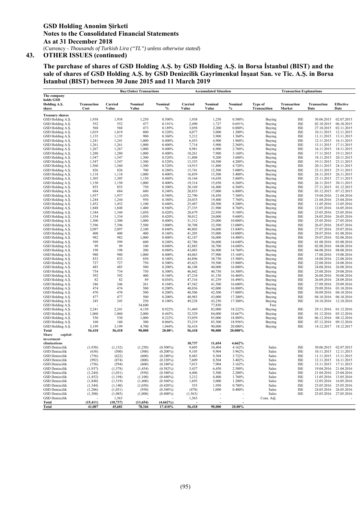**The purchase of shares of GSD Holding A.Ş. by GSD Holding A.Ş. in Borsa İstanbul (BIST) and the sale of shares of GSD Holding A.Ş. by GSD Denizcilik Gayrimenkul İnşaat San. ve Tic. A.Ş. in Borsa İstanbul (BIST) between 30 June 2015 and 11 March 2019** 

|                                      |                 |                 | <b>Buy/(Sales) Transactions</b> |                  |                  | <b>Accumulated Situation</b> |                    |                     | <b>Transaction Explanations</b> |                          |                          |
|--------------------------------------|-----------------|-----------------|---------------------------------|------------------|------------------|------------------------------|--------------------|---------------------|---------------------------------|--------------------------|--------------------------|
| The company                          |                 |                 |                                 |                  |                  |                              |                    |                     |                                 |                          |                          |
| holds GSD                            |                 |                 |                                 |                  |                  |                              |                    |                     |                                 |                          |                          |
| Holding A.S.                         | Transaction     | Carried         | Nominal                         | Nominal          | Carried          | Nominal                      | Nominal            | Type of             | Transaction                     | <b>Transaction</b>       | <b>Effective</b>         |
| share                                | Cost            | Value           | Value                           | $\frac{0}{0}$    | Value            | Value                        | $\frac{0}{0}$      | <b>Transacition</b> | Market                          | Date                     | Date                     |
| <b>Treasury shares</b>               |                 |                 |                                 |                  |                  |                              |                    |                     |                                 |                          |                          |
| GSD Holding A.S.                     | 1,938           | 1,938           | 1,250                           | 0.500%           | 1,938            | 1,250                        | 0.500%             | Buying              | <b>ISE</b>                      | 30.06.2015               | 02.07.2015               |
| GSD Holding A.Ş.                     | 552             | 552             | 477                             | 0.191%           | 2,490            | 1,727                        | 0.691%             | Buying              | <b>ISE</b>                      | 02.10.2015               | 06.10.2015               |
| GSD Holding A.S.                     | 568             | 568             | 473                             | 0.189%           | 3,058            | 2,200                        | 0.880%             | Buying              | <b>ISE</b>                      | 27.10.2015               | 02.11.2015               |
| GSD Holding A.S.                     | 1.019           | 1,019           | 800                             | 0.320%           | 4,077            | 3,000                        | 1.200%             | <b>Buying</b>       | <b>ISE</b>                      | 10.11.2015               | 12.11.2015               |
| GSD Holding A.S.                     | 1,135           | 1,135           | 900                             | 0.360%           | 5,212            | 3,900                        | 1.560%             | <b>Buying</b>       | <b>ISE</b>                      | 11.11.2015               | 13.11.2015               |
| GSD Holding A.S.                     | 1,241           | 1,241           | 1,000                           | 0.400%           | 6,453            | 4,900                        | 1.960%             | <b>Buying</b>       | <b>ISE</b>                      | 12.11.2015               | 16.11.2015               |
| GSD Holding A.S.                     | 1,261           | 1,261           | 1,000                           | 0.400%           | 7,714            | 5,900                        | 2.360%             | Buying              | <b>ISE</b>                      | 13.11.2015               | 17.11.2015               |
| GSD Holding A.S.                     | 1,267           | 1,267           | 1,000                           | 0.400%           | 8,981            | 6,900                        | 2.760%             | <b>Buying</b>       | <b>ISE</b>                      | 16.11.2015               | 18.11.2015               |
| GSD Holding A.Ş.                     | 1.280           | 1.280           | 1,000                           | 0.400%           | 10.261           | 7.900                        | 3.160%             | Buying              | <b>ISE</b>                      | 17.11.2015               | 19.11.2015               |
| GSD Holding A.S.                     | 1,547           | 1,547           | 1,300                           | 0.520%           | 11,808           | 9,200                        | 3.680%             | Buying              | <b>ISE</b>                      | 18.11.2015               | 20.11.2015               |
| GSD Holding A.S.                     | 1.547           | 1.547           | 1.300                           | 0.520%           | 13,355           | 10.500                       | 4.200%             | <b>Buying</b>       | <b>ISE</b>                      | 19.11.2015               | 23.11.2015               |
| GSD Holding A.S.                     | 1,560           | 1,560           | 1,300                           | 0.520%           | 14,915           | 11,800                       | 4.720%             | Buying              | <b>ISE</b>                      | 20.11.2015               | 24.11.2015               |
| GSD Holding A.S.                     | 826             | 826             | 700                             | 0.280%           | 15,741           | 12,500                       | 5.000%             | <b>Buying</b>       | <b>ISE</b>                      | 23.11.2015               | 25.11.2015               |
| GSD Holding A.S.                     | 1,118           | 1,118           | 1,000                           | 0.400%           | 16,859           | 13,500                       | 5.400%             | Buying              | <b>ISE</b>                      | 24.11.2015               | 26.11.2015               |
| GSD Holding A.S.                     | 1,305           | 1,305           | 1,150                           | 0.460%           | 18,164           | 14,650                       | 5.860%             | Buying              | <b>ISE</b>                      | 25.11.2015               | 27.11.2015               |
| GSD Holding A.S.                     | 1,150           | 1,150           | 1,000                           | 0.400%           | 19,314           | 15,650                       | 6.260%             | Buying              | <b>ISE</b>                      | 26.11.2015               | 30.11.2015               |
| GSD Holding A.S.                     | 855             | 855             | 750                             | 0.300%           | 20,169           | 16,400                       | 6.560%             | Buying              | <b>ISE</b>                      | 27.11.2015               | 01.12.2015               |
| GSD Holding A.S.                     | 684             | 684             | 600                             | 0.240%           | 20,853           | 17,000                       | 6.800%             | Buying              | <b>ISE</b>                      | 03.12.2015               | 07.12.2015               |
| GSD Holding A.S.<br>GSD Holding A.Ş. | 1,937           | 1,937           | 1,450                           | 0.580%           | 22,790           | 18,450<br>19,400             | 7.380%             | Buying              | <b>ISE</b><br><b>ISE</b>        | 19.04.2016<br>21.04.2016 | 21.04.2016               |
|                                      | 1,244<br>1,452  | 1,244<br>1,452  | 950                             | 0.380%           | 24,035<br>25,487 | 20,500                       | 7.760%<br>8.200%   | Buying              | <b>ISE</b>                      | 11.05.2016               | 25.04.2016<br>13.05.2016 |
| GSD Holding A.S.<br>GSD Holding A.Ş. | 1,848           | 1,848           | 1,100<br>1,400                  | 0.440%<br>0.560% | 27,335           | 21,900                       | 8.760%             | Buying              | <b>ISE</b>                      | 12.05.2016               | 16.05.2016               |
| GSD Holding A.S.                     | 1,344           | 1,344           | 1,050                           | 0.420%           | 28,679           | 22,950                       | 9.180%             | Buying<br>Buying    | <b>ISE</b>                      | 23.05.2016               | 25.05.2016               |
| GSD Holding A.S.                     | 1,334           | 1,334           | 1,050                           | 0.420%           | 30,012           | 24,000                       | 9.600%             | Buying              | <b>ISE</b>                      | 24.05.2016               | 26.05.2016               |
| GSD Holding A.S.                     | 1,300           | 1,300           | 1,000                           | 0.400%           | 31,312           | 25,000                       | 10.000%            | Buying              | <b>ISE</b>                      | 25.05.2016               | 27.05.2016               |
| GSD Holding A.S.                     | 7,396           | 7,396           | 7,500                           | 3.000%           | 38,708           | 32,500                       | 13.000%            | Buying              | <b>ISE</b>                      | 26.07.2016               | 28.07.2016               |
| GSD Holding A.Ş.                     | 2,097           | 2,097           | 2,100                           | 0.840%           | 40,805           | 34,600                       | 13.840%            | Buying              | <b>ISE</b>                      | 27.07.2016               | 29.07.2016               |
| GSD Holding A.S.                     | 400             | 400             | 400                             | 0.160%           | 41,205           | 35,000                       | 14.000%            | Buying              | <b>ISE</b>                      | 28.07.2016               | 01.08.2016               |
| GSD Holding A.S.                     | 982             | 982             | 1,000                           | 0.400%           | 42,187           | 36,000                       | 14.400%            | <b>Buying</b>       | <b>ISE</b>                      | 29.07.2016               | 02.08.2016               |
| GSD Holding A.S.                     | 599             | 599             | 600                             | 0.240%           | 42,786           | 36,600                       | 14.640%            | Buying              | <b>ISE</b>                      | 01.08.2016               | 03.08.2016               |
| GSD Holding A.S.                     | 99              | 99              | 100                             | 0.040%           | 42,885           | 36,700                       | 14.680%            | Buying              | <b>ISE</b>                      | 02.08.2016               | 04.08.2016               |
| GSD Holding A.S.                     | 198             | 198             | 200                             | 0.080%           | 43,083           | 36,900                       | 14.760%            | Buying              | <b>ISE</b>                      | 04.08.2016               | 08.08.2016               |
| GSD Holding A.S.                     | 980             | 980             | 1,000                           | 0.400%           | 44,063           | 37,900                       | 15.160%            | Buying              | <b>ISE</b>                      | 17.08.2016               | 19.08.2016               |
| GSD Holding A.Ş.                     | 833             | 833             | 850                             | 0.340%           | 44.896           | 38,750                       | 15.500%            | <b>Buying</b>       | <b>ISE</b>                      | 18.08.2016               | 22.08.2016               |
| GSD Holding A.S.                     | 727             | 727             | 750                             | 0.300%           | 45,623           | 39,500                       | 15.800%            | Buying              | <b>ISE</b>                      | 22.08.2016               | 24.08.2016               |
| GSD Holding A.Ş.                     | 485             | 485             | 500                             | 0.200%           | 46.108           | 40,000                       | 16.000%            | <b>Buying</b>       | <b>ISE</b>                      | 24.08.2016               | 26.08.2016               |
| GSD Holding A.Ş.                     | 734             | 734             | 750                             | 0.300%           | 46,842           | 40,750                       | 16.300%            | Buying              | <b>ISE</b>                      | 25.08.2016               | 29.08.2016               |
| GSD Holding A.S.                     | 392             | 392             | 400                             | 0.160%           | 47,234           | 41,150                       | 16.460%            | <b>Buying</b>       | <b>ISE</b>                      | 26.08.2016               | 30.08.2016               |
| GSD Holding A.Ş.                     | 82              | 82              | 89                              | 0.036%           | 47,316           | 41,239                       | 16.496%            | Buying              | <b>ISE</b>                      | 26.09.2016               | 28.09.2016               |
| GSD Holding A.Ş.                     | 246             | 246             | 261                             | 0.104%           | 47,562           | 41,500                       | 16.600%            | Buying              | <b>ISE</b>                      | 27.09.2016               | 29.09.2016               |
| GSD Holding A.S.                     | 474             | 474             | 500                             | 0.200%           | 48,036           | 42,000                       | 16.800%            | Buying              | <b>ISE</b>                      | 29.09.2016               | 03.10.2016               |
| GSD Holding A.S.                     | 470             | 470             | 500                             | 0.200%           | 48,506           | 42,500                       | 17.000%            | Buying              | <b>ISE</b>                      | 30.09.2016               | 04.10.2016               |
| GSD Holding A.S.                     | 477             | 477             | 500                             | 0.200%           | 48,983           | 43,000                       | 17.200%            | Buying              | <b>ISE</b>                      | 04.10.2016               | 06.10.2016               |
| GSD Holding A.S.                     | 245             | 245             | 250                             | 0.100%           | 49,228           | 43,250                       | 17.300%            | Buying              | <b>ISE</b>                      | 10.10.2016               | 12.10.2016               |
| GSD Holding A.S.                     |                 |                 | 34,600                          |                  |                  | 77,850                       |                    | Free                |                                 |                          |                          |
| GSD Holding A.S.                     | 2,241           | 2,241           | 4,150                           | 0.922%           | 51,469           | 82,000                       | 18.222%            | Buying              | <b>ISE</b>                      | 29.11.2016               | 01.12.2016               |
| GSD Holding A.Ş.                     | 1,060           | 1,060           | 2,000                           | 0.445%           | 52,529           | 84,000                       | 18.667%            | Buying              | <b>ISE</b>                      | 01.12.2016               | 05.12.2016               |
| GSD Holding A.Ş.                     | 530             | 530             | 1,000                           | 0.222%           | 53,059           | 85,000                       | 18.889%            | Buying              | <b>ISE</b>                      | 06.12.2016               | 08.12.2016               |
| GSD Holding A.Ş.                     | 160             | 160             | 300                             | 0.066%           | 53,219           | 85,300                       | 18.956%            | Buying              | <b>ISE</b><br><b>ISE</b>        | 07.12.2016               | 09.12.2016               |
| GSD Holding A.Ş.<br>Total            | 3,199<br>56,418 | 3,199<br>56,418 | 4,700<br>90,000                 | 1.044%<br>20.00% | 56,418<br>56,418 | 90,000<br>90,000             | 20.000%<br>20.000% | Buying              |                                 | 14.12.2017               | 18.12.2017               |
| capital-<br>Share                    |                 |                 |                                 |                  |                  |                              |                    |                     |                                 |                          |                          |
| investment                           |                 |                 |                                 |                  |                  |                              |                    |                     |                                 |                          |                          |
| eliminations                         |                 |                 |                                 |                  | 10,737           | 11,654                       | 4.662%             |                     |                                 |                          |                          |
| GSD Denizcilik                       | (1,938)         | (1, 132)        | (1,250)                         | $(0.500\%)$      | 9,605            | 10,404                       | 4.162%             | Sales               | <b>ISE</b>                      | 30.06.2015               | 02.07.2015               |
| <b>GSD</b> Denizcilik                | (638)           | (500)           | (500)                           | $(0.200\%)$      | 9,105            | 9,904                        | 3.962%             | Sales               | <b>ISE</b>                      | 10.11.2015               | 12.11.2015               |
| <b>GSD Denizcilik</b>                | (756)           | (622)           | (600)                           | $(0.240\%)$      | 8.483            | 9.304                        | 3.722%             | Sales               | <b>ISE</b>                      | 11.11.2015               | 13.11.2015               |
| <b>GSD</b> Denizcilik                | (992)           | (874)           | (800)                           | $(0.320\%)$      | 7,609            | 8,504                        | 3.402%             | Sales               | <b>ISE</b>                      | 12.11.2015               | 16.11.2015               |
| <b>GSD</b> Denizcilik                | (756)           | (594)           | (600)                           | $(0.240\%)$      | 7,015            | 7,904                        | 3.162%             | Sales               | <b>ISE</b>                      | 13.11.2015               | 17.11.2015               |
| <b>GSD Denizcilik</b>                | (1,937)         | (1,578)         | (1, 454)                        | $(0.582\%)$      | 5,437            | 6,450                        | 2.580%             | Sales               | <b>ISE</b>                      | 19.04.2016               | 21.04.2016               |
| <b>GSD</b> Denizcilik                | (1, 244)        | (1,031)         | (950)                           | $(0.380\%)$      | 4.406            | 5.500                        | 2.200%             | Sales               | <b>ISE</b>                      | 21.04.2016               | 25.04.2016               |
| <b>GSD</b> Denizcilik                | (1, 452)        | (1, 194)        | (1,100)                         | $(0.440\%)$      | 3,212            | 4,400                        | 1.760%             | Sales               | <b>ISE</b>                      | 11.05.2016               | 13.05.2016               |
| <b>GSD</b> Denizcilik                | (1, 848)        | (1, 519)        | (1,400)                         | $(0.560\%)$      | 1,693            | 3,000                        | 1.200%             | Sales               | <b>ISE</b>                      | 12.05.2016               | 16.05.2016               |
| <b>GSD</b> Denizcilik                | (1, 344)        | (1,140)         | (1,050)                         | $(0.420\%)$      | 553              | 1,950                        | 0.780%             | Sales               | <b>ISE</b>                      | 23.05.2016               | 25.05.2016               |
| <b>GSD</b> Denizcilik                | (1,206)         | (1,031)         | (950)                           | $(0.380\%)$      | (478)            | 1,000                        | 0.400%             | Sales               | <b>ISE</b>                      | 24.05.2016               | 26.05.2016               |
| <b>GSD</b> Denizcilik                | (1,300)         | (1,085)         | (1,000)                         | $(0.400\%)$      | (1, 563)         |                              |                    | Sales               | <b>ISE</b>                      | 25.05.2016               | 27.05.2016               |
| <b>GSD</b> Denizcilik                |                 | 1,563           |                                 |                  | 1,563            |                              |                    | Cons. Adj.          |                                 |                          |                          |
| Total                                | (15, 411)       | (10, 737)       | (11, 654)                       | $(4.662\%)$      |                  |                              |                    |                     |                                 |                          |                          |
| Total                                | 41.007          | 45.681          | 78,346                          | 17.410%          | 56,418           | 90,000                       | 20.00%             |                     |                                 |                          |                          |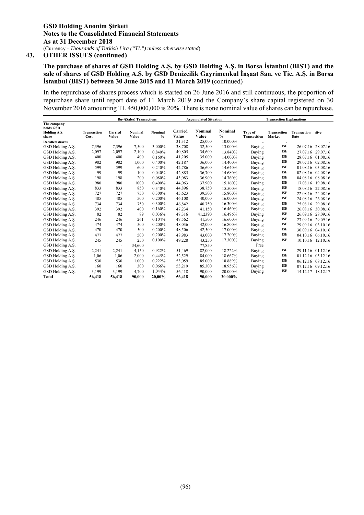# **The purchase of shares of GSD Holding A.Ş. by GSD Holding A.Ş. in Borsa İstanbul (BIST) and the sale of shares of GSD Holding A.Ş. by GSD Denizcilik Gayrimenkul İnşaat San. ve Tic. A.Ş. in Borsa İstanbul (BIST) between 30 June 2015 and 11 March 2019** (continued)

In the repurchase of shares process which is started on 26 June 2016 and still continuous, the proportion of repurchase share until report date of 11 March 2019 and the Company's share capital registered on 30 November 2016 amounting TL 450,000,000 is 20%. There is none nominal value of shares can be repurchase.

|                                          |                    |                          |         | <b>Buy/(Sales) Transactions</b> |                  |                  | <b>Accumulated Situation</b> | <b>Transaction Explanations</b> |                                        |             |                   |
|------------------------------------------|--------------------|--------------------------|---------|---------------------------------|------------------|------------------|------------------------------|---------------------------------|----------------------------------------|-------------|-------------------|
| The company<br>holds GSD<br>Holding A.S. | <b>Transaction</b> | Carried                  | Nominal | Nominal<br>$\%$                 | Carried<br>Value | Nominal<br>Value | Nominal<br>$\frac{0}{0}$     | Type of                         | <b>Transaction</b>                     | Transaction | :tive             |
| share                                    | Cost               | Value                    | Value   |                                 |                  |                  |                              | <b>Transacition</b>             | Market                                 | Date        |                   |
| <b>Recalled shares</b>                   |                    |                          |         |                                 | 31,312           | 25,000           | 10.000%                      |                                 | $\overline{\phantom{a}}$<br><b>ISE</b> |             |                   |
| GSD Holding A.S.                         | 7,396              | 7,396                    | 7,500   | 3.000%                          | 38,708           | 32,500           | 13.000%                      | Buying                          |                                        |             | 26.07.16 28.07.16 |
| GSD Holding A.S.                         | 2,097              | 2,097                    | 2,100   | 0,840%                          | 40,805           | 34,600           | 13.840%                      | <b>Buying</b>                   | <b>ISE</b>                             | 27.07.16    | 29.07.16          |
| GSD Holding A.Ş.                         | 400                | 400                      | 400     | 0.160%                          | 41,205           | 35,000           | 14.000%                      | Buying                          | <b>ISE</b>                             |             | 28.07.16 01.08.16 |
| GSD Holding A.S.                         | 982                | 982                      | 1,000   | 0.400%                          | 42,187           | 36,000           | 14.400%                      | Buying                          | <b>ISE</b>                             |             | 29.07.16 02.08.16 |
| GSD Holding A.S.                         | 599                | 599                      | 600     | 0,240%                          | 42,786           | 36,600           | 14.640%                      | Buying                          | <b>ISE</b>                             |             | 01.08.16 03.08.16 |
| GSD Holding A.S.                         | 99                 | 99                       | 100     | 0.040%                          | 42.885           | 36,700           | 14.680%                      | Buying                          | <b>ISE</b>                             |             | 02.08.16 04.08.16 |
| GSD Holding A.S.                         | 198                | 198                      | 200     | 0.080%                          | 43,083           | 36,900           | 14.760%                      | Buying                          | <b>ISE</b>                             |             | 04.08.16 08.08.16 |
| GSD Holding A.S.                         | 980                | 980                      | 1000    | 0.400%                          | 44,063           | 37,900           | 15.160%                      | Buying                          | <b>ISE</b>                             | 17.08.16    | 19.08.16          |
| GSD Holding A.S.                         | 833                | 833                      | 850     | 0,340%                          | 44,896           | 38,750           | 15.500%                      | Buying                          | <b>ISE</b>                             | 18.08.16    | 22.08.16          |
| GSD Holding A.S.                         | 727                | 727                      | 750     | 0.300%                          | 45,623           | 39.500           | 15.800%                      | Buying                          | <b>ISE</b>                             |             | 22.08.16 24.08.16 |
| GSD Holding A.S.                         | 485                | 485                      | 500     | 0,200%                          | 46.108           | 40,000           | 16.000%                      | Buying                          | <b>ISE</b>                             | 24.08.16    | 26.08.16          |
| GSD Holding A.S.                         | 734                | 734                      | 750     | 0,300%                          | 46.842           | 40.750           | 16.300%                      | Buying                          | <b>ISE</b>                             | 25.08.16    | 29.08.16          |
| GSD Holding A.S.                         | 392                | 392                      | 400     | 0.160%                          | 47,234           | 41,150           | 16.460%                      | Buying                          | <b>ISE</b>                             | 26.08.16    | 30.08.16          |
| GSD Holding A.S.                         | 82                 | 82                       | 89      | 0,036%                          | 47,316           | 41,2390          | 16.496%                      | Buying                          | <b>ISE</b>                             | 26.09.16    | 28.09.16          |
| GSD Holding A.S.                         | 246                | 246                      | 261     | 0,104%                          | 47,562           | 41,500           | 16.600%                      | Buying                          | ISE                                    |             | 27.09.16 29.09.16 |
| GSD Holding A.S.                         | 474                | 474                      | 500     | 0.200%                          | 48,036           | 42,000           | 16.800%                      | Buying                          | ISE                                    |             | 29.09.16 03.10.16 |
| GSD Holding A.S.                         | 470                | 470                      | 500     | 0,200%                          | 48,506           | 42,500           | 17.000%                      | Buying                          | <b>ISE</b>                             |             | 30.09.16 04.10.16 |
| GSD Holding A.S.                         | 477                | 477                      | 500     | 0.200%                          | 48,983           | 43,000           | 17.200%                      | Buying                          | <b>ISE</b>                             |             | 04.10.16 06.10.16 |
| GSD Holding A.S.                         | 245                | 245                      | 250     | 0.100%                          | 49,228           | 43,250           | 17.300%                      | Buying                          | <b>ISE</b>                             |             | 10.10.16 12.10.16 |
| GSD Holding A.S.                         |                    | $\overline{\phantom{m}}$ | 34,600  |                                 |                  | 77,850           |                              | Free                            |                                        |             |                   |
| GSD Holding A.S.                         | 2,241              | 2,241                    | 4,150   | 0,922%                          | 51.469           | 82,000           | 18.222%                      | Buying                          | ISE                                    |             | 29.11.16 01.12.16 |
| GSD Holding A.S.                         | 1,06               | 1,06                     | 2,000   | 0,445%                          | 52,529           | 84,000           | 18.667%                      | Buying                          | <b>ISE</b>                             |             | 01.12.16 05.12.16 |
| GSD Holding A.Ş.                         | 530                | 530                      | 1,000   | 0,222%                          | 53,059           | 85,000           | 18.889%                      | Buying                          | <b>ISE</b>                             |             | 06.12.16 08.12.16 |
| GSD Holding A.S.                         | 160                | 160                      | 300     | 0,066%                          | 53,219           | 85,300           | 18.956%                      | Buying                          | <b>ISE</b>                             |             | 07.12.16 09.12.16 |
| GSD Holding A.S.                         | 3,199              | 3,199                    | 4.700   | 1,044%                          | 56,418           | 90,000           | 20.000%                      | Buying                          | <b>ISE</b>                             |             | 14.12.17 18.12.17 |
| <b>Total</b>                             | 56,418             | 56.418                   | 90.000  | 20.00%                          | 56.418           | 90.000           | 20.000%                      |                                 |                                        |             |                   |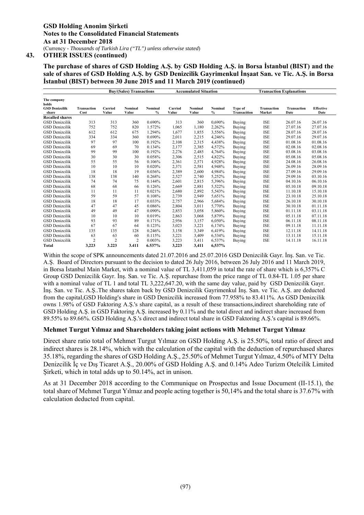**The purchase of shares of GSD Holding A.Ş. by GSD Holding A.Ş. in Borsa İstanbul (BIST) and the sale of shares of GSD Holding A.Ş. by GSD Denizcilik Gayrimenkul İnşaat San. ve Tic. A.Ş. in Borsa İstanbul (BIST) between 30 June 2015 and 11 March 2019 (continued)** 

|                                               |                    |                | <b>Buy/(Sales) Transactions</b><br><b>Accumulated Situation</b> |         |         |         | <b>Transaction Explanations</b> |                |                    |                    |                  |
|-----------------------------------------------|--------------------|----------------|-----------------------------------------------------------------|---------|---------|---------|---------------------------------|----------------|--------------------|--------------------|------------------|
| The company<br>holds<br><b>GSD Denizcilik</b> | <b>Transaction</b> | Carried        | Nominal                                                         | Nominal | Carried | Nominal | Nominal                         | <b>Type of</b> | <b>Transaction</b> | <b>Transaction</b> | <b>Effective</b> |
| share                                         | Cost               | Value          | Value                                                           | %       | Value   | Value   | $\%$                            | Transacition   | Market             | Date               | Date             |
| <b>Recalled shares</b>                        |                    |                |                                                                 |         |         |         |                                 |                |                    |                    |                  |
| <b>GSD</b> Denizcilik                         | 313                | 313            | 360                                                             | 0.690%  | 313     | 360     | 0,690%                          | Buying         | <b>ISE</b>         | 26.07.16           | 26.07.16         |
| <b>GSD</b> Denizcilik                         | 752                | 752            | 820                                                             | 1.572%  | 1,065   | 1,180   | 2,262%                          | Buying         | <b>ISE</b>         | 27.07.16           | 27.07.16         |
| <b>GSD</b> Denizcilik                         | 612                | 612            | 675                                                             | 1.294%  | 1,677   | 1,855   | 3,556%                          | Buying         | <b>ISE</b>         | 28.07.16           | 28.07.16         |
| <b>GSD</b> Denizcilik                         | 334                | 334            | 360                                                             | 0.690%  | 2,011   | 2,215   | 4.246%                          | Buying         | <b>ISE</b>         | 29.07.16           | 29.07.16         |
| <b>GSD</b> Denizcilik                         | 97                 | 97             | 100                                                             | 0.192%  | 2,108   | 2,315   | 4,438%                          | Buying         | <b>ISE</b>         | 01.08.16           | 01.08.16         |
| <b>GSD</b> Denizcilik                         | 69                 | 69             | 70                                                              | 0.134%  | 2,177   | 2,385   | 4,572%                          | Buying         | <b>ISE</b>         | 02.08.16           | 02.08.16         |
| <b>GSD</b> Denizcilik                         | 99                 | 99             | 100                                                             | 0.192%  | 2,276   | 2,485   | 4.764%                          | Buying         | <b>ISE</b>         | 03.08.16           | 03.08.16         |
| <b>GSD</b> Denizcilik                         | 30                 | 30             | 30                                                              | 0.058%  | 2,306   | 2,515   | 4,822%                          | Buying         | <b>ISE</b>         | 05.08.16           | 05.08.16         |
| <b>GSD</b> Denizcilik                         | 55                 | 55             | 56                                                              | 0.106%  | 2,361   | 2,571   | 4,928%                          | Buying         | <b>ISE</b>         | 24.08.16           | 26.08.16         |
| <b>GSD</b> Denizcilik                         | 10                 | 10             | 10                                                              | 0.020%  | 2,371   | 2,581   | 4,948%                          | Buying         | <b>ISE</b>         | 26.09.16           | 28.09.16         |
| <b>GSD</b> Denizcilik                         | 18                 | 18             | 19                                                              | 0.036%  | 2,389   | 2,600   | 4,984%                          | Buying         | <b>ISE</b>         | 27.09.16           | 29.09.16         |
| <b>GSD</b> Denizcilik                         | 138                | 138            | 140                                                             | 0.268%  | 2,527   | 2,740   | 5,252%                          | Buying         | <b>ISE</b>         | 29.09.16           | 03.10.16         |
| <b>GSD</b> Denizcilik                         | 74                 | 74             | 75                                                              | 0.144%  | 2,601   | 2,815   | 5.396%                          | Buying         | <b>ISE</b>         | 04.10.16           | 06.10.16         |
| <b>GSD</b> Denizcilik                         | 68                 | 68             | 66                                                              | 0.126%  | 2,669   | 2,881   | 5,522%                          | Buying         | <b>ISE</b>         | 05.10.18           | 09.10.18         |
| <b>GSD</b> Denizcilik                         | 11                 | 11             | 11                                                              | 0.021%  | 2,680   | 2,892   | 5,543%                          | Buying         | <b>ISE</b>         | 11.10.18           | 15.10.18         |
| <b>GSD</b> Denizcilik                         | 59                 | 59             | 57                                                              | 0.108%  | 2,739   | 2,949   | 5,651%                          | Buying         | <b>ISE</b>         | 23.10.18           | 25.10.18         |
| <b>GSD</b> Denizcilik                         | 18                 | 18             | 17                                                              | 0.033%  | 2,757   | 2,966   | 5,684%                          | Buying         | <b>ISE</b>         | 26.10.18           | 30.10.18         |
| <b>GSD</b> Denizcilik                         | 47                 | 47             | 45                                                              | 0.086%  | 2,804   | 3,011   | 5,770%                          | Buying         | <b>ISE</b>         | 30.10.18           | 01.11.18         |
| <b>GSD</b> Denizcilik                         | 49                 | 49             | 47                                                              | 0.090%  | 2,853   | 3,058   | 5,860%                          | Buying         | <b>ISE</b>         | 01.11.18           | 03.11.18         |
| <b>GSD</b> Denizcilik                         | 10                 | 10             | 10                                                              | 0.019%  | 2,863   | 3,068   | 5,879%                          | Buying         | <b>ISE</b>         | 05.11.18           | 07.11.18         |
| <b>GSD</b> Denizcilik                         | 93                 | 93             | 89                                                              | 0.171%  | 2,956   | 3,157   | 6,050%                          | Buying         | <b>ISE</b>         | 06.11.18           | 08.11.18         |
| <b>GSD</b> Denizcilik                         | 67                 | 67             | 64                                                              | 0.123%  | 3,023   | 3,221   | 6.174%                          | Buying         | <b>ISE</b>         | 09.11.18           | 11.11.18         |
| <b>GSD</b> Denizcilik                         | 135                | 135            | 128                                                             | 0.246%  | 3,158   | 3,349   | 6,419%                          | Buying         | <b>ISE</b>         | 12.11.18           | 14.11.18         |
| <b>GSD</b> Denizcilik                         | 63                 | 63             | 60                                                              | 0.115%  | 3,221   | 3,409   | 6,534%                          | Buying         | <b>ISE</b>         | 13.11.18           | 15.11.18         |
| <b>GSD</b> Denizcilik                         | $\overline{c}$     | $\overline{2}$ | $\overline{c}$                                                  | 0.003%  | 3,223   | 3,411   | 6,537%                          | Buying         | <b>ISE</b>         | 14.11.18           | 16.11.18         |
| <b>Total</b>                                  | 3,223              | 3.223          | 3.411                                                           | 6.537%  | 3,223   | 3,411   | 6.537%                          |                |                    |                    |                  |

Within the scope of SPK announcements dated 21.07.2016 and 25.07.2016 GSD Denizcilik Gayr. İnş. San. ve Tic. A.Ş. Board of Directors pursuant to the decision to dated 26 July 2016, between 26 July 2016 and 11 March 2019, in Borsa İstanbul Main Market, with a nominal value of TL 3,411,059 in total the rate of share which is 6,357% C Group GSD Denizcilik Gayr. İnş. San. ve Tic. A.Ş. repurchase from the price range of TL 0.84-TL 1.05 per share with a nominal value of TL 1 and total TL 3,222,647.20, with the same day value, paid by GSD Denizcilik Gayr. İnş. San. ve Tic. A.Ş..The shares taken back by GSD Denizcilik Gayrimenkul İnş. San. ve Tic. A.Ş. are deducted from the capital,GSD Holding's share in GSD Denizcilik increased from 77.958% to 83.411%. As GSD Denizcilik owns 1.98% of GSD Faktoring A.Ş.'s share capital, as a result of these transactions,indirect shareholding rate of GSD Holding A.Ş. in GSD Faktoring A.Ş. increased by 0.11% and the total direct and indirect share increased from 89.55% to 89.66%. GSD Holding A.Ş.'s direct and indirect total share in GSD Faktoring A.Ş.'s capital is 89.66%.

### **Mehmet Turgut Yılmaz and Shareholders taking joint actions with Mehmet Turgut Yılmaz**

Direct share ratio total of Mehmet Turgut Yılmaz on GSD Holding A.Ş. is 25.50%, total ratio of direct and indirect shares is 28.14%, which with the calculation of the capital with the deduction of repurchased shares 35.18%, regarding the shares of GSD Holding A.Ş., 25.50% of Mehmet Turgut Yılmaz, 4.50% of MTY Delta Denizcilik İç ve Dış Ticaret A.Ş., 20.00% of GSD Holding A.Ş. and 0.14% Adeo Turizm Otelcilik Limited Sirketi, which in total adds up to 50.14%, act in unison.

As at 31 December 2018 according to the Communique on Prospectus and Issue Document (II-15.1), the total share of Mehmet Turgut Yılmaz and people acting together is 50,14% and the total share is 37.67% with calculation deducted from capital.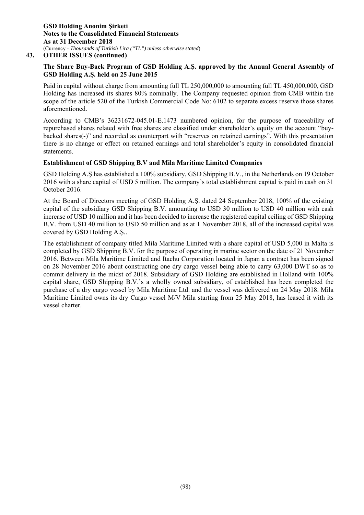# **The Share Buy-Back Program of GSD Holding A.Ş. approved by the Annual General Assembly of GSD Holding A.Ş. held on 25 June 2015**

Paid in capital without charge from amounting full TL 250,000,000 to amounting full TL 450,000,000, GSD Holding has increased its shares 80% nominally. The Company requested opinion from CMB within the scope of the article 520 of the Turkish Commercial Code No: 6102 to separate excess reserve those shares aforementioned.

According to CMB's 36231672-045.01-E.1473 numbered opinion, for the purpose of traceability of repurchased shares related with free shares are classified under shareholder's equity on the account "buybacked shares(-)" and recorded as counterpart with "reserves on retained earnings". With this presentation there is no change or effect on retained earnings and total shareholder's equity in consolidated financial statements.

### **Establishment of GSD Shipping B.V and Mila Maritime Limited Companies**

GSD Holding A.Ş has established a 100% subsidiary, GSD Shipping B.V., in the Netherlands on 19 October 2016 with a share capital of USD 5 million. The company's total establishment capital is paid in cash on 31 October 2016.

At the Board of Directors meeting of GSD Holding A.Ş. dated 24 September 2018, 100% of the existing capital of the subsidiary GSD Shipping B.V. amounting to USD 30 million to USD 40 million with cash increase of USD 10 million and it has been decided to increase the registered capital ceiling of GSD Shipping B.V. from USD 40 million to USD 50 million and as at 1 November 2018, all of the increased capital was covered by GSD Holding A.Ş..

The establishment of company titled Mila Maritime Limited with a share capital of USD 5,000 in Malta is completed by GSD Shipping B.V. for the purpose of operating in marine sector on the date of 21 November 2016. Between Mila Maritime Limited and Itachu Corporation located in Japan a contract has been signed on 28 November 2016 about constructing one dry cargo vessel being able to carry 63,000 DWT so as to commit delivery in the midst of 2018. Subsidiary of GSD Holding are established in Holland with 100% capital share, GSD Shipping B.V.'s a wholly owned subsidiary, of established has been completed the purchase of a dry cargo vessel by Mila Maritime Ltd. and the vessel was delivered on 24 May 2018. Mila Maritime Limited owns its dry Cargo vessel M/V Mila starting from 25 May 2018, has leased it with its vessel charter.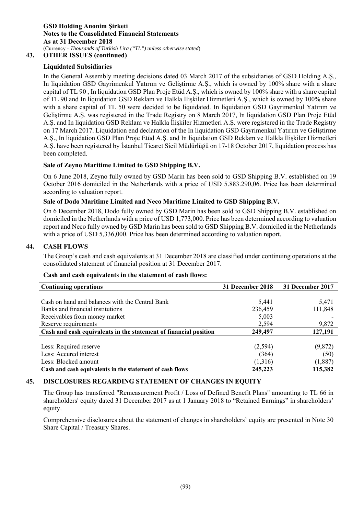# **43. OTHER ISSUES (continued)**

# **Liquidated Subsidiaries**

In the General Assembly meeting decisions dated 03 March 2017 of the subsidiaries of GSD Holding A.Ş., In liquidation GSD Gayrimenkul Yatırım ve Geliştirme A.Ş., which is owned by 100% share with a share capital of TL 90 , In liquidation GSD Plan Proje Etüd A.Ş., which is owned by 100% share with a share capital of TL 90 and In liquidation GSD Reklam ve Halkla İlişkiler Hizmetleri A.Ş., which is owned by 100% share with a share capital of TL 50 were decided to be liquidated. In liquidation GSD Gayrimenkul Yatırım ve Geliştirme A.Ş. was registered in the Trade Registry on 8 March 2017, In liquidation GSD Plan Proje Etüd A.Ş. and In liquidation GSD Reklam ve Halkla İlişkiler Hizmetleri A.Ş. were registered in the Trade Registry on 17 March 2017. Liquidation end declaration of the In liquidation GSD Gayrimenkul Yatırım ve Geliştirme A.Ş., In liquidation GSD Plan Proje Etüd A.Ş. and In liquidation GSD Reklam ve Halkla İlişkiler Hizmetleri A.Ş. have been registered by İstanbul Ticaret Sicil Müdürlüğü on 17-18 October 2017, liquidation process has been completed.

# **Sale of Zeyno Maritime Limited to GSD Shipping B.V.**

On 6 June 2018, Zeyno fully owned by GSD Marin has been sold to GSD Shipping B.V. established on 19 October 2016 domiciled in the Netherlands with a price of USD 5.883.290,06. Price has been determined according to valuation report.

# **Sale of Dodo Maritime Limited and Neco Maritime Limited to GSD Shipping B.V.**

On 6 December 2018, Dodo fully owned by GSD Marin has been sold to GSD Shipping B.V. established on domiciled in the Netherlands with a price of USD 1,773,000. Price has been determined according to valuation report and Neco fully owned by GSD Marin has been sold to GSD Shipping B.V. domiciled in the Netherlands with a price of USD 5,336,000. Price has been determined according to valuation report.

# **44. CASH FLOWS**

The Group's cash and cash equivalents at 31 December 2018 are classified under continuing operations at the consolidated statement of financial position at 31 December 2017.

### **Cash and cash equivalents in the statement of cash flows:**

| <b>Continuing operations</b>                                     | 31 December 2018 | 31 December 2017 |
|------------------------------------------------------------------|------------------|------------------|
|                                                                  |                  |                  |
| Cash on hand and balances with the Central Bank                  | 5,441            | 5,471            |
| Banks and financial institutions                                 | 236,459          | 111,848          |
| Receivables from money market                                    | 5,003            |                  |
| Reserve requirements                                             | 2,594            | 9,872            |
| Cash and cash equivalents in the statement of financial position | 249,497          | 127,191          |
|                                                                  |                  |                  |
| Less: Required reserve                                           | (2,594)          | (9,872)          |
| Less: Accured interest                                           | (364)            | (50)             |
| Less: Blocked amount                                             | (1,316)          | (1,887)          |
| Cash and cash equivalents in the statement of cash flows         | 245,223          | 115,382          |

# **45. DISCLOSURES REGARDING STATEMENT OF CHANGES IN EQUITY**

The Group has transferred "Remeasurement Profit / Loss of Defined Benefit Plans" amounting to TL 66 in shareholders' equity dated 31 December 2017 as at 1 January 2018 to "Retained Earnings" in shareholders' equity.

Comprehensive disclosures about the statement of changes in shareholders' equity are presented in Note 30 Share Capital / Treasury Shares.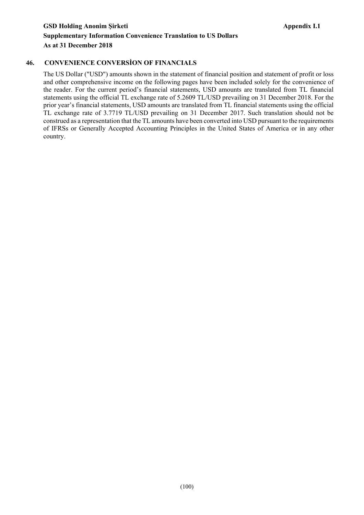# **46. CONVENIENCE CONVERSİON OF FINANCIALS**

The US Dollar ("USD") amounts shown in the statement of financial position and statement of profit or loss and other comprehensive income on the following pages have been included solely for the convenience of the reader. For the current period's financial statements, USD amounts are translated from TL financial statements using the official TL exchange rate of 5.2609 TL/USD prevailing on 31 December 2018. For the prior year's financial statements, USD amounts are translated from TL financial statements using the official TL exchange rate of 3.7719 TL/USD prevailing on 31 December 2017. Such translation should not be construed as a representation that the TL amounts have been converted into USD pursuant to the requirements of IFRSs or Generally Accepted Accounting Principles in the United States of America or in any other country.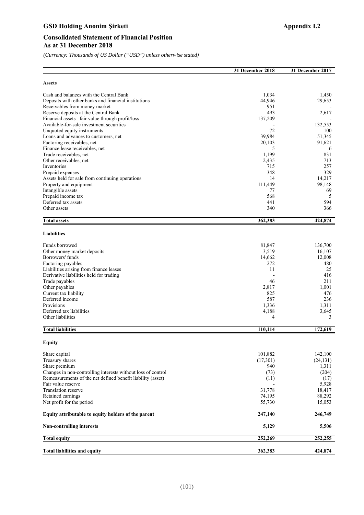## GSD Holding Anonim Şirketi **Appendix I.2 Appendix I.2**

*(Currency: Thousands of US Dollar ("USD") unless otherwise stated)*

|                                                                     | 31 December 2018 | 31 December 2017 |
|---------------------------------------------------------------------|------------------|------------------|
| <b>Assets</b>                                                       |                  |                  |
| Cash and balances with the Central Bank                             | 1,034            | 1,450            |
| Deposits with other banks and financial institutions                | 44,946           | 29,653           |
| Receivables from money market                                       | 951              |                  |
| Reserve deposits at the Central Bank                                | 493              | 2,617            |
| Financial assets-fair value through profit/loss                     | 137,209          |                  |
| Available-for-sale investment securities                            |                  | 132,553          |
| Unquoted equity instruments<br>Loans and advances to customers, net | 72<br>39,984     | 100<br>51,345    |
| Factoring receivables, net                                          | 20,103           | 91,621           |
| Finance lease receivables, net                                      | 5                | 6                |
| Trade receivables, net                                              | 1,199            | 831              |
| Other receivables, net                                              | 2,435            | 713              |
| Inventories                                                         | 715              | 257              |
| Prepaid expenses                                                    | 348              | 329              |
| Assets held for sale from continuing operations                     | 14               | 14,217           |
| Property and equipment                                              | 111,449          | 98,148           |
| Intangible assets                                                   | 77               | 69               |
| Prepaid income tax                                                  | 568              | 5                |
| Deferred tax assets                                                 | 441              | 594              |
| Other assets                                                        | 340              | 366              |
| <b>Total assets</b>                                                 | 362,383          | 424,874          |
| <b>Liabilities</b>                                                  |                  |                  |
| Funds borrowed                                                      | 81,847           | 136,700          |
| Other money market deposits                                         | 3,519            | 16,107           |
| Borrowers' funds                                                    | 14,662           | 12,008           |
| Factoring payables                                                  | 272              | 480              |
| Liabilities arising from finance leases                             | 11               | 25               |
| Derivative liabilities held for trading                             |                  | 416              |
| Trade payables                                                      | 46               | 211              |
| Other payables                                                      | 2,817            | 1,001            |
| Current tax liability                                               | 825              | 476              |
| Deferred income                                                     | 587              | 236              |
| Provisions<br>Deferred tax liabilities                              | 1,336            | 1,311            |
| Other liabilities                                                   | 4,188<br>4       | 3,645<br>3       |
|                                                                     |                  |                  |
| <b>Total liabilities</b>                                            | 110,114          | 172,619          |
| Equity                                                              |                  |                  |
| Share capital                                                       | 101,882          | 142,100          |
| Treasury shares                                                     | (17,301)         | (24, 131)        |
| Share premium                                                       | 940              | 1,311            |
| Changes in non-controlling interests without loss of control        | (73)             | (204)            |
| Remeasurements of the net defined benefit liability (asset)         | (11)             | (17)             |
| Fair value reserve                                                  |                  | 5,928            |
| <b>Translation reserve</b><br>Retained earnings                     | 31,778<br>74,195 | 18,417<br>88,292 |
| Net profit for the period                                           | 55,730           | 15,053           |
|                                                                     |                  |                  |
| Equity attributable to equity holders of the parent                 | 247,140          | 246,749          |
| <b>Non-controlling interests</b>                                    | 5,129            | 5,506            |
| <b>Total equity</b>                                                 | 252,269          | 252,255          |
| <b>Total liabilities and equity</b>                                 | 362,383          | 424,874          |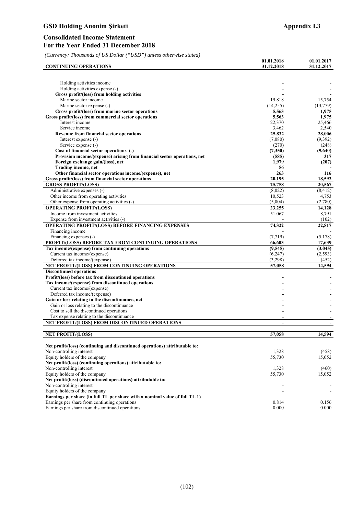| <b>Appendix I.3</b> |  |
|---------------------|--|
|                     |  |

| <b>CONTINUING OPERATIONS</b>                                                       | 01.01.2018<br>31.12.2018 | 01.01.2017<br>31.12.2017 |
|------------------------------------------------------------------------------------|--------------------------|--------------------------|
|                                                                                    |                          |                          |
|                                                                                    |                          |                          |
| Holding activities income                                                          |                          |                          |
| Holding activities expense (-)                                                     |                          |                          |
| Gross profit/(loss) from holding activities<br>Marine sector income                | 19,818                   | 15,754                   |
| Marine sector expense (-)                                                          | (14,255)                 | (13,779)                 |
| Gross profit/(loss) from marine sector operations                                  | 5,563                    | 1,975                    |
| Gross profit/(loss) from commercial sector operations                              | 5,563                    | 1,975                    |
| Interest income                                                                    | 22,370                   | 25.466                   |
| Service income                                                                     | 3,462                    | 2,540                    |
| Revenue from financial sector operations                                           | 25,832                   | 28,006                   |
| Interest expense (-)                                                               | (7,080)                  | (9,392)                  |
| Service expense (-)                                                                | (270)                    | (248)                    |
| Cost of financial sector operations (-)                                            | (7,350)                  | (9,640)                  |
| Provision income/(expense) arising from financial sector operations, net           | (585)                    | 317                      |
| Foreign exchange gain/(loss), net                                                  | 1,979                    | (207)                    |
| Trading income, net                                                                | 56                       |                          |
| Other financial sector operations income/(expense), net                            | 263                      | 116                      |
| Gross profit/(loss) from financial sector operations<br><b>GROSS PROFIT/(LOSS)</b> | 20,195<br>25,758         | 18,592                   |
| Administrative expenses (-)                                                        | (8,022)                  | 20,567<br>(8, 412)       |
| Other income from operating activities                                             | 10,523                   | 4,753                    |
| Other expense from operating activities (-)                                        | (5,004)                  | (2,780)                  |
| <b>OPERATING PROFIT/(LOSS)</b>                                                     | 23,255                   | 14,128                   |
| Income from investment activities                                                  | 51,067                   | 8,791                    |
| Expense from investment activities (-)                                             |                          | (102)                    |
| OPERATING PROFIT/(LOSS) BEFORE FINANCING EXPENSES                                  | 74,322                   | 22,817                   |
| Financing income                                                                   |                          |                          |
| Financing expenses (-)                                                             | (7, 719)                 | (5,178)                  |
| PROFIT/(LOSS) BEFORE TAX FROM CONTINUING OPERATIONS                                | 66,603                   | 17,639                   |
| Tax income/(expense) from continuing operations                                    | (9,545)                  | (3,045)                  |
| Current tax income/(expense)                                                       | (6,247)                  | (2,593)                  |
| Deferred tax income/(expense)                                                      | (3,298)                  | (452)                    |
| NET PROFIT/(LOSS) FROM CONTINUING OPERATIONS                                       | 57,058                   | 14,594                   |
| <b>Discontinued operations</b>                                                     |                          |                          |
| Profit/(loss) before tax from discontinued operations                              |                          |                          |
| Tax income/(expense) from discontinued operations                                  |                          |                          |
| Current tax income/(expense)                                                       |                          |                          |
| Deferred tax income/(expense)<br>Gain or loss relating to the discontinuance, net  |                          |                          |
| Gain or loss relating to the discontinuance                                        |                          |                          |
| Cost to sell the discontinued operations                                           |                          |                          |
| Tax expense relating to the discontinuance                                         |                          |                          |
| NET PROFIT/(LOSS) FROM DISCONTINUED OPERATIONS                                     | $\blacksquare$           |                          |
|                                                                                    |                          |                          |
| <b>NET PROFIT/(LOSS)</b>                                                           | 57,058                   | 14,594                   |
| Net profit/(loss) (continuing and discontinued operations) attributable to:        |                          |                          |
| Non-controlling interest                                                           | 1,328                    | (458)                    |
| Equity holders of the company                                                      | 55,730                   | 15,052                   |
| Net profit/(loss) (continuing operations) attributable to:                         |                          |                          |
| Non-controlling interest                                                           | 1,328                    | (460)                    |
| Equity holders of the company                                                      | 55,730                   | 15,052                   |
| Net profit/(loss) (discontinued operations) attributable to:                       |                          |                          |
| Non-controlling interest                                                           |                          |                          |
| Equity holders of the company                                                      |                          | $\overline{\phantom{a}}$ |
| Earnings per share (in full TL per share with a nominal value of full TL 1)        |                          |                          |
| Earnings per share from continuing operations                                      | 0.814                    | 0.156                    |
| Earnings per share from discontinued operations                                    | 0.000                    | 0.000                    |